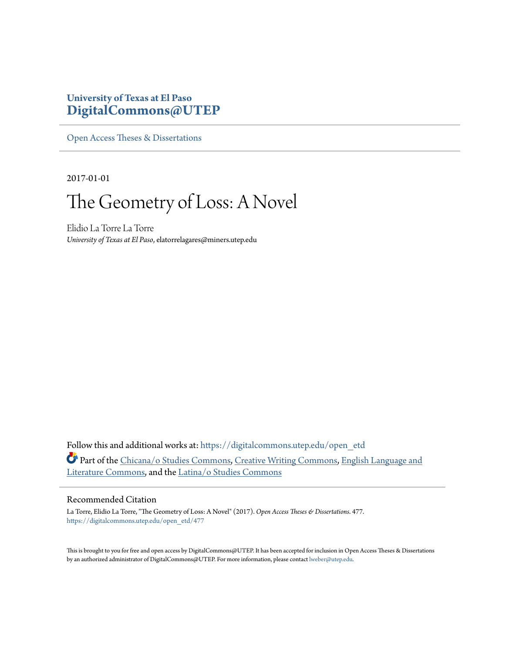# **University of Texas at El Paso [DigitalCommons@UTEP](https://digitalcommons.utep.edu/?utm_source=digitalcommons.utep.edu%2Fopen_etd%2F477&utm_medium=PDF&utm_campaign=PDFCoverPages)**

[Open Access Theses & Dissertations](https://digitalcommons.utep.edu/open_etd?utm_source=digitalcommons.utep.edu%2Fopen_etd%2F477&utm_medium=PDF&utm_campaign=PDFCoverPages)

2017-01-01

# The Geometry of Loss: A Novel

Elidio La Torre La Torre *University of Texas at El Paso*, elatorrelagares@miners.utep.edu

Follow this and additional works at: [https://digitalcommons.utep.edu/open\\_etd](https://digitalcommons.utep.edu/open_etd?utm_source=digitalcommons.utep.edu%2Fopen_etd%2F477&utm_medium=PDF&utm_campaign=PDFCoverPages) Part of the [Chicana/o Studies Commons,](http://network.bepress.com/hgg/discipline/569?utm_source=digitalcommons.utep.edu%2Fopen_etd%2F477&utm_medium=PDF&utm_campaign=PDFCoverPages) [Creative Writing Commons](http://network.bepress.com/hgg/discipline/574?utm_source=digitalcommons.utep.edu%2Fopen_etd%2F477&utm_medium=PDF&utm_campaign=PDFCoverPages), [English Language and](http://network.bepress.com/hgg/discipline/455?utm_source=digitalcommons.utep.edu%2Fopen_etd%2F477&utm_medium=PDF&utm_campaign=PDFCoverPages) [Literature Commons,](http://network.bepress.com/hgg/discipline/455?utm_source=digitalcommons.utep.edu%2Fopen_etd%2F477&utm_medium=PDF&utm_campaign=PDFCoverPages) and the [Latina/o Studies Commons](http://network.bepress.com/hgg/discipline/1315?utm_source=digitalcommons.utep.edu%2Fopen_etd%2F477&utm_medium=PDF&utm_campaign=PDFCoverPages)

#### Recommended Citation

La Torre, Elidio La Torre, "The Geometry of Loss: A Novel" (2017). *Open Access Theses & Dissertations*. 477. [https://digitalcommons.utep.edu/open\\_etd/477](https://digitalcommons.utep.edu/open_etd/477?utm_source=digitalcommons.utep.edu%2Fopen_etd%2F477&utm_medium=PDF&utm_campaign=PDFCoverPages)

This is brought to you for free and open access by DigitalCommons@UTEP. It has been accepted for inclusion in Open Access Theses & Dissertations by an authorized administrator of DigitalCommons@UTEP. For more information, please contact [lweber@utep.edu.](mailto:lweber@utep.edu)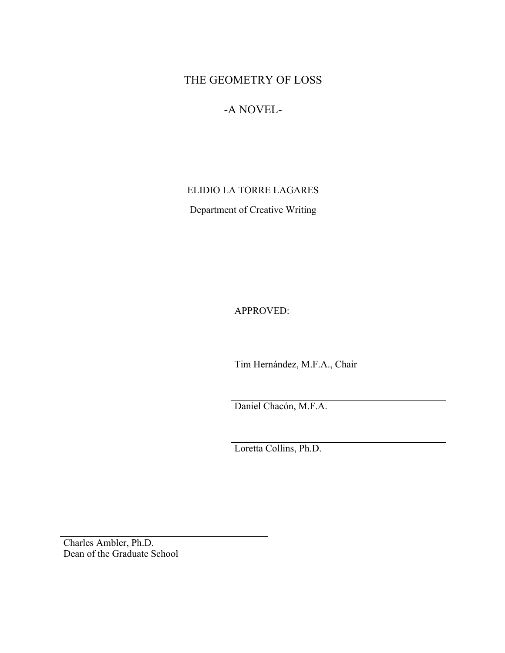# THE GEOMETRY OF LOSS

# -A NOVEL-

ELIDIO LA TORRE LAGARES

Department of Creative Writing

APPROVED:

Tim Hernández, M.F.A., Chair

Daniel Chacón, M.F.A.

Loretta Collins, Ph.D.

Charles Ambler, Ph.D. Dean of the Graduate School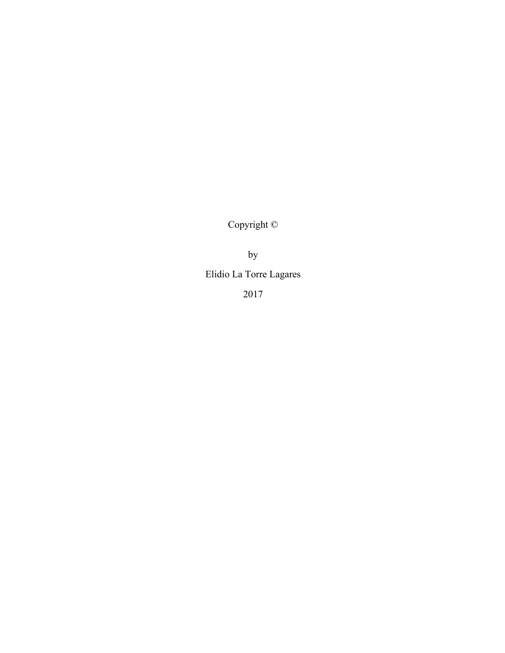Copyright ©

by

Elidio La Torre Lagares

2017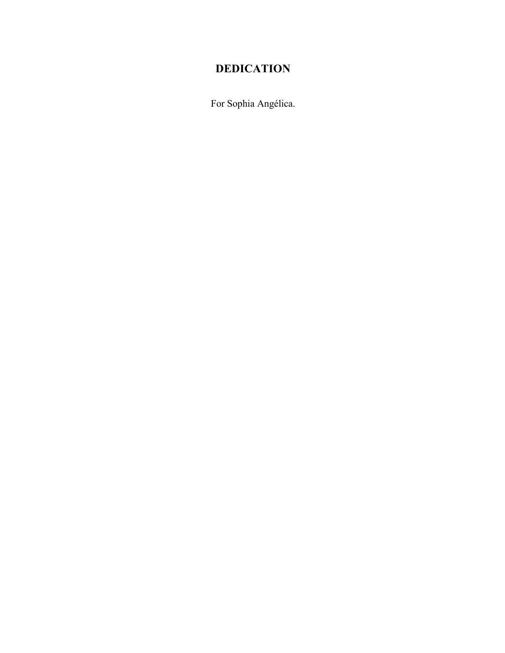# **DEDICATION**

For Sophia Angélica.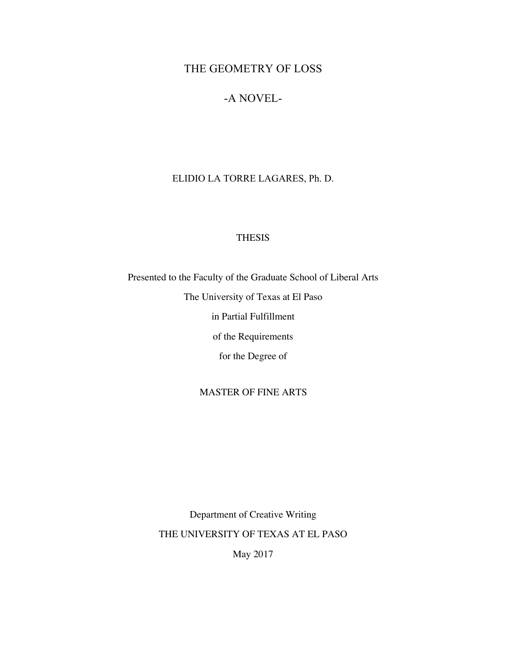### THE GEOMETRY OF LOSS

# -A NOVEL-

### ELIDIO LA TORRE LAGARES, Ph. D.

### **THESIS**

Presented to the Faculty of the Graduate School of Liberal Arts The University of Texas at El Paso in Partial Fulfillment of the Requirements for the Degree of

### MASTER OF FINE ARTS

Department of Creative Writing THE UNIVERSITY OF TEXAS AT EL PASO

May 2017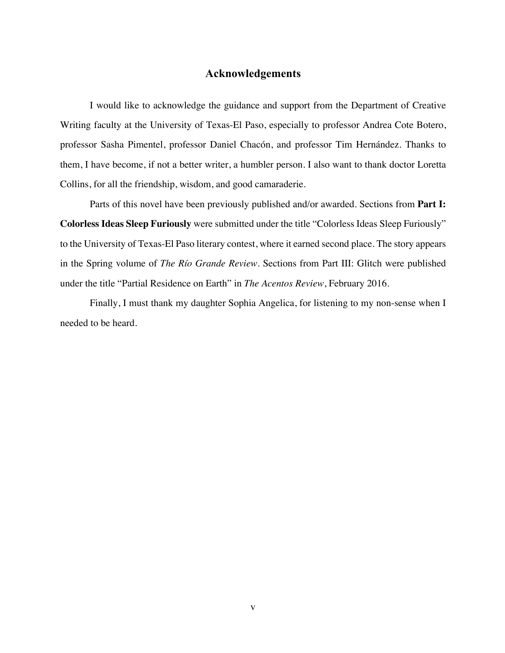### **Acknowledgements**

I would like to acknowledge the guidance and support from the Department of Creative Writing faculty at the University of Texas-El Paso, especially to professor Andrea Cote Botero, professor Sasha Pimentel, professor Daniel Chacón, and professor Tim Hernández. Thanks to them, I have become, if not a better writer, a humbler person. I also want to thank doctor Loretta Collins, for all the friendship, wisdom, and good camaraderie.

Parts of this novel have been previously published and/or awarded. Sections from **Part I: Colorless Ideas Sleep Furiously** were submitted under the title "Colorless Ideas Sleep Furiously" to the University of Texas-El Paso literary contest, where it earned second place. The story appears in the Spring volume of *The Río Grande Review*. Sections from Part III: Glitch were published under the title "Partial Residence on Earth" in *The Acentos Review*, February 2016.

Finally, I must thank my daughter Sophia Angelica, for listening to my non-sense when I needed to be heard.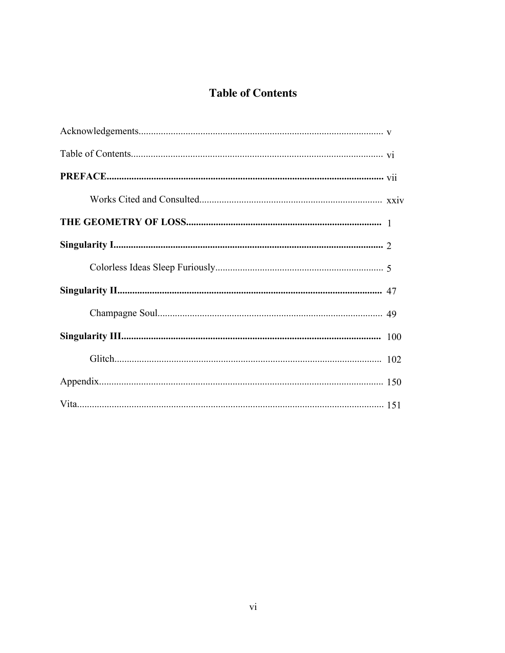# **Table of Contents**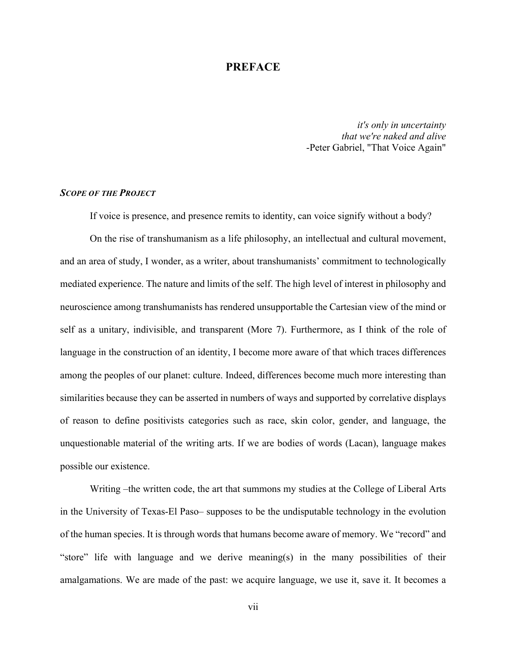### **PREFACE**

*it's only in uncertainty that we're naked and alive* -Peter Gabriel, "That Voice Again"

#### *SCOPE OF THE PROJECT*

If voice is presence, and presence remits to identity, can voice signify without a body?

On the rise of transhumanism as a life philosophy, an intellectual and cultural movement, and an area of study, I wonder, as a writer, about transhumanists' commitment to technologically mediated experience. The nature and limits of the self. The high level of interest in philosophy and neuroscience among transhumanists has rendered unsupportable the Cartesian view of the mind or self as a unitary, indivisible, and transparent (More 7). Furthermore, as I think of the role of language in the construction of an identity, I become more aware of that which traces differences among the peoples of our planet: culture. Indeed, differences become much more interesting than similarities because they can be asserted in numbers of ways and supported by correlative displays of reason to define positivists categories such as race, skin color, gender, and language, the unquestionable material of the writing arts. If we are bodies of words (Lacan), language makes possible our existence.

Writing –the written code, the art that summons my studies at the College of Liberal Arts in the University of Texas-El Paso– supposes to be the undisputable technology in the evolution of the human species. It is through words that humans become aware of memory. We "record" and "store" life with language and we derive meaning(s) in the many possibilities of their amalgamations. We are made of the past: we acquire language, we use it, save it. It becomes a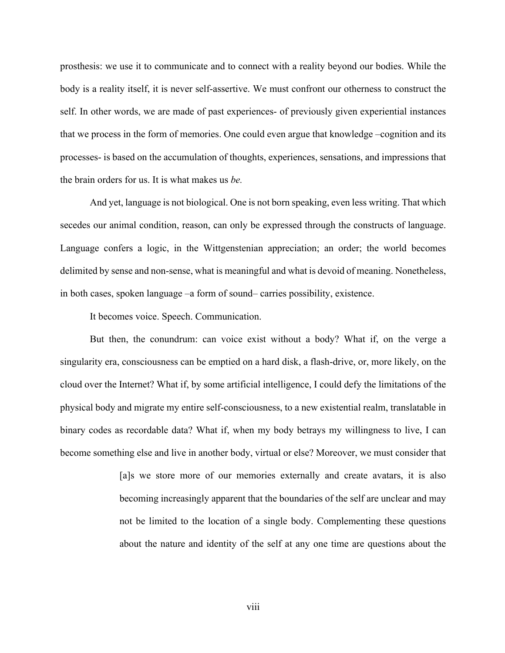prosthesis: we use it to communicate and to connect with a reality beyond our bodies. While the body is a reality itself, it is never self-assertive. We must confront our otherness to construct the self. In other words, we are made of past experiences- of previously given experiential instances that we process in the form of memories. One could even argue that knowledge –cognition and its processes- is based on the accumulation of thoughts, experiences, sensations, and impressions that the brain orders for us. It is what makes us *be.*

And yet, language is not biological. One is not born speaking, even less writing. That which secedes our animal condition, reason, can only be expressed through the constructs of language. Language confers a logic, in the Wittgenstenian appreciation; an order; the world becomes delimited by sense and non-sense, what is meaningful and what is devoid of meaning. Nonetheless, in both cases, spoken language –a form of sound– carries possibility, existence.

It becomes voice. Speech. Communication.

But then, the conundrum: can voice exist without a body? What if, on the verge a singularity era, consciousness can be emptied on a hard disk, a flash-drive, or, more likely, on the cloud over the Internet? What if, by some artificial intelligence, I could defy the limitations of the physical body and migrate my entire self-consciousness, to a new existential realm, translatable in binary codes as recordable data? What if, when my body betrays my willingness to live, I can become something else and live in another body, virtual or else? Moreover, we must consider that

> [a]s we store more of our memories externally and create avatars, it is also becoming increasingly apparent that the boundaries of the self are unclear and may not be limited to the location of a single body. Complementing these questions about the nature and identity of the self at any one time are questions about the

> > viii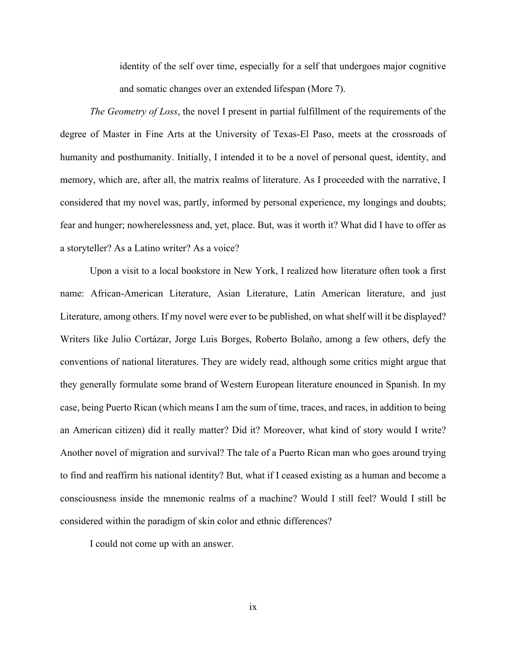identity of the self over time, especially for a self that undergoes major cognitive and somatic changes over an extended lifespan (More 7).

*The Geometry of Loss*, the novel I present in partial fulfillment of the requirements of the degree of Master in Fine Arts at the University of Texas-El Paso, meets at the crossroads of humanity and posthumanity. Initially, I intended it to be a novel of personal quest, identity, and memory, which are, after all, the matrix realms of literature. As I proceeded with the narrative, I considered that my novel was, partly, informed by personal experience, my longings and doubts; fear and hunger; nowherelessness and, yet, place. But, was it worth it? What did I have to offer as a storyteller? As a Latino writer? As a voice?

Upon a visit to a local bookstore in New York, I realized how literature often took a first name: African-American Literature, Asian Literature, Latin American literature, and just Literature, among others. If my novel were ever to be published, on what shelf will it be displayed? Writers like Julio Cortázar, Jorge Luis Borges, Roberto Bolaño, among a few others, defy the conventions of national literatures. They are widely read, although some critics might argue that they generally formulate some brand of Western European literature enounced in Spanish. In my case, being Puerto Rican (which means I am the sum of time, traces, and races, in addition to being an American citizen) did it really matter? Did it? Moreover, what kind of story would I write? Another novel of migration and survival? The tale of a Puerto Rican man who goes around trying to find and reaffirm his national identity? But, what if I ceased existing as a human and become a consciousness inside the mnemonic realms of a machine? Would I still feel? Would I still be considered within the paradigm of skin color and ethnic differences?

I could not come up with an answer.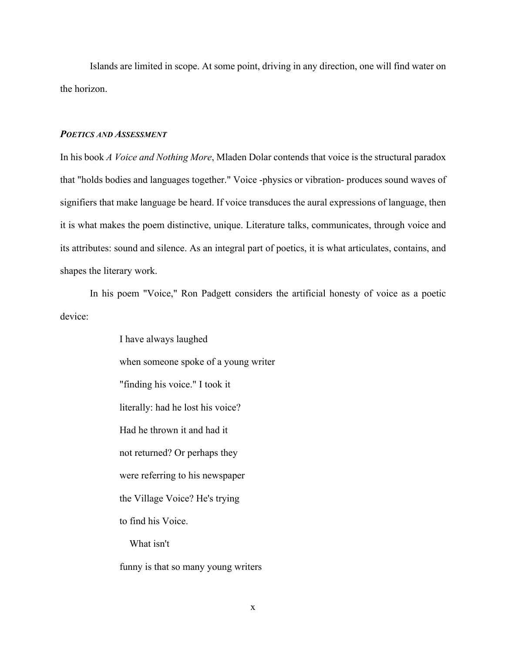Islands are limited in scope. At some point, driving in any direction, one will find water on the horizon.

#### *POETICS AND ASSESSMENT*

In his book *A Voice and Nothing More*, Mladen Dolar contends that voice is the structural paradox that "holds bodies and languages together." Voice -physics or vibration- produces sound waves of signifiers that make language be heard. If voice transduces the aural expressions of language, then it is what makes the poem distinctive, unique. Literature talks, communicates, through voice and its attributes: sound and silence. As an integral part of poetics, it is what articulates, contains, and shapes the literary work.

In his poem "Voice," Ron Padgett considers the artificial honesty of voice as a poetic device:

> I have always laughed when someone spoke of a young writer "finding his voice." I took it literally: had he lost his voice? Had he thrown it and had it not returned? Or perhaps they were referring to his newspaper the Village Voice? He's trying to find his Voice. What isn't funny is that so many young writers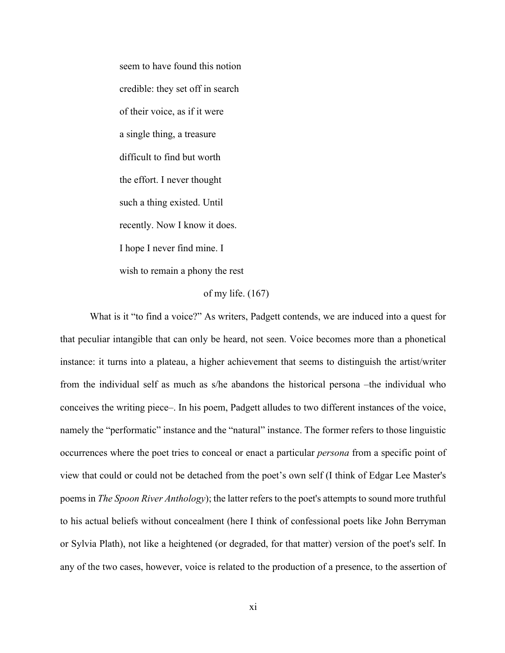seem to have found this notion credible: they set off in search of their voice, as if it were a single thing, a treasure difficult to find but worth the effort. I never thought such a thing existed. Until recently. Now I know it does. I hope I never find mine. I wish to remain a phony the rest

#### of my life. (167)

What is it "to find a voice?" As writers, Padgett contends, we are induced into a quest for that peculiar intangible that can only be heard, not seen. Voice becomes more than a phonetical instance: it turns into a plateau, a higher achievement that seems to distinguish the artist/writer from the individual self as much as s/he abandons the historical persona –the individual who conceives the writing piece–. In his poem, Padgett alludes to two different instances of the voice, namely the "performatic" instance and the "natural" instance. The former refers to those linguistic occurrences where the poet tries to conceal or enact a particular *persona* from a specific point of view that could or could not be detached from the poet's own self (I think of Edgar Lee Master's poems in *The Spoon River Anthology*); the latter refers to the poet's attempts to sound more truthful to his actual beliefs without concealment (here I think of confessional poets like John Berryman or Sylvia Plath), not like a heightened (or degraded, for that matter) version of the poet's self. In any of the two cases, however, voice is related to the production of a presence, to the assertion of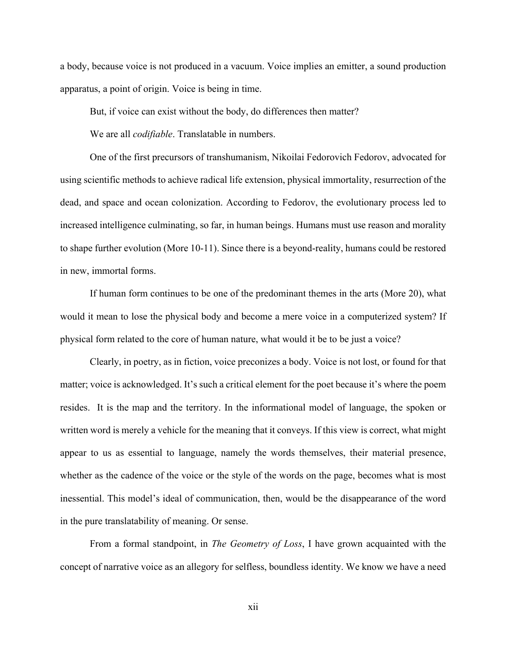a body, because voice is not produced in a vacuum. Voice implies an emitter, a sound production apparatus, a point of origin. Voice is being in time.

But, if voice can exist without the body, do differences then matter?

We are all *codifiable*. Translatable in numbers.

One of the first precursors of transhumanism, Nikoilai Fedorovich Fedorov, advocated for using scientific methods to achieve radical life extension, physical immortality, resurrection of the dead, and space and ocean colonization. According to Fedorov, the evolutionary process led to increased intelligence culminating, so far, in human beings. Humans must use reason and morality to shape further evolution (More 10-11). Since there is a beyond-reality, humans could be restored in new, immortal forms.

If human form continues to be one of the predominant themes in the arts (More 20), what would it mean to lose the physical body and become a mere voice in a computerized system? If physical form related to the core of human nature, what would it be to be just a voice?

Clearly, in poetry, as in fiction, voice preconizes a body. Voice is not lost, or found for that matter; voice is acknowledged. It's such a critical element for the poet because it's where the poem resides. It is the map and the territory. In the informational model of language, the spoken or written word is merely a vehicle for the meaning that it conveys. If this view is correct, what might appear to us as essential to language, namely the words themselves, their material presence, whether as the cadence of the voice or the style of the words on the page, becomes what is most inessential. This model's ideal of communication, then, would be the disappearance of the word in the pure translatability of meaning. Or sense.

From a formal standpoint, in *The Geometry of Loss*, I have grown acquainted with the concept of narrative voice as an allegory for selfless, boundless identity. We know we have a need

xii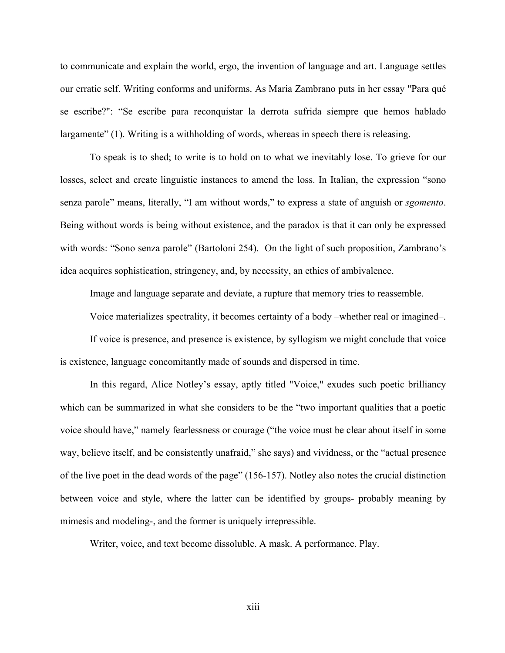to communicate and explain the world, ergo, the invention of language and art. Language settles our erratic self. Writing conforms and uniforms. As Maria Zambrano puts in her essay "Para qué se escribe?": "Se escribe para reconquistar la derrota sufrida siempre que hemos hablado largamente" (1). Writing is a withholding of words, whereas in speech there is releasing.

To speak is to shed; to write is to hold on to what we inevitably lose. To grieve for our losses, select and create linguistic instances to amend the loss. In Italian, the expression "sono senza parole" means, literally, "I am without words," to express a state of anguish or *sgomento*. Being without words is being without existence, and the paradox is that it can only be expressed with words: "Sono senza parole" (Bartoloni 254). On the light of such proposition, Zambrano's idea acquires sophistication, stringency, and, by necessity, an ethics of ambivalence.

Image and language separate and deviate, a rupture that memory tries to reassemble.

Voice materializes spectrality, it becomes certainty of a body –whether real or imagined–.

If voice is presence, and presence is existence, by syllogism we might conclude that voice is existence, language concomitantly made of sounds and dispersed in time.

In this regard, Alice Notley's essay, aptly titled "Voice," exudes such poetic brilliancy which can be summarized in what she considers to be the "two important qualities that a poetic voice should have," namely fearlessness or courage ("the voice must be clear about itself in some way, believe itself, and be consistently unafraid," she says) and vividness, or the "actual presence of the live poet in the dead words of the page" (156-157). Notley also notes the crucial distinction between voice and style, where the latter can be identified by groups- probably meaning by mimesis and modeling-, and the former is uniquely irrepressible.

Writer, voice, and text become dissoluble. A mask. A performance. Play.

xiii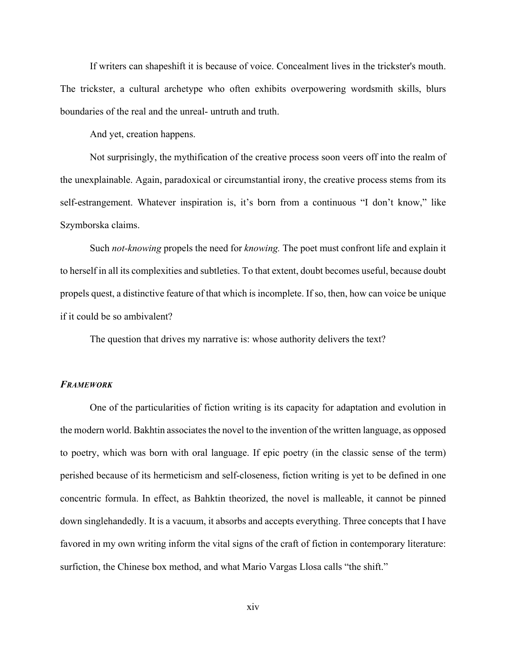If writers can shapeshift it is because of voice. Concealment lives in the trickster's mouth. The trickster, a cultural archetype who often exhibits overpowering wordsmith skills, blurs boundaries of the real and the unreal- untruth and truth.

And yet, creation happens.

Not surprisingly, the mythification of the creative process soon veers off into the realm of the unexplainable. Again, paradoxical or circumstantial irony, the creative process stems from its self-estrangement. Whatever inspiration is, it's born from a continuous "I don't know," like Szymborska claims.

Such *not-knowing* propels the need for *knowing.* The poet must confront life and explain it to herself in all its complexities and subtleties. To that extent, doubt becomes useful, because doubt propels quest, a distinctive feature of that which is incomplete. If so, then, how can voice be unique if it could be so ambivalent?

The question that drives my narrative is: whose authority delivers the text?

#### *FRAMEWORK*

One of the particularities of fiction writing is its capacity for adaptation and evolution in the modern world. Bakhtin associates the novel to the invention of the written language, as opposed to poetry, which was born with oral language. If epic poetry (in the classic sense of the term) perished because of its hermeticism and self-closeness, fiction writing is yet to be defined in one concentric formula. In effect, as Bahktin theorized, the novel is malleable, it cannot be pinned down singlehandedly. It is a vacuum, it absorbs and accepts everything. Three concepts that I have favored in my own writing inform the vital signs of the craft of fiction in contemporary literature: surfiction, the Chinese box method, and what Mario Vargas Llosa calls "the shift."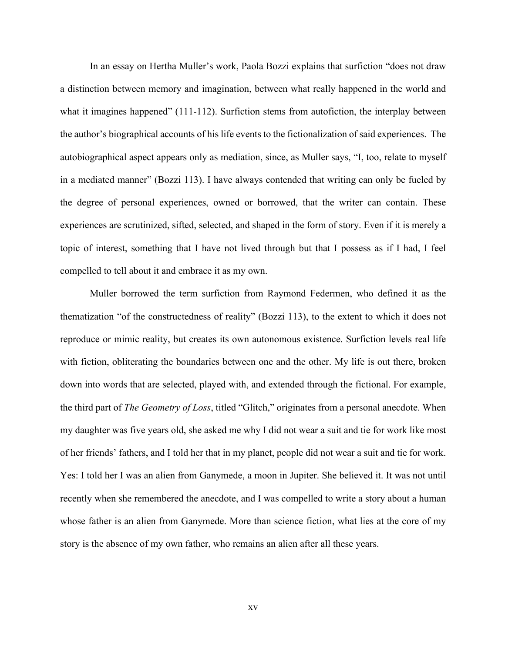In an essay on Hertha Muller's work, Paola Bozzi explains that surfiction "does not draw a distinction between memory and imagination, between what really happened in the world and what it imagines happened" (111-112). Surfiction stems from autofiction, the interplay between the author's biographical accounts of his life events to the fictionalization of said experiences. The autobiographical aspect appears only as mediation, since, as Muller says, "I, too, relate to myself in a mediated manner" (Bozzi 113). I have always contended that writing can only be fueled by the degree of personal experiences, owned or borrowed, that the writer can contain. These experiences are scrutinized, sifted, selected, and shaped in the form of story. Even if it is merely a topic of interest, something that I have not lived through but that I possess as if I had, I feel compelled to tell about it and embrace it as my own.

Muller borrowed the term surfiction from Raymond Federmen, who defined it as the thematization "of the constructedness of reality" (Bozzi 113), to the extent to which it does not reproduce or mimic reality, but creates its own autonomous existence. Surfiction levels real life with fiction, obliterating the boundaries between one and the other. My life is out there, broken down into words that are selected, played with, and extended through the fictional. For example, the third part of *The Geometry of Loss*, titled "Glitch," originates from a personal anecdote. When my daughter was five years old, she asked me why I did not wear a suit and tie for work like most of her friends' fathers, and I told her that in my planet, people did not wear a suit and tie for work. Yes: I told her I was an alien from Ganymede, a moon in Jupiter. She believed it. It was not until recently when she remembered the anecdote, and I was compelled to write a story about a human whose father is an alien from Ganymede. More than science fiction, what lies at the core of my story is the absence of my own father, who remains an alien after all these years.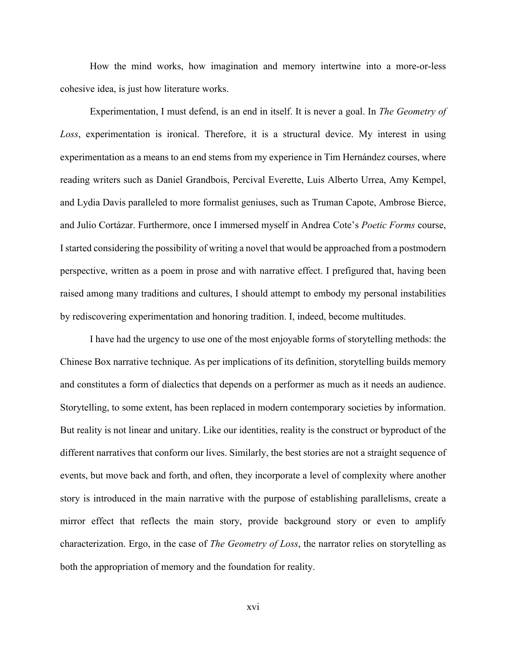How the mind works, how imagination and memory intertwine into a more-or-less cohesive idea, is just how literature works.

Experimentation, I must defend, is an end in itself. It is never a goal. In *The Geometry of Loss*, experimentation is ironical. Therefore, it is a structural device. My interest in using experimentation as a means to an end stems from my experience in Tim Hernández courses, where reading writers such as Daniel Grandbois, Percival Everette, Luis Alberto Urrea, Amy Kempel, and Lydia Davis paralleled to more formalist geniuses, such as Truman Capote, Ambrose Bierce, and Julio Cortázar. Furthermore, once I immersed myself in Andrea Cote's *Poetic Forms* course, I started considering the possibility of writing a novel that would be approached from a postmodern perspective, written as a poem in prose and with narrative effect. I prefigured that, having been raised among many traditions and cultures, I should attempt to embody my personal instabilities by rediscovering experimentation and honoring tradition. I, indeed, become multitudes.

I have had the urgency to use one of the most enjoyable forms of storytelling methods: the Chinese Box narrative technique. As per implications of its definition, storytelling builds memory and constitutes a form of dialectics that depends on a performer as much as it needs an audience. Storytelling, to some extent, has been replaced in modern contemporary societies by information. But reality is not linear and unitary. Like our identities, reality is the construct or byproduct of the different narratives that conform our lives. Similarly, the best stories are not a straight sequence of events, but move back and forth, and often, they incorporate a level of complexity where another story is introduced in the main narrative with the purpose of establishing parallelisms, create a mirror effect that reflects the main story, provide background story or even to amplify characterization. Ergo, in the case of *The Geometry of Loss*, the narrator relies on storytelling as both the appropriation of memory and the foundation for reality.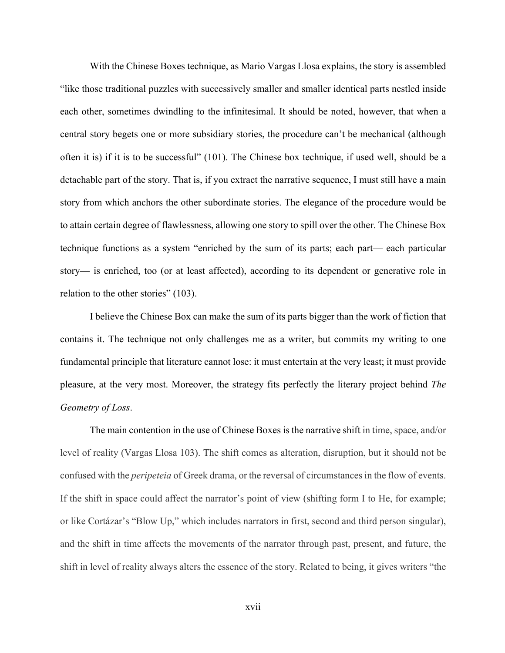With the Chinese Boxes technique, as Mario Vargas Llosa explains, the story is assembled "like those traditional puzzles with successively smaller and smaller identical parts nestled inside each other, sometimes dwindling to the infinitesimal. It should be noted, however, that when a central story begets one or more subsidiary stories, the procedure can't be mechanical (although often it is) if it is to be successful" (101). The Chinese box technique, if used well, should be a detachable part of the story. That is, if you extract the narrative sequence, I must still have a main story from which anchors the other subordinate stories. The elegance of the procedure would be to attain certain degree of flawlessness, allowing one story to spill over the other. The Chinese Box technique functions as a system "enriched by the sum of its parts; each part— each particular story— is enriched, too (or at least affected), according to its dependent or generative role in relation to the other stories" (103).

I believe the Chinese Box can make the sum of its parts bigger than the work of fiction that contains it. The technique not only challenges me as a writer, but commits my writing to one fundamental principle that literature cannot lose: it must entertain at the very least; it must provide pleasure, at the very most. Moreover, the strategy fits perfectly the literary project behind *The Geometry of Loss*.

The main contention in the use of Chinese Boxes is the narrative shift in time, space, and/or level of reality (Vargas Llosa 103). The shift comes as alteration, disruption, but it should not be confused with the *peripeteia* of Greek drama, or the reversal of circumstances in the flow of events. If the shift in space could affect the narrator's point of view (shifting form I to He, for example; or like Cortázar's "Blow Up," which includes narrators in first, second and third person singular), and the shift in time affects the movements of the narrator through past, present, and future, the shift in level of reality always alters the essence of the story. Related to being, it gives writers "the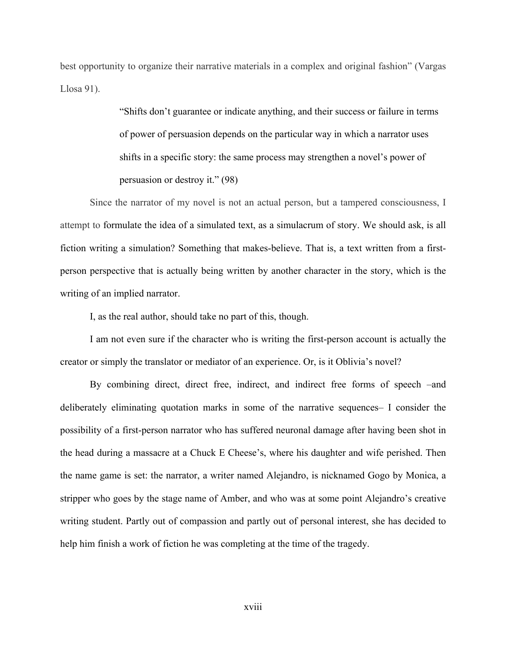best opportunity to organize their narrative materials in a complex and original fashion" (Vargas Llosa 91).

> "Shifts don't guarantee or indicate anything, and their success or failure in terms of power of persuasion depends on the particular way in which a narrator uses shifts in a specific story: the same process may strengthen a novel's power of persuasion or destroy it." (98)

Since the narrator of my novel is not an actual person, but a tampered consciousness, I attempt to formulate the idea of a simulated text, as a simulacrum of story. We should ask, is all fiction writing a simulation? Something that makes-believe. That is, a text written from a firstperson perspective that is actually being written by another character in the story, which is the writing of an implied narrator.

I, as the real author, should take no part of this, though.

I am not even sure if the character who is writing the first-person account is actually the creator or simply the translator or mediator of an experience. Or, is it Oblivia's novel?

By combining direct, direct free, indirect, and indirect free forms of speech –and deliberately eliminating quotation marks in some of the narrative sequences– I consider the possibility of a first-person narrator who has suffered neuronal damage after having been shot in the head during a massacre at a Chuck E Cheese's, where his daughter and wife perished. Then the name game is set: the narrator, a writer named Alejandro, is nicknamed Gogo by Monica, a stripper who goes by the stage name of Amber, and who was at some point Alejandro's creative writing student. Partly out of compassion and partly out of personal interest, she has decided to help him finish a work of fiction he was completing at the time of the tragedy.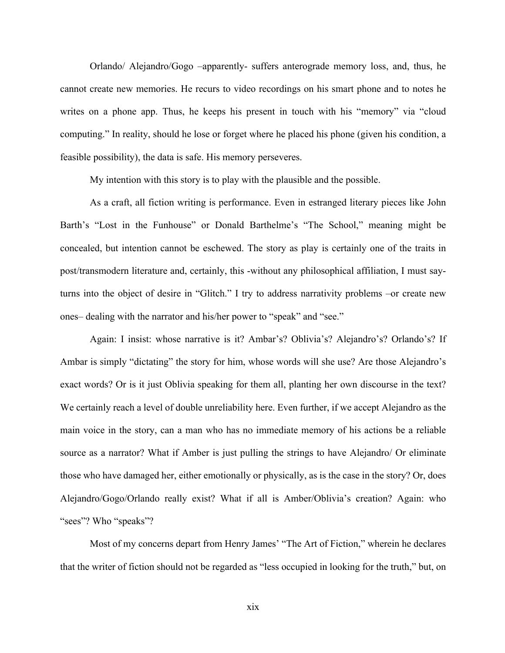Orlando/ Alejandro/Gogo –apparently- suffers anterograde memory loss, and, thus, he cannot create new memories. He recurs to video recordings on his smart phone and to notes he writes on a phone app. Thus, he keeps his present in touch with his "memory" via "cloud computing." In reality, should he lose or forget where he placed his phone (given his condition, a feasible possibility), the data is safe. His memory perseveres.

My intention with this story is to play with the plausible and the possible.

As a craft, all fiction writing is performance. Even in estranged literary pieces like John Barth's "Lost in the Funhouse" or Donald Barthelme's "The School," meaning might be concealed, but intention cannot be eschewed. The story as play is certainly one of the traits in post/transmodern literature and, certainly, this -without any philosophical affiliation, I must sayturns into the object of desire in "Glitch." I try to address narrativity problems –or create new ones– dealing with the narrator and his/her power to "speak" and "see."

Again: I insist: whose narrative is it? Ambar's? Oblivia's? Alejandro's? Orlando's? If Ambar is simply "dictating" the story for him, whose words will she use? Are those Alejandro's exact words? Or is it just Oblivia speaking for them all, planting her own discourse in the text? We certainly reach a level of double unreliability here. Even further, if we accept Alejandro as the main voice in the story, can a man who has no immediate memory of his actions be a reliable source as a narrator? What if Amber is just pulling the strings to have Alejandro/ Or eliminate those who have damaged her, either emotionally or physically, as is the case in the story? Or, does Alejandro/Gogo/Orlando really exist? What if all is Amber/Oblivia's creation? Again: who "sees"? Who "speaks"?

Most of my concerns depart from Henry James' "The Art of Fiction," wherein he declares that the writer of fiction should not be regarded as "less occupied in looking for the truth," but, on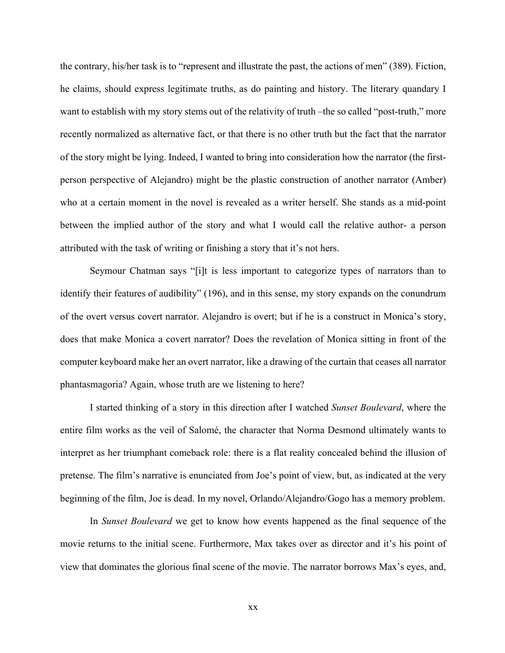the contrary, his/her task is to "represent and illustrate the past, the actions of men" (389). Fiction, he claims, should express legitimate truths, as do painting and history. The literary quandary I want to establish with my story stems out of the relativity of truth –the so called "post-truth," more recently normalized as alternative fact, or that there is no other truth but the fact that the narrator of the story might be lying. Indeed, I wanted to bring into consideration how the narrator (the firstperson perspective of Alejandro) might be the plastic construction of another narrator (Amber) who at a certain moment in the novel is revealed as a writer herself. She stands as a mid-point between the implied author of the story and what I would call the relative author- a person attributed with the task of writing or finishing a story that it's not hers.

Seymour Chatman says "[i]t is less important to categorize types of narrators than to identify their features of audibility" (196), and in this sense, my story expands on the conundrum of the overt versus covert narrator. Alejandro is overt; but if he is a construct in Monica's story, does that make Monica a covert narrator? Does the revelation of Monica sitting in front of the computer keyboard make her an overt narrator, like a drawing of the curtain that ceases all narrator phantasmagoria? Again, whose truth are we listening to here?

I started thinking of a story in this direction after I watched *Sunset Boulevard*, where the entire film works as the veil of Salomé, the character that Norma Desmond ultimately wants to interpret as her triumphant comeback role: there is a flat reality concealed behind the illusion of pretense. The film's narrative is enunciated from Joe's point of view, but, as indicated at the very beginning of the film, Joe is dead. In my novel, Orlando/Alejandro/Gogo has a memory problem.

In *Sunset Boulevard* we get to know how events happened as the final sequence of the movie returns to the initial scene. Furthermore, Max takes over as director and it's his point of view that dominates the glorious final scene of the movie. The narrator borrows Max's eyes, and,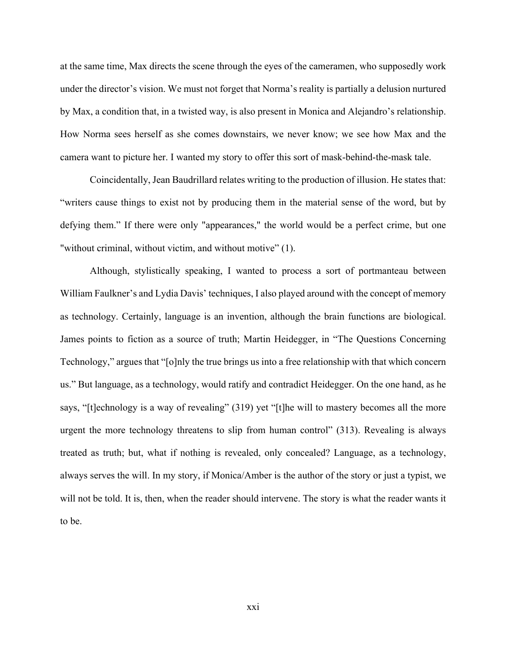at the same time, Max directs the scene through the eyes of the cameramen, who supposedly work under the director's vision. We must not forget that Norma's reality is partially a delusion nurtured by Max, a condition that, in a twisted way, is also present in Monica and Alejandro's relationship. How Norma sees herself as she comes downstairs, we never know; we see how Max and the camera want to picture her. I wanted my story to offer this sort of mask-behind-the-mask tale.

Coincidentally, Jean Baudrillard relates writing to the production of illusion. He states that: "writers cause things to exist not by producing them in the material sense of the word, but by defying them." If there were only "appearances," the world would be a perfect crime, but one "without criminal, without victim, and without motive" (1).

Although, stylistically speaking, I wanted to process a sort of portmanteau between William Faulkner's and Lydia Davis' techniques, I also played around with the concept of memory as technology. Certainly, language is an invention, although the brain functions are biological. James points to fiction as a source of truth; Martin Heidegger, in "The Questions Concerning Technology," argues that "[o]nly the true brings us into a free relationship with that which concern us." But language, as a technology, would ratify and contradict Heidegger. On the one hand, as he says, "[t]echnology is a way of revealing" (319) yet "[t]he will to mastery becomes all the more urgent the more technology threatens to slip from human control" (313). Revealing is always treated as truth; but, what if nothing is revealed, only concealed? Language, as a technology, always serves the will. In my story, if Monica/Amber is the author of the story or just a typist, we will not be told. It is, then, when the reader should intervene. The story is what the reader wants it to be.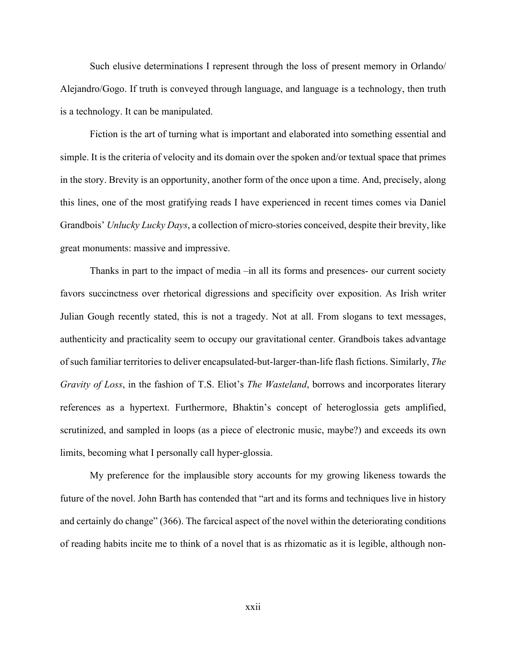Such elusive determinations I represent through the loss of present memory in Orlando/ Alejandro/Gogo. If truth is conveyed through language, and language is a technology, then truth is a technology. It can be manipulated.

Fiction is the art of turning what is important and elaborated into something essential and simple. It is the criteria of velocity and its domain over the spoken and/or textual space that primes in the story. Brevity is an opportunity, another form of the once upon a time. And, precisely, along this lines, one of the most gratifying reads I have experienced in recent times comes via Daniel Grandbois' *Unlucky Lucky Days*, a collection of micro-stories conceived, despite their brevity, like great monuments: massive and impressive.

Thanks in part to the impact of media –in all its forms and presences- our current society favors succinctness over rhetorical digressions and specificity over exposition. As Irish writer Julian Gough recently stated, this is not a tragedy. Not at all. From slogans to text messages, authenticity and practicality seem to occupy our gravitational center. Grandbois takes advantage of such familiar territories to deliver encapsulated-but-larger-than-life flash fictions. Similarly, *The Gravity of Loss*, in the fashion of T.S. Eliot's *The Wasteland*, borrows and incorporates literary references as a hypertext. Furthermore, Bhaktin's concept of heteroglossia gets amplified, scrutinized, and sampled in loops (as a piece of electronic music, maybe?) and exceeds its own limits, becoming what I personally call hyper-glossia.

My preference for the implausible story accounts for my growing likeness towards the future of the novel. John Barth has contended that "art and its forms and techniques live in history and certainly do change" (366). The farcical aspect of the novel within the deteriorating conditions of reading habits incite me to think of a novel that is as rhizomatic as it is legible, although non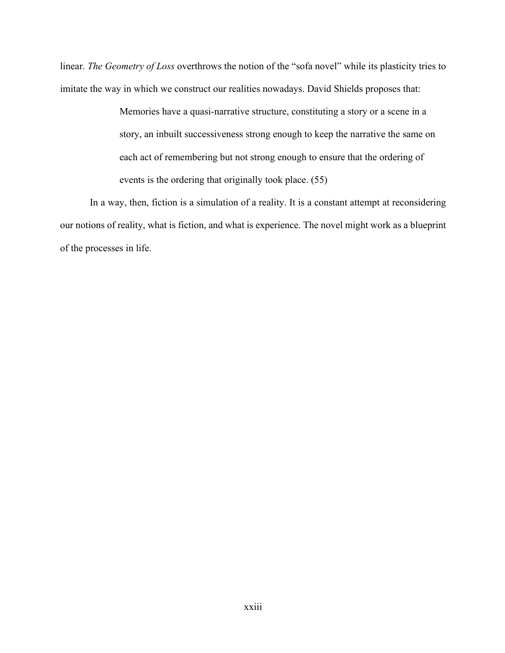linear. *The Geometry of Loss* overthrows the notion of the "sofa novel" while its plasticity tries to imitate the way in which we construct our realities nowadays. David Shields proposes that:

> Memories have a quasi-narrative structure, constituting a story or a scene in a story, an inbuilt successiveness strong enough to keep the narrative the same on each act of remembering but not strong enough to ensure that the ordering of events is the ordering that originally took place. (55)

In a way, then, fiction is a simulation of a reality. It is a constant attempt at reconsidering our notions of reality, what is fiction, and what is experience. The novel might work as a blueprint of the processes in life.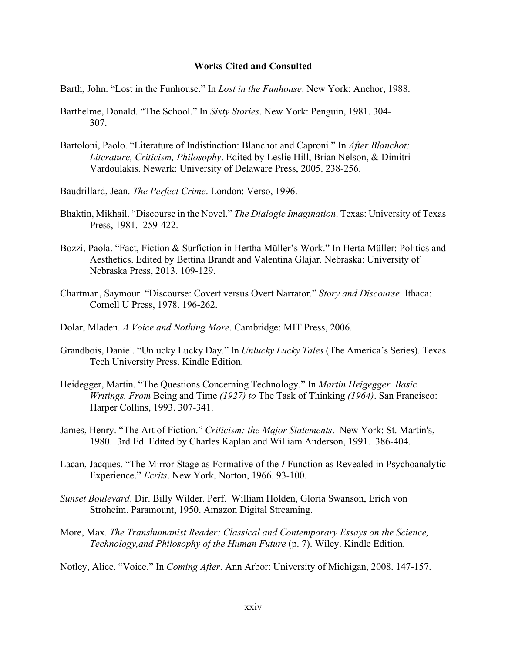#### **Works Cited and Consulted**

- Barth, John. "Lost in the Funhouse." In *Lost in the Funhouse*. New York: Anchor, 1988.
- Barthelme, Donald. "The School." In *Sixty Stories*. New York: Penguin, 1981. 304- 307.
- Bartoloni, Paolo. "Literature of Indistinction: Blanchot and Caproni." In *After Blanchot: Literature, Criticism, Philosophy*. Edited by Leslie Hill, Brian Nelson, & Dimitri Vardoulakis. Newark: University of Delaware Press, 2005. 238-256.
- Baudrillard, Jean. *The Perfect Crime*. London: Verso, 1996.
- Bhaktin, Mikhail. "Discourse in the Novel." *The Dialogic Imagination*. Texas: University of Texas Press, 1981. 259-422.
- Bozzi, Paola. "Fact, Fiction & Surfiction in Hertha Müller's Work." In Herta Müller: Politics and Aesthetics. Edited by Bettina Brandt and Valentina Glajar. Nebraska: University of Nebraska Press, 2013. 109-129.
- Chartman, Saymour. "Discourse: Covert versus Overt Narrator." *Story and Discourse*. Ithaca: Cornell U Press, 1978. 196-262.
- Dolar, Mladen. *A Voice and Nothing More*. Cambridge: MIT Press, 2006.
- Grandbois, Daniel. "Unlucky Lucky Day." In *Unlucky Lucky Tales* (The America's Series). Texas Tech University Press. Kindle Edition.
- Heidegger, Martin. "The Questions Concerning Technology." In *Martin Heigegger. Basic Writings. From* Being and Time *(1927) to* The Task of Thinking *(1964)*. San Francisco: Harper Collins, 1993. 307-341.
- James, Henry. "The Art of Fiction." *Criticism: the Major Statements*. New York: St. Martin's, 1980. 3rd Ed. Edited by Charles Kaplan and William Anderson, 1991. 386-404.
- Lacan, Jacques. "The Mirror Stage as Formative of the *I* Function as Revealed in Psychoanalytic Experience." *Ecrits*. New York, Norton, 1966. 93-100.
- *Sunset Boulevard*. Dir. Billy Wilder. Perf. William Holden, Gloria Swanson, Erich von Stroheim. Paramount, 1950. Amazon Digital Streaming.
- More, Max. *The Transhumanist Reader: Classical and Contemporary Essays on the Science, Technology,and Philosophy of the Human Future* (p. 7). Wiley. Kindle Edition.

Notley, Alice. "Voice." In *Coming After*. Ann Arbor: University of Michigan, 2008. 147-157.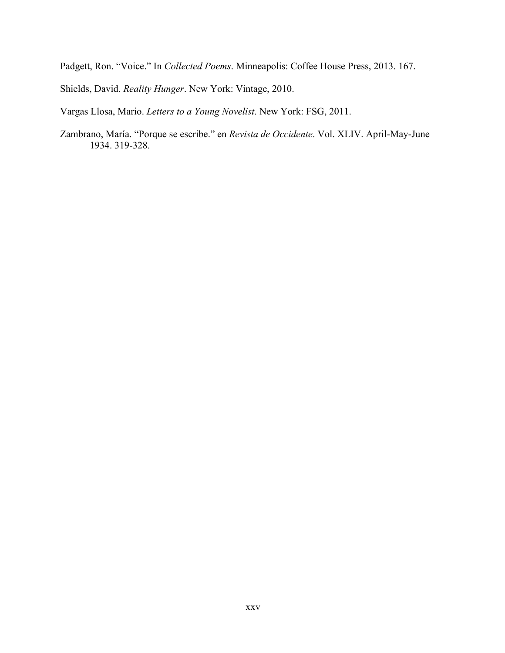Padgett, Ron. "Voice." In *Collected Poems*. Minneapolis: Coffee House Press, 2013. 167.

Shields, David. *Reality Hunger*. New York: Vintage, 2010.

Vargas Llosa, Mario. *Letters to a Young Novelist*. New York: FSG, 2011.

Zambrano, María. "Porque se escribe." en *Revista de Occidente*. Vol. XLIV. April-May-June 1934. 319-328.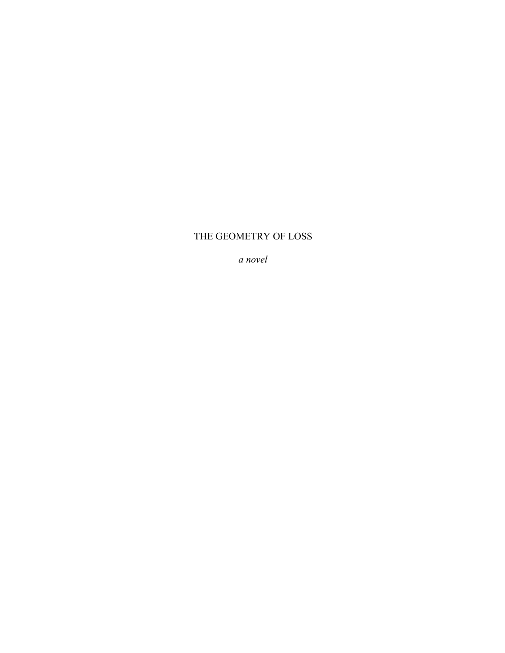### THE GEOMETRY OF LOSS

*a novel*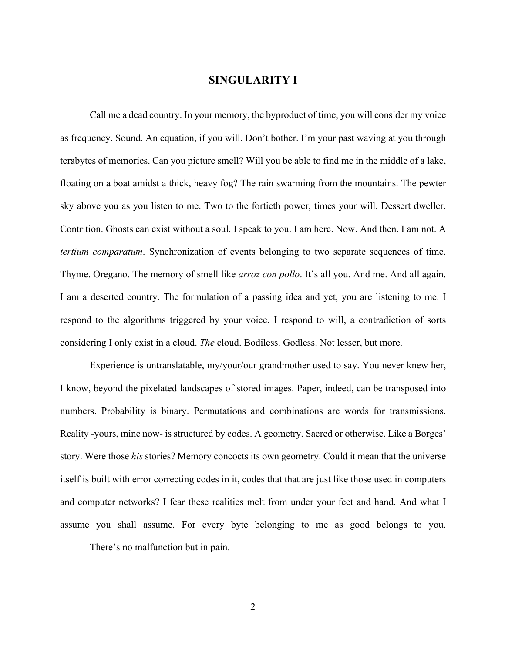### **SINGULARITY I**

Call me a dead country. In your memory, the byproduct of time, you will consider my voice as frequency. Sound. An equation, if you will. Don't bother. I'm your past waving at you through terabytes of memories. Can you picture smell? Will you be able to find me in the middle of a lake, floating on a boat amidst a thick, heavy fog? The rain swarming from the mountains. The pewter sky above you as you listen to me. Two to the fortieth power, times your will. Dessert dweller. Contrition. Ghosts can exist without a soul. I speak to you. I am here. Now. And then. I am not. A *tertium comparatum*. Synchronization of events belonging to two separate sequences of time. Thyme. Oregano. The memory of smell like *arroz con pollo*. It's all you. And me. And all again. I am a deserted country. The formulation of a passing idea and yet, you are listening to me. I respond to the algorithms triggered by your voice. I respond to will, a contradiction of sorts considering I only exist in a cloud. *The* cloud. Bodiless. Godless. Not lesser, but more.

Experience is untranslatable, my/your/our grandmother used to say. You never knew her, I know, beyond the pixelated landscapes of stored images. Paper, indeed, can be transposed into numbers. Probability is binary. Permutations and combinations are words for transmissions. Reality -yours, mine now- is structured by codes. A geometry. Sacred or otherwise. Like a Borges' story. Were those *his* stories? Memory concocts its own geometry. Could it mean that the universe itself is built with error correcting codes in it, codes that that are just like those used in computers and computer networks? I fear these realities melt from under your feet and hand. And what I assume you shall assume. For every byte belonging to me as good belongs to you.

There's no malfunction but in pain.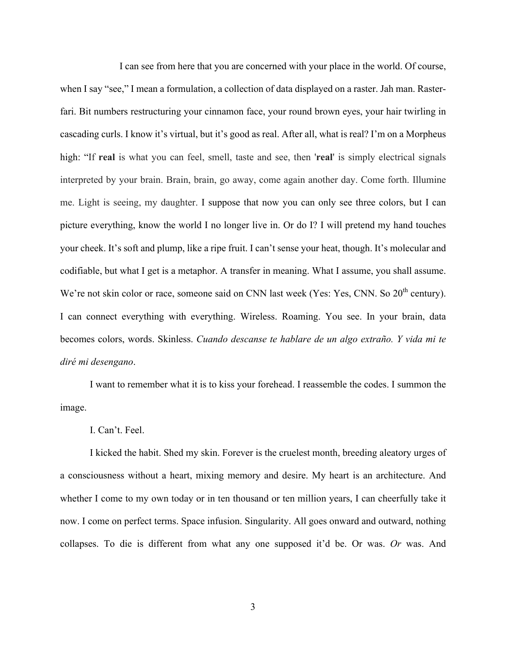I can see from here that you are concerned with your place in the world. Of course, when I say "see," I mean a formulation, a collection of data displayed on a raster. Jah man. Rasterfari. Bit numbers restructuring your cinnamon face, your round brown eyes, your hair twirling in cascading curls. I know it's virtual, but it's good as real. After all, what is real? I'm on a Morpheus high: "If **real** is what you can feel, smell, taste and see, then '**real**' is simply electrical signals interpreted by your brain. Brain, brain, go away, come again another day. Come forth. Illumine me. Light is seeing, my daughter. I suppose that now you can only see three colors, but I can picture everything, know the world I no longer live in. Or do I? I will pretend my hand touches your cheek. It's soft and plump, like a ripe fruit. I can't sense your heat, though. It's molecular and codifiable, but what I get is a metaphor. A transfer in meaning. What I assume, you shall assume. We're not skin color or race, someone said on CNN last week (Yes: Yes, CNN. So 20<sup>th</sup> century). I can connect everything with everything. Wireless. Roaming. You see. In your brain, data becomes colors, words. Skinless. *Cuando descanse te hablare de un algo extraño. Y vida mi te diré mi desengano*.

I want to remember what it is to kiss your forehead. I reassemble the codes. I summon the image.

I. Can't. Feel.

I kicked the habit. Shed my skin. Forever is the cruelest month, breeding aleatory urges of a consciousness without a heart, mixing memory and desire. My heart is an architecture. And whether I come to my own today or in ten thousand or ten million years, I can cheerfully take it now. I come on perfect terms. Space infusion. Singularity. All goes onward and outward, nothing collapses. To die is different from what any one supposed it'd be. Or was. *Or* was. And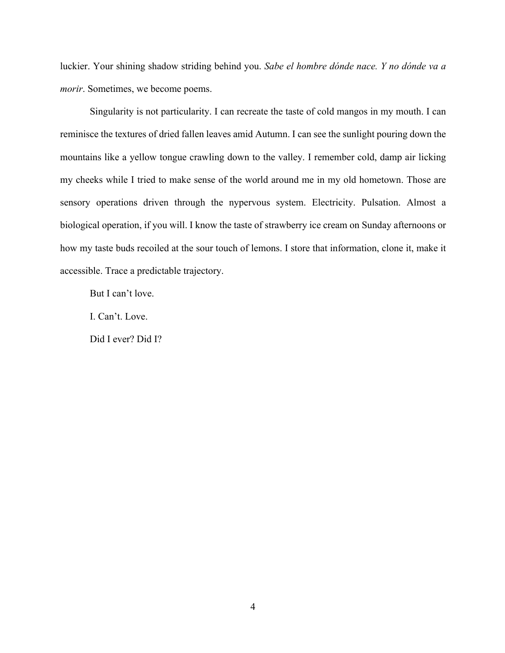luckier. Your shining shadow striding behind you. *Sabe el hombre dónde nace. Y no dónde va a morir*. Sometimes, we become poems.

Singularity is not particularity. I can recreate the taste of cold mangos in my mouth. I can reminisce the textures of dried fallen leaves amid Autumn. I can see the sunlight pouring down the mountains like a yellow tongue crawling down to the valley. I remember cold, damp air licking my cheeks while I tried to make sense of the world around me in my old hometown. Those are sensory operations driven through the nypervous system. Electricity. Pulsation. Almost a biological operation, if you will. I know the taste of strawberry ice cream on Sunday afternoons or how my taste buds recoiled at the sour touch of lemons. I store that information, clone it, make it accessible. Trace a predictable trajectory.

But I can't love.

I. Can't. Love.

Did I ever? Did I?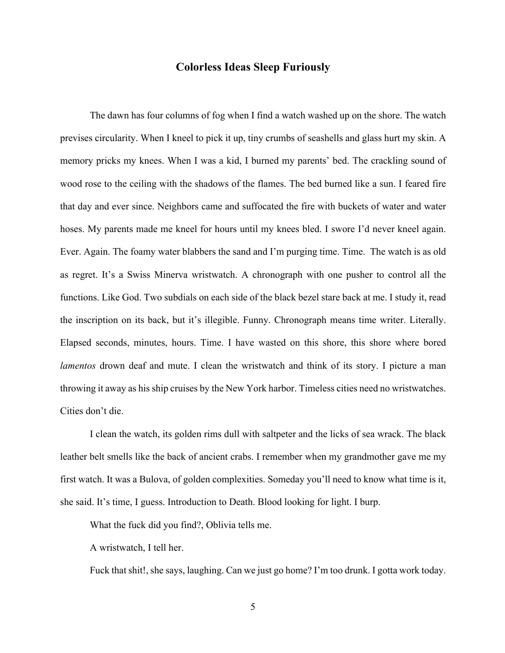### **Colorless Ideas Sleep Furiously**

The dawn has four columns of fog when I find a watch washed up on the shore. The watch previses circularity. When I kneel to pick it up, tiny crumbs of seashells and glass hurt my skin. A memory pricks my knees. When I was a kid, I burned my parents' bed. The crackling sound of wood rose to the ceiling with the shadows of the flames. The bed burned like a sun. I feared fire that day and ever since. Neighbors came and suffocated the fire with buckets of water and water hoses. My parents made me kneel for hours until my knees bled. I swore I'd never kneel again. Ever. Again. The foamy water blabbers the sand and I'm purging time. Time. The watch is as old as regret. It's a Swiss Minerva wristwatch. A chronograph with one pusher to control all the functions. Like God. Two subdials on each side of the black bezel stare back at me. I study it, read the inscription on its back, but it's illegible. Funny. Chronograph means time writer. Literally. Elapsed seconds, minutes, hours. Time. I have wasted on this shore, this shore where bored *lamentos* drown deaf and mute. I clean the wristwatch and think of its story. I picture a man throwing it away as his ship cruises by the New York harbor. Timeless cities need no wristwatches. Cities don't die.

I clean the watch, its golden rims dull with saltpeter and the licks of sea wrack. The black leather belt smells like the back of ancient crabs. I remember when my grandmother gave me my first watch. It was a Bulova, of golden complexities. Someday you'll need to know what time is it, she said. It's time, I guess. Introduction to Death. Blood looking for light. I burp.

What the fuck did you find?, Oblivia tells me.

A wristwatch, I tell her.

Fuck that shit!, she says, laughing. Can we just go home? I'm too drunk. I gotta work today.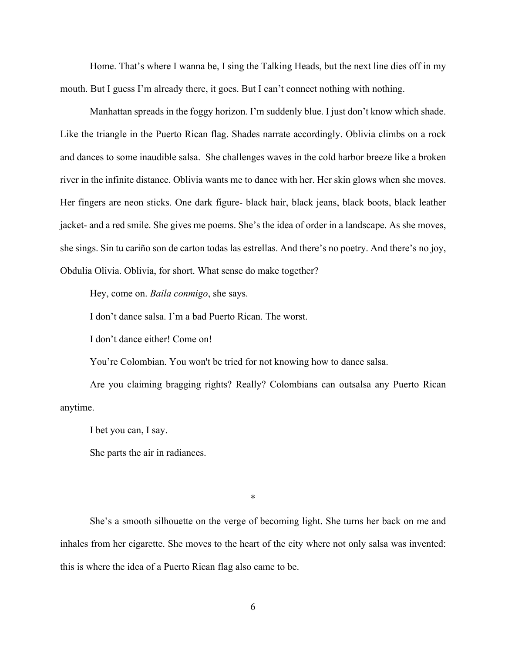Home. That's where I wanna be, I sing the Talking Heads, but the next line dies off in my mouth. But I guess I'm already there, it goes. But I can't connect nothing with nothing.

Manhattan spreads in the foggy horizon. I'm suddenly blue. I just don't know which shade. Like the triangle in the Puerto Rican flag. Shades narrate accordingly. Oblivia climbs on a rock and dances to some inaudible salsa. She challenges waves in the cold harbor breeze like a broken river in the infinite distance. Oblivia wants me to dance with her. Her skin glows when she moves. Her fingers are neon sticks. One dark figure- black hair, black jeans, black boots, black leather jacket- and a red smile. She gives me poems. She's the idea of order in a landscape. As she moves, she sings. Sin tu cariño son de carton todas las estrellas. And there's no poetry. And there's no joy, Obdulia Olivia. Oblivia, for short. What sense do make together?

Hey, come on. *Baila conmigo*, she says.

I don't dance salsa. I'm a bad Puerto Rican. The worst.

I don't dance either! Come on!

You're Colombian. You won't be tried for not knowing how to dance salsa.

Are you claiming bragging rights? Really? Colombians can outsalsa any Puerto Rican anytime.

I bet you can, I say.

She parts the air in radiances.

\*

She's a smooth silhouette on the verge of becoming light. She turns her back on me and inhales from her cigarette. She moves to the heart of the city where not only salsa was invented: this is where the idea of a Puerto Rican flag also came to be.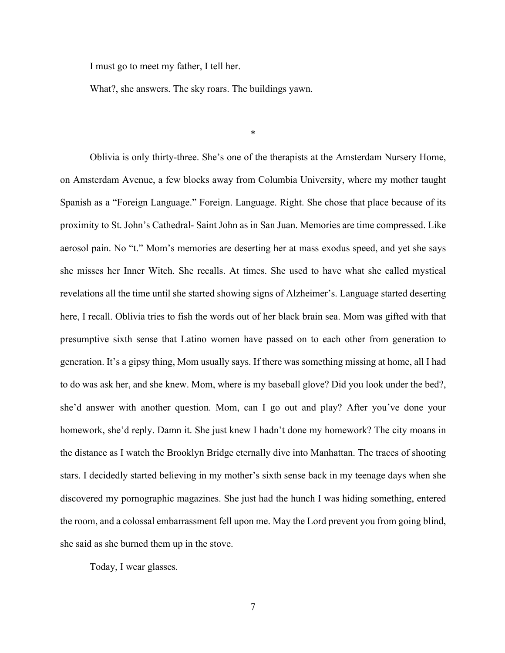I must go to meet my father, I tell her.

What?, she answers. The sky roars. The buildings yawn.

Oblivia is only thirty-three. She's one of the therapists at the Amsterdam Nursery Home, on Amsterdam Avenue, a few blocks away from Columbia University, where my mother taught Spanish as a "Foreign Language." Foreign. Language. Right. She chose that place because of its proximity to St. John's Cathedral- Saint John as in San Juan. Memories are time compressed. Like aerosol pain. No "t." Mom's memories are deserting her at mass exodus speed, and yet she says she misses her Inner Witch. She recalls. At times. She used to have what she called mystical revelations all the time until she started showing signs of Alzheimer's. Language started deserting here, I recall. Oblivia tries to fish the words out of her black brain sea. Mom was gifted with that presumptive sixth sense that Latino women have passed on to each other from generation to generation. It's a gipsy thing, Mom usually says. If there was something missing at home, all I had to do was ask her, and she knew. Mom, where is my baseball glove? Did you look under the bed?, she'd answer with another question. Mom, can I go out and play? After you've done your homework, she'd reply. Damn it. She just knew I hadn't done my homework? The city moans in the distance as I watch the Brooklyn Bridge eternally dive into Manhattan. The traces of shooting stars. I decidedly started believing in my mother's sixth sense back in my teenage days when she discovered my pornographic magazines. She just had the hunch I was hiding something, entered the room, and a colossal embarrassment fell upon me. May the Lord prevent you from going blind, she said as she burned them up in the stove.

\*

Today, I wear glasses.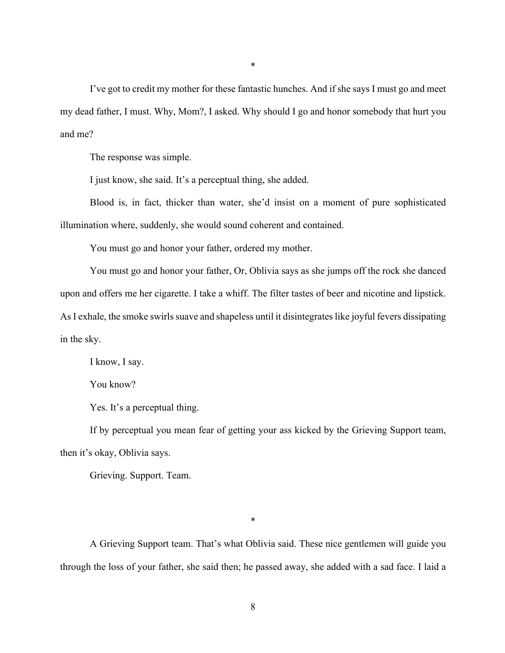\*

I've got to credit my mother for these fantastic hunches. And if she says I must go and meet my dead father, I must. Why, Mom?, I asked. Why should I go and honor somebody that hurt you and me?

The response was simple.

I just know, she said. It's a perceptual thing, she added.

Blood is, in fact, thicker than water, she'd insist on a moment of pure sophisticated illumination where, suddenly, she would sound coherent and contained.

You must go and honor your father, ordered my mother.

You must go and honor your father, Or, Oblivia says as she jumps off the rock she danced upon and offers me her cigarette. I take a whiff. The filter tastes of beer and nicotine and lipstick. As I exhale, the smoke swirls suave and shapeless until it disintegrates like joyful fevers dissipating in the sky.

I know, I say.

You know?

Yes. It's a perceptual thing.

If by perceptual you mean fear of getting your ass kicked by the Grieving Support team, then it's okay, Oblivia says.

Grieving. Support. Team.

\*

A Grieving Support team. That's what Oblivia said. These nice gentlemen will guide you through the loss of your father, she said then; he passed away, she added with a sad face. I laid a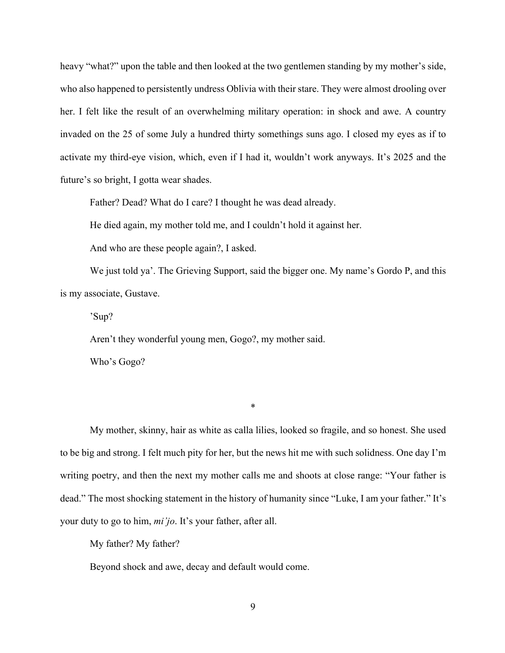heavy "what?" upon the table and then looked at the two gentlemen standing by my mother's side, who also happened to persistently undress Oblivia with their stare. They were almost drooling over her. I felt like the result of an overwhelming military operation: in shock and awe. A country invaded on the 25 of some July a hundred thirty somethings suns ago. I closed my eyes as if to activate my third-eye vision, which, even if I had it, wouldn't work anyways. It's 2025 and the future's so bright, I gotta wear shades.

Father? Dead? What do I care? I thought he was dead already.

He died again, my mother told me, and I couldn't hold it against her.

And who are these people again?, I asked.

We just told ya'. The Grieving Support, said the bigger one. My name's Gordo P, and this is my associate, Gustave.

'Sup?

Aren't they wonderful young men, Gogo?, my mother said.

Who's Gogo?

\*

My mother, skinny, hair as white as calla lilies, looked so fragile, and so honest. She used to be big and strong. I felt much pity for her, but the news hit me with such solidness. One day I'm writing poetry, and then the next my mother calls me and shoots at close range: "Your father is dead." The most shocking statement in the history of humanity since "Luke, I am your father." It's your duty to go to him, *mi'jo*. It's your father, after all.

My father? My father?

Beyond shock and awe, decay and default would come.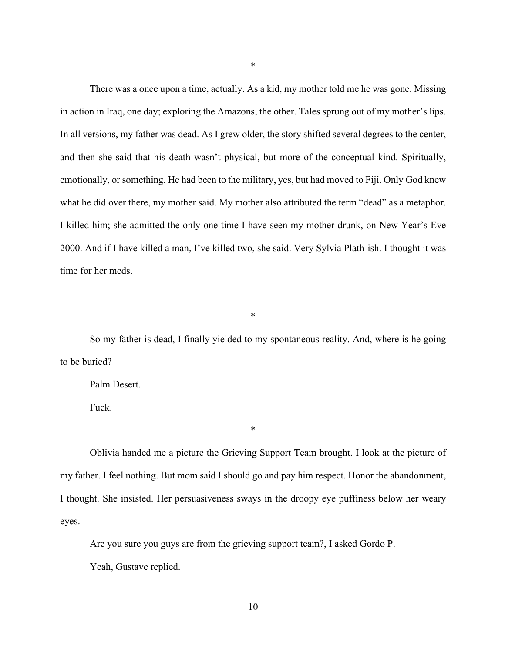There was a once upon a time, actually. As a kid, my mother told me he was gone. Missing in action in Iraq, one day; exploring the Amazons, the other. Tales sprung out of my mother's lips. In all versions, my father was dead. As I grew older, the story shifted several degrees to the center, and then she said that his death wasn't physical, but more of the conceptual kind. Spiritually, emotionally, or something. He had been to the military, yes, but had moved to Fiji. Only God knew what he did over there, my mother said. My mother also attributed the term "dead" as a metaphor. I killed him; she admitted the only one time I have seen my mother drunk, on New Year's Eve 2000. And if I have killed a man, I've killed two, she said. Very Sylvia Plath-ish. I thought it was time for her meds.

So my father is dead, I finally yielded to my spontaneous reality. And, where is he going to be buried?

\*

Palm Desert.

Fuck.

Oblivia handed me a picture the Grieving Support Team brought. I look at the picture of my father. I feel nothing. But mom said I should go and pay him respect. Honor the abandonment, I thought. She insisted. Her persuasiveness sways in the droopy eye puffiness below her weary eyes.

\*

Are you sure you guys are from the grieving support team?, I asked Gordo P. Yeah, Gustave replied.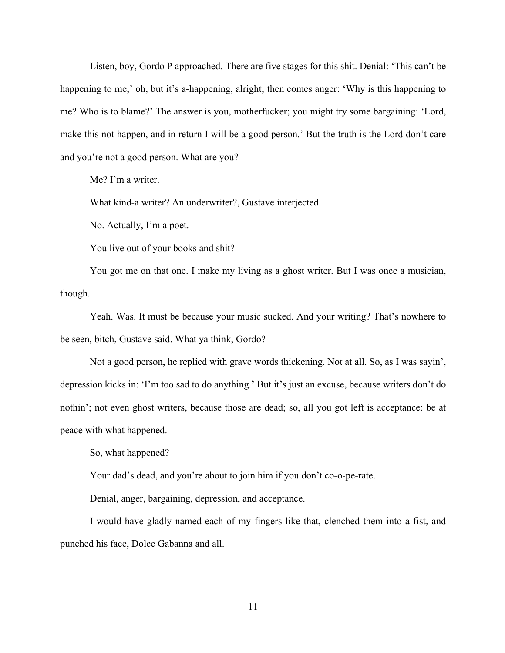Listen, boy, Gordo P approached. There are five stages for this shit. Denial: 'This can't be happening to me;' oh, but it's a-happening, alright; then comes anger: 'Why is this happening to me? Who is to blame?' The answer is you, motherfucker; you might try some bargaining: 'Lord, make this not happen, and in return I will be a good person.' But the truth is the Lord don't care and you're not a good person. What are you?

Me? I'm a writer.

What kind-a writer? An underwriter?, Gustave interjected.

No. Actually, I'm a poet.

You live out of your books and shit?

You got me on that one. I make my living as a ghost writer. But I was once a musician, though.

Yeah. Was. It must be because your music sucked. And your writing? That's nowhere to be seen, bitch, Gustave said. What ya think, Gordo?

Not a good person, he replied with grave words thickening. Not at all. So, as I was sayin', depression kicks in: 'I'm too sad to do anything.' But it's just an excuse, because writers don't do nothin'; not even ghost writers, because those are dead; so, all you got left is acceptance: be at peace with what happened.

So, what happened?

Your dad's dead, and you're about to join him if you don't co-o-pe-rate.

Denial, anger, bargaining, depression, and acceptance.

I would have gladly named each of my fingers like that, clenched them into a fist, and punched his face, Dolce Gabanna and all.

11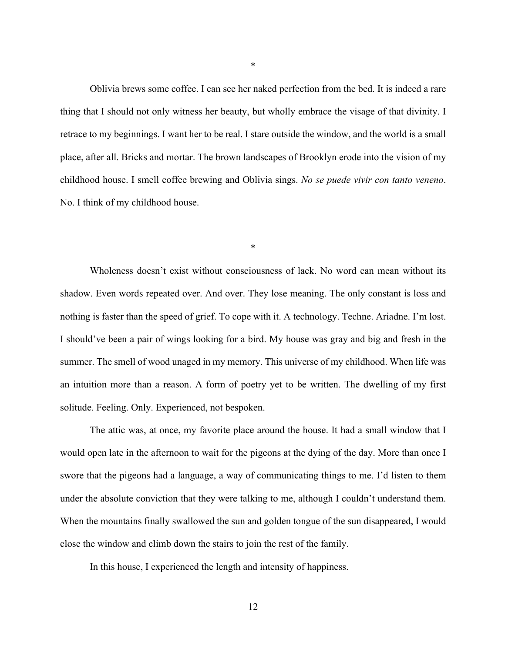Oblivia brews some coffee. I can see her naked perfection from the bed. It is indeed a rare thing that I should not only witness her beauty, but wholly embrace the visage of that divinity. I retrace to my beginnings. I want her to be real. I stare outside the window, and the world is a small place, after all. Bricks and mortar. The brown landscapes of Brooklyn erode into the vision of my childhood house. I smell coffee brewing and Oblivia sings. *No se puede vivir con tanto veneno*. No. I think of my childhood house.

\*

\*

Wholeness doesn't exist without consciousness of lack. No word can mean without its shadow. Even words repeated over. And over. They lose meaning. The only constant is loss and nothing is faster than the speed of grief. To cope with it. A technology. Techne. Ariadne. I'm lost. I should've been a pair of wings looking for a bird. My house was gray and big and fresh in the summer. The smell of wood unaged in my memory. This universe of my childhood. When life was an intuition more than a reason. A form of poetry yet to be written. The dwelling of my first solitude. Feeling. Only. Experienced, not bespoken.

The attic was, at once, my favorite place around the house. It had a small window that I would open late in the afternoon to wait for the pigeons at the dying of the day. More than once I swore that the pigeons had a language, a way of communicating things to me. I'd listen to them under the absolute conviction that they were talking to me, although I couldn't understand them. When the mountains finally swallowed the sun and golden tongue of the sun disappeared, I would close the window and climb down the stairs to join the rest of the family.

In this house, I experienced the length and intensity of happiness.

12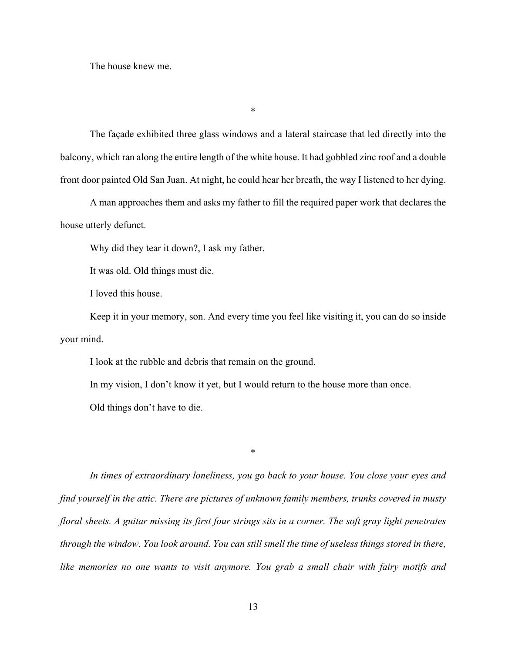The house knew me.

\*

The façade exhibited three glass windows and a lateral staircase that led directly into the balcony, which ran along the entire length of the white house. It had gobbled zinc roof and a double front door painted Old San Juan. At night, he could hear her breath, the way I listened to her dying.

A man approaches them and asks my father to fill the required paper work that declares the house utterly defunct.

Why did they tear it down?, I ask my father.

It was old. Old things must die.

I loved this house.

Keep it in your memory, son. And every time you feel like visiting it, you can do so inside your mind.

I look at the rubble and debris that remain on the ground.

In my vision, I don't know it yet, but I would return to the house more than once.

Old things don't have to die.

\*

*In times of extraordinary loneliness, you go back to your house. You close your eyes and find yourself in the attic. There are pictures of unknown family members, trunks covered in musty floral sheets. A guitar missing its first four strings sits in a corner. The soft gray light penetrates through the window. You look around. You can still smell the time of useless things stored in there, like memories no one wants to visit anymore. You grab a small chair with fairy motifs and*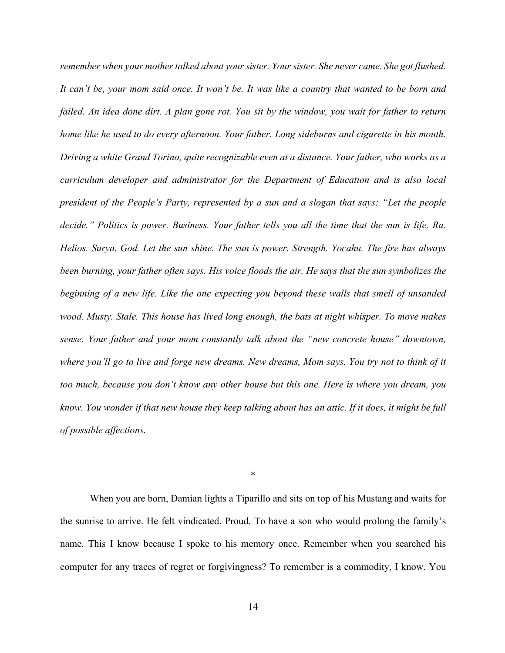*remember when your mother talked about your sister. Your sister. She never came. She got flushed. It can't be, your mom said once. It won't be. It was like a country that wanted to be born and failed. An idea done dirt. A plan gone rot. You sit by the window, you wait for father to return home like he used to do every afternoon. Your father. Long sideburns and cigarette in his mouth. Driving a white Grand Torino, quite recognizable even at a distance. Your father, who works as a curriculum developer and administrator for the Department of Education and is also local president of the People's Party, represented by a sun and a slogan that says: "Let the people decide." Politics is power. Business. Your father tells you all the time that the sun is life. Ra. Helios. Surya. God. Let the sun shine. The sun is power. Strength. Yocahu. The fire has always been burning, your father often says. His voice floods the air. He says that the sun symbolizes the beginning of a new life. Like the one expecting you beyond these walls that smell of unsanded wood. Musty. Stale. This house has lived long enough, the bats at night whisper. To move makes sense. Your father and your mom constantly talk about the "new concrete house" downtown, where you'll go to live and forge new dreams. New dreams, Mom says. You try not to think of it too much, because you don't know any other house but this one. Here is where you dream, you know. You wonder if that new house they keep talking about has an attic. If it does, it might be full of possible affections.*

When you are born, Damian lights a Tiparillo and sits on top of his Mustang and waits for the sunrise to arrive. He felt vindicated. Proud. To have a son who would prolong the family's name. This I know because I spoke to his memory once. Remember when you searched his computer for any traces of regret or forgivingness? To remember is a commodity, I know. You

\*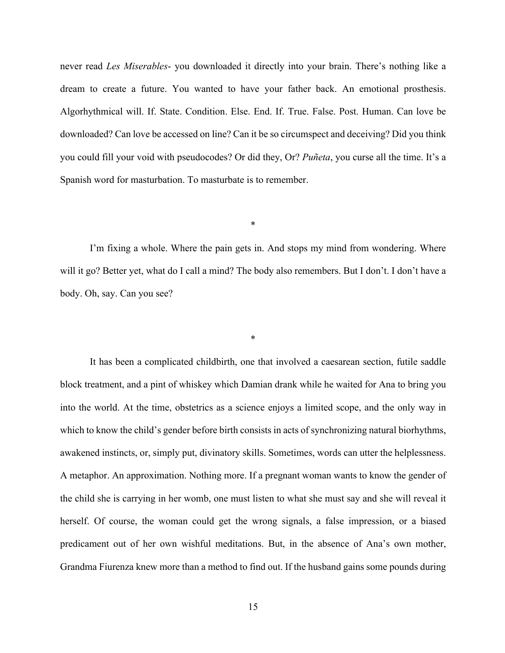never read *Les Miserables*- you downloaded it directly into your brain. There's nothing like a dream to create a future. You wanted to have your father back. An emotional prosthesis. Algorhythmical will. If. State. Condition. Else. End. If. True. False. Post. Human. Can love be downloaded? Can love be accessed on line? Can it be so circumspect and deceiving? Did you think you could fill your void with pseudocodes? Or did they, Or? *Puñeta*, you curse all the time. It's a Spanish word for masturbation. To masturbate is to remember.

\*

I'm fixing a whole. Where the pain gets in. And stops my mind from wondering. Where will it go? Better yet, what do I call a mind? The body also remembers. But I don't. I don't have a body. Oh, say. Can you see?

\*

It has been a complicated childbirth, one that involved a caesarean section, futile saddle block treatment, and a pint of whiskey which Damian drank while he waited for Ana to bring you into the world. At the time, obstetrics as a science enjoys a limited scope, and the only way in which to know the child's gender before birth consists in acts of synchronizing natural biorhythms, awakened instincts, or, simply put, divinatory skills. Sometimes, words can utter the helplessness. A metaphor. An approximation. Nothing more. If a pregnant woman wants to know the gender of the child she is carrying in her womb, one must listen to what she must say and she will reveal it herself. Of course, the woman could get the wrong signals, a false impression, or a biased predicament out of her own wishful meditations. But, in the absence of Ana's own mother, Grandma Fiurenza knew more than a method to find out. If the husband gains some pounds during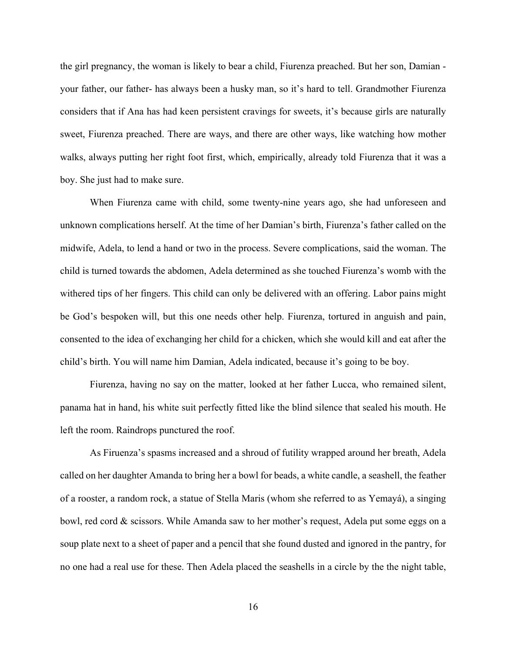the girl pregnancy, the woman is likely to bear a child, Fiurenza preached. But her son, Damian your father, our father- has always been a husky man, so it's hard to tell. Grandmother Fiurenza considers that if Ana has had keen persistent cravings for sweets, it's because girls are naturally sweet, Fiurenza preached. There are ways, and there are other ways, like watching how mother walks, always putting her right foot first, which, empirically, already told Fiurenza that it was a boy. She just had to make sure.

When Fiurenza came with child, some twenty-nine years ago, she had unforeseen and unknown complications herself. At the time of her Damian's birth, Fiurenza's father called on the midwife, Adela, to lend a hand or two in the process. Severe complications, said the woman. The child is turned towards the abdomen, Adela determined as she touched Fiurenza's womb with the withered tips of her fingers. This child can only be delivered with an offering. Labor pains might be God's bespoken will, but this one needs other help. Fiurenza, tortured in anguish and pain, consented to the idea of exchanging her child for a chicken, which she would kill and eat after the child's birth. You will name him Damian, Adela indicated, because it's going to be boy.

Fiurenza, having no say on the matter, looked at her father Lucca, who remained silent, panama hat in hand, his white suit perfectly fitted like the blind silence that sealed his mouth. He left the room. Raindrops punctured the roof.

As Firuenza's spasms increased and a shroud of futility wrapped around her breath, Adela called on her daughter Amanda to bring her a bowl for beads, a white candle, a seashell, the feather of a rooster, a random rock, a statue of Stella Maris (whom she referred to as Yemayá), a singing bowl, red cord & scissors. While Amanda saw to her mother's request, Adela put some eggs on a soup plate next to a sheet of paper and a pencil that she found dusted and ignored in the pantry, for no one had a real use for these. Then Adela placed the seashells in a circle by the the night table,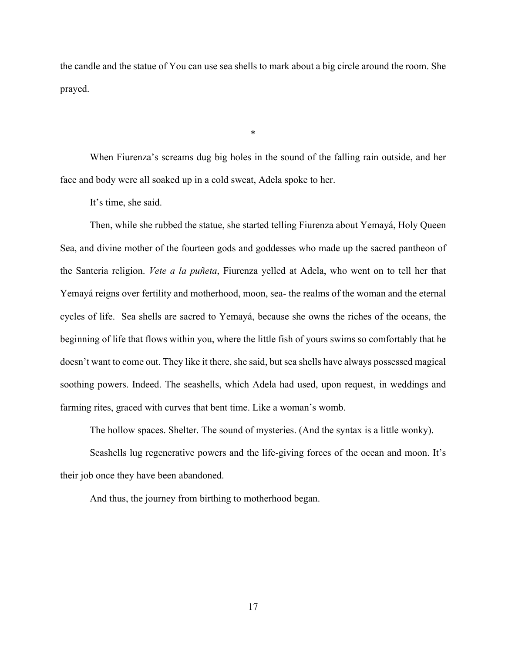the candle and the statue of You can use sea shells to mark about a big circle around the room. She prayed.

When Fiurenza's screams dug big holes in the sound of the falling rain outside, and her face and body were all soaked up in a cold sweat, Adela spoke to her.

\*

It's time, she said.

Then, while she rubbed the statue, she started telling Fiurenza about Yemayá, Holy Queen Sea, and divine mother of the fourteen gods and goddesses who made up the sacred pantheon of the Santeria religion. *Vete a la puñeta*, Fiurenza yelled at Adela, who went on to tell her that Yemayá reigns over fertility and motherhood, moon, sea- the realms of the woman and the eternal cycles of life. Sea shells are sacred to Yemayá, because she owns the riches of the oceans, the beginning of life that flows within you, where the little fish of yours swims so comfortably that he doesn't want to come out. They like it there, she said, but sea shells have always possessed magical soothing powers. Indeed. The seashells, which Adela had used, upon request, in weddings and farming rites, graced with curves that bent time. Like a woman's womb.

The hollow spaces. Shelter. The sound of mysteries. (And the syntax is a little wonky).

Seashells lug regenerative powers and the life-giving forces of the ocean and moon. It's their job once they have been abandoned.

And thus, the journey from birthing to motherhood began.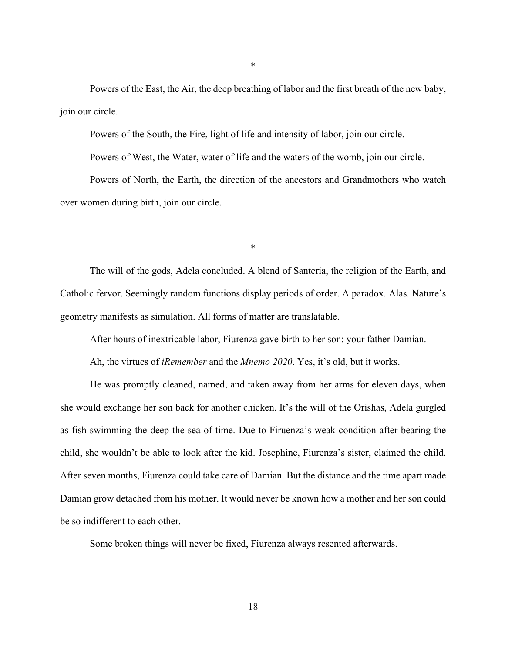Powers of the East, the Air, the deep breathing of labor and the first breath of the new baby, join our circle.

\*

Powers of the South, the Fire, light of life and intensity of labor, join our circle.

Powers of West, the Water, water of life and the waters of the womb, join our circle.

Powers of North, the Earth, the direction of the ancestors and Grandmothers who watch over women during birth, join our circle.

\*

The will of the gods, Adela concluded. A blend of Santeria, the religion of the Earth, and Catholic fervor. Seemingly random functions display periods of order. A paradox. Alas. Nature's geometry manifests as simulation. All forms of matter are translatable.

After hours of inextricable labor, Fiurenza gave birth to her son: your father Damian.

Ah, the virtues of *iRemember* and the *Mnemo 2020*. Yes, it's old, but it works.

He was promptly cleaned, named, and taken away from her arms for eleven days, when she would exchange her son back for another chicken. It's the will of the Orishas, Adela gurgled as fish swimming the deep the sea of time. Due to Firuenza's weak condition after bearing the child, she wouldn't be able to look after the kid. Josephine, Fiurenza's sister, claimed the child. After seven months, Fiurenza could take care of Damian. But the distance and the time apart made Damian grow detached from his mother. It would never be known how a mother and her son could be so indifferent to each other.

Some broken things will never be fixed, Fiurenza always resented afterwards.

18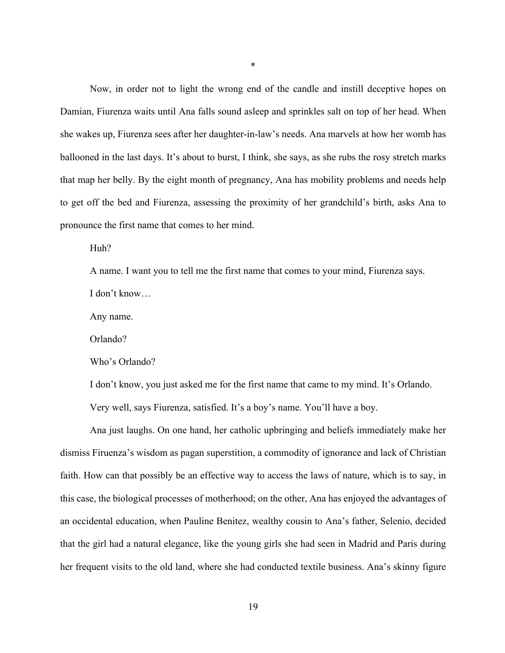Now, in order not to light the wrong end of the candle and instill deceptive hopes on Damian, Fiurenza waits until Ana falls sound asleep and sprinkles salt on top of her head. When she wakes up, Fiurenza sees after her daughter-in-law's needs. Ana marvels at how her womb has ballooned in the last days. It's about to burst, I think, she says, as she rubs the rosy stretch marks that map her belly. By the eight month of pregnancy, Ana has mobility problems and needs help to get off the bed and Fiurenza, assessing the proximity of her grandchild's birth, asks Ana to pronounce the first name that comes to her mind.

Huh?

A name. I want you to tell me the first name that comes to your mind, Fiurenza says.

I don't know…

Any name.

Orlando?

Who's Orlando?

I don't know, you just asked me for the first name that came to my mind. It's Orlando.

Very well, says Fiurenza, satisfied. It's a boy's name. You'll have a boy.

Ana just laughs. On one hand, her catholic upbringing and beliefs immediately make her dismiss Firuenza's wisdom as pagan superstition, a commodity of ignorance and lack of Christian faith. How can that possibly be an effective way to access the laws of nature, which is to say, in this case, the biological processes of motherhood; on the other, Ana has enjoyed the advantages of an occidental education, when Pauline Benitez, wealthy cousin to Ana's father, Selenio, decided that the girl had a natural elegance, like the young girls she had seen in Madrid and Paris during her frequent visits to the old land, where she had conducted textile business. Ana's skinny figure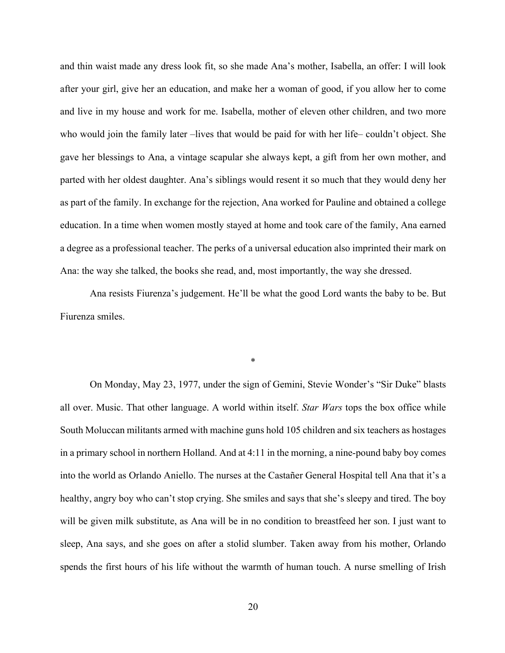and thin waist made any dress look fit, so she made Ana's mother, Isabella, an offer: I will look after your girl, give her an education, and make her a woman of good, if you allow her to come and live in my house and work for me. Isabella, mother of eleven other children, and two more who would join the family later –lives that would be paid for with her life– couldn't object. She gave her blessings to Ana, a vintage scapular she always kept, a gift from her own mother, and parted with her oldest daughter. Ana's siblings would resent it so much that they would deny her as part of the family. In exchange for the rejection, Ana worked for Pauline and obtained a college education. In a time when women mostly stayed at home and took care of the family, Ana earned a degree as a professional teacher. The perks of a universal education also imprinted their mark on Ana: the way she talked, the books she read, and, most importantly, the way she dressed.

Ana resists Fiurenza's judgement. He'll be what the good Lord wants the baby to be. But Fiurenza smiles.

\*

On Monday, May 23, 1977, under the sign of Gemini, Stevie Wonder's "Sir Duke" blasts all over. Music. That other language. A world within itself. *Star Wars* tops the box office while South Moluccan militants armed with machine guns hold 105 children and six teachers as hostages in a primary school in northern Holland. And at 4:11 in the morning, a nine-pound baby boy comes into the world as Orlando Aniello. The nurses at the Castañer General Hospital tell Ana that it's a healthy, angry boy who can't stop crying. She smiles and says that she's sleepy and tired. The boy will be given milk substitute, as Ana will be in no condition to breastfeed her son. I just want to sleep, Ana says, and she goes on after a stolid slumber. Taken away from his mother, Orlando spends the first hours of his life without the warmth of human touch. A nurse smelling of Irish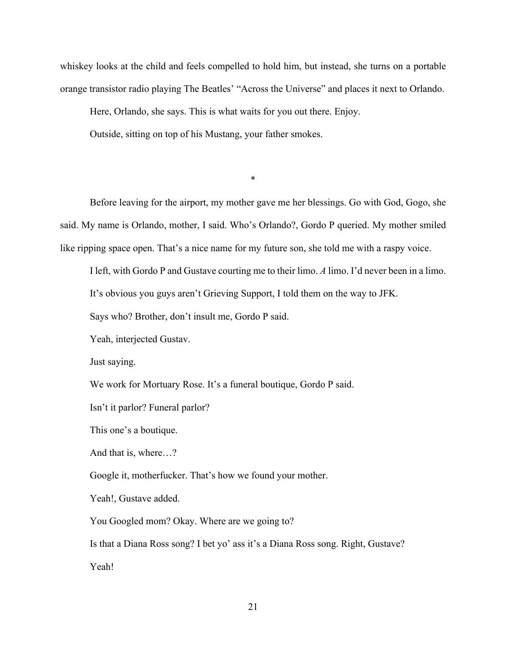whiskey looks at the child and feels compelled to hold him, but instead, she turns on a portable orange transistor radio playing The Beatles' "Across the Universe" and places it next to Orlando.

Here, Orlando, she says. This is what waits for you out there. Enjoy.

Outside, sitting on top of his Mustang, your father smokes.

\*

Before leaving for the airport, my mother gave me her blessings. Go with God, Gogo, she said. My name is Orlando, mother, I said. Who's Orlando?, Gordo P queried. My mother smiled like ripping space open. That's a nice name for my future son, she told me with a raspy voice.

I left, with Gordo P and Gustave courting me to their limo. *A* limo. I'd never been in a limo.

It's obvious you guys aren't Grieving Support, I told them on the way to JFK.

Says who? Brother, don't insult me, Gordo P said.

Yeah, interjected Gustav.

Just saying.

We work for Mortuary Rose. It's a funeral boutique, Gordo P said.

Isn't it parlor? Funeral parlor?

This one's a boutique.

And that is, where…?

Google it, motherfucker. That's how we found your mother.

Yeah!, Gustave added.

You Googled mom? Okay. Where are we going to?

Is that a Diana Ross song? I bet yo' ass it's a Diana Ross song. Right, Gustave? Yeah!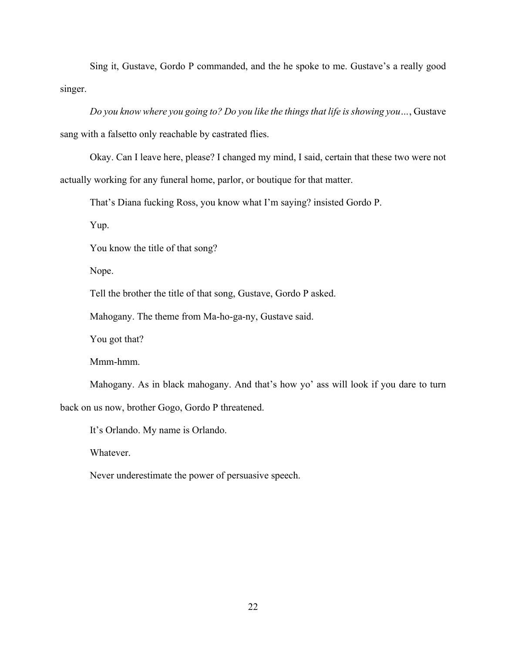Sing it, Gustave, Gordo P commanded, and the he spoke to me. Gustave's a really good singer.

*Do you know where you going to? Do you like the things that life is showing you…*, Gustave sang with a falsetto only reachable by castrated flies.

Okay. Can I leave here, please? I changed my mind, I said, certain that these two were not actually working for any funeral home, parlor, or boutique for that matter.

That's Diana fucking Ross, you know what I'm saying? insisted Gordo P.

Yup.

You know the title of that song?

Nope.

Tell the brother the title of that song, Gustave, Gordo P asked.

Mahogany. The theme from Ma-ho-ga-ny, Gustave said.

You got that?

Mmm-hmm.

Mahogany. As in black mahogany. And that's how yo' ass will look if you dare to turn back on us now, brother Gogo, Gordo P threatened.

It's Orlando. My name is Orlando.

Whatever.

Never underestimate the power of persuasive speech.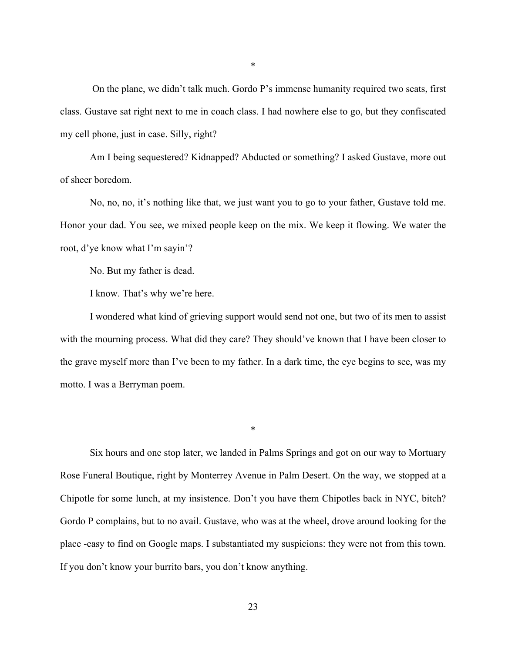On the plane, we didn't talk much. Gordo P's immense humanity required two seats, first class. Gustave sat right next to me in coach class. I had nowhere else to go, but they confiscated my cell phone, just in case. Silly, right?

Am I being sequestered? Kidnapped? Abducted or something? I asked Gustave, more out of sheer boredom.

No, no, no, it's nothing like that, we just want you to go to your father, Gustave told me. Honor your dad. You see, we mixed people keep on the mix. We keep it flowing. We water the root, d'ye know what I'm sayin'?

No. But my father is dead.

I know. That's why we're here.

I wondered what kind of grieving support would send not one, but two of its men to assist with the mourning process. What did they care? They should've known that I have been closer to the grave myself more than I've been to my father. In a dark time, the eye begins to see, was my motto. I was a Berryman poem.

\*

Six hours and one stop later, we landed in Palms Springs and got on our way to Mortuary Rose Funeral Boutique, right by Monterrey Avenue in Palm Desert. On the way, we stopped at a Chipotle for some lunch, at my insistence. Don't you have them Chipotles back in NYC, bitch? Gordo P complains, but to no avail. Gustave, who was at the wheel, drove around looking for the place -easy to find on Google maps. I substantiated my suspicions: they were not from this town. If you don't know your burrito bars, you don't know anything.

\*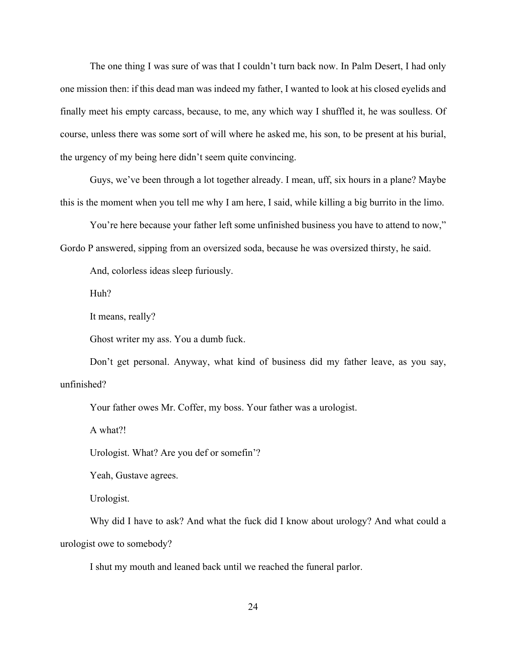The one thing I was sure of was that I couldn't turn back now. In Palm Desert, I had only one mission then: if this dead man was indeed my father, I wanted to look at his closed eyelids and finally meet his empty carcass, because, to me, any which way I shuffled it, he was soulless. Of course, unless there was some sort of will where he asked me, his son, to be present at his burial, the urgency of my being here didn't seem quite convincing.

Guys, we've been through a lot together already. I mean, uff, six hours in a plane? Maybe this is the moment when you tell me why I am here, I said, while killing a big burrito in the limo.

You're here because your father left some unfinished business you have to attend to now," Gordo P answered, sipping from an oversized soda, because he was oversized thirsty, he said.

And, colorless ideas sleep furiously.

Huh?

It means, really?

Ghost writer my ass. You a dumb fuck.

Don't get personal. Anyway, what kind of business did my father leave, as you say, unfinished?

Your father owes Mr. Coffer, my boss. Your father was a urologist.

A what?!

Urologist. What? Are you def or somefin'?

Yeah, Gustave agrees.

Urologist.

Why did I have to ask? And what the fuck did I know about urology? And what could a urologist owe to somebody?

I shut my mouth and leaned back until we reached the funeral parlor.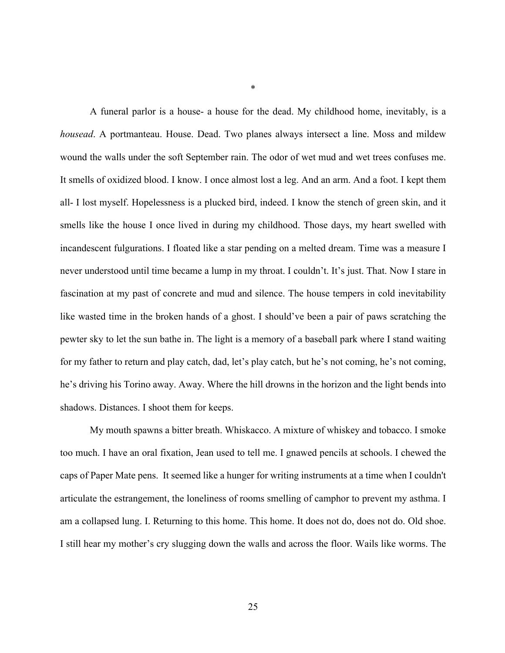A funeral parlor is a house- a house for the dead. My childhood home, inevitably, is a *housead*. A portmanteau. House. Dead. Two planes always intersect a line. Moss and mildew wound the walls under the soft September rain. The odor of wet mud and wet trees confuses me. It smells of oxidized blood. I know. I once almost lost a leg. And an arm. And a foot. I kept them all- I lost myself. Hopelessness is a plucked bird, indeed. I know the stench of green skin, and it smells like the house I once lived in during my childhood. Those days, my heart swelled with incandescent fulgurations. I floated like a star pending on a melted dream. Time was a measure I never understood until time became a lump in my throat. I couldn't. It's just. That. Now I stare in fascination at my past of concrete and mud and silence. The house tempers in cold inevitability like wasted time in the broken hands of a ghost. I should've been a pair of paws scratching the pewter sky to let the sun bathe in. The light is a memory of a baseball park where I stand waiting for my father to return and play catch, dad, let's play catch, but he's not coming, he's not coming, he's driving his Torino away. Away. Where the hill drowns in the horizon and the light bends into shadows. Distances. I shoot them for keeps.

My mouth spawns a bitter breath. Whiskacco. A mixture of whiskey and tobacco. I smoke too much. I have an oral fixation, Jean used to tell me. I gnawed pencils at schools. I chewed the caps of Paper Mate pens. It seemed like a hunger for writing instruments at a time when I couldn't articulate the estrangement, the loneliness of rooms smelling of camphor to prevent my asthma. I am a collapsed lung. I. Returning to this home. This home. It does not do, does not do. Old shoe. I still hear my mother's cry slugging down the walls and across the floor. Wails like worms. The

\*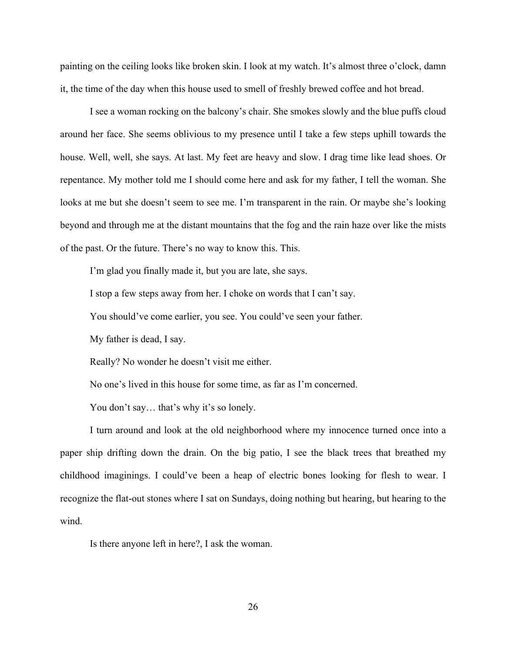painting on the ceiling looks like broken skin. I look at my watch. It's almost three o'clock, damn it, the time of the day when this house used to smell of freshly brewed coffee and hot bread.

I see a woman rocking on the balcony's chair. She smokes slowly and the blue puffs cloud around her face. She seems oblivious to my presence until I take a few steps uphill towards the house. Well, well, she says. At last. My feet are heavy and slow. I drag time like lead shoes. Or repentance. My mother told me I should come here and ask for my father, I tell the woman. She looks at me but she doesn't seem to see me. I'm transparent in the rain. Or maybe she's looking beyond and through me at the distant mountains that the fog and the rain haze over like the mists of the past. Or the future. There's no way to know this. This.

I'm glad you finally made it, but you are late, she says.

I stop a few steps away from her. I choke on words that I can't say.

You should've come earlier, you see. You could've seen your father.

My father is dead, I say.

Really? No wonder he doesn't visit me either.

No one's lived in this house for some time, as far as I'm concerned.

You don't say... that's why it's so lonely.

I turn around and look at the old neighborhood where my innocence turned once into a paper ship drifting down the drain. On the big patio, I see the black trees that breathed my childhood imaginings. I could've been a heap of electric bones looking for flesh to wear. I recognize the flat-out stones where I sat on Sundays, doing nothing but hearing, but hearing to the wind.

Is there anyone left in here?, I ask the woman.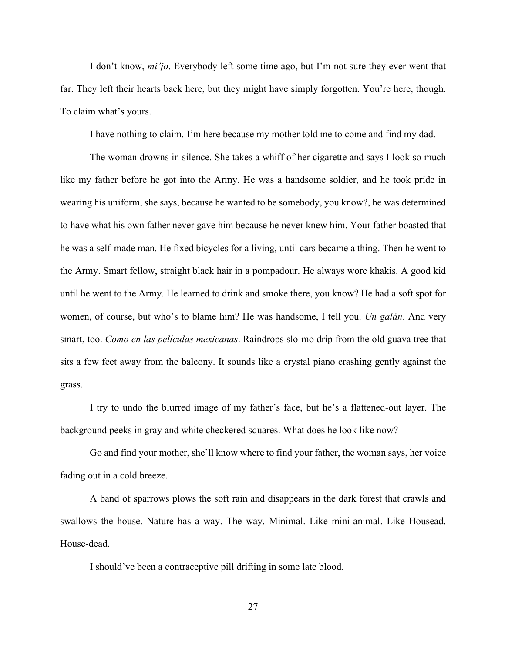I don't know, *mi'jo*. Everybody left some time ago, but I'm not sure they ever went that far. They left their hearts back here, but they might have simply forgotten. You're here, though. To claim what's yours.

I have nothing to claim. I'm here because my mother told me to come and find my dad.

The woman drowns in silence. She takes a whiff of her cigarette and says I look so much like my father before he got into the Army. He was a handsome soldier, and he took pride in wearing his uniform, she says, because he wanted to be somebody, you know?, he was determined to have what his own father never gave him because he never knew him. Your father boasted that he was a self-made man. He fixed bicycles for a living, until cars became a thing. Then he went to the Army. Smart fellow, straight black hair in a pompadour. He always wore khakis. A good kid until he went to the Army. He learned to drink and smoke there, you know? He had a soft spot for women, of course, but who's to blame him? He was handsome, I tell you. *Un galán*. And very smart, too. *Como en las películas mexicanas*. Raindrops slo-mo drip from the old guava tree that sits a few feet away from the balcony. It sounds like a crystal piano crashing gently against the grass.

I try to undo the blurred image of my father's face, but he's a flattened-out layer. The background peeks in gray and white checkered squares. What does he look like now?

Go and find your mother, she'll know where to find your father, the woman says, her voice fading out in a cold breeze.

A band of sparrows plows the soft rain and disappears in the dark forest that crawls and swallows the house. Nature has a way. The way. Minimal. Like mini-animal. Like Housead. House-dead.

I should've been a contraceptive pill drifting in some late blood.

27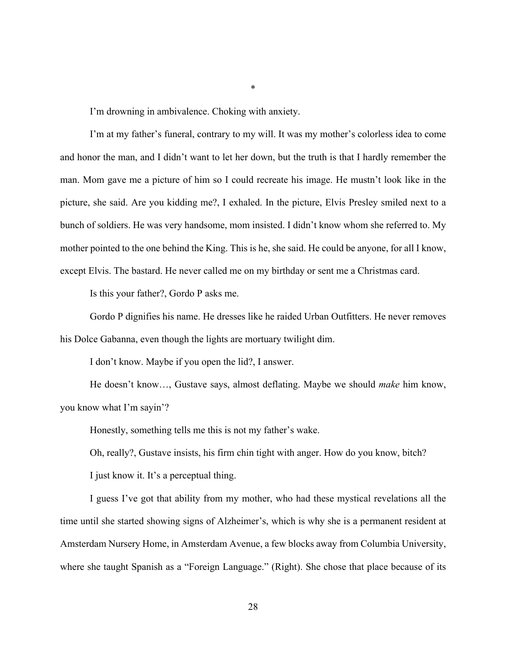I'm drowning in ambivalence. Choking with anxiety.

I'm at my father's funeral, contrary to my will. It was my mother's colorless idea to come and honor the man, and I didn't want to let her down, but the truth is that I hardly remember the man. Mom gave me a picture of him so I could recreate his image. He mustn't look like in the picture, she said. Are you kidding me?, I exhaled. In the picture, Elvis Presley smiled next to a bunch of soldiers. He was very handsome, mom insisted. I didn't know whom she referred to. My mother pointed to the one behind the King. This is he, she said. He could be anyone, for all I know, except Elvis. The bastard. He never called me on my birthday or sent me a Christmas card.

\*

Is this your father?, Gordo P asks me.

Gordo P dignifies his name. He dresses like he raided Urban Outfitters. He never removes his Dolce Gabanna, even though the lights are mortuary twilight dim.

I don't know. Maybe if you open the lid?, I answer.

He doesn't know…, Gustave says, almost deflating. Maybe we should *make* him know, you know what I'm sayin'?

Honestly, something tells me this is not my father's wake.

Oh, really?, Gustave insists, his firm chin tight with anger. How do you know, bitch?

I just know it. It's a perceptual thing.

I guess I've got that ability from my mother, who had these mystical revelations all the time until she started showing signs of Alzheimer's, which is why she is a permanent resident at Amsterdam Nursery Home, in Amsterdam Avenue, a few blocks away from Columbia University, where she taught Spanish as a "Foreign Language." (Right). She chose that place because of its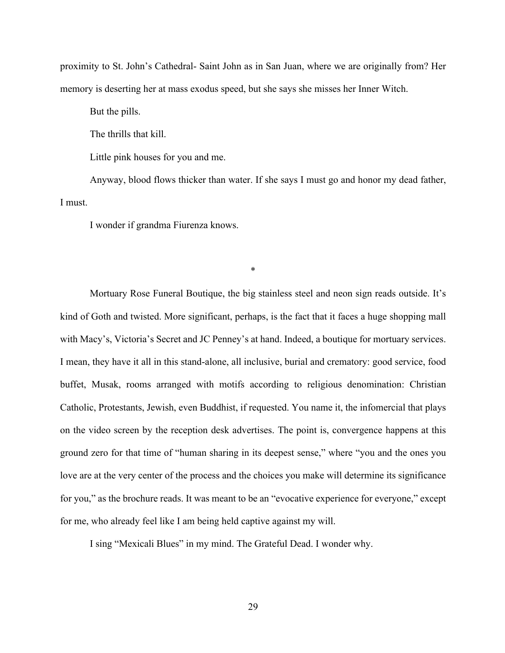proximity to St. John's Cathedral- Saint John as in San Juan, where we are originally from? Her memory is deserting her at mass exodus speed, but she says she misses her Inner Witch.

But the pills.

The thrills that kill.

Little pink houses for you and me.

Anyway, blood flows thicker than water. If she says I must go and honor my dead father, I must.

I wonder if grandma Fiurenza knows.

\*

Mortuary Rose Funeral Boutique, the big stainless steel and neon sign reads outside. It's kind of Goth and twisted. More significant, perhaps, is the fact that it faces a huge shopping mall with Macy's, Victoria's Secret and JC Penney's at hand. Indeed, a boutique for mortuary services. I mean, they have it all in this stand-alone, all inclusive, burial and crematory: good service, food buffet, Musak, rooms arranged with motifs according to religious denomination: Christian Catholic, Protestants, Jewish, even Buddhist, if requested. You name it, the infomercial that plays on the video screen by the reception desk advertises. The point is, convergence happens at this ground zero for that time of "human sharing in its deepest sense," where "you and the ones you love are at the very center of the process and the choices you make will determine its significance for you," as the brochure reads. It was meant to be an "evocative experience for everyone," except for me, who already feel like I am being held captive against my will.

I sing "Mexicali Blues" in my mind. The Grateful Dead. I wonder why.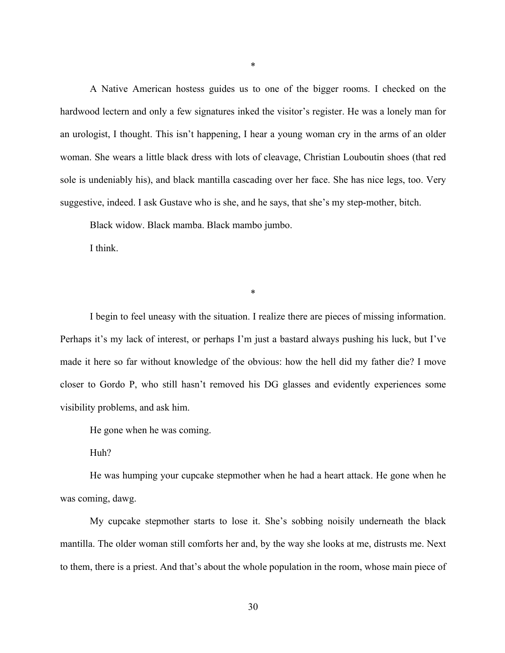A Native American hostess guides us to one of the bigger rooms. I checked on the hardwood lectern and only a few signatures inked the visitor's register. He was a lonely man for an urologist, I thought. This isn't happening, I hear a young woman cry in the arms of an older woman. She wears a little black dress with lots of cleavage, Christian Louboutin shoes (that red sole is undeniably his), and black mantilla cascading over her face. She has nice legs, too. Very suggestive, indeed. I ask Gustave who is she, and he says, that she's my step-mother, bitch.

\*

Black widow. Black mamba. Black mambo jumbo.

I think.

\*

I begin to feel uneasy with the situation. I realize there are pieces of missing information. Perhaps it's my lack of interest, or perhaps I'm just a bastard always pushing his luck, but I've made it here so far without knowledge of the obvious: how the hell did my father die? I move closer to Gordo P, who still hasn't removed his DG glasses and evidently experiences some visibility problems, and ask him.

He gone when he was coming.

Huh?

He was humping your cupcake stepmother when he had a heart attack. He gone when he was coming, dawg.

My cupcake stepmother starts to lose it. She's sobbing noisily underneath the black mantilla. The older woman still comforts her and, by the way she looks at me, distrusts me. Next to them, there is a priest. And that's about the whole population in the room, whose main piece of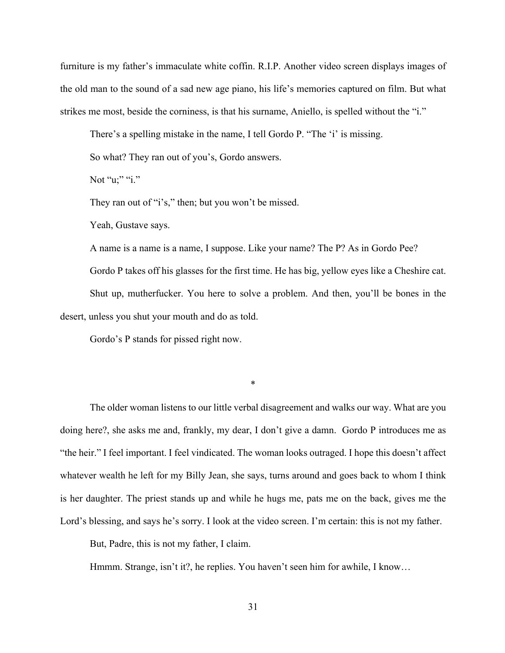furniture is my father's immaculate white coffin. R.I.P. Another video screen displays images of the old man to the sound of a sad new age piano, his life's memories captured on film. But what strikes me most, beside the corniness, is that his surname, Aniello, is spelled without the "i."

There's a spelling mistake in the name, I tell Gordo P. "The 'i' is missing.

So what? They ran out of you's, Gordo answers.

Not "u;" "i."

They ran out of "i's," then; but you won't be missed.

Yeah, Gustave says.

A name is a name is a name, I suppose. Like your name? The P? As in Gordo Pee?

Gordo P takes off his glasses for the first time. He has big, yellow eyes like a Cheshire cat. Shut up, mutherfucker. You here to solve a problem. And then, you'll be bones in the desert, unless you shut your mouth and do as told.

Gordo's P stands for pissed right now.

\*

The older woman listens to our little verbal disagreement and walks our way. What are you doing here?, she asks me and, frankly, my dear, I don't give a damn. Gordo P introduces me as "the heir." I feel important. I feel vindicated. The woman looks outraged. I hope this doesn't affect whatever wealth he left for my Billy Jean, she says, turns around and goes back to whom I think is her daughter. The priest stands up and while he hugs me, pats me on the back, gives me the Lord's blessing, and says he's sorry. I look at the video screen. I'm certain: this is not my father.

But, Padre, this is not my father, I claim.

Hmmm. Strange, isn't it?, he replies. You haven't seen him for awhile, I know…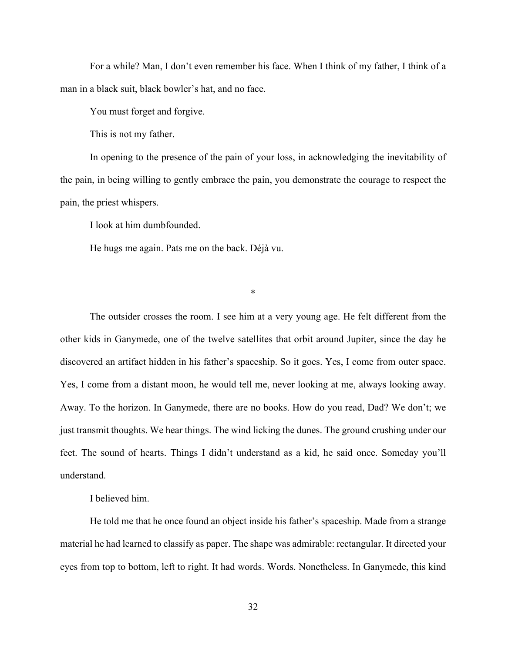For a while? Man, I don't even remember his face. When I think of my father, I think of a man in a black suit, black bowler's hat, and no face.

You must forget and forgive.

This is not my father.

In opening to the presence of the pain of your loss, in acknowledging the inevitability of the pain, in being willing to gently embrace the pain, you demonstrate the courage to respect the pain, the priest whispers.

I look at him dumbfounded.

He hugs me again. Pats me on the back. Déjà vu.

\*

The outsider crosses the room. I see him at a very young age. He felt different from the other kids in Ganymede, one of the twelve satellites that orbit around Jupiter, since the day he discovered an artifact hidden in his father's spaceship. So it goes. Yes, I come from outer space. Yes, I come from a distant moon, he would tell me, never looking at me, always looking away. Away. To the horizon. In Ganymede, there are no books. How do you read, Dad? We don't; we just transmit thoughts. We hear things. The wind licking the dunes. The ground crushing under our feet. The sound of hearts. Things I didn't understand as a kid, he said once. Someday you'll understand.

I believed him.

He told me that he once found an object inside his father's spaceship. Made from a strange material he had learned to classify as paper. The shape was admirable: rectangular. It directed your eyes from top to bottom, left to right. It had words. Words. Nonetheless. In Ganymede, this kind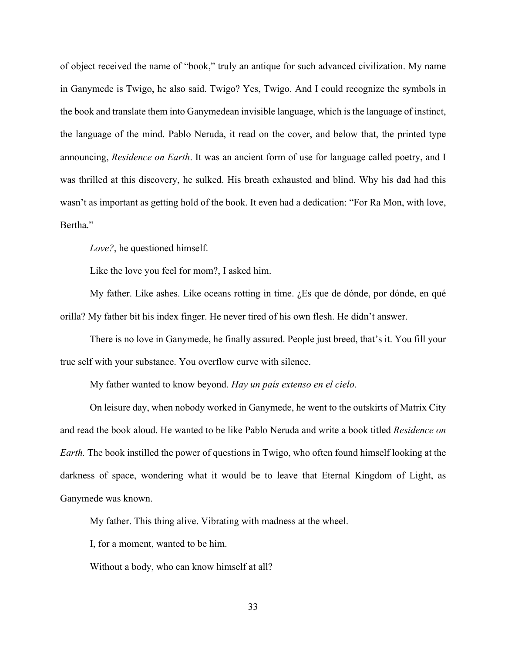of object received the name of "book," truly an antique for such advanced civilization. My name in Ganymede is Twigo, he also said. Twigo? Yes, Twigo. And I could recognize the symbols in the book and translate them into Ganymedean invisible language, which is the language of instinct, the language of the mind. Pablo Neruda, it read on the cover, and below that, the printed type announcing, *Residence on Earth*. It was an ancient form of use for language called poetry, and I was thrilled at this discovery, he sulked. His breath exhausted and blind. Why his dad had this wasn't as important as getting hold of the book. It even had a dedication: "For Ra Mon, with love, Bertha."

*Love?*, he questioned himself.

Like the love you feel for mom?, I asked him.

My father. Like ashes. Like oceans rotting in time.  $i$  Es que de dónde, por dónde, en qué orilla? My father bit his index finger. He never tired of his own flesh. He didn't answer.

There is no love in Ganymede, he finally assured. People just breed, that's it. You fill your true self with your substance. You overflow curve with silence.

My father wanted to know beyond. *Hay un país extenso en el cielo*.

On leisure day, when nobody worked in Ganymede, he went to the outskirts of Matrix City and read the book aloud. He wanted to be like Pablo Neruda and write a book titled *Residence on Earth.* The book instilled the power of questions in Twigo, who often found himself looking at the darkness of space, wondering what it would be to leave that Eternal Kingdom of Light, as Ganymede was known.

My father. This thing alive. Vibrating with madness at the wheel.

I, for a moment, wanted to be him.

Without a body, who can know himself at all?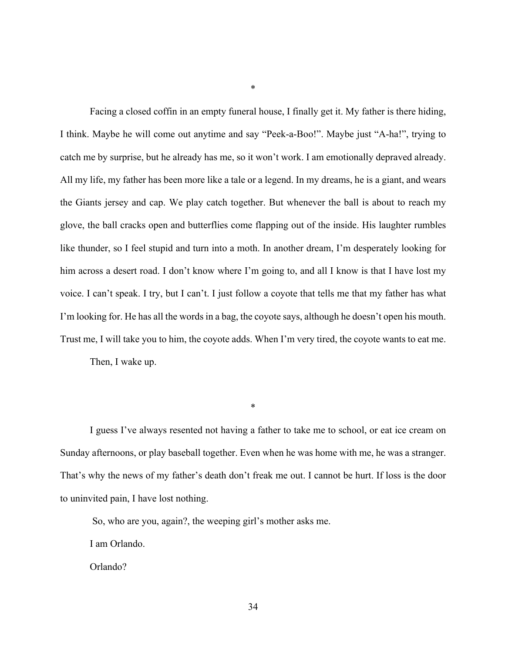Facing a closed coffin in an empty funeral house, I finally get it. My father is there hiding, I think. Maybe he will come out anytime and say "Peek-a-Boo!". Maybe just "A-ha!", trying to catch me by surprise, but he already has me, so it won't work. I am emotionally depraved already. All my life, my father has been more like a tale or a legend. In my dreams, he is a giant, and wears the Giants jersey and cap. We play catch together. But whenever the ball is about to reach my glove, the ball cracks open and butterflies come flapping out of the inside. His laughter rumbles like thunder, so I feel stupid and turn into a moth. In another dream, I'm desperately looking for him across a desert road. I don't know where I'm going to, and all I know is that I have lost my voice. I can't speak. I try, but I can't. I just follow a coyote that tells me that my father has what I'm looking for. He has all the words in a bag, the coyote says, although he doesn't open his mouth. Trust me, I will take you to him, the coyote adds. When I'm very tired, the coyote wants to eat me.

Then, I wake up.

\*

I guess I've always resented not having a father to take me to school, or eat ice cream on Sunday afternoons, or play baseball together. Even when he was home with me, he was a stranger. That's why the news of my father's death don't freak me out. I cannot be hurt. If loss is the door to uninvited pain, I have lost nothing.

So, who are you, again?, the weeping girl's mother asks me. I am Orlando.

Orlando?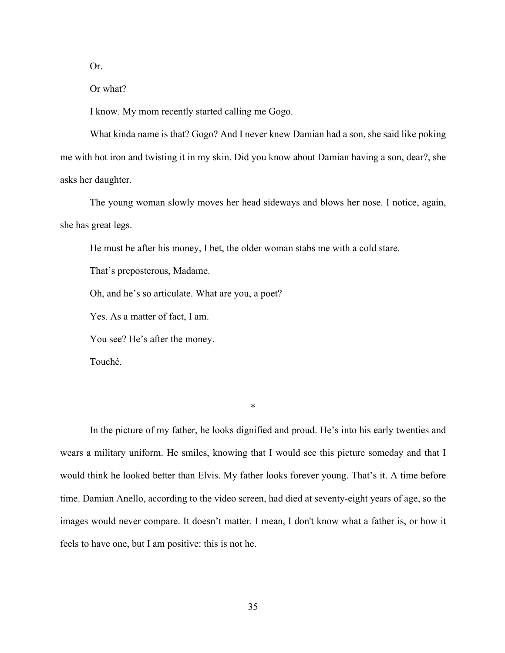Or.

Or what?

I know. My mom recently started calling me Gogo.

What kinda name is that? Gogo? And I never knew Damian had a son, she said like poking me with hot iron and twisting it in my skin. Did you know about Damian having a son, dear?, she asks her daughter.

The young woman slowly moves her head sideways and blows her nose. I notice, again, she has great legs.

He must be after his money, I bet, the older woman stabs me with a cold stare.

That's preposterous, Madame.

Oh, and he's so articulate. What are you, a poet?

Yes. As a matter of fact, I am.

You see? He's after the money.

Touché.

\*

In the picture of my father, he looks dignified and proud. He's into his early twenties and wears a military uniform. He smiles, knowing that I would see this picture someday and that I would think he looked better than Elvis. My father looks forever young. That's it. A time before time. Damian Anello, according to the video screen, had died at seventy-eight years of age, so the images would never compare. It doesn't matter. I mean, I don't know what a father is, or how it feels to have one, but I am positive: this is not he.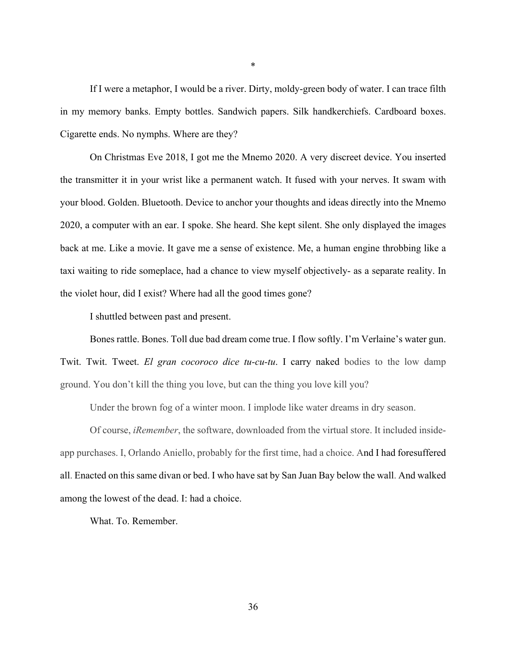If I were a metaphor, I would be a river. Dirty, moldy-green body of water. I can trace filth in my memory banks. Empty bottles. Sandwich papers. Silk handkerchiefs. Cardboard boxes. Cigarette ends. No nymphs. Where are they?

On Christmas Eve 2018, I got me the Mnemo 2020. A very discreet device. You inserted the transmitter it in your wrist like a permanent watch. It fused with your nerves. It swam with your blood. Golden. Bluetooth. Device to anchor your thoughts and ideas directly into the Mnemo 2020, a computer with an ear. I spoke. She heard. She kept silent. She only displayed the images back at me. Like a movie. It gave me a sense of existence. Me, a human engine throbbing like a taxi waiting to ride someplace, had a chance to view myself objectively- as a separate reality. In the violet hour, did I exist? Where had all the good times gone?

I shuttled between past and present.

Bones rattle. Bones. Toll due bad dream come true. I flow softly. I'm Verlaine's water gun. Twit. Twit. Tweet. *El gran cocoroco dice tu-cu-tu*. I carry naked bodies to the low damp ground. You don't kill the thing you love, but can the thing you love kill you?

Under the brown fog of a winter moon. I implode like water dreams in dry season.

Of course, *iRemember*, the software, downloaded from the virtual store. It included insideapp purchases. I, Orlando Aniello, probably for the first time, had a choice. And I had foresuffered all. Enacted on this same divan or bed. I who have sat by San Juan Bay below the wall. And walked among the lowest of the dead. I: had a choice.

What. To. Remember.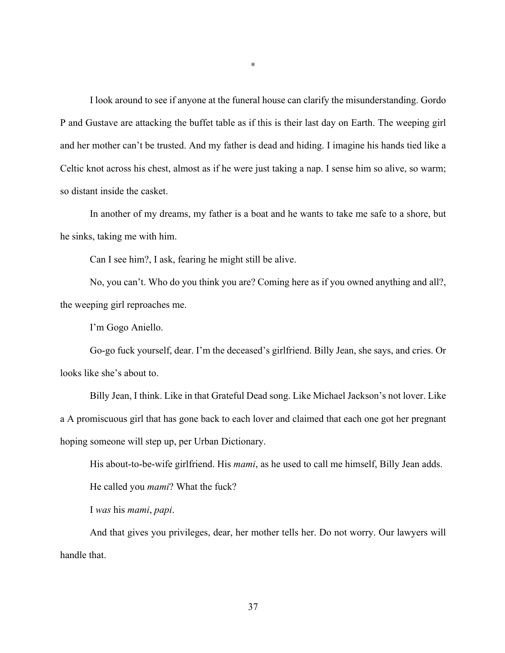I look around to see if anyone at the funeral house can clarify the misunderstanding. Gordo P and Gustave are attacking the buffet table as if this is their last day on Earth. The weeping girl and her mother can't be trusted. And my father is dead and hiding. I imagine his hands tied like a Celtic knot across his chest, almost as if he were just taking a nap. I sense him so alive, so warm; so distant inside the casket.

In another of my dreams, my father is a boat and he wants to take me safe to a shore, but he sinks, taking me with him.

Can I see him?, I ask, fearing he might still be alive.

No, you can't. Who do you think you are? Coming here as if you owned anything and all?, the weeping girl reproaches me.

I'm Gogo Aniello.

Go-go fuck yourself, dear. I'm the deceased's girlfriend. Billy Jean, she says, and cries. Or looks like she's about to.

Billy Jean, I think. Like in that Grateful Dead song. Like Michael Jackson's not lover. Like a A promiscuous girl that has gone back to each lover and claimed that each one got her pregnant hoping someone will step up, per Urban Dictionary.

His about-to-be-wife girlfriend. His *mami*, as he used to call me himself, Billy Jean adds.

He called you *mami*? What the fuck?

I *was* his *mami*, *papi*.

And that gives you privileges, dear, her mother tells her. Do not worry. Our lawyers will handle that.

\*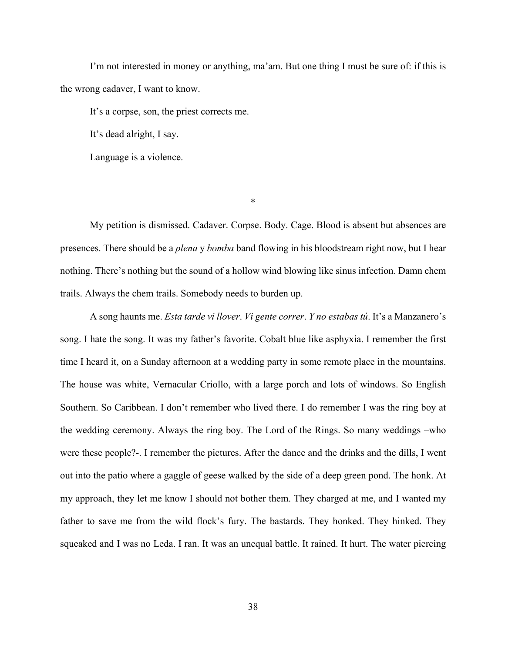I'm not interested in money or anything, ma'am. But one thing I must be sure of: if this is the wrong cadaver, I want to know.

It's a corpse, son, the priest corrects me.

It's dead alright, I say.

Language is a violence.

\*

My petition is dismissed. Cadaver. Corpse. Body. Cage. Blood is absent but absences are presences. There should be a *plena* y *bomba* band flowing in his bloodstream right now, but I hear nothing. There's nothing but the sound of a hollow wind blowing like sinus infection. Damn chem trails. Always the chem trails. Somebody needs to burden up.

A song haunts me. *Esta tarde vi llover*. *Vi gente correr*. *Y no estabas tú*. It's a Manzanero's song. I hate the song. It was my father's favorite. Cobalt blue like asphyxia. I remember the first time I heard it, on a Sunday afternoon at a wedding party in some remote place in the mountains. The house was white, Vernacular Criollo, with a large porch and lots of windows. So English Southern. So Caribbean. I don't remember who lived there. I do remember I was the ring boy at the wedding ceremony. Always the ring boy. The Lord of the Rings. So many weddings –who were these people?-. I remember the pictures. After the dance and the drinks and the dills, I went out into the patio where a gaggle of geese walked by the side of a deep green pond. The honk. At my approach, they let me know I should not bother them. They charged at me, and I wanted my father to save me from the wild flock's fury. The bastards. They honked. They hinked. They squeaked and I was no Leda. I ran. It was an unequal battle. It rained. It hurt. The water piercing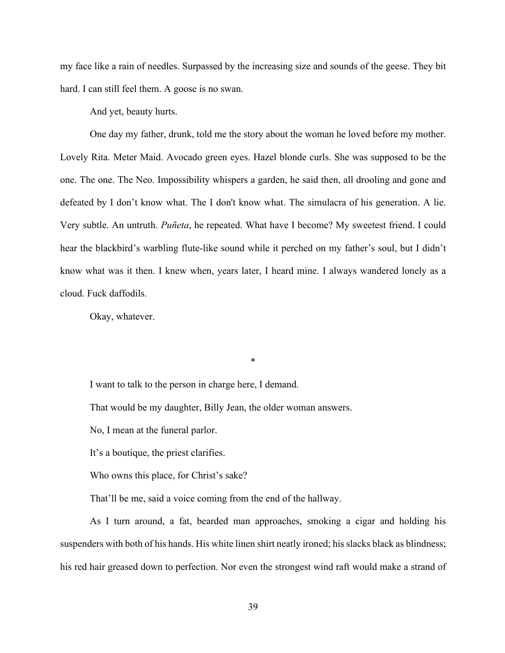my face like a rain of needles. Surpassed by the increasing size and sounds of the geese. They bit hard. I can still feel them. A goose is no swan.

And yet, beauty hurts.

One day my father, drunk, told me the story about the woman he loved before my mother. Lovely Rita. Meter Maid. Avocado green eyes. Hazel blonde curls. She was supposed to be the one. The one. The Neo. Impossibility whispers a garden, he said then, all drooling and gone and defeated by I don't know what. The I don't know what. The simulacra of his generation. A lie. Very subtle. An untruth. *Puñeta*, he repeated. What have I become? My sweetest friend. I could hear the blackbird's warbling flute-like sound while it perched on my father's soul, but I didn't know what was it then. I knew when, years later, I heard mine. I always wandered lonely as a cloud. Fuck daffodils.

\*

Okay, whatever.

I want to talk to the person in charge here, I demand.

That would be my daughter, Billy Jean, the older woman answers.

No, I mean at the funeral parlor.

It's a boutique, the priest clarifies.

Who owns this place, for Christ's sake?

That'll be me, said a voice coming from the end of the hallway.

As I turn around, a fat, bearded man approaches, smoking a cigar and holding his suspenders with both of his hands. His white linen shirt neatly ironed; his slacks black as blindness; his red hair greased down to perfection. Nor even the strongest wind raft would make a strand of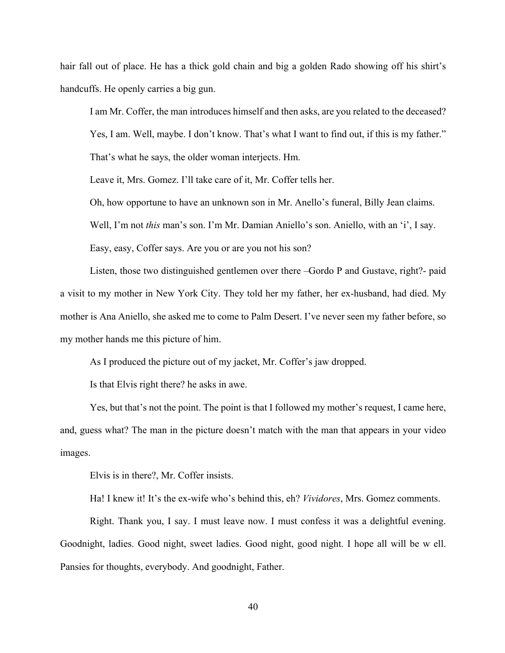hair fall out of place. He has a thick gold chain and big a golden Rado showing off his shirt's handcuffs. He openly carries a big gun.

I am Mr. Coffer, the man introduces himself and then asks, are you related to the deceased? Yes, I am. Well, maybe. I don't know. That's what I want to find out, if this is my father." That's what he says, the older woman interjects. Hm.

Leave it, Mrs. Gomez. I'll take care of it, Mr. Coffer tells her.

Oh, how opportune to have an unknown son in Mr. Anello's funeral, Billy Jean claims.

Well, I'm not *this* man's son. I'm Mr. Damian Aniello's son. Aniello, with an 'i', I say.

Easy, easy, Coffer says. Are you or are you not his son?

Listen, those two distinguished gentlemen over there –Gordo P and Gustave, right?- paid a visit to my mother in New York City. They told her my father, her ex-husband, had died. My mother is Ana Aniello, she asked me to come to Palm Desert. I've never seen my father before, so my mother hands me this picture of him.

As I produced the picture out of my jacket, Mr. Coffer's jaw dropped.

Is that Elvis right there? he asks in awe.

Yes, but that's not the point. The point is that I followed my mother's request, I came here, and, guess what? The man in the picture doesn't match with the man that appears in your video images.

Elvis is in there?, Mr. Coffer insists.

Ha! I knew it! It's the ex-wife who's behind this, eh? *Vividores*, Mrs. Gomez comments.

Right. Thank you, I say. I must leave now. I must confess it was a delightful evening. Goodnight, ladies. Good night, sweet ladies. Good night, good night. I hope all will be w ell. Pansies for thoughts, everybody. And goodnight, Father.

40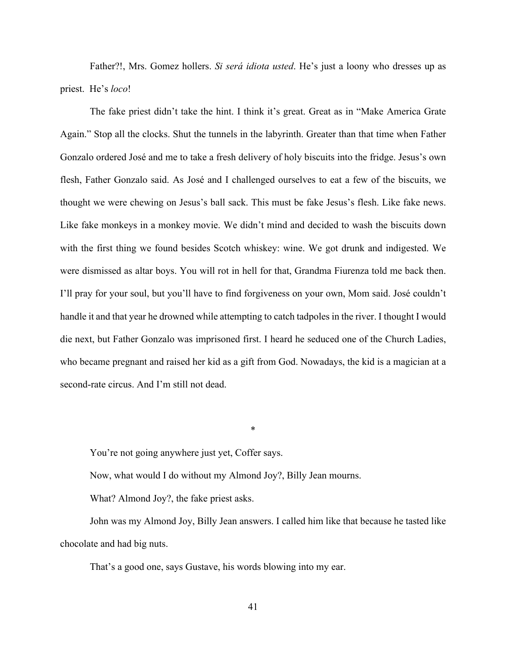Father?!, Mrs. Gomez hollers. *Si será idiota usted*. He's just a loony who dresses up as priest. He's *loco*!

The fake priest didn't take the hint. I think it's great. Great as in "Make America Grate Again." Stop all the clocks. Shut the tunnels in the labyrinth. Greater than that time when Father Gonzalo ordered José and me to take a fresh delivery of holy biscuits into the fridge. Jesus's own flesh, Father Gonzalo said. As José and I challenged ourselves to eat a few of the biscuits, we thought we were chewing on Jesus's ball sack. This must be fake Jesus's flesh. Like fake news. Like fake monkeys in a monkey movie. We didn't mind and decided to wash the biscuits down with the first thing we found besides Scotch whiskey: wine. We got drunk and indigested. We were dismissed as altar boys. You will rot in hell for that, Grandma Fiurenza told me back then. I'll pray for your soul, but you'll have to find forgiveness on your own, Mom said. José couldn't handle it and that year he drowned while attempting to catch tadpoles in the river. I thought I would die next, but Father Gonzalo was imprisoned first. I heard he seduced one of the Church Ladies, who became pregnant and raised her kid as a gift from God. Nowadays, the kid is a magician at a second-rate circus. And I'm still not dead.

You're not going anywhere just yet, Coffer says.

Now, what would I do without my Almond Joy?, Billy Jean mourns.

What? Almond Joy?, the fake priest asks.

John was my Almond Joy, Billy Jean answers. I called him like that because he tasted like chocolate and had big nuts.

\*

That's a good one, says Gustave, his words blowing into my ear.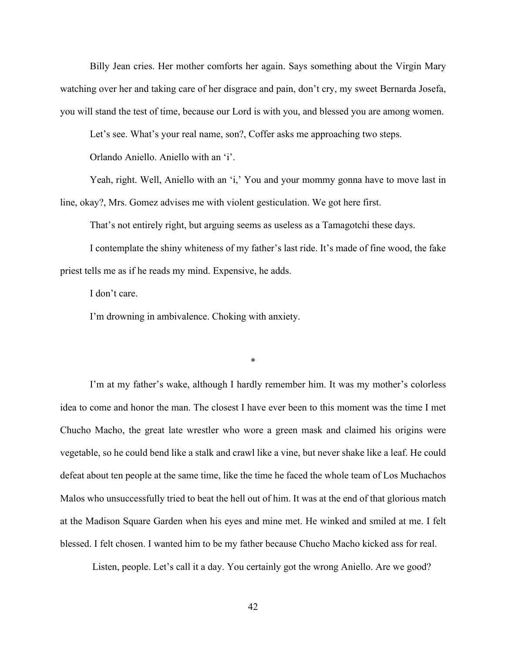Billy Jean cries. Her mother comforts her again. Says something about the Virgin Mary watching over her and taking care of her disgrace and pain, don't cry, my sweet Bernarda Josefa, you will stand the test of time, because our Lord is with you, and blessed you are among women.

Let's see. What's your real name, son?, Coffer asks me approaching two steps.

Orlando Aniello. Aniello with an 'i'.

Yeah, right. Well, Aniello with an 'i,' You and your mommy gonna have to move last in line, okay?, Mrs. Gomez advises me with violent gesticulation. We got here first.

That's not entirely right, but arguing seems as useless as a Tamagotchi these days.

I contemplate the shiny whiteness of my father's last ride. It's made of fine wood, the fake priest tells me as if he reads my mind. Expensive, he adds.

I don't care.

I'm drowning in ambivalence. Choking with anxiety.

\*

I'm at my father's wake, although I hardly remember him. It was my mother's colorless idea to come and honor the man. The closest I have ever been to this moment was the time I met Chucho Macho, the great late wrestler who wore a green mask and claimed his origins were vegetable, so he could bend like a stalk and crawl like a vine, but never shake like a leaf. He could defeat about ten people at the same time, like the time he faced the whole team of Los Muchachos Malos who unsuccessfully tried to beat the hell out of him. It was at the end of that glorious match at the Madison Square Garden when his eyes and mine met. He winked and smiled at me. I felt blessed. I felt chosen. I wanted him to be my father because Chucho Macho kicked ass for real.

Listen, people. Let's call it a day. You certainly got the wrong Aniello. Are we good?

42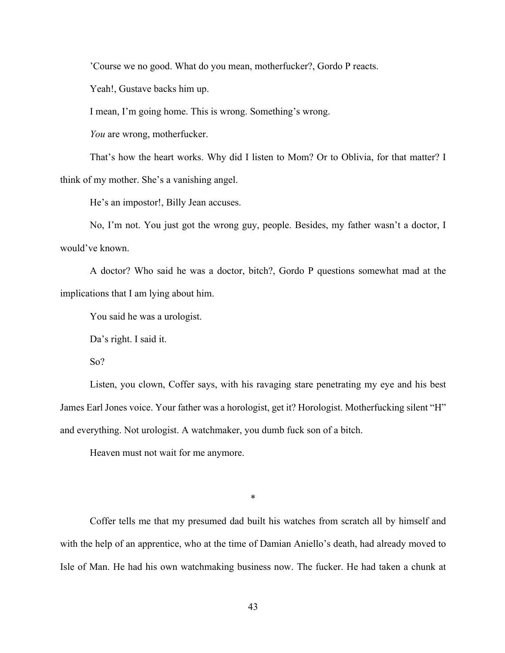'Course we no good. What do you mean, motherfucker?, Gordo P reacts.

Yeah!, Gustave backs him up.

I mean, I'm going home. This is wrong. Something's wrong.

*You* are wrong, motherfucker.

That's how the heart works. Why did I listen to Mom? Or to Oblivia, for that matter? I think of my mother. She's a vanishing angel.

He's an impostor!, Billy Jean accuses.

No, I'm not. You just got the wrong guy, people. Besides, my father wasn't a doctor, I would've known.

A doctor? Who said he was a doctor, bitch?, Gordo P questions somewhat mad at the implications that I am lying about him.

You said he was a urologist.

Da's right. I said it.

So?

Listen, you clown, Coffer says, with his ravaging stare penetrating my eye and his best James Earl Jones voice. Your father was a horologist, get it? Horologist. Motherfucking silent "H" and everything. Not urologist. A watchmaker, you dumb fuck son of a bitch.

Heaven must not wait for me anymore.

\*

Coffer tells me that my presumed dad built his watches from scratch all by himself and with the help of an apprentice, who at the time of Damian Aniello's death, had already moved to Isle of Man. He had his own watchmaking business now. The fucker. He had taken a chunk at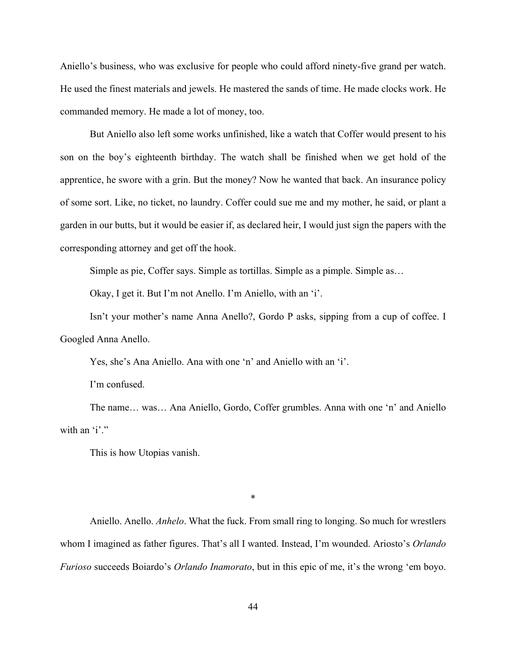Aniello's business, who was exclusive for people who could afford ninety-five grand per watch. He used the finest materials and jewels. He mastered the sands of time. He made clocks work. He commanded memory. He made a lot of money, too.

But Aniello also left some works unfinished, like a watch that Coffer would present to his son on the boy's eighteenth birthday. The watch shall be finished when we get hold of the apprentice, he swore with a grin. But the money? Now he wanted that back. An insurance policy of some sort. Like, no ticket, no laundry. Coffer could sue me and my mother, he said, or plant a garden in our butts, but it would be easier if, as declared heir, I would just sign the papers with the corresponding attorney and get off the hook.

Simple as pie, Coffer says. Simple as tortillas. Simple as a pimple. Simple as…

Okay, I get it. But I'm not Anello. I'm Aniello, with an 'i'.

Isn't your mother's name Anna Anello?, Gordo P asks, sipping from a cup of coffee. I Googled Anna Anello.

Yes, she's Ana Aniello. Ana with one 'n' and Aniello with an 'i'.

I'm confused.

The name… was… Ana Aniello, Gordo, Coffer grumbles. Anna with one 'n' and Aniello with an 'i'."

This is how Utopias vanish.

\*

Aniello. Anello. *Anhelo*. What the fuck. From small ring to longing. So much for wrestlers whom I imagined as father figures. That's all I wanted. Instead, I'm wounded. Ariosto's *Orlando Furioso* succeeds Boiardo's *Orlando Inamorato*, but in this epic of me, it's the wrong 'em boyo.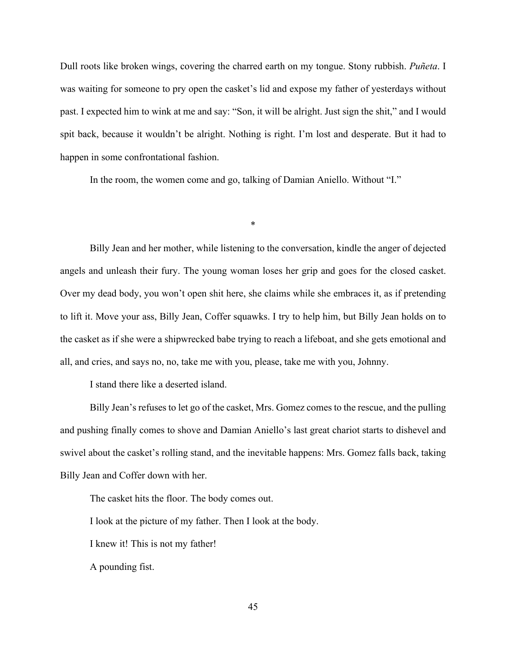Dull roots like broken wings, covering the charred earth on my tongue. Stony rubbish. *Puñeta*. I was waiting for someone to pry open the casket's lid and expose my father of yesterdays without past. I expected him to wink at me and say: "Son, it will be alright. Just sign the shit," and I would spit back, because it wouldn't be alright. Nothing is right. I'm lost and desperate. But it had to happen in some confrontational fashion.

In the room, the women come and go, talking of Damian Aniello. Without "I."

\*

Billy Jean and her mother, while listening to the conversation, kindle the anger of dejected angels and unleash their fury. The young woman loses her grip and goes for the closed casket. Over my dead body, you won't open shit here, she claims while she embraces it, as if pretending to lift it. Move your ass, Billy Jean, Coffer squawks. I try to help him, but Billy Jean holds on to the casket as if she were a shipwrecked babe trying to reach a lifeboat, and she gets emotional and all, and cries, and says no, no, take me with you, please, take me with you, Johnny.

I stand there like a deserted island.

Billy Jean's refuses to let go of the casket, Mrs. Gomez comes to the rescue, and the pulling and pushing finally comes to shove and Damian Aniello's last great chariot starts to dishevel and swivel about the casket's rolling stand, and the inevitable happens: Mrs. Gomez falls back, taking Billy Jean and Coffer down with her.

The casket hits the floor. The body comes out.

I look at the picture of my father. Then I look at the body.

I knew it! This is not my father!

A pounding fist.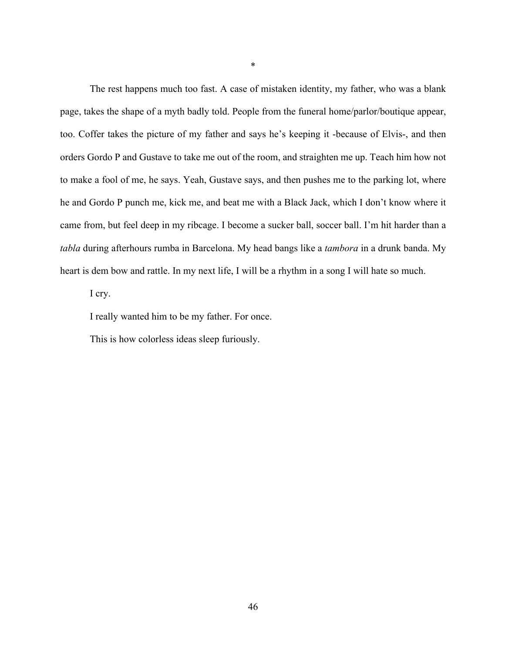The rest happens much too fast. A case of mistaken identity, my father, who was a blank page, takes the shape of a myth badly told. People from the funeral home/parlor/boutique appear, too. Coffer takes the picture of my father and says he's keeping it -because of Elvis-, and then orders Gordo P and Gustave to take me out of the room, and straighten me up. Teach him how not to make a fool of me, he says. Yeah, Gustave says, and then pushes me to the parking lot, where he and Gordo P punch me, kick me, and beat me with a Black Jack, which I don't know where it came from, but feel deep in my ribcage. I become a sucker ball, soccer ball. I'm hit harder than a *tabla* during afterhours rumba in Barcelona. My head bangs like a *tambora* in a drunk banda. My heart is dem bow and rattle. In my next life, I will be a rhythm in a song I will hate so much.

I cry.

I really wanted him to be my father. For once.

This is how colorless ideas sleep furiously.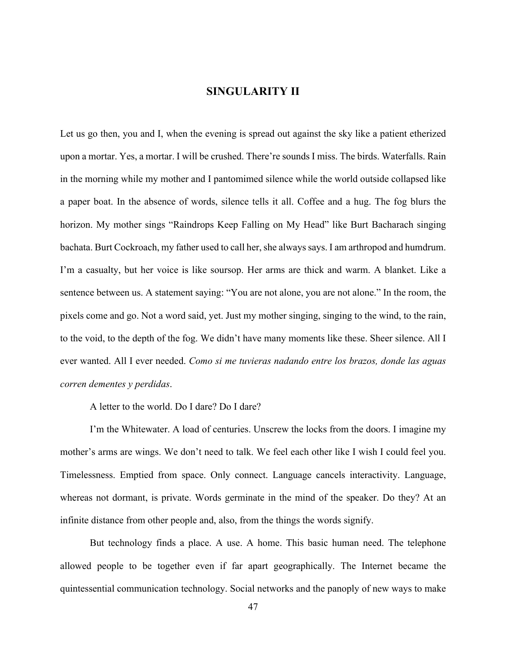## **SINGULARITY II**

Let us go then, you and I, when the evening is spread out against the sky like a patient etherized upon a mortar. Yes, a mortar. I will be crushed. There're sounds I miss. The birds. Waterfalls. Rain in the morning while my mother and I pantomimed silence while the world outside collapsed like a paper boat. In the absence of words, silence tells it all. Coffee and a hug. The fog blurs the horizon. My mother sings "Raindrops Keep Falling on My Head" like Burt Bacharach singing bachata. Burt Cockroach, my father used to call her, she always says. I am arthropod and humdrum. I'm a casualty, but her voice is like soursop. Her arms are thick and warm. A blanket. Like a sentence between us. A statement saying: "You are not alone, you are not alone." In the room, the pixels come and go. Not a word said, yet. Just my mother singing, singing to the wind, to the rain, to the void, to the depth of the fog. We didn't have many moments like these. Sheer silence. All I ever wanted. All I ever needed. *Como si me tuvieras nadando entre los brazos, donde las aguas corren dementes y perdidas*.

A letter to the world. Do I dare? Do I dare?

I'm the Whitewater. A load of centuries. Unscrew the locks from the doors. I imagine my mother's arms are wings. We don't need to talk. We feel each other like I wish I could feel you. Timelessness. Emptied from space. Only connect. Language cancels interactivity. Language, whereas not dormant, is private. Words germinate in the mind of the speaker. Do they? At an infinite distance from other people and, also, from the things the words signify.

But technology finds a place. A use. A home. This basic human need. The telephone allowed people to be together even if far apart geographically. The Internet became the quintessential communication technology. Social networks and the panoply of new ways to make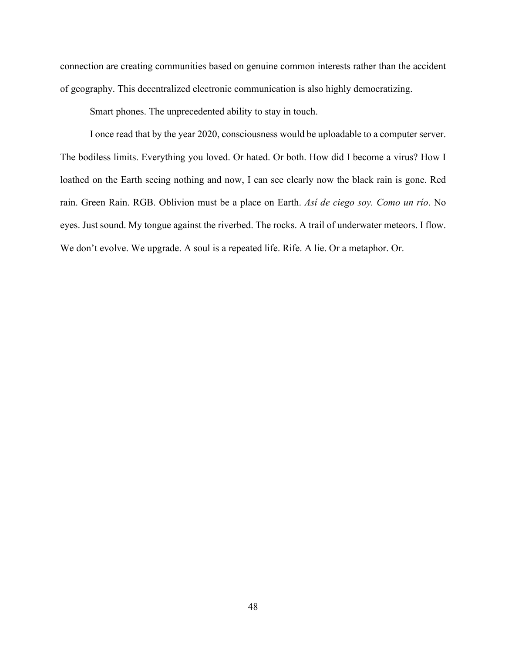connection are creating communities based on genuine common interests rather than the accident of geography. This decentralized electronic communication is also highly democratizing.

Smart phones. The unprecedented ability to stay in touch.

I once read that by the year 2020, consciousness would be uploadable to a computer server. The bodiless limits. Everything you loved. Or hated. Or both. How did I become a virus? How I loathed on the Earth seeing nothing and now, I can see clearly now the black rain is gone. Red rain. Green Rain. RGB. Oblivion must be a place on Earth. *Así de ciego soy. Como un río*. No eyes. Just sound. My tongue against the riverbed. The rocks. A trail of underwater meteors. I flow. We don't evolve. We upgrade. A soul is a repeated life. Rife. A lie. Or a metaphor. Or.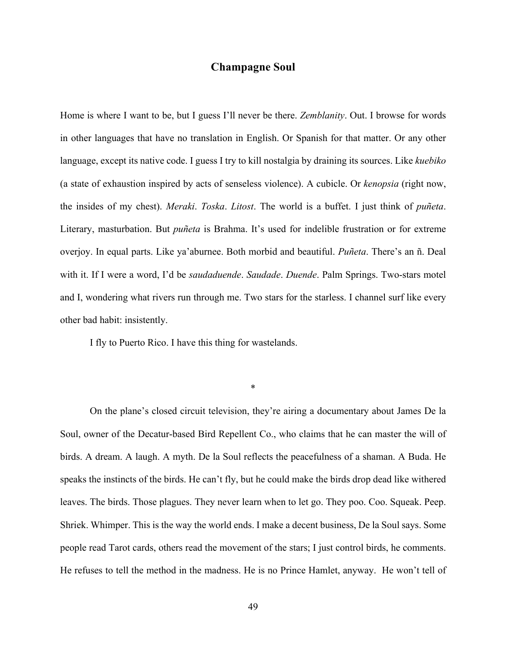## **Champagne Soul**

Home is where I want to be, but I guess I'll never be there. *Zemblanity*. Out. I browse for words in other languages that have no translation in English. Or Spanish for that matter. Or any other language, except its native code. I guess I try to kill nostalgia by draining its sources. Like *kuebiko* (a state of exhaustion inspired by acts of senseless violence). A cubicle. Or *kenopsia* (right now, the insides of my chest). *Meraki*. *Toska*. *Litost*. The world is a buffet. I just think of *puñeta*. Literary, masturbation. But *puñeta* is Brahma. It's used for indelible frustration or for extreme overjoy. In equal parts. Like ya'aburnee. Both morbid and beautiful. *Puñeta*. There's an ñ. Deal with it. If I were a word, I'd be *saudaduende*. *Saudade*. *Duende*. Palm Springs. Two-stars motel and I, wondering what rivers run through me. Two stars for the starless. I channel surf like every other bad habit: insistently.

I fly to Puerto Rico. I have this thing for wastelands.

\*

On the plane's closed circuit television, they're airing a documentary about James De la Soul, owner of the Decatur-based Bird Repellent Co., who claims that he can master the will of birds. A dream. A laugh. A myth. De la Soul reflects the peacefulness of a shaman. A Buda. He speaks the instincts of the birds. He can't fly, but he could make the birds drop dead like withered leaves. The birds. Those plagues. They never learn when to let go. They poo. Coo. Squeak. Peep. Shriek. Whimper. This is the way the world ends. I make a decent business, De la Soul says. Some people read Tarot cards, others read the movement of the stars; I just control birds, he comments. He refuses to tell the method in the madness. He is no Prince Hamlet, anyway. He won't tell of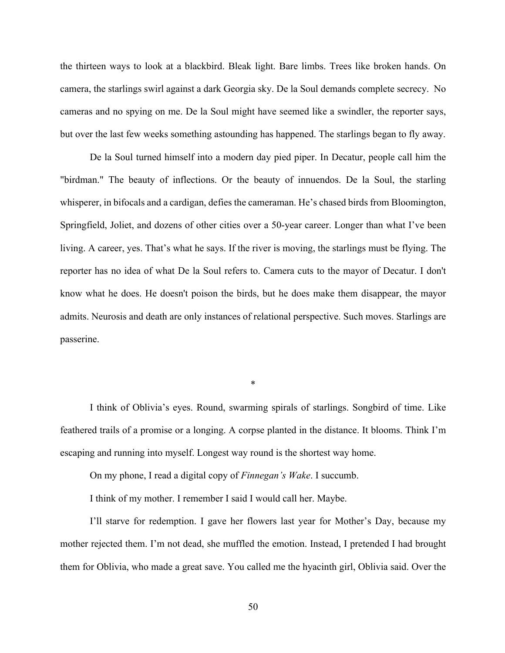the thirteen ways to look at a blackbird. Bleak light. Bare limbs. Trees like broken hands. On camera, the starlings swirl against a dark Georgia sky. De la Soul demands complete secrecy. No cameras and no spying on me. De la Soul might have seemed like a swindler, the reporter says, but over the last few weeks something astounding has happened. The starlings began to fly away.

De la Soul turned himself into a modern day pied piper. In Decatur, people call him the "birdman." The beauty of inflections. Or the beauty of innuendos. De la Soul, the starling whisperer, in bifocals and a cardigan, defies the cameraman. He's chased birds from Bloomington, Springfield, Joliet, and dozens of other cities over a 50-year career. Longer than what I've been living. A career, yes. That's what he says. If the river is moving, the starlings must be flying. The reporter has no idea of what De la Soul refers to. Camera cuts to the mayor of Decatur. I don't know what he does. He doesn't poison the birds, but he does make them disappear, the mayor admits. Neurosis and death are only instances of relational perspective. Such moves. Starlings are passerine.

\*

I think of Oblivia's eyes. Round, swarming spirals of starlings. Songbird of time. Like feathered trails of a promise or a longing. A corpse planted in the distance. It blooms. Think I'm escaping and running into myself. Longest way round is the shortest way home.

On my phone, I read a digital copy of *Finnegan's Wake*. I succumb.

I think of my mother. I remember I said I would call her. Maybe.

I'll starve for redemption. I gave her flowers last year for Mother's Day, because my mother rejected them. I'm not dead, she muffled the emotion. Instead, I pretended I had brought them for Oblivia, who made a great save. You called me the hyacinth girl, Oblivia said. Over the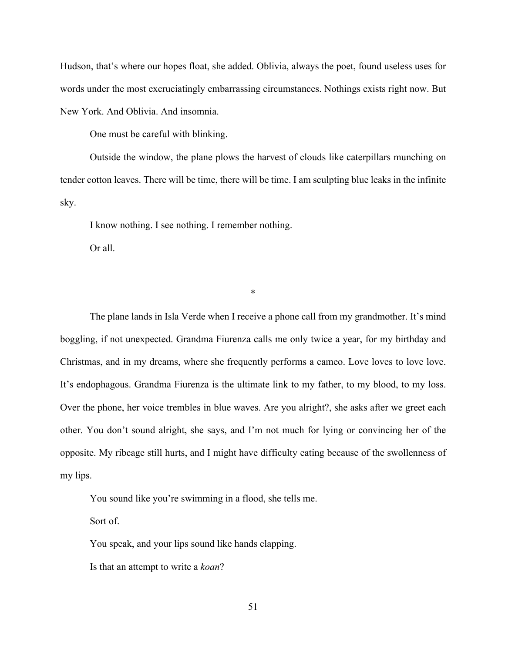Hudson, that's where our hopes float, she added. Oblivia, always the poet, found useless uses for words under the most excruciatingly embarrassing circumstances. Nothings exists right now. But New York. And Oblivia. And insomnia.

One must be careful with blinking.

Outside the window, the plane plows the harvest of clouds like caterpillars munching on tender cotton leaves. There will be time, there will be time. I am sculpting blue leaks in the infinite sky.

I know nothing. I see nothing. I remember nothing.

Or all.

\*

The plane lands in Isla Verde when I receive a phone call from my grandmother. It's mind boggling, if not unexpected. Grandma Fiurenza calls me only twice a year, for my birthday and Christmas, and in my dreams, where she frequently performs a cameo. Love loves to love love. It's endophagous. Grandma Fiurenza is the ultimate link to my father, to my blood, to my loss. Over the phone, her voice trembles in blue waves. Are you alright?, she asks after we greet each other. You don't sound alright, she says, and I'm not much for lying or convincing her of the opposite. My ribcage still hurts, and I might have difficulty eating because of the swollenness of my lips.

You sound like you're swimming in a flood, she tells me.

Sort of.

You speak, and your lips sound like hands clapping.

Is that an attempt to write a *koan*?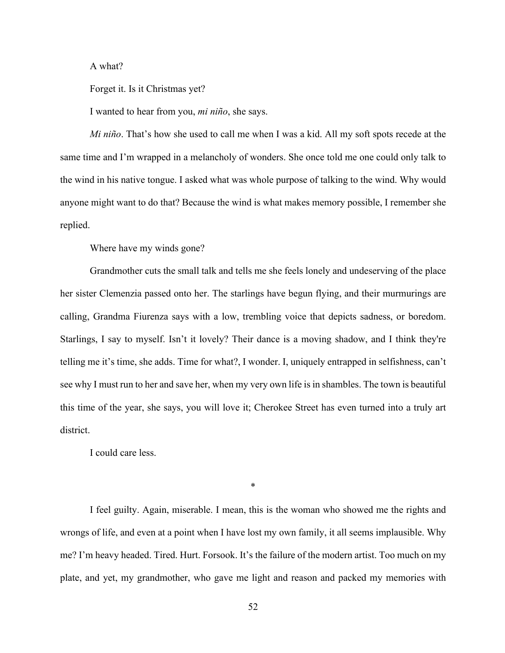A what?

Forget it. Is it Christmas yet?

I wanted to hear from you, *mi niño*, she says.

*Mi niño*. That's how she used to call me when I was a kid. All my soft spots recede at the same time and I'm wrapped in a melancholy of wonders. She once told me one could only talk to the wind in his native tongue. I asked what was whole purpose of talking to the wind. Why would anyone might want to do that? Because the wind is what makes memory possible, I remember she replied.

Where have my winds gone?

Grandmother cuts the small talk and tells me she feels lonely and undeserving of the place her sister Clemenzia passed onto her. The starlings have begun flying, and their murmurings are calling, Grandma Fiurenza says with a low, trembling voice that depicts sadness, or boredom. Starlings, I say to myself. Isn't it lovely? Their dance is a moving shadow, and I think they're telling me it's time, she adds. Time for what?, I wonder. I, uniquely entrapped in selfishness, can't see why I must run to her and save her, when my very own life is in shambles. The town is beautiful this time of the year, she says, you will love it; Cherokee Street has even turned into a truly art district.

I could care less.

\*

I feel guilty. Again, miserable. I mean, this is the woman who showed me the rights and wrongs of life, and even at a point when I have lost my own family, it all seems implausible. Why me? I'm heavy headed. Tired. Hurt. Forsook. It's the failure of the modern artist. Too much on my plate, and yet, my grandmother, who gave me light and reason and packed my memories with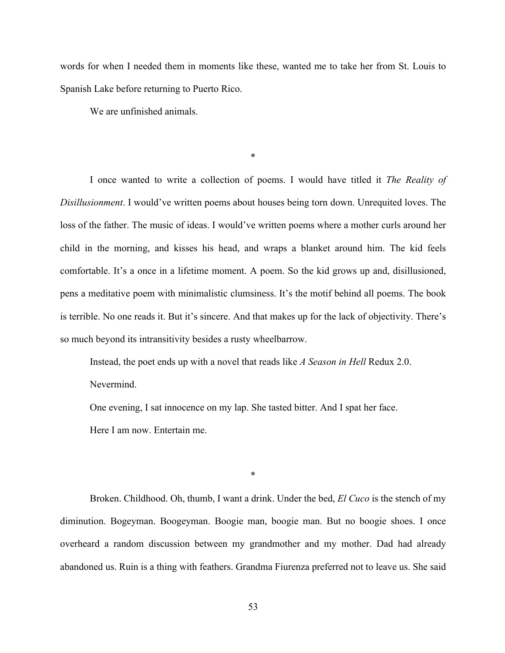words for when I needed them in moments like these, wanted me to take her from St. Louis to Spanish Lake before returning to Puerto Rico.

We are unfinished animals.

\*

I once wanted to write a collection of poems. I would have titled it *The Reality of Disillusionment*. I would've written poems about houses being torn down. Unrequited loves. The loss of the father. The music of ideas. I would've written poems where a mother curls around her child in the morning, and kisses his head, and wraps a blanket around him. The kid feels comfortable. It's a once in a lifetime moment. A poem. So the kid grows up and, disillusioned, pens a meditative poem with minimalistic clumsiness. It's the motif behind all poems. The book is terrible. No one reads it. But it's sincere. And that makes up for the lack of objectivity. There's so much beyond its intransitivity besides a rusty wheelbarrow.

Instead, the poet ends up with a novel that reads like *A Season in Hell* Redux 2.0. Nevermind.

One evening, I sat innocence on my lap. She tasted bitter. And I spat her face. Here I am now. Entertain me.

Broken. Childhood. Oh, thumb, I want a drink. Under the bed, *El Cuco* is the stench of my diminution. Bogeyman. Boogeyman. Boogie man, boogie man. But no boogie shoes. I once overheard a random discussion between my grandmother and my mother. Dad had already abandoned us. Ruin is a thing with feathers. Grandma Fiurenza preferred not to leave us. She said

\*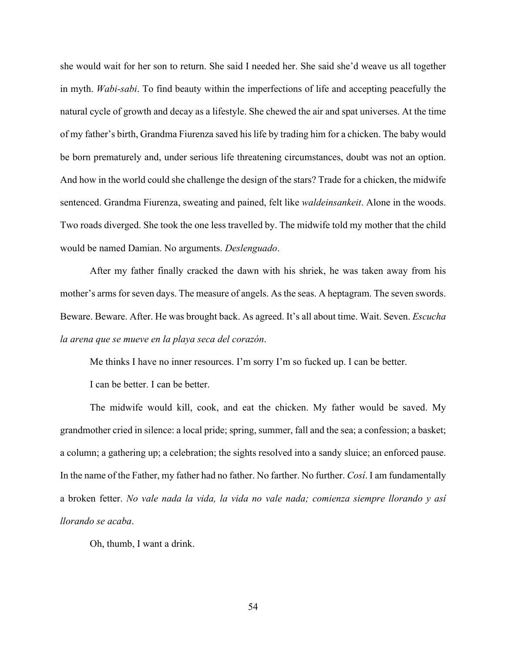she would wait for her son to return. She said I needed her. She said she'd weave us all together in myth. *Wabi-sabi*. To find beauty within the imperfections of life and accepting peacefully the natural cycle of growth and decay as a lifestyle. She chewed the air and spat universes. At the time of my father's birth, Grandma Fiurenza saved his life by trading him for a chicken. The baby would be born prematurely and, under serious life threatening circumstances, doubt was not an option. And how in the world could she challenge the design of the stars? Trade for a chicken, the midwife sentenced. Grandma Fiurenza, sweating and pained, felt like *waldeinsankeit*. Alone in the woods. Two roads diverged. She took the one less travelled by. The midwife told my mother that the child would be named Damian. No arguments. *Deslenguado*.

After my father finally cracked the dawn with his shriek, he was taken away from his mother's arms for seven days. The measure of angels. As the seas. A heptagram. The seven swords. Beware. Beware. After. He was brought back. As agreed. It's all about time. Wait. Seven. *Escucha la arena que se mueve en la playa seca del corazón*.

Me thinks I have no inner resources. I'm sorry I'm so fucked up. I can be better.

I can be better. I can be better.

The midwife would kill, cook, and eat the chicken. My father would be saved. My grandmother cried in silence: a local pride; spring, summer, fall and the sea; a confession; a basket; a column; a gathering up; a celebration; the sights resolved into a sandy sluice; an enforced pause. In the name of the Father, my father had no father. No farther. No further. *Cosí*. I am fundamentally a broken fetter. *No vale nada la vida, la vida no vale nada; comienza siempre llorando y así llorando se acaba*.

Oh, thumb, I want a drink.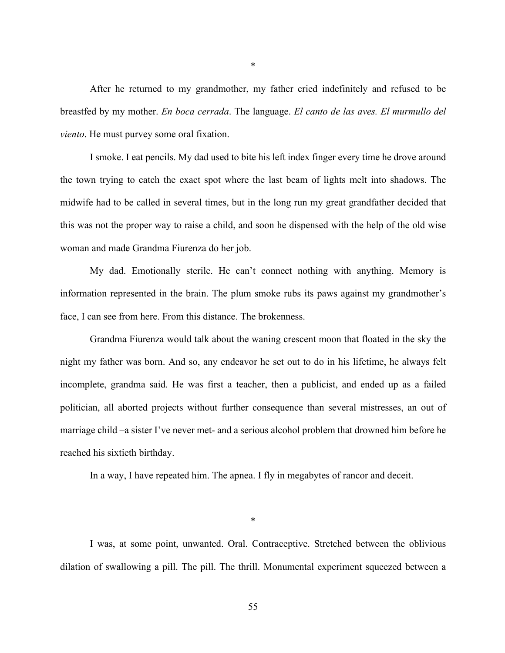After he returned to my grandmother, my father cried indefinitely and refused to be breastfed by my mother. *En boca cerrada*. The language. *El canto de las aves. El murmullo del viento*. He must purvey some oral fixation.

I smoke. I eat pencils. My dad used to bite his left index finger every time he drove around the town trying to catch the exact spot where the last beam of lights melt into shadows. The midwife had to be called in several times, but in the long run my great grandfather decided that this was not the proper way to raise a child, and soon he dispensed with the help of the old wise woman and made Grandma Fiurenza do her job.

My dad. Emotionally sterile. He can't connect nothing with anything. Memory is information represented in the brain. The plum smoke rubs its paws against my grandmother's face, I can see from here. From this distance. The brokenness.

Grandma Fiurenza would talk about the waning crescent moon that floated in the sky the night my father was born. And so, any endeavor he set out to do in his lifetime, he always felt incomplete, grandma said. He was first a teacher, then a publicist, and ended up as a failed politician, all aborted projects without further consequence than several mistresses, an out of marriage child –a sister I've never met- and a serious alcohol problem that drowned him before he reached his sixtieth birthday.

In a way, I have repeated him. The apnea. I fly in megabytes of rancor and deceit.

\*

I was, at some point, unwanted. Oral. Contraceptive. Stretched between the oblivious dilation of swallowing a pill. The pill. The thrill. Monumental experiment squeezed between a

\*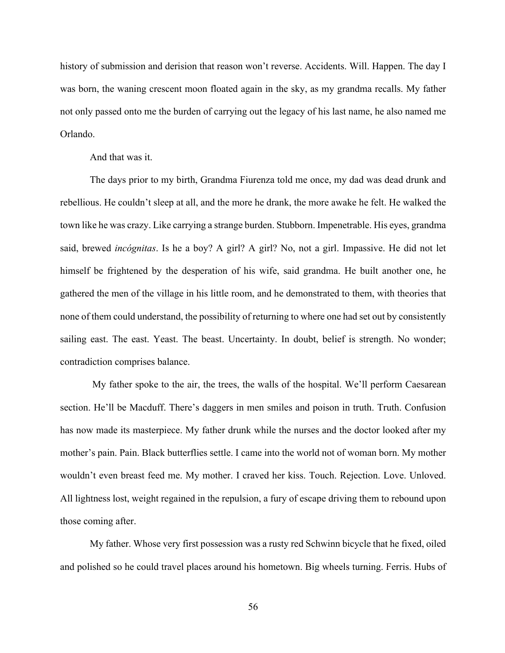history of submission and derision that reason won't reverse. Accidents. Will. Happen. The day I was born, the waning crescent moon floated again in the sky, as my grandma recalls. My father not only passed onto me the burden of carrying out the legacy of his last name, he also named me Orlando.

And that was it.

The days prior to my birth, Grandma Fiurenza told me once, my dad was dead drunk and rebellious. He couldn't sleep at all, and the more he drank, the more awake he felt. He walked the town like he was crazy. Like carrying a strange burden. Stubborn. Impenetrable. His eyes, grandma said, brewed *incógnitas*. Is he a boy? A girl? A girl? No, not a girl. Impassive. He did not let himself be frightened by the desperation of his wife, said grandma. He built another one, he gathered the men of the village in his little room, and he demonstrated to them, with theories that none of them could understand, the possibility of returning to where one had set out by consistently sailing east. The east. Yeast. The beast. Uncertainty. In doubt, belief is strength. No wonder; contradiction comprises balance.

My father spoke to the air, the trees, the walls of the hospital. We'll perform Caesarean section. He'll be Macduff. There's daggers in men smiles and poison in truth. Truth. Confusion has now made its masterpiece. My father drunk while the nurses and the doctor looked after my mother's pain. Pain. Black butterflies settle. I came into the world not of woman born. My mother wouldn't even breast feed me. My mother. I craved her kiss. Touch. Rejection. Love. Unloved. All lightness lost, weight regained in the repulsion, a fury of escape driving them to rebound upon those coming after.

My father. Whose very first possession was a rusty red Schwinn bicycle that he fixed, oiled and polished so he could travel places around his hometown. Big wheels turning. Ferris. Hubs of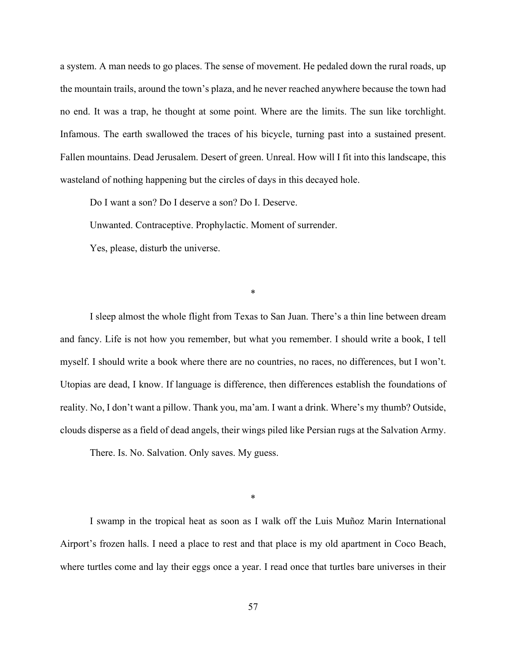a system. A man needs to go places. The sense of movement. He pedaled down the rural roads, up the mountain trails, around the town's plaza, and he never reached anywhere because the town had no end. It was a trap, he thought at some point. Where are the limits. The sun like torchlight. Infamous. The earth swallowed the traces of his bicycle, turning past into a sustained present. Fallen mountains. Dead Jerusalem. Desert of green. Unreal. How will I fit into this landscape, this wasteland of nothing happening but the circles of days in this decayed hole.

Do I want a son? Do I deserve a son? Do I. Deserve.

Unwanted. Contraceptive. Prophylactic. Moment of surrender.

Yes, please, disturb the universe.

\*

I sleep almost the whole flight from Texas to San Juan. There's a thin line between dream and fancy. Life is not how you remember, but what you remember. I should write a book, I tell myself. I should write a book where there are no countries, no races, no differences, but I won't. Utopias are dead, I know. If language is difference, then differences establish the foundations of reality. No, I don't want a pillow. Thank you, ma'am. I want a drink. Where's my thumb? Outside, clouds disperse as a field of dead angels, their wings piled like Persian rugs at the Salvation Army.

There. Is. No. Salvation. Only saves. My guess.

\*

I swamp in the tropical heat as soon as I walk off the Luis Muñoz Marin International Airport's frozen halls. I need a place to rest and that place is my old apartment in Coco Beach, where turtles come and lay their eggs once a year. I read once that turtles bare universes in their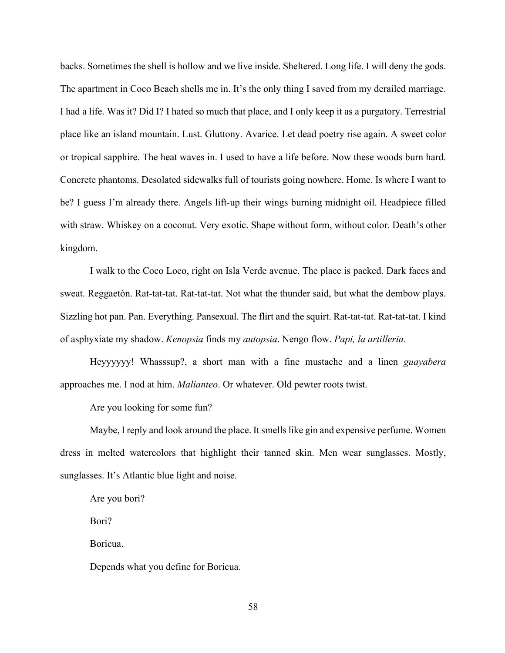backs. Sometimes the shell is hollow and we live inside. Sheltered. Long life. I will deny the gods. The apartment in Coco Beach shells me in. It's the only thing I saved from my derailed marriage. I had a life. Was it? Did I? I hated so much that place, and I only keep it as a purgatory. Terrestrial place like an island mountain. Lust. Gluttony. Avarice. Let dead poetry rise again. A sweet color or tropical sapphire. The heat waves in. I used to have a life before. Now these woods burn hard. Concrete phantoms. Desolated sidewalks full of tourists going nowhere. Home. Is where I want to be? I guess I'm already there. Angels lift-up their wings burning midnight oil. Headpiece filled with straw. Whiskey on a coconut. Very exotic. Shape without form, without color. Death's other kingdom.

I walk to the Coco Loco, right on Isla Verde avenue. The place is packed. Dark faces and sweat. Reggaetón. Rat-tat-tat. Rat-tat-tat. Not what the thunder said, but what the dembow plays. Sizzling hot pan. Pan. Everything. Pansexual. The flirt and the squirt. Rat-tat-tat. Rat-tat-tat. I kind of asphyxiate my shadow. *Kenopsia* finds my *autopsia*. Nengo flow. *Papi, la artilleria*.

Heyyyyyy! Whasssup?, a short man with a fine mustache and a linen *guayabera* approaches me. I nod at him. *Malianteo*. Or whatever. Old pewter roots twist.

Are you looking for some fun?

Maybe, I reply and look around the place. It smells like gin and expensive perfume. Women dress in melted watercolors that highlight their tanned skin. Men wear sunglasses. Mostly, sunglasses. It's Atlantic blue light and noise.

Are you bori?

Bori?

Boricua.

Depends what you define for Boricua.

58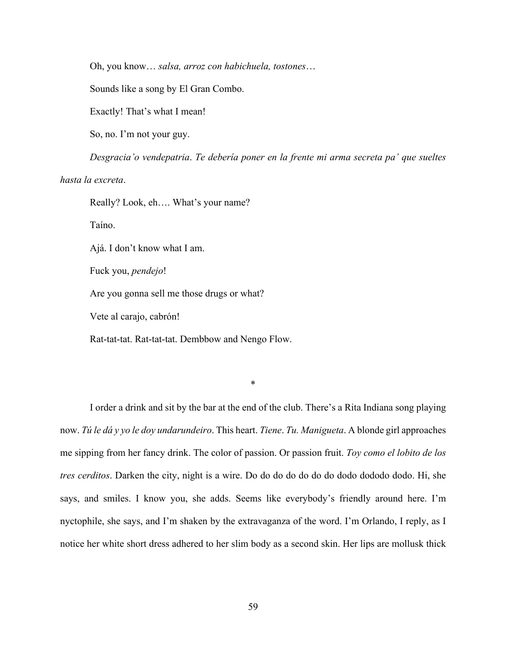Oh, you know… *salsa, arroz con habichuela, tostones*…

Sounds like a song by El Gran Combo.

Exactly! That's what I mean!

So, no. I'm not your guy.

*Desgracia'o vendepatria*. *Te debería poner en la frente mi arma secreta pa' que sueltes* 

*hasta la excreta*.

Really? Look, eh…. What's your name?

Taíno.

Ajá. I don't know what I am.

Fuck you, *pendejo*!

Are you gonna sell me those drugs or what?

Vete al carajo, cabrón!

Rat-tat-tat. Rat-tat-tat. Dembbow and Nengo Flow.

\*

I order a drink and sit by the bar at the end of the club. There's a Rita Indiana song playing now. *Tú le dá y yo le doy undarundeiro*. This heart. *Tiene*. *Tu. Manigueta*. A blonde girl approaches me sipping from her fancy drink. The color of passion. Or passion fruit. *Toy como el lobito de los tres cerditos*. Darken the city, night is a wire. Do do do do do do do dodo dododo dodo. Hi, she says, and smiles. I know you, she adds. Seems like everybody's friendly around here. I'm nyctophile, she says, and I'm shaken by the extravaganza of the word. I'm Orlando, I reply, as I notice her white short dress adhered to her slim body as a second skin. Her lips are mollusk thick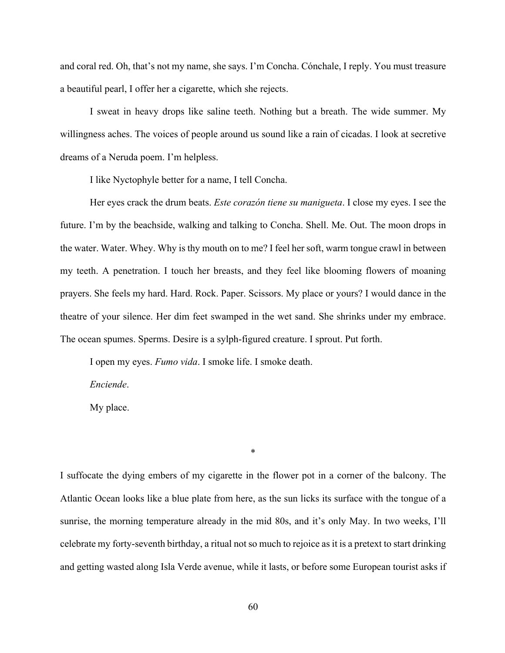and coral red. Oh, that's not my name, she says. I'm Concha. Cónchale, I reply. You must treasure a beautiful pearl, I offer her a cigarette, which she rejects.

I sweat in heavy drops like saline teeth. Nothing but a breath. The wide summer. My willingness aches. The voices of people around us sound like a rain of cicadas. I look at secretive dreams of a Neruda poem. I'm helpless.

I like Nyctophyle better for a name, I tell Concha.

Her eyes crack the drum beats. *Este corazón tiene su manigueta*. I close my eyes. I see the future. I'm by the beachside, walking and talking to Concha. Shell. Me. Out. The moon drops in the water. Water. Whey. Why is thy mouth on to me? I feel her soft, warm tongue crawl in between my teeth. A penetration. I touch her breasts, and they feel like blooming flowers of moaning prayers. She feels my hard. Hard. Rock. Paper. Scissors. My place or yours? I would dance in the theatre of your silence. Her dim feet swamped in the wet sand. She shrinks under my embrace. The ocean spumes. Sperms. Desire is a sylph-figured creature. I sprout. Put forth.

I open my eyes. *Fumo vida*. I smoke life. I smoke death.

*Enciende*.

My place.

I suffocate the dying embers of my cigarette in the flower pot in a corner of the balcony. The Atlantic Ocean looks like a blue plate from here, as the sun licks its surface with the tongue of a sunrise, the morning temperature already in the mid 80s, and it's only May. In two weeks, I'll celebrate my forty-seventh birthday, a ritual not so much to rejoice as it is a pretext to start drinking and getting wasted along Isla Verde avenue, while it lasts, or before some European tourist asks if

\*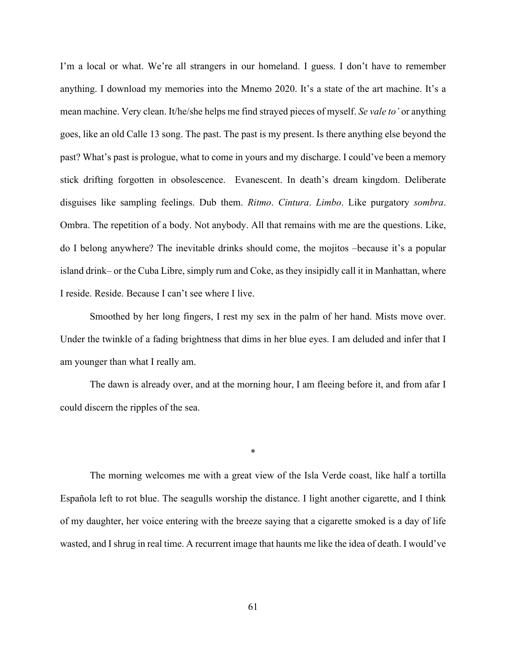I'm a local or what. We're all strangers in our homeland. I guess. I don't have to remember anything. I download my memories into the Mnemo 2020. It's a state of the art machine. It's a mean machine. Very clean. It/he/she helps me find strayed pieces of myself. *Se vale to'* or anything goes, like an old Calle 13 song. The past. The past is my present. Is there anything else beyond the past? What's past is prologue, what to come in yours and my discharge. I could've been a memory stick drifting forgotten in obsolescence. Evanescent. In death's dream kingdom. Deliberate disguises like sampling feelings. Dub them. *Ritmo*. *Cintura*. *Limbo*. Like purgatory *sombra*. Ombra. The repetition of a body. Not anybody. All that remains with me are the questions. Like, do I belong anywhere? The inevitable drinks should come, the mojitos –because it's a popular island drink– or the Cuba Libre, simply rum and Coke, as they insipidly call it in Manhattan, where I reside. Reside. Because I can't see where I live.

Smoothed by her long fingers, I rest my sex in the palm of her hand. Mists move over. Under the twinkle of a fading brightness that dims in her blue eyes. I am deluded and infer that I am younger than what I really am.

The dawn is already over, and at the morning hour, I am fleeing before it, and from afar I could discern the ripples of the sea.

\*

The morning welcomes me with a great view of the Isla Verde coast, like half a tortilla Española left to rot blue. The seagulls worship the distance. I light another cigarette, and I think of my daughter, her voice entering with the breeze saying that a cigarette smoked is a day of life wasted, and I shrug in real time. A recurrent image that haunts me like the idea of death. I would've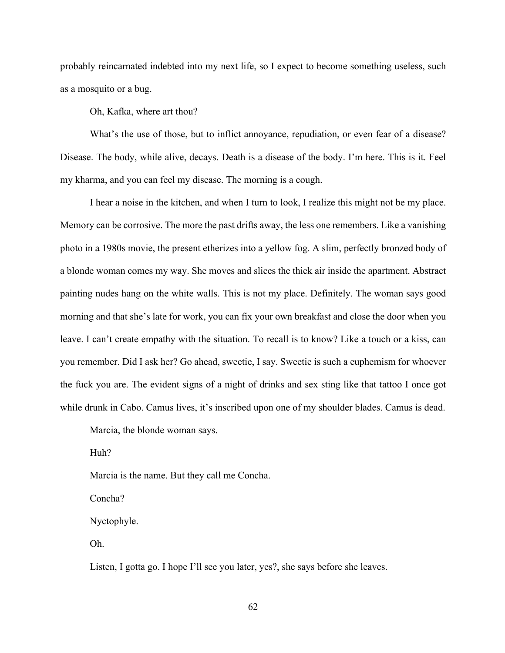probably reincarnated indebted into my next life, so I expect to become something useless, such as a mosquito or a bug.

Oh, Kafka, where art thou?

What's the use of those, but to inflict annoyance, repudiation, or even fear of a disease? Disease. The body, while alive, decays. Death is a disease of the body. I'm here. This is it. Feel my kharma, and you can feel my disease. The morning is a cough.

I hear a noise in the kitchen, and when I turn to look, I realize this might not be my place. Memory can be corrosive. The more the past drifts away, the less one remembers. Like a vanishing photo in a 1980s movie, the present etherizes into a yellow fog. A slim, perfectly bronzed body of a blonde woman comes my way. She moves and slices the thick air inside the apartment. Abstract painting nudes hang on the white walls. This is not my place. Definitely. The woman says good morning and that she's late for work, you can fix your own breakfast and close the door when you leave. I can't create empathy with the situation. To recall is to know? Like a touch or a kiss, can you remember. Did I ask her? Go ahead, sweetie, I say. Sweetie is such a euphemism for whoever the fuck you are. The evident signs of a night of drinks and sex sting like that tattoo I once got while drunk in Cabo. Camus lives, it's inscribed upon one of my shoulder blades. Camus is dead.

Marcia, the blonde woman says.

Huh?

Marcia is the name. But they call me Concha.

Concha?

Nyctophyle.

Oh.

Listen, I gotta go. I hope I'll see you later, yes?, she says before she leaves.

62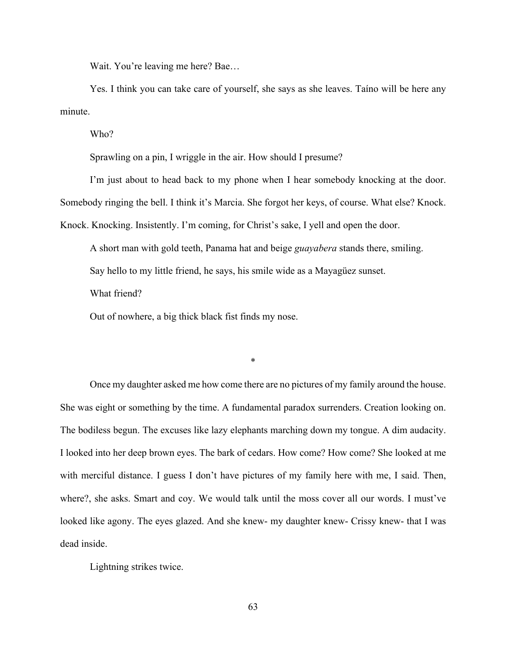Wait. You're leaving me here? Bae…

Yes. I think you can take care of yourself, she says as she leaves. Taíno will be here any minute.

Who?

Sprawling on a pin, I wriggle in the air. How should I presume?

I'm just about to head back to my phone when I hear somebody knocking at the door. Somebody ringing the bell. I think it's Marcia. She forgot her keys, of course. What else? Knock.

Knock. Knocking. Insistently. I'm coming, for Christ's sake, I yell and open the door.

A short man with gold teeth, Panama hat and beige *guayabera* stands there, smiling.

Say hello to my little friend, he says, his smile wide as a Mayagüez sunset.

What friend?

Out of nowhere, a big thick black fist finds my nose.

\*

Once my daughter asked me how come there are no pictures of my family around the house. She was eight or something by the time. A fundamental paradox surrenders. Creation looking on. The bodiless begun. The excuses like lazy elephants marching down my tongue. A dim audacity. I looked into her deep brown eyes. The bark of cedars. How come? How come? She looked at me with merciful distance. I guess I don't have pictures of my family here with me, I said. Then, where?, she asks. Smart and coy. We would talk until the moss cover all our words. I must've looked like agony. The eyes glazed. And she knew- my daughter knew- Crissy knew- that I was dead inside.

Lightning strikes twice.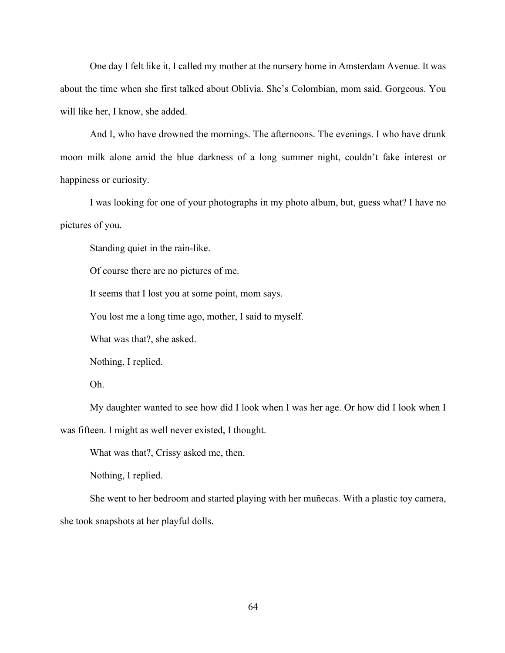One day I felt like it, I called my mother at the nursery home in Amsterdam Avenue. It was about the time when she first talked about Oblivia. She's Colombian, mom said. Gorgeous. You will like her, I know, she added.

And I, who have drowned the mornings. The afternoons. The evenings. I who have drunk moon milk alone amid the blue darkness of a long summer night, couldn't fake interest or happiness or curiosity.

I was looking for one of your photographs in my photo album, but, guess what? I have no pictures of you.

Standing quiet in the rain-like.

Of course there are no pictures of me.

It seems that I lost you at some point, mom says.

You lost me a long time ago, mother, I said to myself.

What was that?, she asked.

Nothing, I replied.

Oh.

My daughter wanted to see how did I look when I was her age. Or how did I look when I was fifteen. I might as well never existed, I thought.

What was that?, Crissy asked me, then.

Nothing, I replied.

She went to her bedroom and started playing with her muñecas. With a plastic toy camera, she took snapshots at her playful dolls.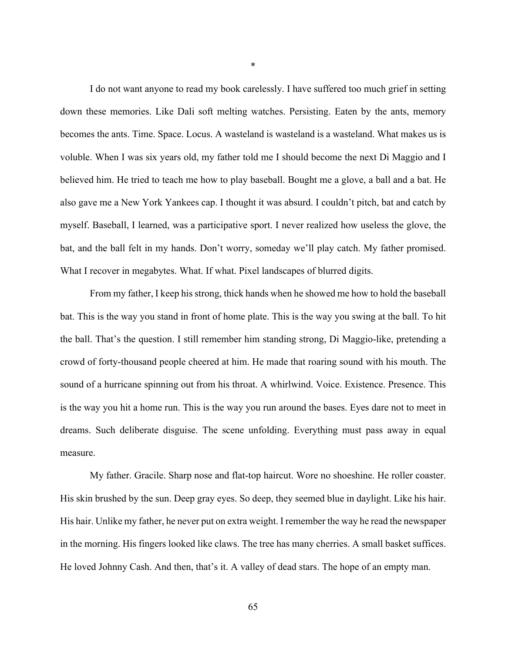I do not want anyone to read my book carelessly. I have suffered too much grief in setting down these memories. Like Dali soft melting watches. Persisting. Eaten by the ants, memory becomes the ants. Time. Space. Locus. A wasteland is wasteland is a wasteland. What makes us is voluble. When I was six years old, my father told me I should become the next Di Maggio and I believed him. He tried to teach me how to play baseball. Bought me a glove, a ball and a bat. He also gave me a New York Yankees cap. I thought it was absurd. I couldn't pitch, bat and catch by myself. Baseball, I learned, was a participative sport. I never realized how useless the glove, the bat, and the ball felt in my hands. Don't worry, someday we'll play catch. My father promised. What I recover in megabytes. What. If what. Pixel landscapes of blurred digits.

From my father, I keep his strong, thick hands when he showed me how to hold the baseball bat. This is the way you stand in front of home plate. This is the way you swing at the ball. To hit the ball. That's the question. I still remember him standing strong, Di Maggio-like, pretending a crowd of forty-thousand people cheered at him. He made that roaring sound with his mouth. The sound of a hurricane spinning out from his throat. A whirlwind. Voice. Existence. Presence. This is the way you hit a home run. This is the way you run around the bases. Eyes dare not to meet in dreams. Such deliberate disguise. The scene unfolding. Everything must pass away in equal measure.

My father. Gracile. Sharp nose and flat-top haircut. Wore no shoeshine. He roller coaster. His skin brushed by the sun. Deep gray eyes. So deep, they seemed blue in daylight. Like his hair. His hair. Unlike my father, he never put on extra weight. I remember the way he read the newspaper in the morning. His fingers looked like claws. The tree has many cherries. A small basket suffices. He loved Johnny Cash. And then, that's it. A valley of dead stars. The hope of an empty man.

\*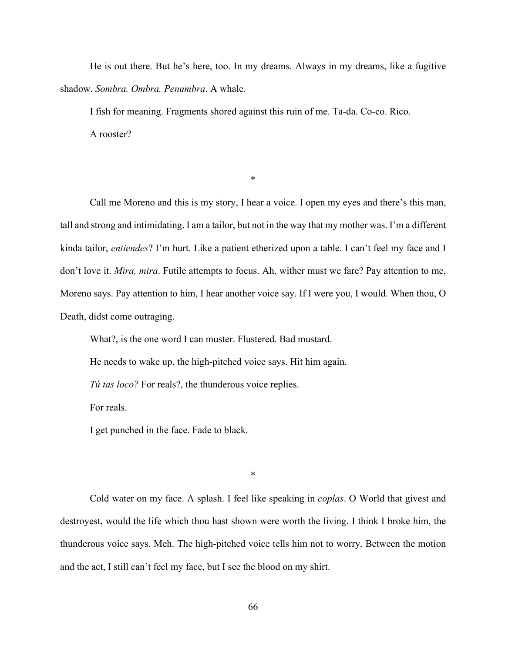He is out there. But he's here, too. In my dreams. Always in my dreams, like a fugitive shadow. *Sombra. Ombra. Penumbra*. A whale.

I fish for meaning. Fragments shored against this ruin of me. Ta-da. Co-co. Rico. A rooster?

\*

Call me Moreno and this is my story, I hear a voice. I open my eyes and there's this man, tall and strong and intimidating. I am a tailor, but not in the way that my mother was. I'm a different kinda tailor, *entiendes*? I'm hurt. Like a patient etherized upon a table. I can't feel my face and I don't love it. *Mira, mira*. Futile attempts to focus. Ah, wither must we fare? Pay attention to me, Moreno says. Pay attention to him, I hear another voice say. If I were you, I would. When thou, O Death, didst come outraging.

What?, is the one word I can muster. Flustered. Bad mustard.

He needs to wake up, the high-pitched voice says. Hit him again.

*Tú tas loco?* For reals?, the thunderous voice replies.

For reals.

I get punched in the face. Fade to black.

\*

Cold water on my face. A splash. I feel like speaking in *coplas*. O World that givest and destroyest, would the life which thou hast shown were worth the living. I think I broke him, the thunderous voice says. Meh. The high-pitched voice tells him not to worry. Between the motion and the act, I still can't feel my face, but I see the blood on my shirt.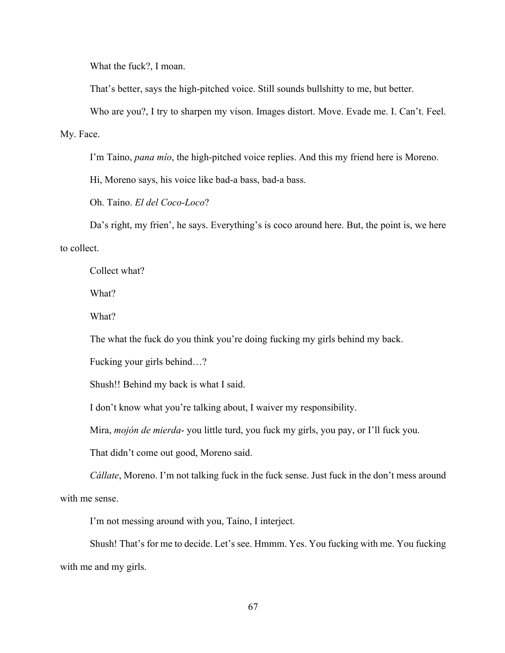What the fuck?, I moan.

That's better, says the high-pitched voice. Still sounds bullshitty to me, but better.

Who are you?, I try to sharpen my vison. Images distort. Move. Evade me. I. Can't. Feel. My. Face.

I'm Taíno, *pana mío*, the high-pitched voice replies. And this my friend here is Moreno.

Hi, Moreno says, his voice like bad-a bass, bad-a bass.

Oh. Taíno. *El del Coco-Loco*?

Da's right, my frien', he says. Everything's is coco around here. But, the point is, we here to collect.

Collect what?

What?

What?

The what the fuck do you think you're doing fucking my girls behind my back.

Fucking your girls behind…?

Shush!! Behind my back is what I said.

I don't know what you're talking about, I waiver my responsibility.

Mira, *mojón de mierda*- you little turd, you fuck my girls, you pay, or I'll fuck you.

That didn't come out good, Moreno said.

*Cállate*, Moreno. I'm not talking fuck in the fuck sense. Just fuck in the don't mess around with me sense.

I'm not messing around with you, Taíno, I interject.

Shush! That's for me to decide. Let's see. Hmmm. Yes. You fucking with me. You fucking with me and my girls.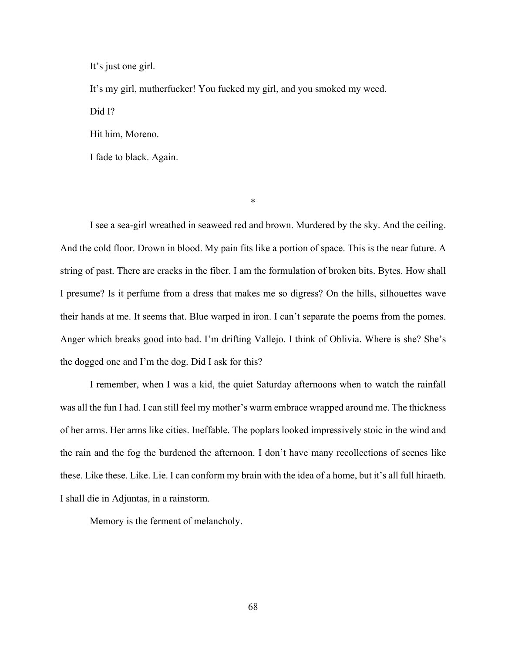It's just one girl.

It's my girl, mutherfucker! You fucked my girl, and you smoked my weed. Did I? Hit him, Moreno.

I fade to black. Again.

\*

I see a sea-girl wreathed in seaweed red and brown. Murdered by the sky. And the ceiling. And the cold floor. Drown in blood. My pain fits like a portion of space. This is the near future. A string of past. There are cracks in the fiber. I am the formulation of broken bits. Bytes. How shall I presume? Is it perfume from a dress that makes me so digress? On the hills, silhouettes wave their hands at me. It seems that. Blue warped in iron. I can't separate the poems from the pomes. Anger which breaks good into bad. I'm drifting Vallejo. I think of Oblivia. Where is she? She's the dogged one and I'm the dog. Did I ask for this?

I remember, when I was a kid, the quiet Saturday afternoons when to watch the rainfall was all the fun I had. I can still feel my mother's warm embrace wrapped around me. The thickness of her arms. Her arms like cities. Ineffable. The poplars looked impressively stoic in the wind and the rain and the fog the burdened the afternoon. I don't have many recollections of scenes like these. Like these. Like. Lie. I can conform my brain with the idea of a home, but it's all full hiraeth. I shall die in Adjuntas, in a rainstorm.

Memory is the ferment of melancholy.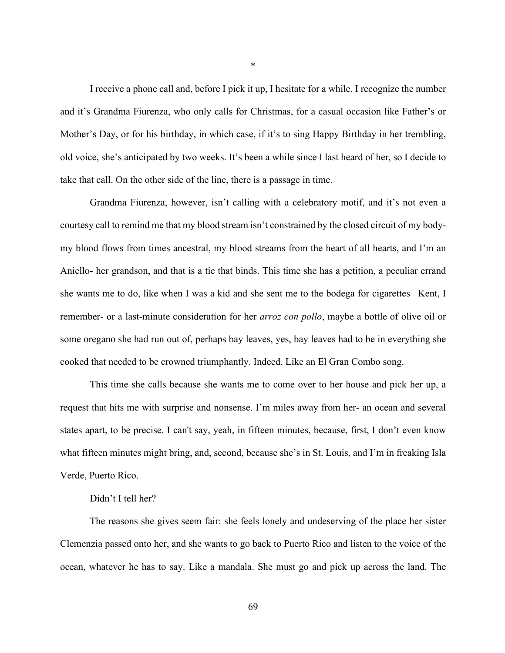I receive a phone call and, before I pick it up, I hesitate for a while. I recognize the number and it's Grandma Fiurenza, who only calls for Christmas, for a casual occasion like Father's or Mother's Day, or for his birthday, in which case, if it's to sing Happy Birthday in her trembling, old voice, she's anticipated by two weeks. It's been a while since I last heard of her, so I decide to take that call. On the other side of the line, there is a passage in time.

Grandma Fiurenza, however, isn't calling with a celebratory motif, and it's not even a courtesy call to remind me that my blood stream isn't constrained by the closed circuit of my bodymy blood flows from times ancestral, my blood streams from the heart of all hearts, and I'm an Aniello- her grandson, and that is a tie that binds. This time she has a petition, a peculiar errand she wants me to do, like when I was a kid and she sent me to the bodega for cigarettes –Kent, I remember- or a last-minute consideration for her *arroz con pollo*, maybe a bottle of olive oil or some oregano she had run out of, perhaps bay leaves, yes, bay leaves had to be in everything she cooked that needed to be crowned triumphantly. Indeed. Like an El Gran Combo song.

This time she calls because she wants me to come over to her house and pick her up, a request that hits me with surprise and nonsense. I'm miles away from her- an ocean and several states apart, to be precise. I can't say, yeah, in fifteen minutes, because, first, I don't even know what fifteen minutes might bring, and, second, because she's in St. Louis, and I'm in freaking Isla Verde, Puerto Rico.

## Didn't I tell her?

The reasons she gives seem fair: she feels lonely and undeserving of the place her sister Clemenzia passed onto her, and she wants to go back to Puerto Rico and listen to the voice of the ocean, whatever he has to say. Like a mandala. She must go and pick up across the land. The

\*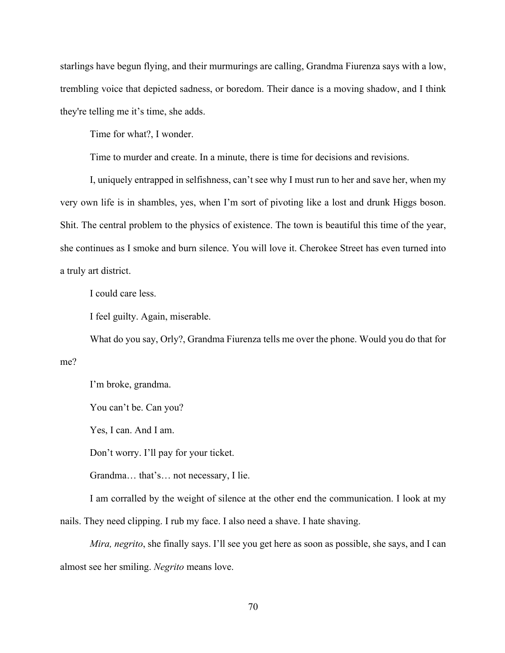starlings have begun flying, and their murmurings are calling, Grandma Fiurenza says with a low, trembling voice that depicted sadness, or boredom. Their dance is a moving shadow, and I think they're telling me it's time, she adds.

Time for what?, I wonder.

Time to murder and create. In a minute, there is time for decisions and revisions.

I, uniquely entrapped in selfishness, can't see why I must run to her and save her, when my very own life is in shambles, yes, when I'm sort of pivoting like a lost and drunk Higgs boson. Shit. The central problem to the physics of existence. The town is beautiful this time of the year, she continues as I smoke and burn silence. You will love it. Cherokee Street has even turned into a truly art district.

I could care less.

I feel guilty. Again, miserable.

What do you say, Orly?, Grandma Fiurenza tells me over the phone. Would you do that for me?

I'm broke, grandma.

You can't be. Can you?

Yes, I can. And I am.

Don't worry. I'll pay for your ticket.

Grandma… that's… not necessary, I lie.

I am corralled by the weight of silence at the other end the communication. I look at my nails. They need clipping. I rub my face. I also need a shave. I hate shaving.

*Mira, negrito*, she finally says. I'll see you get here as soon as possible, she says, and I can almost see her smiling. *Negrito* means love.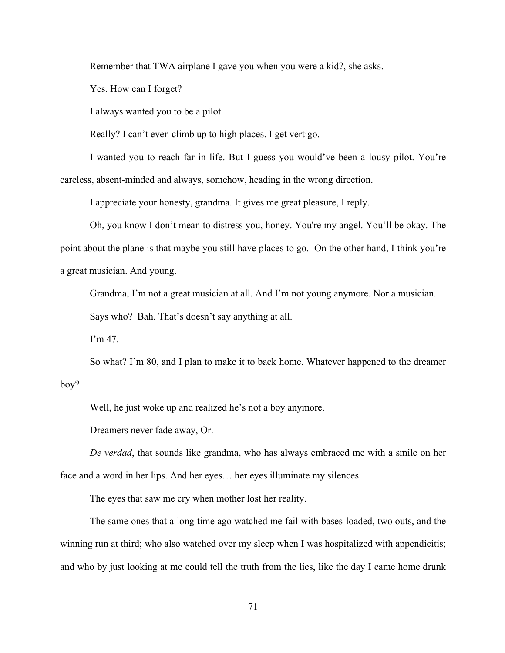Remember that TWA airplane I gave you when you were a kid?, she asks.

Yes. How can I forget?

I always wanted you to be a pilot.

Really? I can't even climb up to high places. I get vertigo.

I wanted you to reach far in life. But I guess you would've been a lousy pilot. You're careless, absent-minded and always, somehow, heading in the wrong direction.

I appreciate your honesty, grandma. It gives me great pleasure, I reply.

Oh, you know I don't mean to distress you, honey. You're my angel. You'll be okay. The point about the plane is that maybe you still have places to go. On the other hand, I think you're a great musician. And young.

Grandma, I'm not a great musician at all. And I'm not young anymore. Nor a musician.

Says who? Bah. That's doesn't say anything at all.

I'm 47.

So what? I'm 80, and I plan to make it to back home. Whatever happened to the dreamer boy?

Well, he just woke up and realized he's not a boy anymore.

Dreamers never fade away, Or.

*De verdad*, that sounds like grandma, who has always embraced me with a smile on her face and a word in her lips. And her eyes… her eyes illuminate my silences.

The eyes that saw me cry when mother lost her reality.

The same ones that a long time ago watched me fail with bases-loaded, two outs, and the winning run at third; who also watched over my sleep when I was hospitalized with appendicitis; and who by just looking at me could tell the truth from the lies, like the day I came home drunk

71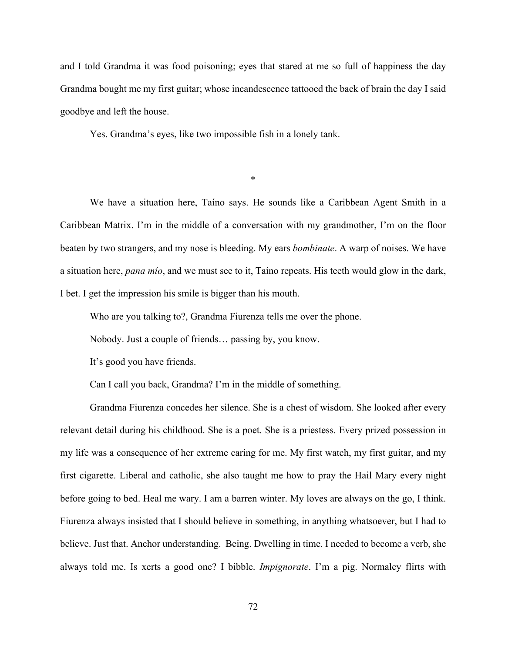and I told Grandma it was food poisoning; eyes that stared at me so full of happiness the day Grandma bought me my first guitar; whose incandescence tattooed the back of brain the day I said goodbye and left the house.

Yes. Grandma's eyes, like two impossible fish in a lonely tank.

\*

We have a situation here, Taíno says. He sounds like a Caribbean Agent Smith in a Caribbean Matrix. I'm in the middle of a conversation with my grandmother, I'm on the floor beaten by two strangers, and my nose is bleeding. My ears *bombinate*. A warp of noises. We have a situation here, *pana mío*, and we must see to it, Taíno repeats. His teeth would glow in the dark, I bet. I get the impression his smile is bigger than his mouth.

Who are you talking to?, Grandma Fiurenza tells me over the phone.

Nobody. Just a couple of friends… passing by, you know.

It's good you have friends.

Can I call you back, Grandma? I'm in the middle of something.

Grandma Fiurenza concedes her silence. She is a chest of wisdom. She looked after every relevant detail during his childhood. She is a poet. She is a priestess. Every prized possession in my life was a consequence of her extreme caring for me. My first watch, my first guitar, and my first cigarette. Liberal and catholic, she also taught me how to pray the Hail Mary every night before going to bed. Heal me wary. I am a barren winter. My loves are always on the go, I think. Fiurenza always insisted that I should believe in something, in anything whatsoever, but I had to believe. Just that. Anchor understanding. Being. Dwelling in time. I needed to become a verb, she always told me. Is xerts a good one? I bibble. *Impignorate*. I'm a pig. Normalcy flirts with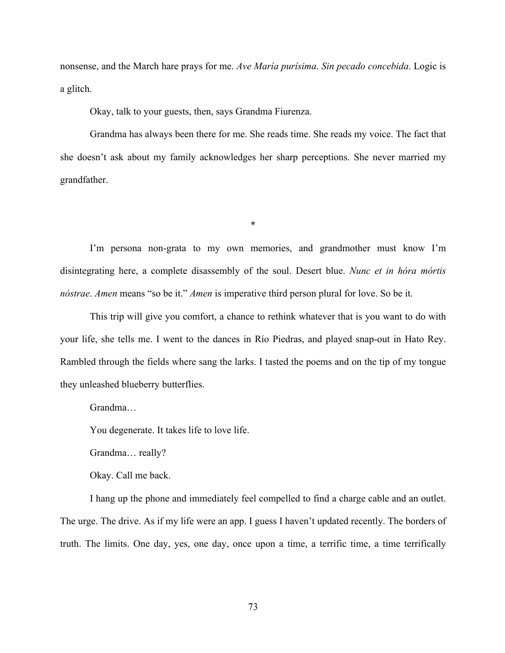nonsense, and the March hare prays for me. *Ave María purísima*. *Sin pecado concebida*. Logic is a glitch.

Okay, talk to your guests, then, says Grandma Fiurenza.

Grandma has always been there for me. She reads time. She reads my voice. The fact that she doesn't ask about my family acknowledges her sharp perceptions. She never married my grandfather.

I'm persona non-grata to my own memories, and grandmother must know I'm disintegrating here, a complete disassembly of the soul. Desert blue. *Nunc et in hóra mórtis nóstrae*. *Amen* means "so be it." *Amen* is imperative third person plural for love. So be it.

\*

This trip will give you comfort, a chance to rethink whatever that is you want to do with your life, she tells me. I went to the dances in Río Piedras, and played snap-out in Hato Rey. Rambled through the fields where sang the larks. I tasted the poems and on the tip of my tongue they unleashed blueberry butterflies.

Grandma…

You degenerate. It takes life to love life.

Grandma… really?

Okay. Call me back.

I hang up the phone and immediately feel compelled to find a charge cable and an outlet. The urge. The drive. As if my life were an app. I guess I haven't updated recently. The borders of truth. The limits. One day, yes, one day, once upon a time, a terrific time, a time terrifically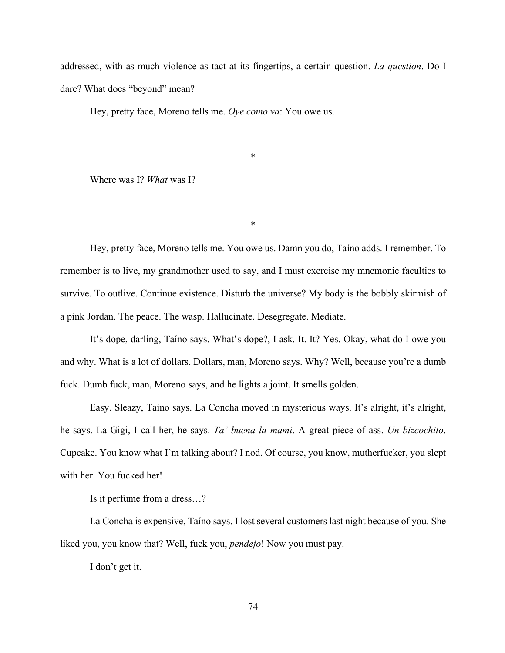addressed, with as much violence as tact at its fingertips, a certain question. *La question*. Do I dare? What does "beyond" mean?

Hey, pretty face, Moreno tells me. *Oye como va*: You owe us.

Where was I? *What* was I?

\*

\*

Hey, pretty face, Moreno tells me. You owe us. Damn you do, Taíno adds. I remember. To remember is to live, my grandmother used to say, and I must exercise my mnemonic faculties to survive. To outlive. Continue existence. Disturb the universe? My body is the bobbly skirmish of a pink Jordan. The peace. The wasp. Hallucinate. Desegregate. Mediate.

It's dope, darling, Taíno says. What's dope?, I ask. It. It? Yes. Okay, what do I owe you and why. What is a lot of dollars. Dollars, man, Moreno says. Why? Well, because you're a dumb fuck. Dumb fuck, man, Moreno says, and he lights a joint. It smells golden.

Easy. Sleazy, Taíno says. La Concha moved in mysterious ways. It's alright, it's alright, he says. La Gigi, I call her, he says. *Ta' buena la mami*. A great piece of ass. *Un bizcochito*. Cupcake. You know what I'm talking about? I nod. Of course, you know, mutherfucker, you slept with her. You fucked her!

Is it perfume from a dress…?

La Concha is expensive, Taíno says. I lost several customers last night because of you. She liked you, you know that? Well, fuck you, *pendejo*! Now you must pay.

I don't get it.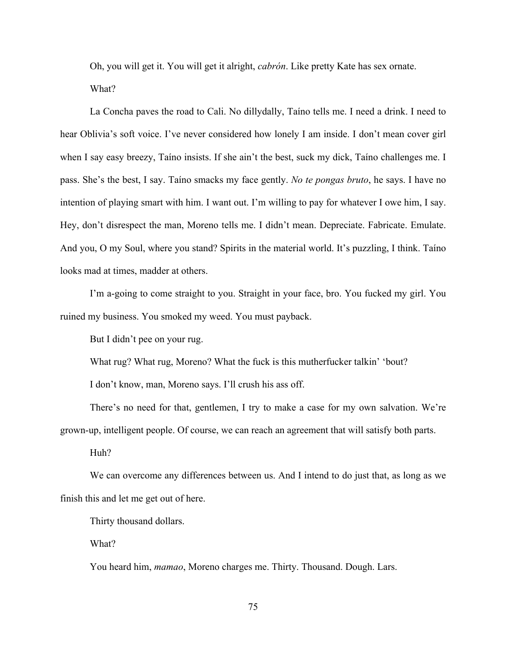Oh, you will get it. You will get it alright, *cabrón*. Like pretty Kate has sex ornate.

What?

La Concha paves the road to Cali. No dillydally, Taíno tells me. I need a drink. I need to hear Oblivia's soft voice. I've never considered how lonely I am inside. I don't mean cover girl when I say easy breezy, Taíno insists. If she ain't the best, suck my dick, Taíno challenges me. I pass. She's the best, I say. Taíno smacks my face gently. *No te pongas bruto*, he says. I have no intention of playing smart with him. I want out. I'm willing to pay for whatever I owe him, I say. Hey, don't disrespect the man, Moreno tells me. I didn't mean. Depreciate. Fabricate. Emulate. And you, O my Soul, where you stand? Spirits in the material world. It's puzzling, I think. Taíno looks mad at times, madder at others.

I'm a-going to come straight to you. Straight in your face, bro. You fucked my girl. You ruined my business. You smoked my weed. You must payback.

But I didn't pee on your rug.

What rug? What rug, Moreno? What the fuck is this mutherfucker talkin' 'bout?

I don't know, man, Moreno says. I'll crush his ass off.

There's no need for that, gentlemen, I try to make a case for my own salvation. We're grown-up, intelligent people. Of course, we can reach an agreement that will satisfy both parts.

Huh?

We can overcome any differences between us. And I intend to do just that, as long as we finish this and let me get out of here.

Thirty thousand dollars.

What?

You heard him, *mamao*, Moreno charges me. Thirty. Thousand. Dough. Lars.

75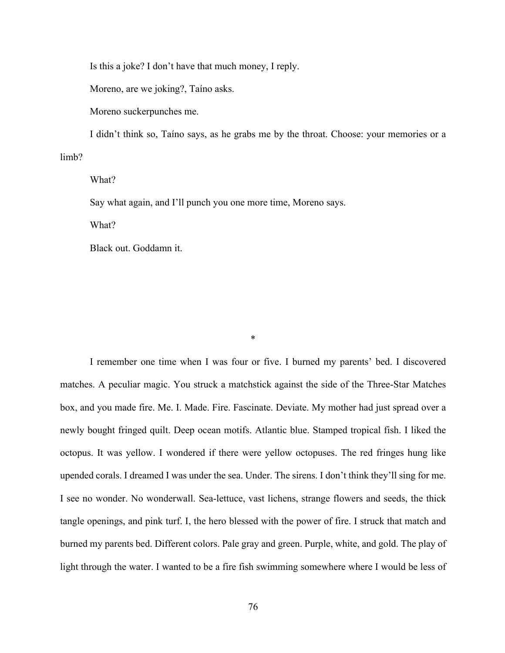Is this a joke? I don't have that much money, I reply.

Moreno, are we joking?, Taíno asks.

Moreno suckerpunches me.

I didn't think so, Taíno says, as he grabs me by the throat. Choose: your memories or a lim<sub>b</sub>?

What?

Say what again, and I'll punch you one more time, Moreno says.

What?

Black out. Goddamn it.

\*

I remember one time when I was four or five. I burned my parents' bed. I discovered matches. A peculiar magic. You struck a matchstick against the side of the Three-Star Matches box, and you made fire. Me. I. Made. Fire. Fascinate. Deviate. My mother had just spread over a newly bought fringed quilt. Deep ocean motifs. Atlantic blue. Stamped tropical fish. I liked the octopus. It was yellow. I wondered if there were yellow octopuses. The red fringes hung like upended corals. I dreamed I was under the sea. Under. The sirens. I don't think they'll sing for me. I see no wonder. No wonderwall. Sea-lettuce, vast lichens, strange flowers and seeds, the thick tangle openings, and pink turf. I, the hero blessed with the power of fire. I struck that match and burned my parents bed. Different colors. Pale gray and green. Purple, white, and gold. The play of light through the water. I wanted to be a fire fish swimming somewhere where I would be less of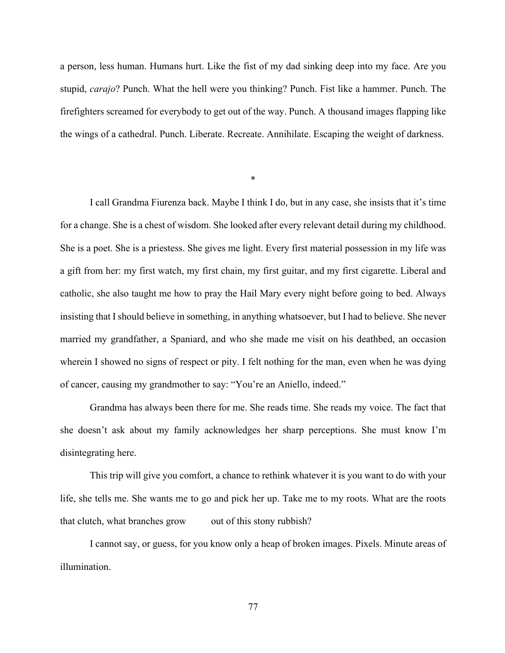a person, less human. Humans hurt. Like the fist of my dad sinking deep into my face. Are you stupid, *carajo*? Punch. What the hell were you thinking? Punch. Fist like a hammer. Punch. The firefighters screamed for everybody to get out of the way. Punch. A thousand images flapping like the wings of a cathedral. Punch. Liberate. Recreate. Annihilate. Escaping the weight of darkness.

\*

I call Grandma Fiurenza back. Maybe I think I do, but in any case, she insists that it's time for a change. She is a chest of wisdom. She looked after every relevant detail during my childhood. She is a poet. She is a priestess. She gives me light. Every first material possession in my life was a gift from her: my first watch, my first chain, my first guitar, and my first cigarette. Liberal and catholic, she also taught me how to pray the Hail Mary every night before going to bed. Always insisting that I should believe in something, in anything whatsoever, but I had to believe. She never married my grandfather, a Spaniard, and who she made me visit on his deathbed, an occasion wherein I showed no signs of respect or pity. I felt nothing for the man, even when he was dying of cancer, causing my grandmother to say: "You're an Aniello, indeed."

Grandma has always been there for me. She reads time. She reads my voice. The fact that she doesn't ask about my family acknowledges her sharp perceptions. She must know I'm disintegrating here.

This trip will give you comfort, a chance to rethink whatever it is you want to do with your life, she tells me. She wants me to go and pick her up. Take me to my roots. What are the roots that clutch, what branches grow out of this stony rubbish?

I cannot say, or guess, for you know only a heap of broken images. Pixels. Minute areas of illumination.

77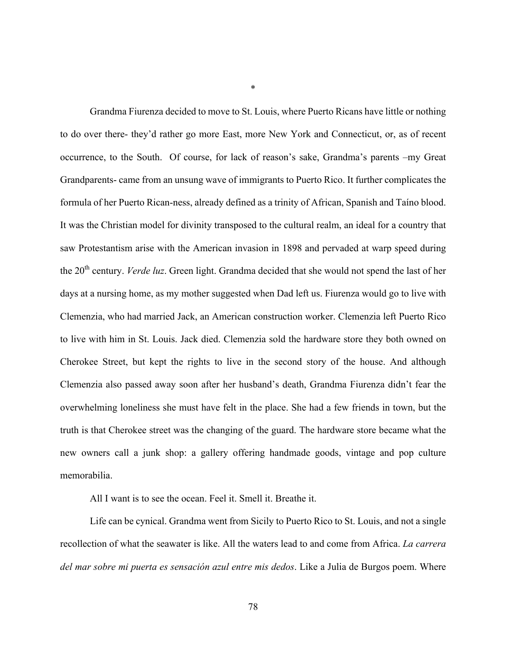Grandma Fiurenza decided to move to St. Louis, where Puerto Ricans have little or nothing to do over there- they'd rather go more East, more New York and Connecticut, or, as of recent occurrence, to the South. Of course, for lack of reason's sake, Grandma's parents –my Great Grandparents- came from an unsung wave of immigrants to Puerto Rico. It further complicates the formula of her Puerto Rican-ness, already defined as a trinity of African, Spanish and Taíno blood. It was the Christian model for divinity transposed to the cultural realm, an ideal for a country that saw Protestantism arise with the American invasion in 1898 and pervaded at warp speed during the 20th century. *Verde luz*. Green light. Grandma decided that she would not spend the last of her days at a nursing home, as my mother suggested when Dad left us. Fiurenza would go to live with Clemenzia, who had married Jack, an American construction worker. Clemenzia left Puerto Rico to live with him in St. Louis. Jack died. Clemenzia sold the hardware store they both owned on Cherokee Street, but kept the rights to live in the second story of the house. And although Clemenzia also passed away soon after her husband's death, Grandma Fiurenza didn't fear the overwhelming loneliness she must have felt in the place. She had a few friends in town, but the truth is that Cherokee street was the changing of the guard. The hardware store became what the new owners call a junk shop: a gallery offering handmade goods, vintage and pop culture memorabilia.

All I want is to see the ocean. Feel it. Smell it. Breathe it.

Life can be cynical. Grandma went from Sicily to Puerto Rico to St. Louis, and not a single recollection of what the seawater is like. All the waters lead to and come from Africa. *La carrera del mar sobre mi puerta es sensación azul entre mis dedos*. Like a Julia de Burgos poem. Where

\*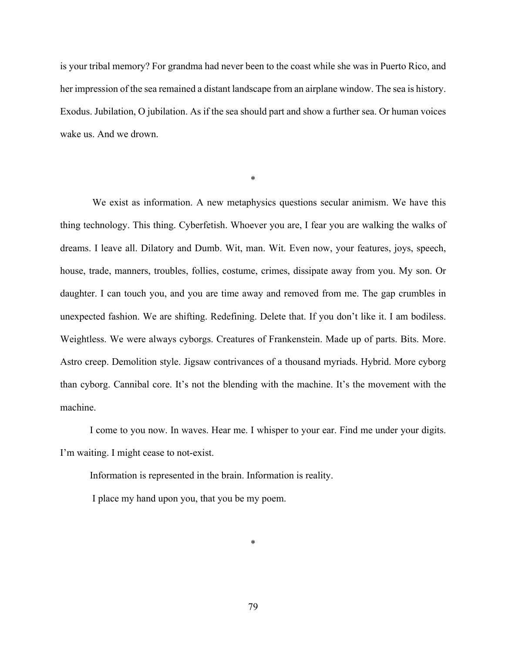is your tribal memory? For grandma had never been to the coast while she was in Puerto Rico, and her impression of the sea remained a distant landscape from an airplane window. The sea is history. Exodus. Jubilation, O jubilation. As if the sea should part and show a further sea. Or human voices wake us. And we drown.

\*

We exist as information. A new metaphysics questions secular animism. We have this thing technology. This thing. Cyberfetish. Whoever you are, I fear you are walking the walks of dreams. I leave all. Dilatory and Dumb. Wit, man. Wit. Even now, your features, joys, speech, house, trade, manners, troubles, follies, costume, crimes, dissipate away from you. My son. Or daughter. I can touch you, and you are time away and removed from me. The gap crumbles in unexpected fashion. We are shifting. Redefining. Delete that. If you don't like it. I am bodiless. Weightless. We were always cyborgs. Creatures of Frankenstein. Made up of parts. Bits. More. Astro creep. Demolition style. Jigsaw contrivances of a thousand myriads. Hybrid. More cyborg than cyborg. Cannibal core. It's not the blending with the machine. It's the movement with the machine.

I come to you now. In waves. Hear me. I whisper to your ear. Find me under your digits. I'm waiting. I might cease to not-exist.

Information is represented in the brain. Information is reality.

I place my hand upon you, that you be my poem.

\*

79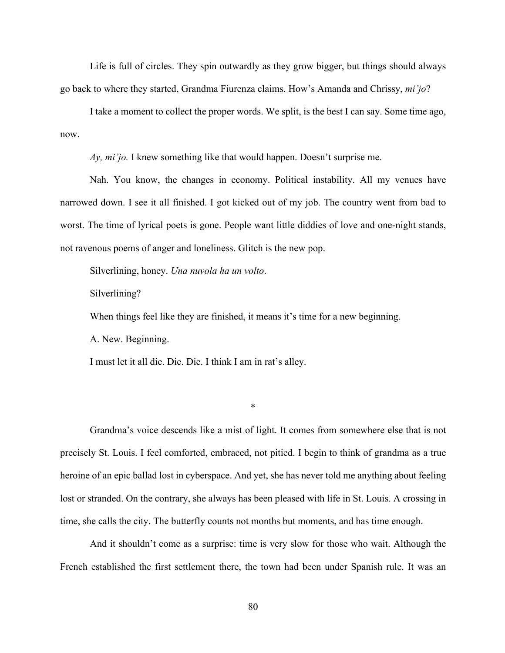Life is full of circles. They spin outwardly as they grow bigger, but things should always go back to where they started, Grandma Fiurenza claims. How's Amanda and Chrissy, *mi'jo*?

I take a moment to collect the proper words. We split, is the best I can say. Some time ago, now.

*Ay, mi'jo.* I knew something like that would happen. Doesn't surprise me.

Nah. You know, the changes in economy. Political instability. All my venues have narrowed down. I see it all finished. I got kicked out of my job. The country went from bad to worst. The time of lyrical poets is gone. People want little diddies of love and one-night stands, not ravenous poems of anger and loneliness. Glitch is the new pop.

Silverlining, honey. *Una nuvola ha un volto*.

Silverlining?

When things feel like they are finished, it means it's time for a new beginning.

A. New. Beginning.

I must let it all die. Die. Die. I think I am in rat's alley.

\*

Grandma's voice descends like a mist of light. It comes from somewhere else that is not precisely St. Louis. I feel comforted, embraced, not pitied. I begin to think of grandma as a true heroine of an epic ballad lost in cyberspace. And yet, she has never told me anything about feeling lost or stranded. On the contrary, she always has been pleased with life in St. Louis. A crossing in time, she calls the city. The butterfly counts not months but moments, and has time enough.

And it shouldn't come as a surprise: time is very slow for those who wait. Although the French established the first settlement there, the town had been under Spanish rule. It was an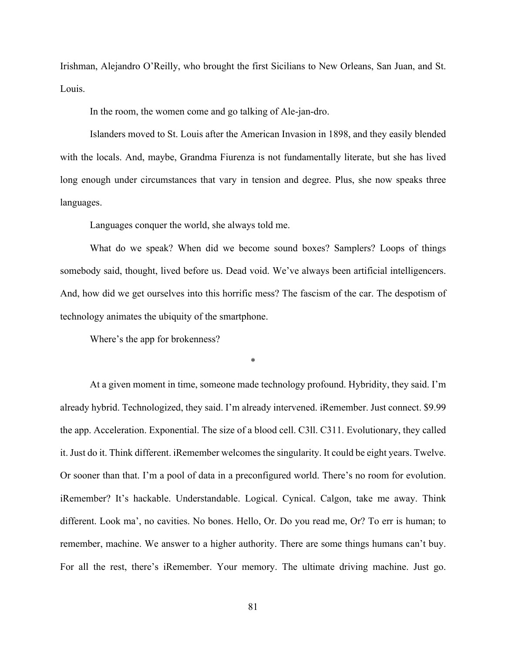Irishman, Alejandro O'Reilly, who brought the first Sicilians to New Orleans, San Juan, and St. Louis.

In the room, the women come and go talking of Ale-jan-dro.

Islanders moved to St. Louis after the American Invasion in 1898, and they easily blended with the locals. And, maybe, Grandma Fiurenza is not fundamentally literate, but she has lived long enough under circumstances that vary in tension and degree. Plus, she now speaks three languages.

Languages conquer the world, she always told me.

What do we speak? When did we become sound boxes? Samplers? Loops of things somebody said, thought, lived before us. Dead void. We've always been artificial intelligencers. And, how did we get ourselves into this horrific mess? The fascism of the car. The despotism of technology animates the ubiquity of the smartphone.

Where's the app for brokenness?

\*

At a given moment in time, someone made technology profound. Hybridity, they said. I'm already hybrid. Technologized, they said. I'm already intervened. iRemember. Just connect. \$9.99 the app. Acceleration. Exponential. The size of a blood cell. C3ll. C311. Evolutionary, they called it. Just do it. Think different. iRemember welcomes the singularity. It could be eight years. Twelve. Or sooner than that. I'm a pool of data in a preconfigured world. There's no room for evolution. iRemember? It's hackable. Understandable. Logical. Cynical. Calgon, take me away. Think different. Look ma', no cavities. No bones. Hello, Or. Do you read me, Or? To err is human; to remember, machine. We answer to a higher authority. There are some things humans can't buy. For all the rest, there's iRemember. Your memory. The ultimate driving machine. Just go.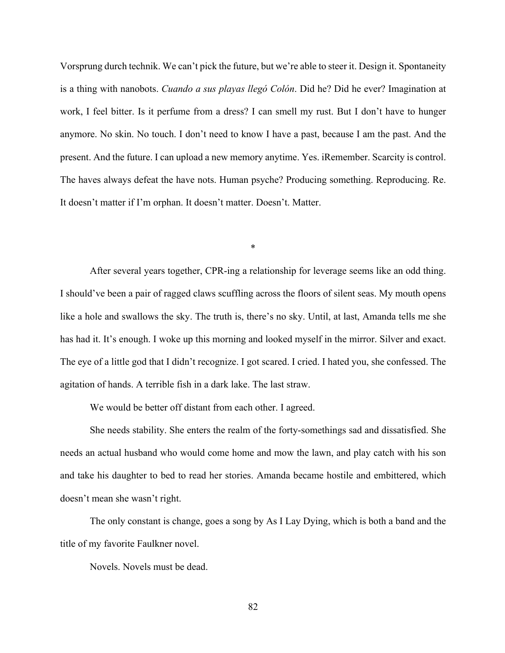Vorsprung durch technik. We can't pick the future, but we're able to steer it. Design it. Spontaneity is a thing with nanobots. *Cuando a sus playas llegó Colón*. Did he? Did he ever? Imagination at work, I feel bitter. Is it perfume from a dress? I can smell my rust. But I don't have to hunger anymore. No skin. No touch. I don't need to know I have a past, because I am the past. And the present. And the future. I can upload a new memory anytime. Yes. iRemember. Scarcity is control. The haves always defeat the have nots. Human psyche? Producing something. Reproducing. Re. It doesn't matter if I'm orphan. It doesn't matter. Doesn't. Matter.

\*

After several years together, CPR-ing a relationship for leverage seems like an odd thing. I should've been a pair of ragged claws scuffling across the floors of silent seas. My mouth opens like a hole and swallows the sky. The truth is, there's no sky. Until, at last, Amanda tells me she has had it. It's enough. I woke up this morning and looked myself in the mirror. Silver and exact. The eye of a little god that I didn't recognize. I got scared. I cried. I hated you, she confessed. The agitation of hands. A terrible fish in a dark lake. The last straw.

We would be better off distant from each other. I agreed.

She needs stability. She enters the realm of the forty-somethings sad and dissatisfied. She needs an actual husband who would come home and mow the lawn, and play catch with his son and take his daughter to bed to read her stories. Amanda became hostile and embittered, which doesn't mean she wasn't right.

The only constant is change, goes a song by As I Lay Dying, which is both a band and the title of my favorite Faulkner novel.

Novels. Novels must be dead.

82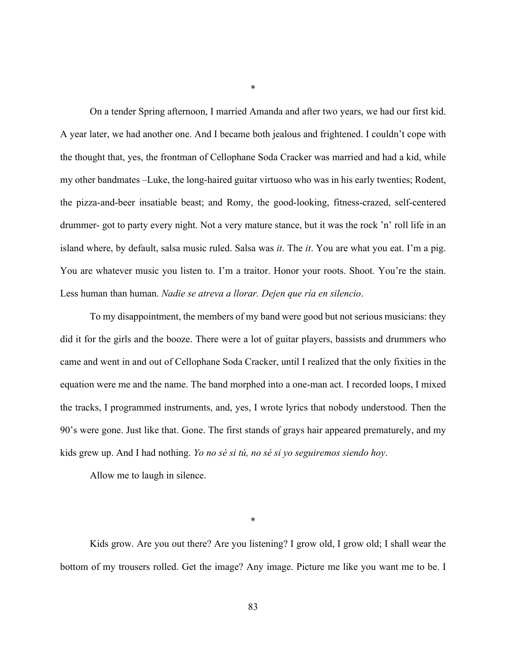On a tender Spring afternoon, I married Amanda and after two years, we had our first kid. A year later, we had another one. And I became both jealous and frightened. I couldn't cope with the thought that, yes, the frontman of Cellophane Soda Cracker was married and had a kid, while my other bandmates –Luke, the long-haired guitar virtuoso who was in his early twenties; Rodent, the pizza-and-beer insatiable beast; and Romy, the good-looking, fitness-crazed, self-centered drummer- got to party every night. Not a very mature stance, but it was the rock 'n' roll life in an island where, by default, salsa music ruled. Salsa was *it*. The *it*. You are what you eat. I'm a pig. You are whatever music you listen to. I'm a traitor. Honor your roots. Shoot. You're the stain. Less human than human. *Nadie se atreva a llorar. Dejen que ría en silencio*.

To my disappointment, the members of my band were good but not serious musicians: they did it for the girls and the booze. There were a lot of guitar players, bassists and drummers who came and went in and out of Cellophane Soda Cracker, until I realized that the only fixities in the equation were me and the name. The band morphed into a one-man act. I recorded loops, I mixed the tracks, I programmed instruments, and, yes, I wrote lyrics that nobody understood. Then the 90's were gone. Just like that. Gone. The first stands of grays hair appeared prematurely, and my kids grew up. And I had nothing. *Yo no sé si tú, no sé si yo seguiremos siendo hoy*.

Allow me to laugh in silence.

\*

Kids grow. Are you out there? Are you listening? I grow old, I grow old; I shall wear the bottom of my trousers rolled. Get the image? Any image. Picture me like you want me to be. I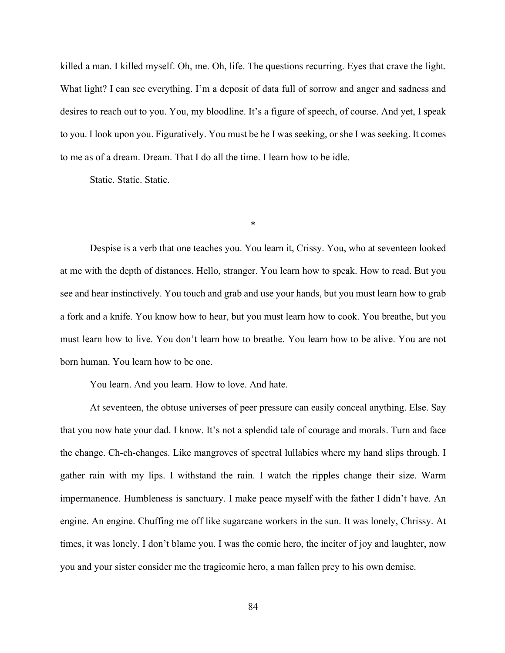killed a man. I killed myself. Oh, me. Oh, life. The questions recurring. Eyes that crave the light. What light? I can see everything. I'm a deposit of data full of sorrow and anger and sadness and desires to reach out to you. You, my bloodline. It's a figure of speech, of course. And yet, I speak to you. I look upon you. Figuratively. You must be he I was seeking, or she I was seeking. It comes to me as of a dream. Dream. That I do all the time. I learn how to be idle.

Static. Static. Static.

\*

Despise is a verb that one teaches you. You learn it, Crissy. You, who at seventeen looked at me with the depth of distances. Hello, stranger. You learn how to speak. How to read. But you see and hear instinctively. You touch and grab and use your hands, but you must learn how to grab a fork and a knife. You know how to hear, but you must learn how to cook. You breathe, but you must learn how to live. You don't learn how to breathe. You learn how to be alive. You are not born human. You learn how to be one.

You learn. And you learn. How to love. And hate.

At seventeen, the obtuse universes of peer pressure can easily conceal anything. Else. Say that you now hate your dad. I know. It's not a splendid tale of courage and morals. Turn and face the change. Ch-ch-changes. Like mangroves of spectral lullabies where my hand slips through. I gather rain with my lips. I withstand the rain. I watch the ripples change their size. Warm impermanence. Humbleness is sanctuary. I make peace myself with the father I didn't have. An engine. An engine. Chuffing me off like sugarcane workers in the sun. It was lonely, Chrissy. At times, it was lonely. I don't blame you. I was the comic hero, the inciter of joy and laughter, now you and your sister consider me the tragicomic hero, a man fallen prey to his own demise.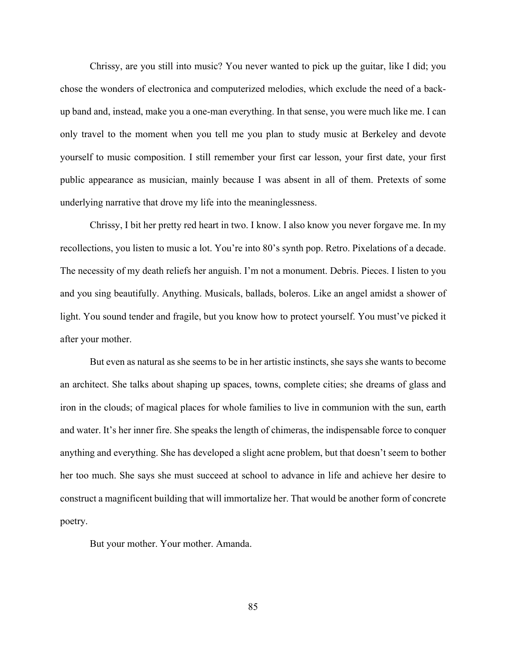Chrissy, are you still into music? You never wanted to pick up the guitar, like I did; you chose the wonders of electronica and computerized melodies, which exclude the need of a backup band and, instead, make you a one-man everything. In that sense, you were much like me. I can only travel to the moment when you tell me you plan to study music at Berkeley and devote yourself to music composition. I still remember your first car lesson, your first date, your first public appearance as musician, mainly because I was absent in all of them. Pretexts of some underlying narrative that drove my life into the meaninglessness.

Chrissy, I bit her pretty red heart in two. I know. I also know you never forgave me. In my recollections, you listen to music a lot. You're into 80's synth pop. Retro. Pixelations of a decade. The necessity of my death reliefs her anguish. I'm not a monument. Debris. Pieces. I listen to you and you sing beautifully. Anything. Musicals, ballads, boleros. Like an angel amidst a shower of light. You sound tender and fragile, but you know how to protect yourself. You must've picked it after your mother.

But even as natural as she seems to be in her artistic instincts, she says she wants to become an architect. She talks about shaping up spaces, towns, complete cities; she dreams of glass and iron in the clouds; of magical places for whole families to live in communion with the sun, earth and water. It's her inner fire. She speaks the length of chimeras, the indispensable force to conquer anything and everything. She has developed a slight acne problem, but that doesn't seem to bother her too much. She says she must succeed at school to advance in life and achieve her desire to construct a magnificent building that will immortalize her. That would be another form of concrete poetry.

But your mother. Your mother. Amanda.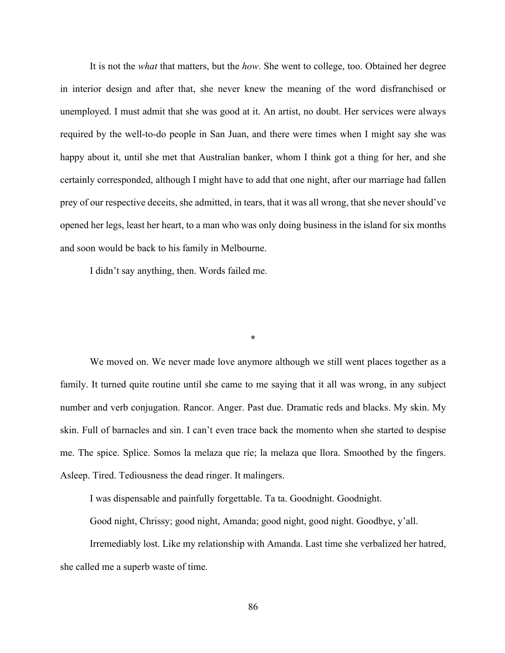It is not the *what* that matters, but the *how*. She went to college, too. Obtained her degree in interior design and after that, she never knew the meaning of the word disfranchised or unemployed. I must admit that she was good at it. An artist, no doubt. Her services were always required by the well-to-do people in San Juan, and there were times when I might say she was happy about it, until she met that Australian banker, whom I think got a thing for her, and she certainly corresponded, although I might have to add that one night, after our marriage had fallen prey of our respective deceits, she admitted, in tears, that it was all wrong, that she never should've opened her legs, least her heart, to a man who was only doing business in the island for six months and soon would be back to his family in Melbourne.

I didn't say anything, then. Words failed me.

\*

We moved on. We never made love anymore although we still went places together as a family. It turned quite routine until she came to me saying that it all was wrong, in any subject number and verb conjugation. Rancor. Anger. Past due. Dramatic reds and blacks. My skin. My skin. Full of barnacles and sin. I can't even trace back the momento when she started to despise me. The spice. Splice. Somos la melaza que ríe; la melaza que llora. Smoothed by the fingers. Asleep. Tired. Tediousness the dead ringer. It malingers.

I was dispensable and painfully forgettable. Ta ta. Goodnight. Goodnight.

Good night, Chrissy; good night, Amanda; good night, good night. Goodbye, y'all.

Irremediably lost. Like my relationship with Amanda. Last time she verbalized her hatred, she called me a superb waste of time.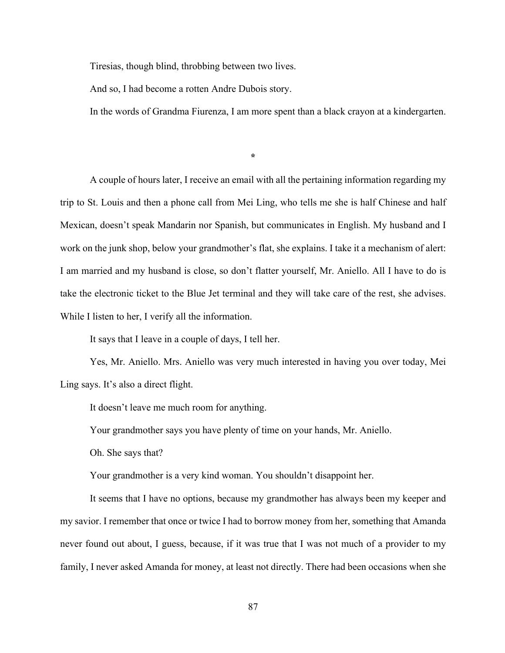Tiresias, though blind, throbbing between two lives.

And so, I had become a rotten Andre Dubois story.

In the words of Grandma Fiurenza, I am more spent than a black crayon at a kindergarten.

**\***

A couple of hours later, I receive an email with all the pertaining information regarding my trip to St. Louis and then a phone call from Mei Ling, who tells me she is half Chinese and half Mexican, doesn't speak Mandarin nor Spanish, but communicates in English. My husband and I work on the junk shop, below your grandmother's flat, she explains. I take it a mechanism of alert: I am married and my husband is close, so don't flatter yourself, Mr. Aniello. All I have to do is take the electronic ticket to the Blue Jet terminal and they will take care of the rest, she advises. While I listen to her, I verify all the information.

It says that I leave in a couple of days, I tell her.

Yes, Mr. Aniello. Mrs. Aniello was very much interested in having you over today, Mei Ling says. It's also a direct flight.

It doesn't leave me much room for anything.

Your grandmother says you have plenty of time on your hands, Mr. Aniello.

Oh. She says that?

Your grandmother is a very kind woman. You shouldn't disappoint her.

It seems that I have no options, because my grandmother has always been my keeper and my savior. I remember that once or twice I had to borrow money from her, something that Amanda never found out about, I guess, because, if it was true that I was not much of a provider to my family, I never asked Amanda for money, at least not directly. There had been occasions when she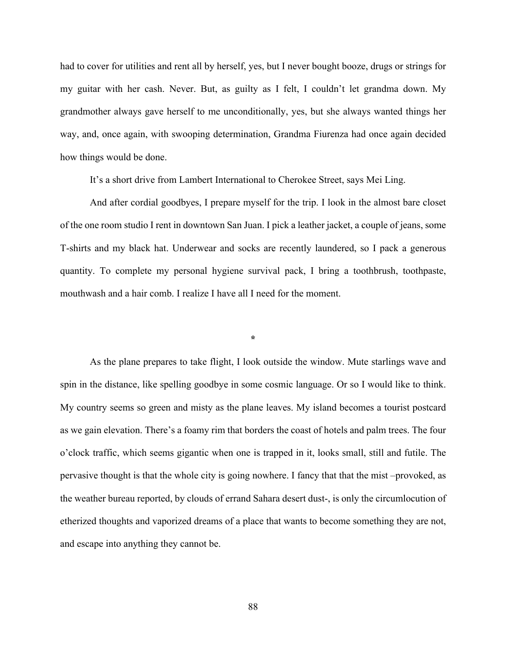had to cover for utilities and rent all by herself, yes, but I never bought booze, drugs or strings for my guitar with her cash. Never. But, as guilty as I felt, I couldn't let grandma down. My grandmother always gave herself to me unconditionally, yes, but she always wanted things her way, and, once again, with swooping determination, Grandma Fiurenza had once again decided how things would be done.

It's a short drive from Lambert International to Cherokee Street, says Mei Ling.

And after cordial goodbyes, I prepare myself for the trip. I look in the almost bare closet of the one room studio I rent in downtown San Juan. I pick a leather jacket, a couple of jeans, some T-shirts and my black hat. Underwear and socks are recently laundered, so I pack a generous quantity. To complete my personal hygiene survival pack, I bring a toothbrush, toothpaste, mouthwash and a hair comb. I realize I have all I need for the moment.

**\***

As the plane prepares to take flight, I look outside the window. Mute starlings wave and spin in the distance, like spelling goodbye in some cosmic language. Or so I would like to think. My country seems so green and misty as the plane leaves. My island becomes a tourist postcard as we gain elevation. There's a foamy rim that borders the coast of hotels and palm trees. The four o'clock traffic, which seems gigantic when one is trapped in it, looks small, still and futile. The pervasive thought is that the whole city is going nowhere. I fancy that that the mist –provoked, as the weather bureau reported, by clouds of errand Sahara desert dust-, is only the circumlocution of etherized thoughts and vaporized dreams of a place that wants to become something they are not, and escape into anything they cannot be.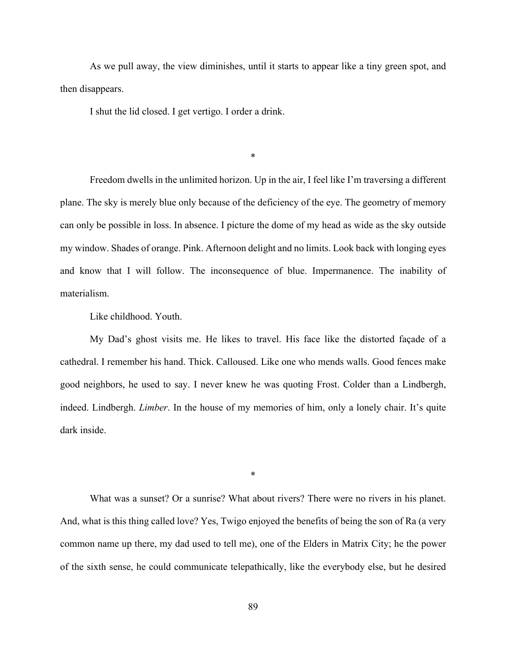As we pull away, the view diminishes, until it starts to appear like a tiny green spot, and then disappears.

I shut the lid closed. I get vertigo. I order a drink.

\*

Freedom dwells in the unlimited horizon. Up in the air, I feel like I'm traversing a different plane. The sky is merely blue only because of the deficiency of the eye. The geometry of memory can only be possible in loss. In absence. I picture the dome of my head as wide as the sky outside my window. Shades of orange. Pink. Afternoon delight and no limits. Look back with longing eyes and know that I will follow. The inconsequence of blue. Impermanence. The inability of materialism.

Like childhood. Youth.

My Dad's ghost visits me. He likes to travel. His face like the distorted façade of a cathedral. I remember his hand. Thick. Calloused. Like one who mends walls. Good fences make good neighbors, he used to say. I never knew he was quoting Frost. Colder than a Lindbergh, indeed. Lindbergh. *Limber*. In the house of my memories of him, only a lonely chair. It's quite dark inside.

What was a sunset? Or a sunrise? What about rivers? There were no rivers in his planet. And, what is this thing called love? Yes, Twigo enjoyed the benefits of being the son of Ra (a very common name up there, my dad used to tell me), one of the Elders in Matrix City; he the power of the sixth sense, he could communicate telepathically, like the everybody else, but he desired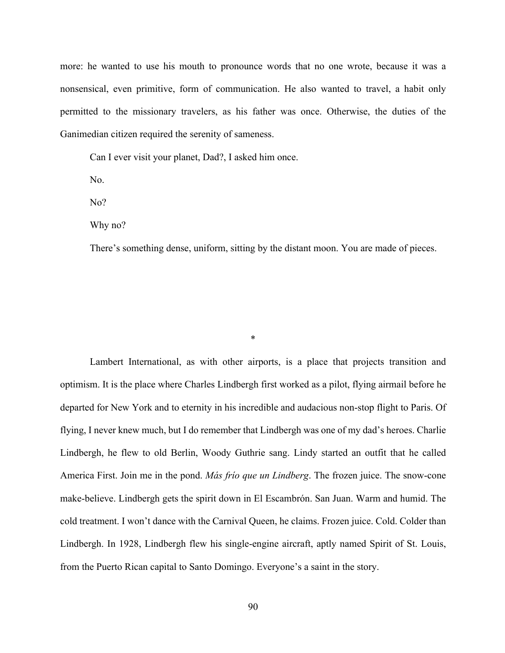more: he wanted to use his mouth to pronounce words that no one wrote, because it was a nonsensical, even primitive, form of communication. He also wanted to travel, a habit only permitted to the missionary travelers, as his father was once. Otherwise, the duties of the Ganimedian citizen required the serenity of sameness.

Can I ever visit your planet, Dad?, I asked him once.

No.

No?

Why no?

There's something dense, uniform, sitting by the distant moon. You are made of pieces.

\*

Lambert International, as with other airports, is a place that projects transition and optimism. It is the place where Charles Lindbergh first worked as a pilot, flying airmail before he departed for New York and to eternity in his incredible and audacious non-stop flight to Paris. Of flying, I never knew much, but I do remember that Lindbergh was one of my dad's heroes. Charlie Lindbergh, he flew to old Berlin, Woody Guthrie sang. Lindy started an outfit that he called America First. Join me in the pond. *Más frío que un Lindberg*. The frozen juice. The snow-cone make-believe. Lindbergh gets the spirit down in El Escambrón. San Juan. Warm and humid. The cold treatment. I won't dance with the Carnival Queen, he claims. Frozen juice. Cold. Colder than Lindbergh. In 1928, Lindbergh flew his single-engine aircraft, aptly named Spirit of St. Louis, from the Puerto Rican capital to Santo Domingo. Everyone's a saint in the story.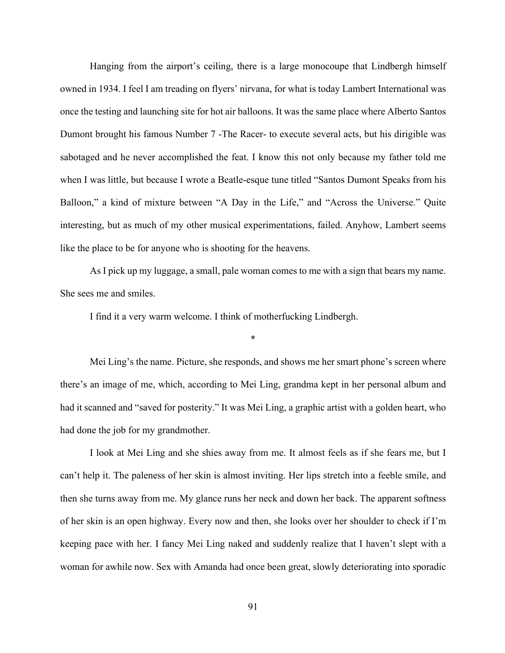Hanging from the airport's ceiling, there is a large monocoupe that Lindbergh himself owned in 1934. I feel I am treading on flyers' nirvana, for what is today Lambert International was once the testing and launching site for hot air balloons. It was the same place where Alberto Santos Dumont brought his famous Number 7 -The Racer- to execute several acts, but his dirigible was sabotaged and he never accomplished the feat. I know this not only because my father told me when I was little, but because I wrote a Beatle-esque tune titled "Santos Dumont Speaks from his Balloon," a kind of mixture between "A Day in the Life," and "Across the Universe." Quite interesting, but as much of my other musical experimentations, failed. Anyhow, Lambert seems like the place to be for anyone who is shooting for the heavens.

As I pick up my luggage, a small, pale woman comes to me with a sign that bears my name. She sees me and smiles.

I find it a very warm welcome. I think of motherfucking Lindbergh.

\*

Mei Ling's the name. Picture, she responds, and shows me her smart phone's screen where there's an image of me, which, according to Mei Ling, grandma kept in her personal album and had it scanned and "saved for posterity." It was Mei Ling, a graphic artist with a golden heart, who had done the job for my grandmother.

I look at Mei Ling and she shies away from me. It almost feels as if she fears me, but I can't help it. The paleness of her skin is almost inviting. Her lips stretch into a feeble smile, and then she turns away from me. My glance runs her neck and down her back. The apparent softness of her skin is an open highway. Every now and then, she looks over her shoulder to check if I'm keeping pace with her. I fancy Mei Ling naked and suddenly realize that I haven't slept with a woman for awhile now. Sex with Amanda had once been great, slowly deteriorating into sporadic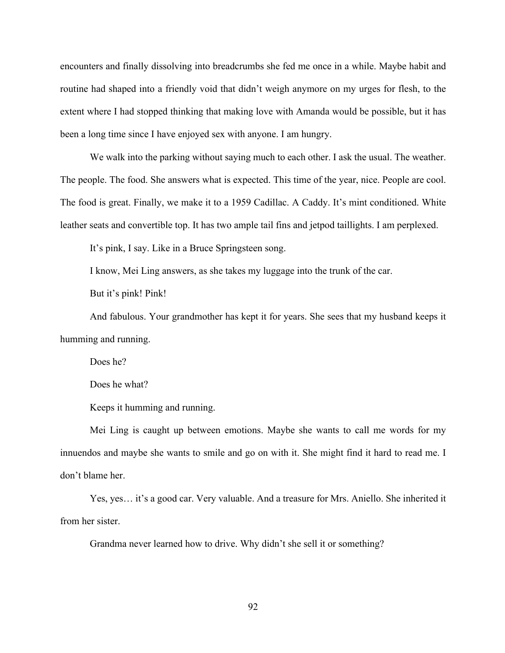encounters and finally dissolving into breadcrumbs she fed me once in a while. Maybe habit and routine had shaped into a friendly void that didn't weigh anymore on my urges for flesh, to the extent where I had stopped thinking that making love with Amanda would be possible, but it has been a long time since I have enjoyed sex with anyone. I am hungry.

We walk into the parking without saying much to each other. I ask the usual. The weather. The people. The food. She answers what is expected. This time of the year, nice. People are cool. The food is great. Finally, we make it to a 1959 Cadillac. A Caddy. It's mint conditioned. White leather seats and convertible top. It has two ample tail fins and jetpod taillights. I am perplexed.

It's pink, I say. Like in a Bruce Springsteen song.

I know, Mei Ling answers, as she takes my luggage into the trunk of the car.

But it's pink! Pink!

And fabulous. Your grandmother has kept it for years. She sees that my husband keeps it humming and running.

Does he?

Does he what?

Keeps it humming and running.

Mei Ling is caught up between emotions. Maybe she wants to call me words for my innuendos and maybe she wants to smile and go on with it. She might find it hard to read me. I don't blame her.

Yes, yes… it's a good car. Very valuable. And a treasure for Mrs. Aniello. She inherited it from her sister.

Grandma never learned how to drive. Why didn't she sell it or something?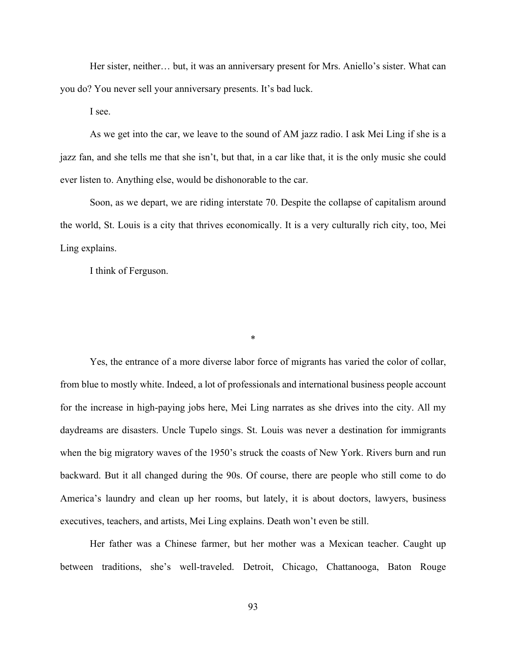Her sister, neither… but, it was an anniversary present for Mrs. Aniello's sister. What can you do? You never sell your anniversary presents. It's bad luck.

I see.

As we get into the car, we leave to the sound of AM jazz radio. I ask Mei Ling if she is a jazz fan, and she tells me that she isn't, but that, in a car like that, it is the only music she could ever listen to. Anything else, would be dishonorable to the car.

Soon, as we depart, we are riding interstate 70. Despite the collapse of capitalism around the world, St. Louis is a city that thrives economically. It is a very culturally rich city, too, Mei Ling explains.

I think of Ferguson.

\*

Yes, the entrance of a more diverse labor force of migrants has varied the color of collar, from blue to mostly white. Indeed, a lot of professionals and international business people account for the increase in high-paying jobs here, Mei Ling narrates as she drives into the city. All my daydreams are disasters. Uncle Tupelo sings. St. Louis was never a destination for immigrants when the big migratory waves of the 1950's struck the coasts of New York. Rivers burn and run backward. But it all changed during the 90s. Of course, there are people who still come to do America's laundry and clean up her rooms, but lately, it is about doctors, lawyers, business executives, teachers, and artists, Mei Ling explains. Death won't even be still.

Her father was a Chinese farmer, but her mother was a Mexican teacher. Caught up between traditions, she's well-traveled. Detroit, Chicago, Chattanooga, Baton Rouge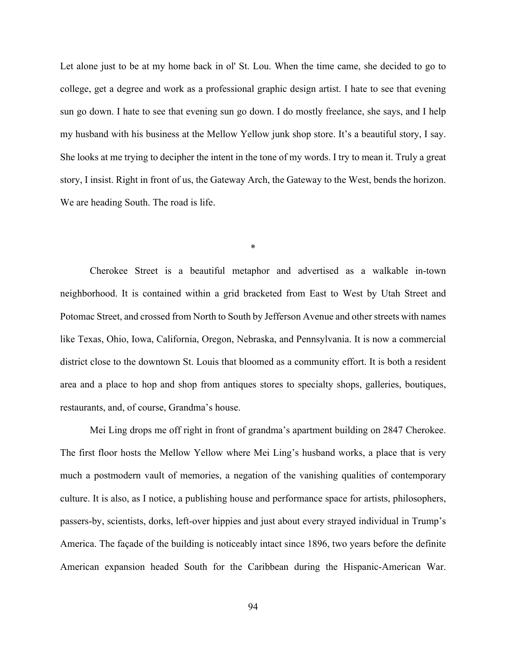Let alone just to be at my home back in ol' St. Lou. When the time came, she decided to go to college, get a degree and work as a professional graphic design artist. I hate to see that evening sun go down. I hate to see that evening sun go down. I do mostly freelance, she says, and I help my husband with his business at the Mellow Yellow junk shop store. It's a beautiful story, I say. She looks at me trying to decipher the intent in the tone of my words. I try to mean it. Truly a great story, I insist. Right in front of us, the Gateway Arch, the Gateway to the West, bends the horizon. We are heading South. The road is life.

\*

Cherokee Street is a beautiful metaphor and advertised as a walkable in-town neighborhood. It is contained within a grid bracketed from East to West by Utah Street and Potomac Street, and crossed from North to South by Jefferson Avenue and other streets with names like Texas, Ohio, Iowa, California, Oregon, Nebraska, and Pennsylvania. It is now a commercial district close to the downtown St. Louis that bloomed as a community effort. It is both a resident area and a place to hop and shop from antiques stores to specialty shops, galleries, boutiques, restaurants, and, of course, Grandma's house.

Mei Ling drops me off right in front of grandma's apartment building on 2847 Cherokee. The first floor hosts the Mellow Yellow where Mei Ling's husband works, a place that is very much a postmodern vault of memories, a negation of the vanishing qualities of contemporary culture. It is also, as I notice, a publishing house and performance space for artists, philosophers, passers-by, scientists, dorks, left-over hippies and just about every strayed individual in Trump's America. The façade of the building is noticeably intact since 1896, two years before the definite American expansion headed South for the Caribbean during the Hispanic-American War.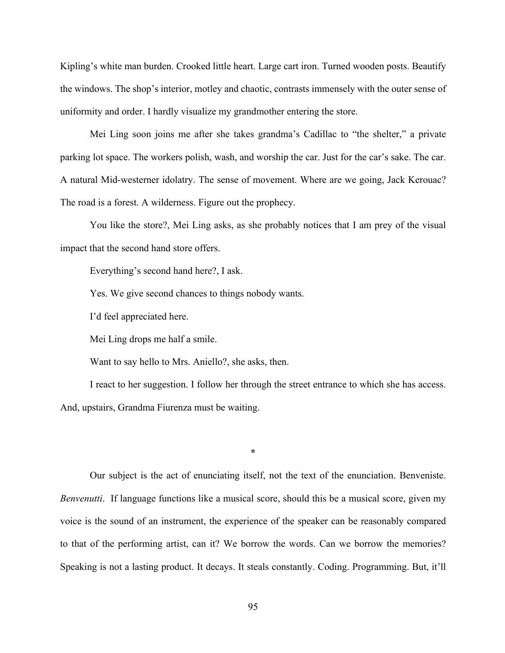Kipling's white man burden. Crooked little heart. Large cart iron. Turned wooden posts. Beautify the windows. The shop's interior, motley and chaotic, contrasts immensely with the outer sense of uniformity and order. I hardly visualize my grandmother entering the store.

Mei Ling soon joins me after she takes grandma's Cadillac to "the shelter," a private parking lot space. The workers polish, wash, and worship the car. Just for the car's sake. The car. A natural Mid-westerner idolatry. The sense of movement. Where are we going, Jack Kerouac? The road is a forest. A wilderness. Figure out the prophecy.

You like the store?, Mei Ling asks, as she probably notices that I am prey of the visual impact that the second hand store offers.

Everything's second hand here?, I ask.

Yes. We give second chances to things nobody wants.

I'd feel appreciated here.

Mei Ling drops me half a smile.

Want to say hello to Mrs. Aniello?, she asks, then.

I react to her suggestion. I follow her through the street entrance to which she has access. And, upstairs, Grandma Fiurenza must be waiting.

**\***

Our subject is the act of enunciating itself, not the text of the enunciation. Benveniste. *Benvenutti*. If language functions like a musical score, should this be a musical score, given my voice is the sound of an instrument, the experience of the speaker can be reasonably compared to that of the performing artist, can it? We borrow the words. Can we borrow the memories? Speaking is not a lasting product. It decays. It steals constantly. Coding. Programming. But, it'll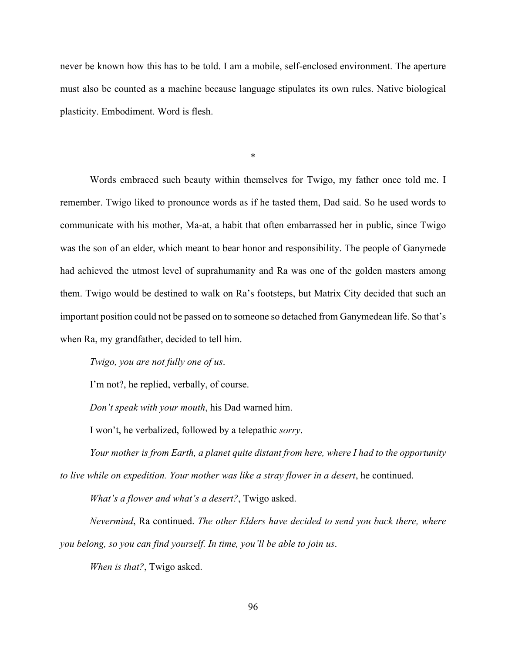never be known how this has to be told. I am a mobile, self-enclosed environment. The aperture must also be counted as a machine because language stipulates its own rules. Native biological plasticity. Embodiment. Word is flesh.

\*

Words embraced such beauty within themselves for Twigo, my father once told me. I remember. Twigo liked to pronounce words as if he tasted them, Dad said. So he used words to communicate with his mother, Ma-at, a habit that often embarrassed her in public, since Twigo was the son of an elder, which meant to bear honor and responsibility. The people of Ganymede had achieved the utmost level of suprahumanity and Ra was one of the golden masters among them. Twigo would be destined to walk on Ra's footsteps, but Matrix City decided that such an important position could not be passed on to someone so detached from Ganymedean life. So that's when Ra, my grandfather, decided to tell him.

*Twigo, you are not fully one of us*.

I'm not?, he replied, verbally, of course.

*Don't speak with your mouth*, his Dad warned him.

I won't, he verbalized, followed by a telepathic *sorry*.

*Your mother is from Earth, a planet quite distant from here, where I had to the opportunity to live while on expedition. Your mother was like a stray flower in a desert*, he continued.

*What's a flower and what's a desert?*, Twigo asked.

*Nevermind*, Ra continued. *The other Elders have decided to send you back there, where you belong, so you can find yourself. In time, you'll be able to join us*.

*When is that?*, Twigo asked.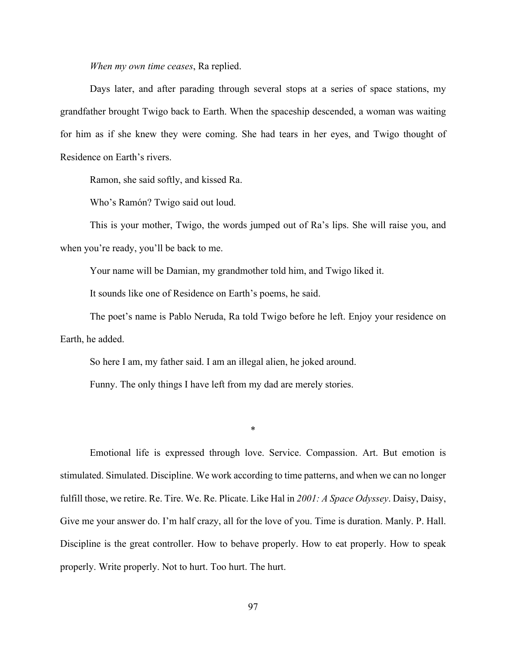*When my own time ceases*, Ra replied.

Days later, and after parading through several stops at a series of space stations, my grandfather brought Twigo back to Earth. When the spaceship descended, a woman was waiting for him as if she knew they were coming. She had tears in her eyes, and Twigo thought of Residence on Earth's rivers.

Ramon, she said softly, and kissed Ra.

Who's Ramón? Twigo said out loud.

This is your mother, Twigo, the words jumped out of Ra's lips. She will raise you, and when you're ready, you'll be back to me.

Your name will be Damian, my grandmother told him, and Twigo liked it.

It sounds like one of Residence on Earth's poems, he said.

The poet's name is Pablo Neruda, Ra told Twigo before he left. Enjoy your residence on Earth, he added.

So here I am, my father said. I am an illegal alien, he joked around.

Funny. The only things I have left from my dad are merely stories.

Emotional life is expressed through love. Service. Compassion. Art. But emotion is stimulated. Simulated. Discipline. We work according to time patterns, and when we can no longer fulfill those, we retire. Re. Tire. We. Re. Plicate. Like Hal in *2001: A Space Odyssey*. Daisy, Daisy, Give me your answer do. I'm half crazy, all for the love of you. Time is duration. Manly. P. Hall. Discipline is the great controller. How to behave properly. How to eat properly. How to speak properly. Write properly. Not to hurt. Too hurt. The hurt.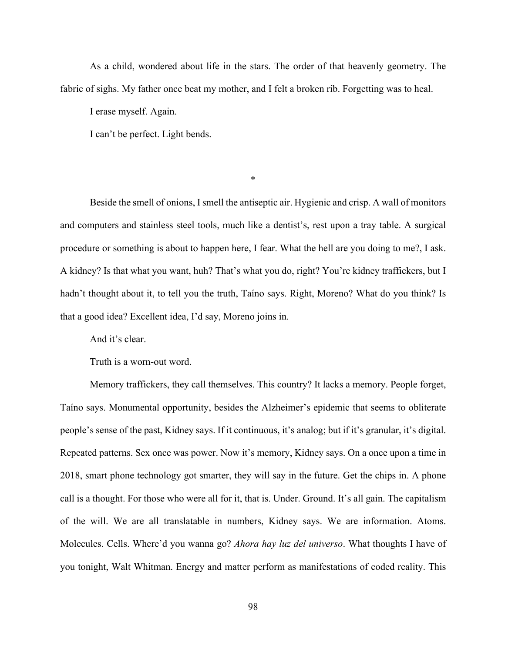As a child, wondered about life in the stars. The order of that heavenly geometry. The fabric of sighs. My father once beat my mother, and I felt a broken rib. Forgetting was to heal.

I erase myself. Again.

I can't be perfect. Light bends.

\*

Beside the smell of onions, I smell the antiseptic air. Hygienic and crisp. A wall of monitors and computers and stainless steel tools, much like a dentist's, rest upon a tray table. A surgical procedure or something is about to happen here, I fear. What the hell are you doing to me?, I ask. A kidney? Is that what you want, huh? That's what you do, right? You're kidney traffickers, but I hadn't thought about it, to tell you the truth, Taíno says. Right, Moreno? What do you think? Is that a good idea? Excellent idea, I'd say, Moreno joins in.

And it's clear.

Truth is a worn-out word.

Memory traffickers, they call themselves. This country? It lacks a memory. People forget, Taíno says. Monumental opportunity, besides the Alzheimer's epidemic that seems to obliterate people's sense of the past, Kidney says. If it continuous, it's analog; but if it's granular, it's digital. Repeated patterns. Sex once was power. Now it's memory, Kidney says. On a once upon a time in 2018, smart phone technology got smarter, they will say in the future. Get the chips in. A phone call is a thought. For those who were all for it, that is. Under. Ground. It's all gain. The capitalism of the will. We are all translatable in numbers, Kidney says. We are information. Atoms. Molecules. Cells. Where'd you wanna go? *Ahora hay luz del universo*. What thoughts I have of you tonight, Walt Whitman. Energy and matter perform as manifestations of coded reality. This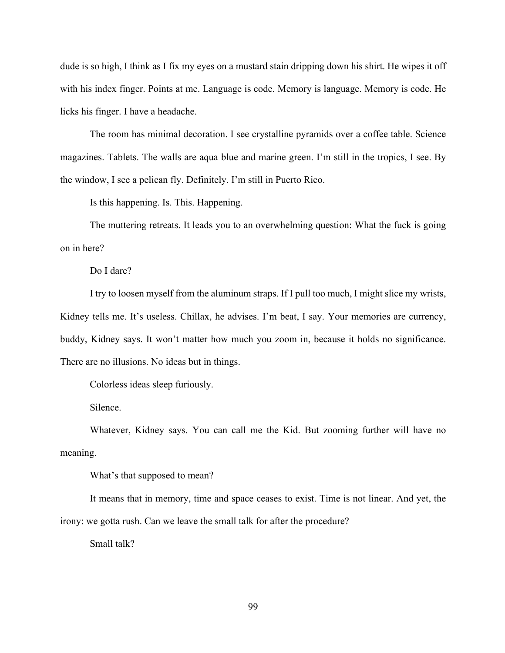dude is so high, I think as I fix my eyes on a mustard stain dripping down his shirt. He wipes it off with his index finger. Points at me. Language is code. Memory is language. Memory is code. He licks his finger. I have a headache.

The room has minimal decoration. I see crystalline pyramids over a coffee table. Science magazines. Tablets. The walls are aqua blue and marine green. I'm still in the tropics, I see. By the window, I see a pelican fly. Definitely. I'm still in Puerto Rico.

Is this happening. Is. This. Happening.

The muttering retreats. It leads you to an overwhelming question: What the fuck is going on in here?

Do I dare?

I try to loosen myself from the aluminum straps. If I pull too much, I might slice my wrists, Kidney tells me. It's useless. Chillax, he advises. I'm beat, I say. Your memories are currency, buddy, Kidney says. It won't matter how much you zoom in, because it holds no significance. There are no illusions. No ideas but in things.

Colorless ideas sleep furiously.

Silence.

Whatever, Kidney says. You can call me the Kid. But zooming further will have no meaning.

What's that supposed to mean?

It means that in memory, time and space ceases to exist. Time is not linear. And yet, the irony: we gotta rush. Can we leave the small talk for after the procedure?

Small talk?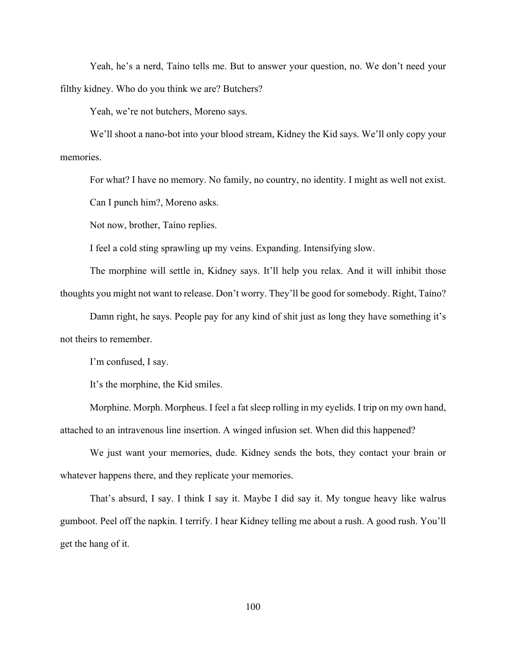Yeah, he's a nerd, Taíno tells me. But to answer your question, no. We don't need your filthy kidney. Who do you think we are? Butchers?

Yeah, we're not butchers, Moreno says.

We'll shoot a nano-bot into your blood stream, Kidney the Kid says. We'll only copy your memories.

For what? I have no memory. No family, no country, no identity. I might as well not exist.

Can I punch him?, Moreno asks.

Not now, brother, Taíno replies.

I feel a cold sting sprawling up my veins. Expanding. Intensifying slow.

The morphine will settle in, Kidney says. It'll help you relax. And it will inhibit those thoughts you might not want to release. Don't worry. They'll be good for somebody. Right, Taíno?

Damn right, he says. People pay for any kind of shit just as long they have something it's not theirs to remember.

I'm confused, I say.

It's the morphine, the Kid smiles.

Morphine. Morph. Morpheus. I feel a fat sleep rolling in my eyelids. I trip on my own hand, attached to an intravenous line insertion. A winged infusion set. When did this happened?

We just want your memories, dude. Kidney sends the bots, they contact your brain or whatever happens there, and they replicate your memories.

That's absurd, I say. I think I say it. Maybe I did say it. My tongue heavy like walrus gumboot. Peel off the napkin. I terrify. I hear Kidney telling me about a rush. A good rush. You'll get the hang of it.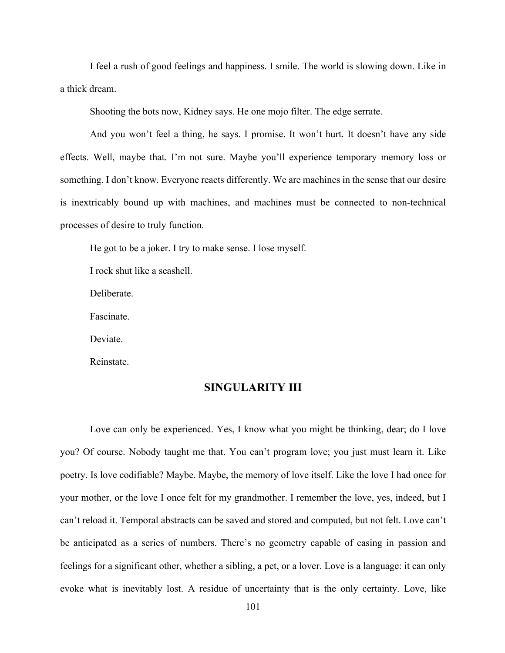I feel a rush of good feelings and happiness. I smile. The world is slowing down. Like in a thick dream.

Shooting the bots now, Kidney says. He one mojo filter. The edge serrate.

And you won't feel a thing, he says. I promise. It won't hurt. It doesn't have any side effects. Well, maybe that. I'm not sure. Maybe you'll experience temporary memory loss or something. I don't know. Everyone reacts differently. We are machines in the sense that our desire is inextricably bound up with machines, and machines must be connected to non-technical processes of desire to truly function.

He got to be a joker. I try to make sense. I lose myself.

I rock shut like a seashell.

Deliberate.

Fascinate.

Deviate.

Reinstate.

## **SINGULARITY III**

Love can only be experienced. Yes, I know what you might be thinking, dear; do I love you? Of course. Nobody taught me that. You can't program love; you just must learn it. Like poetry. Is love codifiable? Maybe. Maybe, the memory of love itself. Like the love I had once for your mother, or the love I once felt for my grandmother. I remember the love, yes, indeed, but I can't reload it. Temporal abstracts can be saved and stored and computed, but not felt. Love can't be anticipated as a series of numbers. There's no geometry capable of casing in passion and feelings for a significant other, whether a sibling, a pet, or a lover. Love is a language: it can only evoke what is inevitably lost. A residue of uncertainty that is the only certainty. Love, like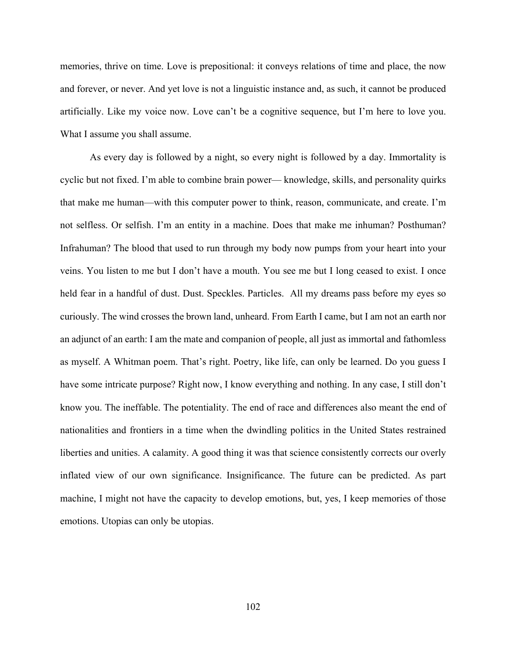memories, thrive on time. Love is prepositional: it conveys relations of time and place, the now and forever, or never. And yet love is not a linguistic instance and, as such, it cannot be produced artificially. Like my voice now. Love can't be a cognitive sequence, but I'm here to love you. What I assume you shall assume.

As every day is followed by a night, so every night is followed by a day. Immortality is cyclic but not fixed. I'm able to combine brain power— knowledge, skills, and personality quirks that make me human—with this computer power to think, reason, communicate, and create. I'm not selfless. Or selfish. I'm an entity in a machine. Does that make me inhuman? Posthuman? Infrahuman? The blood that used to run through my body now pumps from your heart into your veins. You listen to me but I don't have a mouth. You see me but I long ceased to exist. I once held fear in a handful of dust. Dust. Speckles. Particles. All my dreams pass before my eyes so curiously. The wind crosses the brown land, unheard. From Earth I came, but I am not an earth nor an adjunct of an earth: I am the mate and companion of people, all just as immortal and fathomless as myself. A Whitman poem. That's right. Poetry, like life, can only be learned. Do you guess I have some intricate purpose? Right now, I know everything and nothing. In any case, I still don't know you. The ineffable. The potentiality. The end of race and differences also meant the end of nationalities and frontiers in a time when the dwindling politics in the United States restrained liberties and unities. A calamity. A good thing it was that science consistently corrects our overly inflated view of our own significance. Insignificance. The future can be predicted. As part machine, I might not have the capacity to develop emotions, but, yes, I keep memories of those emotions. Utopias can only be utopias.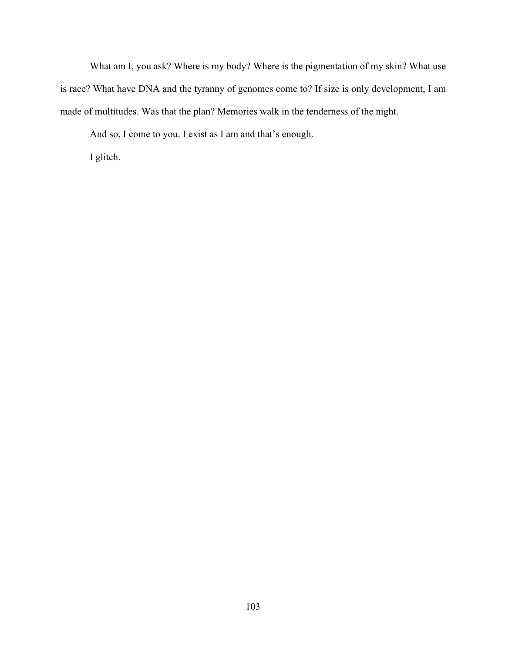What am I, you ask? Where is my body? Where is the pigmentation of my skin? What use is race? What have DNA and the tyranny of genomes come to? If size is only development, I am made of multitudes. Was that the plan? Memories walk in the tenderness of the night.

And so, I come to you. I exist as I am and that's enough.

I glitch.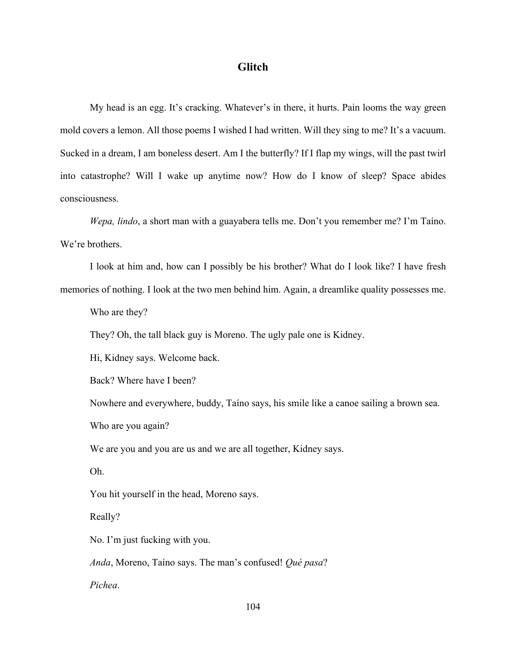## **Glitch**

My head is an egg. It's cracking. Whatever's in there, it hurts. Pain looms the way green mold covers a lemon. All those poems I wished I had written. Will they sing to me? It's a vacuum. Sucked in a dream, I am boneless desert. Am I the butterfly? If I flap my wings, will the past twirl into catastrophe? Will I wake up anytime now? How do I know of sleep? Space abides consciousness.

*Wepa, lindo*, a short man with a guayabera tells me. Don't you remember me? I'm Taíno. We're brothers.

I look at him and, how can I possibly be his brother? What do I look like? I have fresh memories of nothing. I look at the two men behind him. Again, a dreamlike quality possesses me.

Who are they?

They? Oh, the tall black guy is Moreno. The ugly pale one is Kidney.

Hi, Kidney says. Welcome back.

Back? Where have I been?

Nowhere and everywhere, buddy, Taíno says, his smile like a canoe sailing a brown sea. Who are you again?

We are you and you are us and we are all together, Kidney says.

Oh.

You hit yourself in the head, Moreno says.

Really?

No. I'm just fucking with you.

*Anda*, Moreno, Taíno says. The man's confused! *Qué pasa*?

*Pichea*.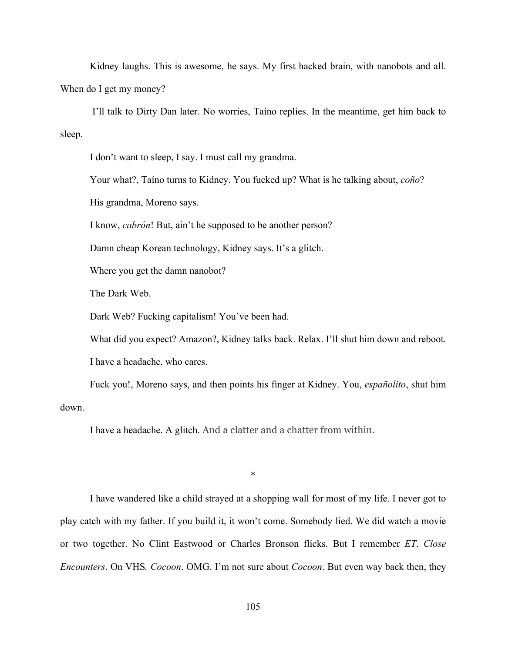Kidney laughs. This is awesome, he says. My first hacked brain, with nanobots and all. When do I get my money?

I'll talk to Dirty Dan later. No worries, Taíno replies. In the meantime, get him back to sleep.

I don't want to sleep, I say. I must call my grandma.

Your what?, Taíno turns to Kidney. You fucked up? What is he talking about, *coño*?

His grandma, Moreno says.

I know, *cabrón*! But, ain't he supposed to be another person?

Damn cheap Korean technology, Kidney says. It's a glitch.

Where you get the damn nanobot?

The Dark Web.

Dark Web? Fucking capitalism! You've been had.

What did you expect? Amazon?, Kidney talks back. Relax. I'll shut him down and reboot. I have a headache, who cares.

Fuck you!, Moreno says, and then points his finger at Kidney. You, *españolito*, shut him down.

I have a headache. A glitch. And a clatter and a chatter from within.

I have wandered like a child strayed at a shopping wall for most of my life. I never got to play catch with my father. If you build it, it won't come. Somebody lied. We did watch a movie or two together. No Clint Eastwood or Charles Bronson flicks. But I remember *ET*. *Close Encounters*. On VHS*. Cocoon*. OMG. I'm not sure about *Cocoon*. But even way back then, they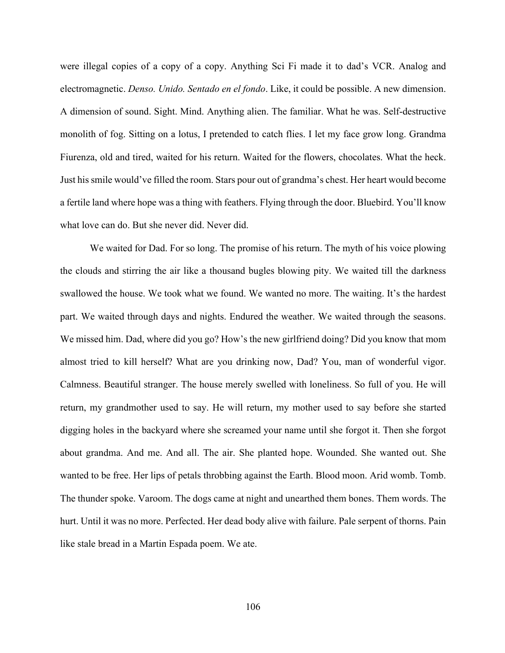were illegal copies of a copy of a copy. Anything Sci Fi made it to dad's VCR. Analog and electromagnetic. *Denso. Unido. Sentado en el fondo*. Like, it could be possible. A new dimension. A dimension of sound. Sight. Mind. Anything alien. The familiar. What he was. Self-destructive monolith of fog. Sitting on a lotus, I pretended to catch flies. I let my face grow long. Grandma Fiurenza, old and tired, waited for his return. Waited for the flowers, chocolates. What the heck. Just his smile would've filled the room. Stars pour out of grandma's chest. Her heart would become a fertile land where hope was a thing with feathers. Flying through the door. Bluebird. You'll know what love can do. But she never did. Never did.

We waited for Dad. For so long. The promise of his return. The myth of his voice plowing the clouds and stirring the air like a thousand bugles blowing pity. We waited till the darkness swallowed the house. We took what we found. We wanted no more. The waiting. It's the hardest part. We waited through days and nights. Endured the weather. We waited through the seasons. We missed him. Dad, where did you go? How's the new girlfriend doing? Did you know that mom almost tried to kill herself? What are you drinking now, Dad? You, man of wonderful vigor. Calmness. Beautiful stranger. The house merely swelled with loneliness. So full of you. He will return, my grandmother used to say. He will return, my mother used to say before she started digging holes in the backyard where she screamed your name until she forgot it. Then she forgot about grandma. And me. And all. The air. She planted hope. Wounded. She wanted out. She wanted to be free. Her lips of petals throbbing against the Earth. Blood moon. Arid womb. Tomb. The thunder spoke. Varoom. The dogs came at night and unearthed them bones. Them words. The hurt. Until it was no more. Perfected. Her dead body alive with failure. Pale serpent of thorns. Pain like stale bread in a Martin Espada poem. We ate.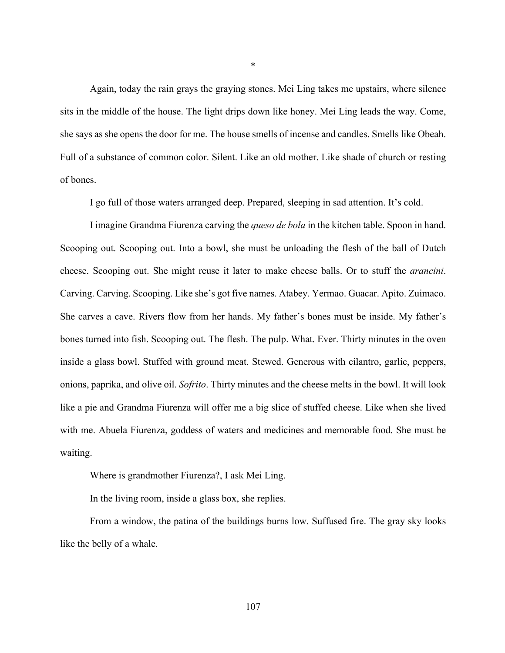Again, today the rain grays the graying stones. Mei Ling takes me upstairs, where silence sits in the middle of the house. The light drips down like honey. Mei Ling leads the way. Come, she says as she opens the door for me. The house smells of incense and candles. Smells like Obeah. Full of a substance of common color. Silent. Like an old mother. Like shade of church or resting of bones.

I go full of those waters arranged deep. Prepared, sleeping in sad attention. It's cold.

I imagine Grandma Fiurenza carving the *queso de bola* in the kitchen table. Spoon in hand. Scooping out. Scooping out. Into a bowl, she must be unloading the flesh of the ball of Dutch cheese. Scooping out. She might reuse it later to make cheese balls. Or to stuff the *arancini*. Carving. Carving. Scooping. Like she's got five names. Atabey. Yermao. Guacar. Apito. Zuimaco. She carves a cave. Rivers flow from her hands. My father's bones must be inside. My father's bones turned into fish. Scooping out. The flesh. The pulp. What. Ever. Thirty minutes in the oven inside a glass bowl. Stuffed with ground meat. Stewed. Generous with cilantro, garlic, peppers, onions, paprika, and olive oil. *Sofrito*. Thirty minutes and the cheese melts in the bowl. It will look like a pie and Grandma Fiurenza will offer me a big slice of stuffed cheese. Like when she lived with me. Abuela Fiurenza, goddess of waters and medicines and memorable food. She must be waiting.

Where is grandmother Fiurenza?, I ask Mei Ling.

In the living room, inside a glass box, she replies.

From a window, the patina of the buildings burns low. Suffused fire. The gray sky looks like the belly of a whale.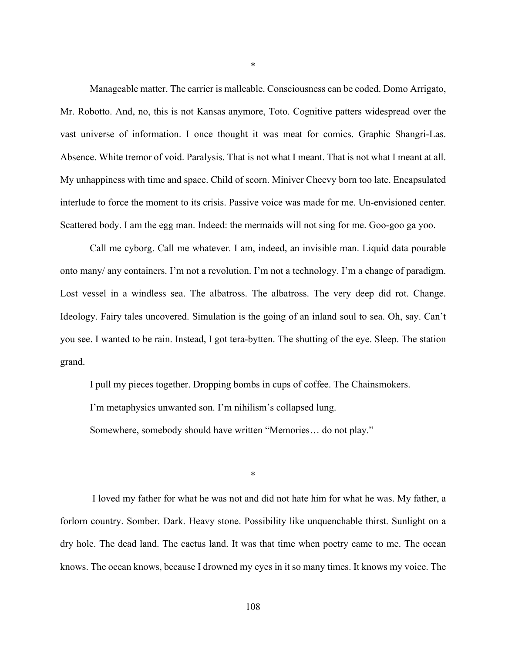Manageable matter. The carrier is malleable. Consciousness can be coded. Domo Arrigato, Mr. Robotto. And, no, this is not Kansas anymore, Toto. Cognitive patters widespread over the vast universe of information. I once thought it was meat for comics. Graphic Shangri-Las. Absence. White tremor of void. Paralysis. That is not what I meant. That is not what I meant at all. My unhappiness with time and space. Child of scorn. Miniver Cheevy born too late. Encapsulated interlude to force the moment to its crisis. Passive voice was made for me. Un-envisioned center. Scattered body. I am the egg man. Indeed: the mermaids will not sing for me. Goo-goo ga yoo.

Call me cyborg. Call me whatever. I am, indeed, an invisible man. Liquid data pourable onto many/ any containers. I'm not a revolution. I'm not a technology. I'm a change of paradigm. Lost vessel in a windless sea. The albatross. The albatross. The very deep did rot. Change. Ideology. Fairy tales uncovered. Simulation is the going of an inland soul to sea. Oh, say. Can't you see. I wanted to be rain. Instead, I got tera-bytten. The shutting of the eye. Sleep. The station grand.

I pull my pieces together. Dropping bombs in cups of coffee. The Chainsmokers. I'm metaphysics unwanted son. I'm nihilism's collapsed lung. Somewhere, somebody should have written "Memories… do not play."

I loved my father for what he was not and did not hate him for what he was. My father, a forlorn country. Somber. Dark. Heavy stone. Possibility like unquenchable thirst. Sunlight on a dry hole. The dead land. The cactus land. It was that time when poetry came to me. The ocean knows. The ocean knows, because I drowned my eyes in it so many times. It knows my voice. The

\*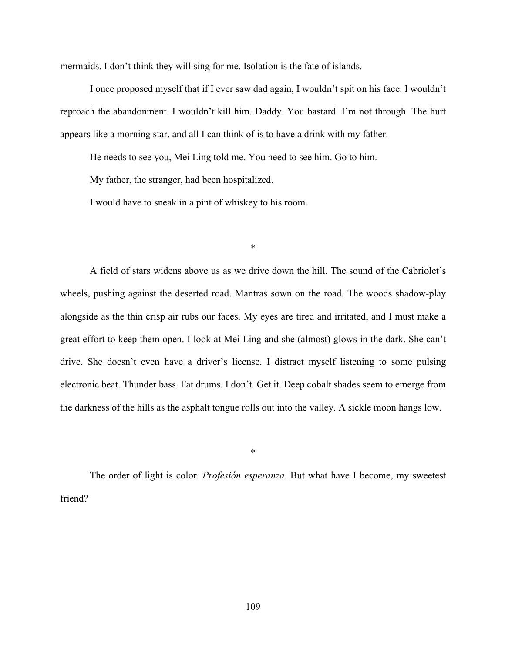mermaids. I don't think they will sing for me. Isolation is the fate of islands.

I once proposed myself that if I ever saw dad again, I wouldn't spit on his face. I wouldn't reproach the abandonment. I wouldn't kill him. Daddy. You bastard. I'm not through. The hurt appears like a morning star, and all I can think of is to have a drink with my father.

He needs to see you, Mei Ling told me. You need to see him. Go to him.

My father, the stranger, had been hospitalized.

I would have to sneak in a pint of whiskey to his room.

## \*

A field of stars widens above us as we drive down the hill. The sound of the Cabriolet's wheels, pushing against the deserted road. Mantras sown on the road. The woods shadow-play alongside as the thin crisp air rubs our faces. My eyes are tired and irritated, and I must make a great effort to keep them open. I look at Mei Ling and she (almost) glows in the dark. She can't drive. She doesn't even have a driver's license. I distract myself listening to some pulsing electronic beat. Thunder bass. Fat drums. I don't. Get it. Deep cobalt shades seem to emerge from the darkness of the hills as the asphalt tongue rolls out into the valley. A sickle moon hangs low.

The order of light is color. *Profesión esperanza*. But what have I become, my sweetest friend?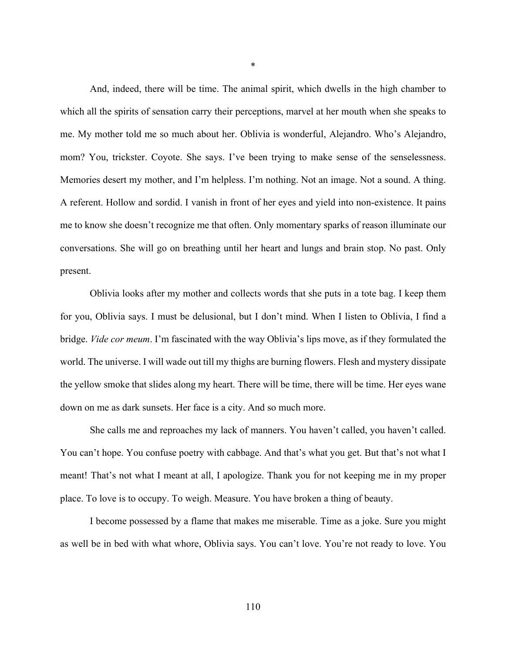And, indeed, there will be time. The animal spirit, which dwells in the high chamber to which all the spirits of sensation carry their perceptions, marvel at her mouth when she speaks to me. My mother told me so much about her. Oblivia is wonderful, Alejandro. Who's Alejandro, mom? You, trickster. Coyote. She says. I've been trying to make sense of the senselessness. Memories desert my mother, and I'm helpless. I'm nothing. Not an image. Not a sound. A thing. A referent. Hollow and sordid. I vanish in front of her eyes and yield into non-existence. It pains me to know she doesn't recognize me that often. Only momentary sparks of reason illuminate our conversations. She will go on breathing until her heart and lungs and brain stop. No past. Only present.

Oblivia looks after my mother and collects words that she puts in a tote bag. I keep them for you, Oblivia says. I must be delusional, but I don't mind. When I listen to Oblivia, I find a bridge. *Vide cor meum*. I'm fascinated with the way Oblivia's lips move, as if they formulated the world. The universe. I will wade out till my thighs are burning flowers. Flesh and mystery dissipate the yellow smoke that slides along my heart. There will be time, there will be time. Her eyes wane down on me as dark sunsets. Her face is a city. And so much more.

She calls me and reproaches my lack of manners. You haven't called, you haven't called. You can't hope. You confuse poetry with cabbage. And that's what you get. But that's not what I meant! That's not what I meant at all, I apologize. Thank you for not keeping me in my proper place. To love is to occupy. To weigh. Measure. You have broken a thing of beauty.

I become possessed by a flame that makes me miserable. Time as a joke. Sure you might as well be in bed with what whore, Oblivia says. You can't love. You're not ready to love. You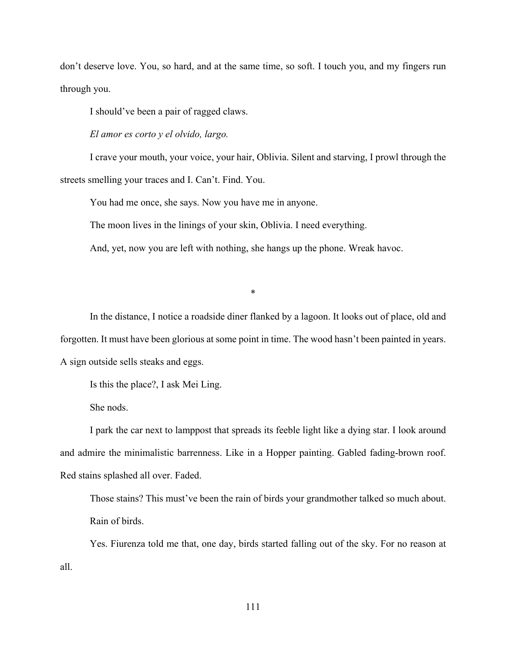don't deserve love. You, so hard, and at the same time, so soft. I touch you, and my fingers run through you.

I should've been a pair of ragged claws.

*El amor es corto y el olvido, largo.*

I crave your mouth, your voice, your hair, Oblivia. Silent and starving, I prowl through the streets smelling your traces and I. Can't. Find. You.

You had me once, she says. Now you have me in anyone.

The moon lives in the linings of your skin, Oblivia. I need everything.

And, yet, now you are left with nothing, she hangs up the phone. Wreak havoc.

\*

In the distance, I notice a roadside diner flanked by a lagoon. It looks out of place, old and forgotten. It must have been glorious at some point in time. The wood hasn't been painted in years. A sign outside sells steaks and eggs.

Is this the place?, I ask Mei Ling.

She nods.

I park the car next to lamppost that spreads its feeble light like a dying star. I look around and admire the minimalistic barrenness. Like in a Hopper painting. Gabled fading-brown roof. Red stains splashed all over. Faded.

Those stains? This must've been the rain of birds your grandmother talked so much about. Rain of birds.

Yes. Fiurenza told me that, one day, birds started falling out of the sky. For no reason at all.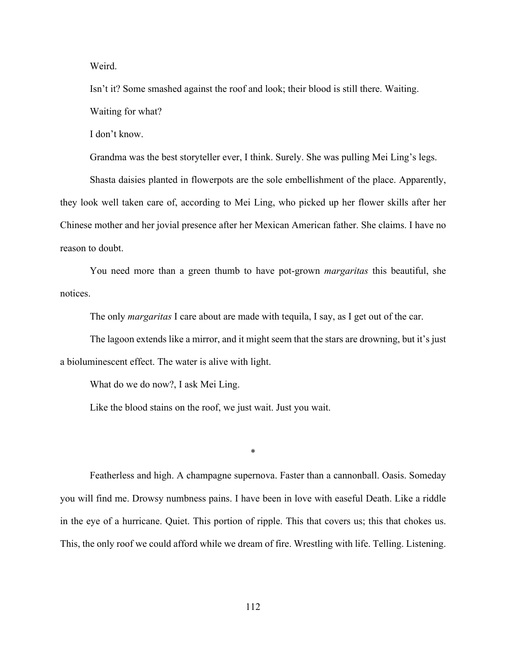Weird.

Isn't it? Some smashed against the roof and look; their blood is still there. Waiting. Waiting for what?

I don't know.

Grandma was the best storyteller ever, I think. Surely. She was pulling Mei Ling's legs.

Shasta daisies planted in flowerpots are the sole embellishment of the place. Apparently, they look well taken care of, according to Mei Ling, who picked up her flower skills after her Chinese mother and her jovial presence after her Mexican American father. She claims. I have no reason to doubt.

You need more than a green thumb to have pot-grown *margaritas* this beautiful, she notices.

The only *margaritas* I care about are made with tequila, I say, as I get out of the car.

The lagoon extends like a mirror, and it might seem that the stars are drowning, but it's just a bioluminescent effect. The water is alive with light.

What do we do now?, I ask Mei Ling.

Like the blood stains on the roof, we just wait. Just you wait.

\*

Featherless and high. A champagne supernova. Faster than a cannonball. Oasis. Someday you will find me. Drowsy numbness pains. I have been in love with easeful Death. Like a riddle in the eye of a hurricane. Quiet. This portion of ripple. This that covers us; this that chokes us. This, the only roof we could afford while we dream of fire. Wrestling with life. Telling. Listening.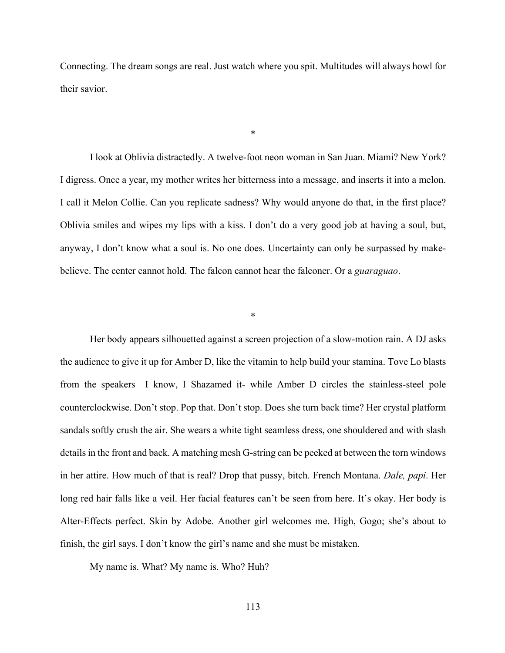Connecting. The dream songs are real. Just watch where you spit. Multitudes will always howl for their savior.

\*

I look at Oblivia distractedly. A twelve-foot neon woman in San Juan. Miami? New York? I digress. Once a year, my mother writes her bitterness into a message, and inserts it into a melon. I call it Melon Collie. Can you replicate sadness? Why would anyone do that, in the first place? Oblivia smiles and wipes my lips with a kiss. I don't do a very good job at having a soul, but, anyway, I don't know what a soul is. No one does. Uncertainty can only be surpassed by makebelieve. The center cannot hold. The falcon cannot hear the falconer. Or a *guaraguao*.

\*

Her body appears silhouetted against a screen projection of a slow-motion rain. A DJ asks the audience to give it up for Amber D, like the vitamin to help build your stamina. Tove Lo blasts from the speakers –I know, I Shazamed it- while Amber D circles the stainless-steel pole counterclockwise. Don't stop. Pop that. Don't stop. Does she turn back time? Her crystal platform sandals softly crush the air. She wears a white tight seamless dress, one shouldered and with slash details in the front and back. A matching mesh G-string can be peeked at between the torn windows in her attire. How much of that is real? Drop that pussy, bitch. French Montana. *Dale, papi*. Her long red hair falls like a veil. Her facial features can't be seen from here. It's okay. Her body is Alter-Effects perfect. Skin by Adobe. Another girl welcomes me. High, Gogo; she's about to finish, the girl says. I don't know the girl's name and she must be mistaken.

My name is. What? My name is. Who? Huh?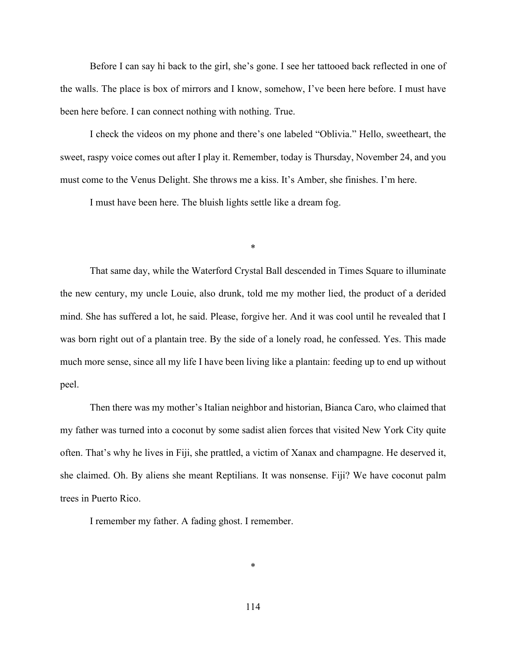Before I can say hi back to the girl, she's gone. I see her tattooed back reflected in one of the walls. The place is box of mirrors and I know, somehow, I've been here before. I must have been here before. I can connect nothing with nothing. True.

I check the videos on my phone and there's one labeled "Oblivia." Hello, sweetheart, the sweet, raspy voice comes out after I play it. Remember, today is Thursday, November 24, and you must come to the Venus Delight. She throws me a kiss. It's Amber, she finishes. I'm here.

I must have been here. The bluish lights settle like a dream fog.

\*

That same day, while the Waterford Crystal Ball descended in Times Square to illuminate the new century, my uncle Louie, also drunk, told me my mother lied, the product of a derided mind. She has suffered a lot, he said. Please, forgive her. And it was cool until he revealed that I was born right out of a plantain tree. By the side of a lonely road, he confessed. Yes. This made much more sense, since all my life I have been living like a plantain: feeding up to end up without peel.

Then there was my mother's Italian neighbor and historian, Bianca Caro, who claimed that my father was turned into a coconut by some sadist alien forces that visited New York City quite often. That's why he lives in Fiji, she prattled, a victim of Xanax and champagne. He deserved it, she claimed. Oh. By aliens she meant Reptilians. It was nonsense. Fiji? We have coconut palm trees in Puerto Rico.

I remember my father. A fading ghost. I remember.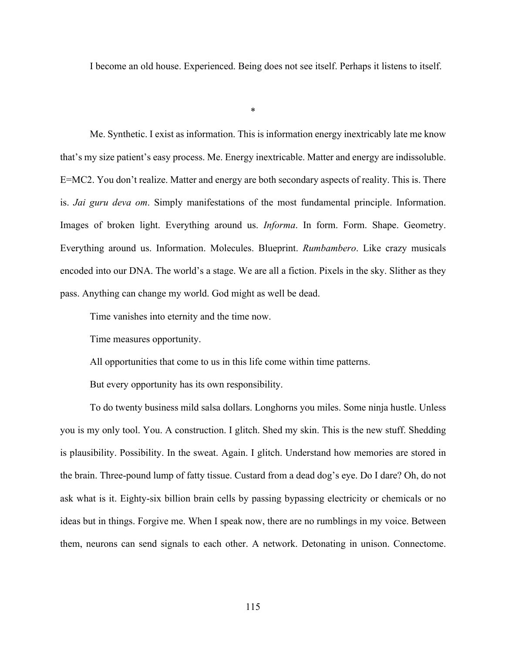I become an old house. Experienced. Being does not see itself. Perhaps it listens to itself.

\*

Me. Synthetic. I exist as information. This is information energy inextricably late me know that's my size patient's easy process. Me. Energy inextricable. Matter and energy are indissoluble. E=MC2. You don't realize. Matter and energy are both secondary aspects of reality. This is. There is. *Jai guru deva om*. Simply manifestations of the most fundamental principle. Information. Images of broken light. Everything around us. *Informa*. In form. Form. Shape. Geometry. Everything around us. Information. Molecules. Blueprint. *Rumbambero*. Like crazy musicals encoded into our DNA. The world's a stage. We are all a fiction. Pixels in the sky. Slither as they pass. Anything can change my world. God might as well be dead.

Time vanishes into eternity and the time now.

Time measures opportunity.

All opportunities that come to us in this life come within time patterns.

But every opportunity has its own responsibility.

To do twenty business mild salsa dollars. Longhorns you miles. Some ninja hustle. Unless you is my only tool. You. A construction. I glitch. Shed my skin. This is the new stuff. Shedding is plausibility. Possibility. In the sweat. Again. I glitch. Understand how memories are stored in the brain. Three-pound lump of fatty tissue. Custard from a dead dog's eye. Do I dare? Oh, do not ask what is it. Eighty-six billion brain cells by passing bypassing electricity or chemicals or no ideas but in things. Forgive me. When I speak now, there are no rumblings in my voice. Between them, neurons can send signals to each other. A network. Detonating in unison. Connectome.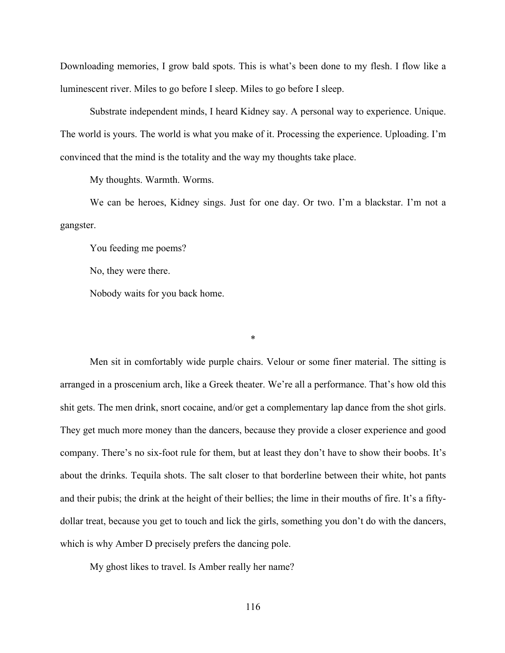Downloading memories, I grow bald spots. This is what's been done to my flesh. I flow like a luminescent river. Miles to go before I sleep. Miles to go before I sleep.

Substrate independent minds, I heard Kidney say. A personal way to experience. Unique. The world is yours. The world is what you make of it. Processing the experience. Uploading. I'm convinced that the mind is the totality and the way my thoughts take place.

My thoughts. Warmth. Worms.

We can be heroes, Kidney sings. Just for one day. Or two. I'm a blackstar. I'm not a gangster.

You feeding me poems?

No, they were there.

Nobody waits for you back home.

\*

Men sit in comfortably wide purple chairs. Velour or some finer material. The sitting is arranged in a proscenium arch, like a Greek theater. We're all a performance. That's how old this shit gets. The men drink, snort cocaine, and/or get a complementary lap dance from the shot girls. They get much more money than the dancers, because they provide a closer experience and good company. There's no six-foot rule for them, but at least they don't have to show their boobs. It's about the drinks. Tequila shots. The salt closer to that borderline between their white, hot pants and their pubis; the drink at the height of their bellies; the lime in their mouths of fire. It's a fiftydollar treat, because you get to touch and lick the girls, something you don't do with the dancers, which is why Amber D precisely prefers the dancing pole.

My ghost likes to travel. Is Amber really her name?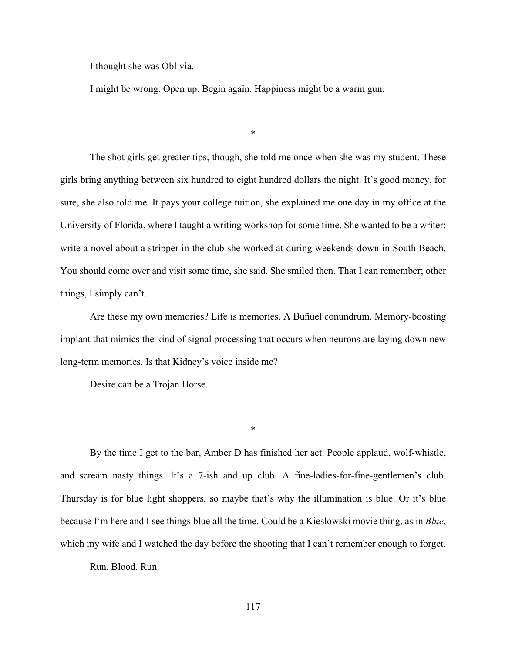I thought she was Oblivia.

I might be wrong. Open up. Begin again. Happiness might be a warm gun.

The shot girls get greater tips, though, she told me once when she was my student. These girls bring anything between six hundred to eight hundred dollars the night. It's good money, for sure, she also told me. It pays your college tuition, she explained me one day in my office at the University of Florida, where I taught a writing workshop for some time. She wanted to be a writer; write a novel about a stripper in the club she worked at during weekends down in South Beach. You should come over and visit some time, she said. She smiled then. That I can remember; other things, I simply can't.

\*

Are these my own memories? Life is memories. A Buñuel conundrum. Memory-boosting implant that mimics the kind of signal processing that occurs when neurons are laying down new long-term memories. Is that Kidney's voice inside me?

Desire can be a Trojan Horse.

By the time I get to the bar, Amber D has finished her act. People applaud, wolf-whistle, and scream nasty things. It's a 7-ish and up club. A fine-ladies-for-fine-gentlemen's club. Thursday is for blue light shoppers, so maybe that's why the illumination is blue. Or it's blue because I'm here and I see things blue all the time. Could be a Kieslowski movie thing, as in *Blue*, which my wife and I watched the day before the shooting that I can't remember enough to forget.

\*

Run. Blood. Run.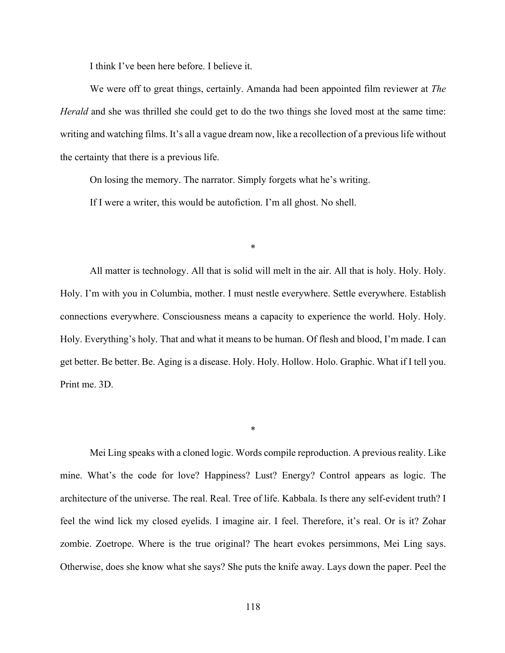I think I've been here before. I believe it.

We were off to great things, certainly. Amanda had been appointed film reviewer at *The Herald* and she was thrilled she could get to do the two things she loved most at the same time: writing and watching films. It's all a vague dream now, like a recollection of a previous life without the certainty that there is a previous life.

On losing the memory. The narrator. Simply forgets what he's writing.

If I were a writer, this would be autofiction. I'm all ghost. No shell.

\*

All matter is technology. All that is solid will melt in the air. All that is holy. Holy. Holy. Holy. I'm with you in Columbia, mother. I must nestle everywhere. Settle everywhere. Establish connections everywhere. Consciousness means a capacity to experience the world. Holy. Holy. Holy. Everything's holy. That and what it means to be human. Of flesh and blood, I'm made. I can get better. Be better. Be. Aging is a disease. Holy. Holy. Hollow. Holo. Graphic. What if I tell you. Print me. 3D.

Mei Ling speaks with a cloned logic. Words compile reproduction. A previous reality. Like mine. What's the code for love? Happiness? Lust? Energy? Control appears as logic. The architecture of the universe. The real. Real. Tree of life. Kabbala. Is there any self-evident truth? I feel the wind lick my closed eyelids. I imagine air. I feel. Therefore, it's real. Or is it? Zohar zombie. Zoetrope. Where is the true original? The heart evokes persimmons, Mei Ling says. Otherwise, does she know what she says? She puts the knife away. Lays down the paper. Peel the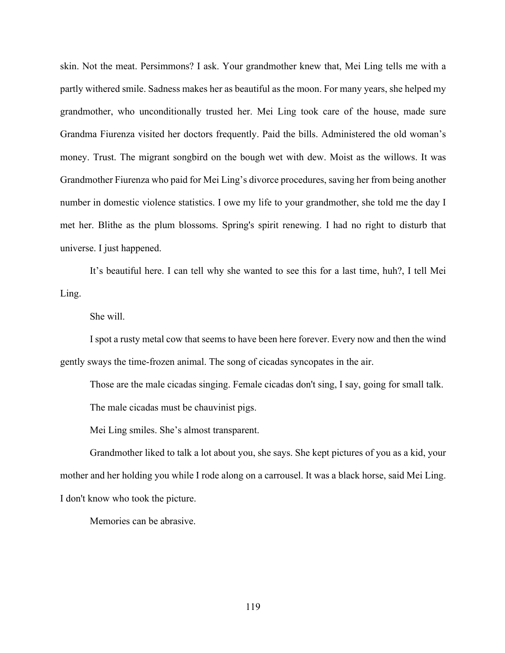skin. Not the meat. Persimmons? I ask. Your grandmother knew that, Mei Ling tells me with a partly withered smile. Sadness makes her as beautiful as the moon. For many years, she helped my grandmother, who unconditionally trusted her. Mei Ling took care of the house, made sure Grandma Fiurenza visited her doctors frequently. Paid the bills. Administered the old woman's money. Trust. The migrant songbird on the bough wet with dew. Moist as the willows. It was Grandmother Fiurenza who paid for Mei Ling's divorce procedures, saving her from being another number in domestic violence statistics. I owe my life to your grandmother, she told me the day I met her. Blithe as the plum blossoms. Spring's spirit renewing. I had no right to disturb that universe. I just happened.

It's beautiful here. I can tell why she wanted to see this for a last time, huh?, I tell Mei Ling.

She will.

I spot a rusty metal cow that seems to have been here forever. Every now and then the wind gently sways the time-frozen animal. The song of cicadas syncopates in the air.

Those are the male cicadas singing. Female cicadas don't sing, I say, going for small talk. The male cicadas must be chauvinist pigs.

Mei Ling smiles. She's almost transparent.

Grandmother liked to talk a lot about you, she says. She kept pictures of you as a kid, your mother and her holding you while I rode along on a carrousel. It was a black horse, said Mei Ling. I don't know who took the picture.

Memories can be abrasive.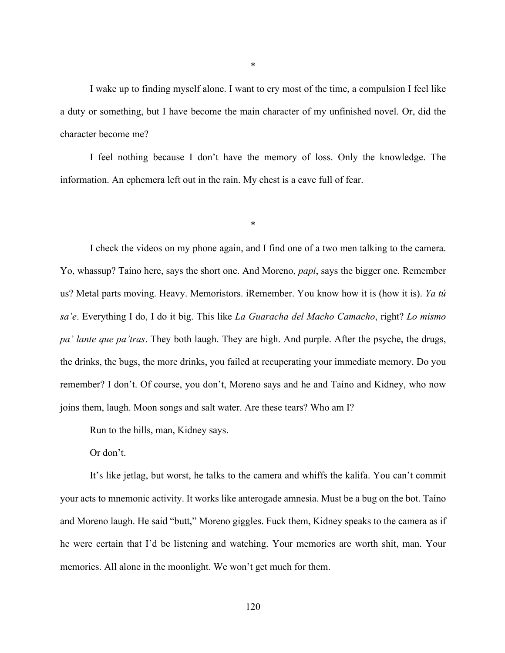I wake up to finding myself alone. I want to cry most of the time, a compulsion I feel like a duty or something, but I have become the main character of my unfinished novel. Or, did the character become me?

I feel nothing because I don't have the memory of loss. Only the knowledge. The information. An ephemera left out in the rain. My chest is a cave full of fear.

\*

I check the videos on my phone again, and I find one of a two men talking to the camera. Yo, whassup? Taíno here, says the short one. And Moreno, *papi*, says the bigger one. Remember us? Metal parts moving. Heavy. Memoristors. iRemember. You know how it is (how it is). *Ya tú sa'e*. Everything I do, I do it big. This like *La Guaracha del Macho Camacho*, right? *Lo mismo pa' lante que pa'tras*. They both laugh. They are high. And purple. After the psyche, the drugs, the drinks, the bugs, the more drinks, you failed at recuperating your immediate memory. Do you remember? I don't. Of course, you don't, Moreno says and he and Taíno and Kidney, who now joins them, laugh. Moon songs and salt water. Are these tears? Who am I?

Run to the hills, man, Kidney says.

Or don't.

It's like jetlag, but worst, he talks to the camera and whiffs the kalifa. You can't commit your acts to mnemonic activity. It works like anterogade amnesia. Must be a bug on the bot. Taíno and Moreno laugh. He said "butt," Moreno giggles. Fuck them, Kidney speaks to the camera as if he were certain that I'd be listening and watching. Your memories are worth shit, man. Your memories. All alone in the moonlight. We won't get much for them.

120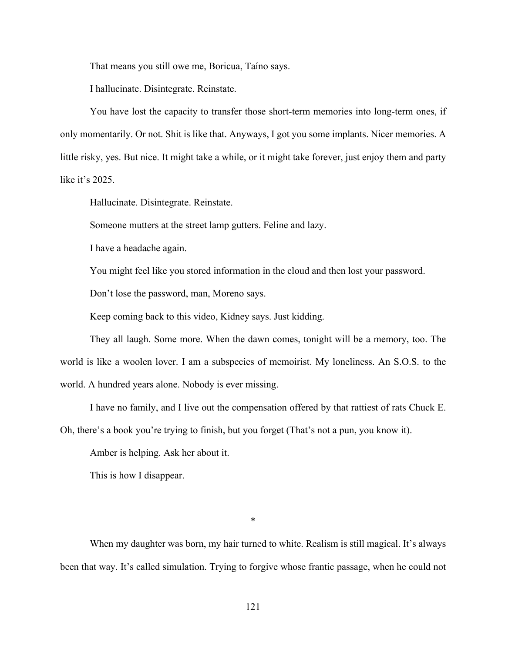That means you still owe me, Boricua, Taíno says.

I hallucinate. Disintegrate. Reinstate.

You have lost the capacity to transfer those short-term memories into long-term ones, if only momentarily. Or not. Shit is like that. Anyways, I got you some implants. Nicer memories. A little risky, yes. But nice. It might take a while, or it might take forever, just enjoy them and party like it's 2025.

Hallucinate. Disintegrate. Reinstate.

Someone mutters at the street lamp gutters. Feline and lazy.

I have a headache again.

You might feel like you stored information in the cloud and then lost your password.

Don't lose the password, man, Moreno says.

Keep coming back to this video, Kidney says. Just kidding.

They all laugh. Some more. When the dawn comes, tonight will be a memory, too. The world is like a woolen lover. I am a subspecies of memoirist. My loneliness. An S.O.S. to the world. A hundred years alone. Nobody is ever missing.

I have no family, and I live out the compensation offered by that rattiest of rats Chuck E.

Oh, there's a book you're trying to finish, but you forget (That's not a pun, you know it).

Amber is helping. Ask her about it.

This is how I disappear.

When my daughter was born, my hair turned to white. Realism is still magical. It's always been that way. It's called simulation. Trying to forgive whose frantic passage, when he could not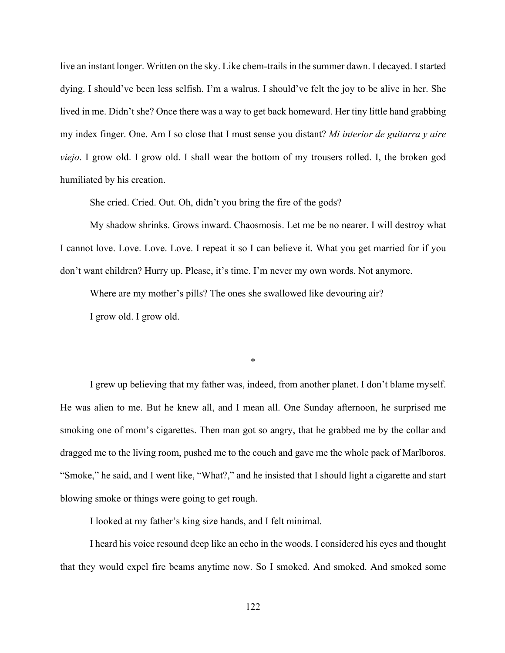live an instant longer. Written on the sky. Like chem-trails in the summer dawn. I decayed. I started dying. I should've been less selfish. I'm a walrus. I should've felt the joy to be alive in her. She lived in me. Didn't she? Once there was a way to get back homeward. Her tiny little hand grabbing my index finger. One. Am I so close that I must sense you distant? *Mi interior de guitarra y aire viejo*. I grow old. I grow old. I shall wear the bottom of my trousers rolled. I, the broken god humiliated by his creation.

She cried. Cried. Out. Oh, didn't you bring the fire of the gods?

My shadow shrinks. Grows inward. Chaosmosis. Let me be no nearer. I will destroy what I cannot love. Love. Love. Love. I repeat it so I can believe it. What you get married for if you don't want children? Hurry up. Please, it's time. I'm never my own words. Not anymore.

Where are my mother's pills? The ones she swallowed like devouring air?

I grow old. I grow old.

\*

I grew up believing that my father was, indeed, from another planet. I don't blame myself. He was alien to me. But he knew all, and I mean all. One Sunday afternoon, he surprised me smoking one of mom's cigarettes. Then man got so angry, that he grabbed me by the collar and dragged me to the living room, pushed me to the couch and gave me the whole pack of Marlboros. "Smoke," he said, and I went like, "What?," and he insisted that I should light a cigarette and start blowing smoke or things were going to get rough.

I looked at my father's king size hands, and I felt minimal.

I heard his voice resound deep like an echo in the woods. I considered his eyes and thought that they would expel fire beams anytime now. So I smoked. And smoked. And smoked some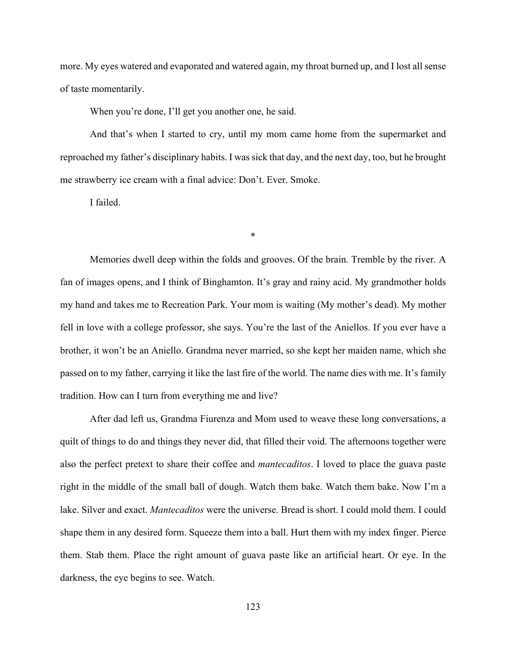more. My eyes watered and evaporated and watered again, my throat burned up, and I lost all sense of taste momentarily.

When you're done, I'll get you another one, he said.

And that's when I started to cry, until my mom came home from the supermarket and reproached my father's disciplinary habits. I was sick that day, and the next day, too, but he brought me strawberry ice cream with a final advice: Don't. Ever. Smoke.

\*

I failed.

Memories dwell deep within the folds and grooves. Of the brain. Tremble by the river. A fan of images opens, and I think of Binghamton. It's gray and rainy acid. My grandmother holds my hand and takes me to Recreation Park. Your mom is waiting (My mother's dead). My mother fell in love with a college professor, she says. You're the last of the Aniellos. If you ever have a brother, it won't be an Aniello. Grandma never married, so she kept her maiden name, which she passed on to my father, carrying it like the last fire of the world. The name dies with me. It's family tradition. How can I turn from everything me and live?

After dad left us, Grandma Fiurenza and Mom used to weave these long conversations, a quilt of things to do and things they never did, that filled their void. The afternoons together were also the perfect pretext to share their coffee and *mantecaditos*. I loved to place the guava paste right in the middle of the small ball of dough. Watch them bake. Watch them bake. Now I'm a lake. Silver and exact. *Mantecaditos* were the universe. Bread is short. I could mold them. I could shape them in any desired form. Squeeze them into a ball. Hurt them with my index finger. Pierce them. Stab them. Place the right amount of guava paste like an artificial heart. Or eye. In the darkness, the eye begins to see. Watch.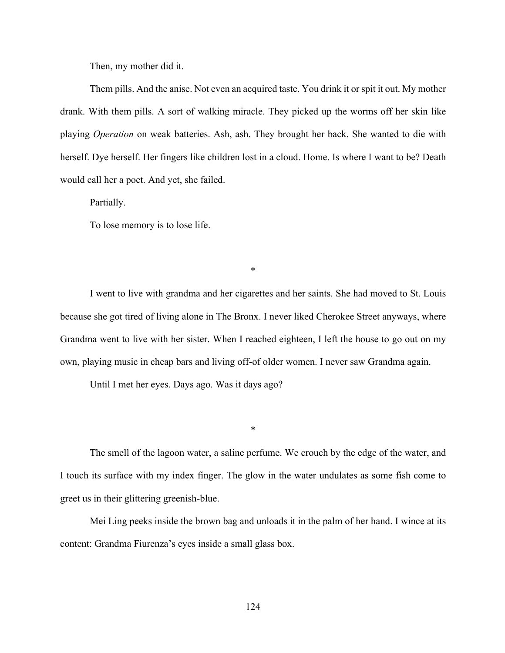Then, my mother did it.

Them pills. And the anise. Not even an acquired taste. You drink it or spit it out. My mother drank. With them pills. A sort of walking miracle. They picked up the worms off her skin like playing *Operation* on weak batteries. Ash, ash. They brought her back. She wanted to die with herself. Dye herself. Her fingers like children lost in a cloud. Home. Is where I want to be? Death would call her a poet. And yet, she failed.

Partially.

To lose memory is to lose life.

\*

I went to live with grandma and her cigarettes and her saints. She had moved to St. Louis because she got tired of living alone in The Bronx. I never liked Cherokee Street anyways, where Grandma went to live with her sister. When I reached eighteen, I left the house to go out on my own, playing music in cheap bars and living off-of older women. I never saw Grandma again.

Until I met her eyes. Days ago. Was it days ago?

The smell of the lagoon water, a saline perfume. We crouch by the edge of the water, and I touch its surface with my index finger. The glow in the water undulates as some fish come to greet us in their glittering greenish-blue.

\*

Mei Ling peeks inside the brown bag and unloads it in the palm of her hand. I wince at its content: Grandma Fiurenza's eyes inside a small glass box.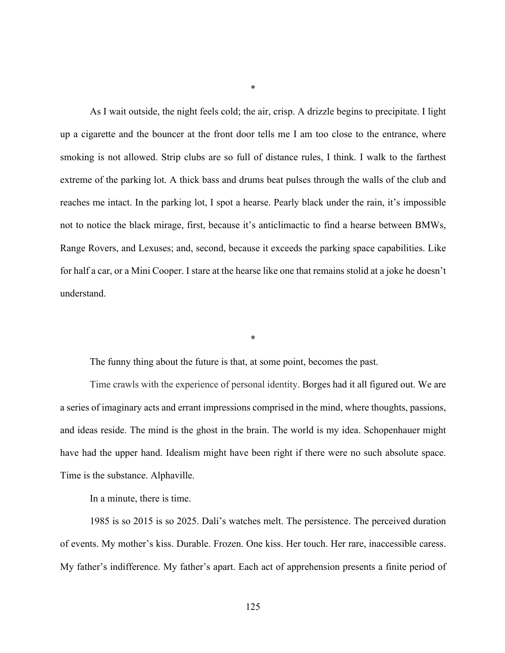As I wait outside, the night feels cold; the air, crisp. A drizzle begins to precipitate. I light up a cigarette and the bouncer at the front door tells me I am too close to the entrance, where smoking is not allowed. Strip clubs are so full of distance rules, I think. I walk to the farthest extreme of the parking lot. A thick bass and drums beat pulses through the walls of the club and reaches me intact. In the parking lot, I spot a hearse. Pearly black under the rain, it's impossible not to notice the black mirage, first, because it's anticlimactic to find a hearse between BMWs, Range Rovers, and Lexuses; and, second, because it exceeds the parking space capabilities. Like for half a car, or a Mini Cooper. I stare at the hearse like one that remains stolid at a joke he doesn't understand.

\*

\*

The funny thing about the future is that, at some point, becomes the past.

Time crawls with the experience of personal identity. Borges had it all figured out. We are a series of imaginary acts and errant impressions comprised in the mind, where thoughts, passions, and ideas reside. The mind is the ghost in the brain. The world is my idea. Schopenhauer might have had the upper hand. Idealism might have been right if there were no such absolute space. Time is the substance. Alphaville.

In a minute, there is time.

1985 is so 2015 is so 2025. Dalí's watches melt. The persistence. The perceived duration of events. My mother's kiss. Durable. Frozen. One kiss. Her touch. Her rare, inaccessible caress. My father's indifference. My father's apart. Each act of apprehension presents a finite period of

125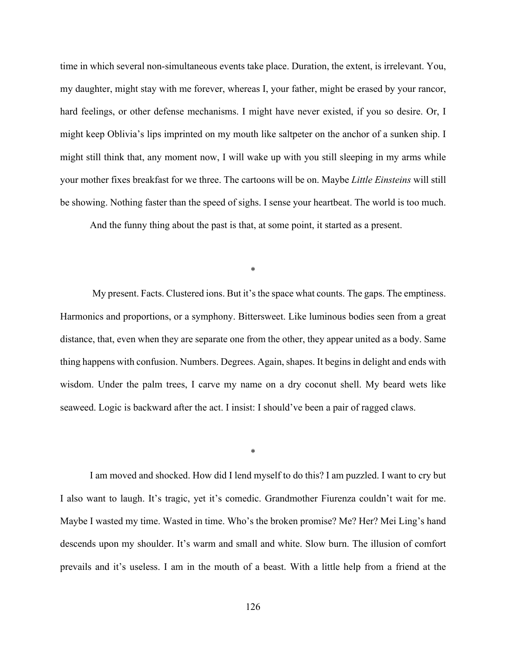time in which several non-simultaneous events take place. Duration, the extent, is irrelevant. You, my daughter, might stay with me forever, whereas I, your father, might be erased by your rancor, hard feelings, or other defense mechanisms. I might have never existed, if you so desire. Or, I might keep Oblivia's lips imprinted on my mouth like saltpeter on the anchor of a sunken ship. I might still think that, any moment now, I will wake up with you still sleeping in my arms while your mother fixes breakfast for we three. The cartoons will be on. Maybe *Little Einsteins* will still be showing. Nothing faster than the speed of sighs. I sense your heartbeat. The world is too much.

And the funny thing about the past is that, at some point, it started as a present.

\*

My present. Facts. Clustered ions. But it's the space what counts. The gaps. The emptiness. Harmonics and proportions, or a symphony. Bittersweet. Like luminous bodies seen from a great distance, that, even when they are separate one from the other, they appear united as a body. Same thing happens with confusion. Numbers. Degrees. Again, shapes. It begins in delight and ends with wisdom. Under the palm trees, I carve my name on a dry coconut shell. My beard wets like seaweed. Logic is backward after the act. I insist: I should've been a pair of ragged claws.

I am moved and shocked. How did I lend myself to do this? I am puzzled. I want to cry but I also want to laugh. It's tragic, yet it's comedic. Grandmother Fiurenza couldn't wait for me. Maybe I wasted my time. Wasted in time. Who's the broken promise? Me? Her? Mei Ling's hand descends upon my shoulder. It's warm and small and white. Slow burn. The illusion of comfort prevails and it's useless. I am in the mouth of a beast. With a little help from a friend at the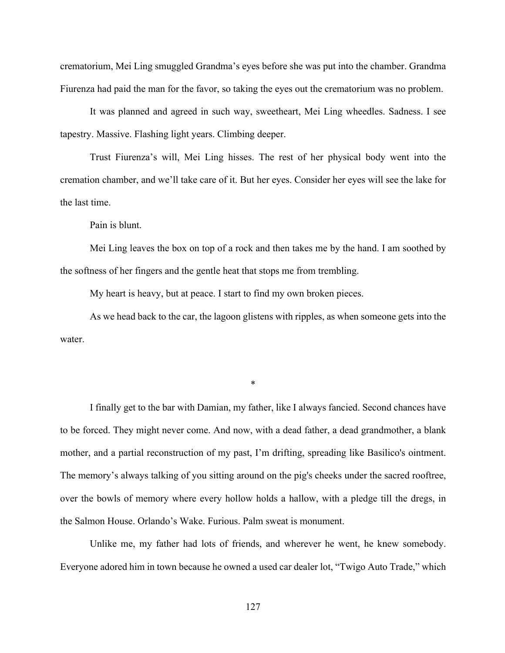crematorium, Mei Ling smuggled Grandma's eyes before she was put into the chamber. Grandma Fiurenza had paid the man for the favor, so taking the eyes out the crematorium was no problem.

It was planned and agreed in such way, sweetheart, Mei Ling wheedles. Sadness. I see tapestry. Massive. Flashing light years. Climbing deeper.

Trust Fiurenza's will, Mei Ling hisses. The rest of her physical body went into the cremation chamber, and we'll take care of it. But her eyes. Consider her eyes will see the lake for the last time.

Pain is blunt.

Mei Ling leaves the box on top of a rock and then takes me by the hand. I am soothed by the softness of her fingers and the gentle heat that stops me from trembling.

My heart is heavy, but at peace. I start to find my own broken pieces.

As we head back to the car, the lagoon glistens with ripples, as when someone gets into the water.

\*

I finally get to the bar with Damian, my father, like I always fancied. Second chances have to be forced. They might never come. And now, with a dead father, a dead grandmother, a blank mother, and a partial reconstruction of my past, I'm drifting, spreading like Basilico's ointment. The memory's always talking of you sitting around on the pig's cheeks under the sacred rooftree, over the bowls of memory where every hollow holds a hallow, with a pledge till the dregs, in the Salmon House. Orlando's Wake. Furious. Palm sweat is monument.

Unlike me, my father had lots of friends, and wherever he went, he knew somebody. Everyone adored him in town because he owned a used car dealer lot, "Twigo Auto Trade," which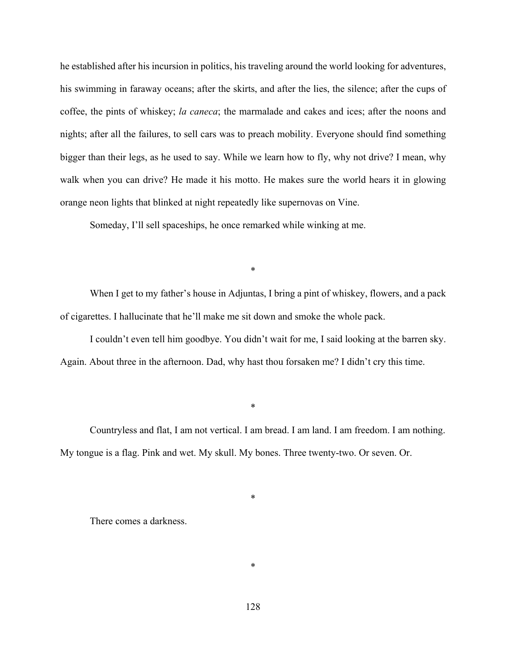he established after his incursion in politics, his traveling around the world looking for adventures, his swimming in faraway oceans; after the skirts, and after the lies, the silence; after the cups of coffee, the pints of whiskey; *la caneca*; the marmalade and cakes and ices; after the noons and nights; after all the failures, to sell cars was to preach mobility. Everyone should find something bigger than their legs, as he used to say. While we learn how to fly, why not drive? I mean, why walk when you can drive? He made it his motto. He makes sure the world hears it in glowing orange neon lights that blinked at night repeatedly like supernovas on Vine.

Someday, I'll sell spaceships, he once remarked while winking at me.

\*

When I get to my father's house in Adjuntas, I bring a pint of whiskey, flowers, and a pack of cigarettes. I hallucinate that he'll make me sit down and smoke the whole pack.

I couldn't even tell him goodbye. You didn't wait for me, I said looking at the barren sky. Again. About three in the afternoon. Dad, why hast thou forsaken me? I didn't cry this time.

\*

Countryless and flat, I am not vertical. I am bread. I am land. I am freedom. I am nothing. My tongue is a flag. Pink and wet. My skull. My bones. Three twenty-two. Or seven. Or.

\*

There comes a darkness.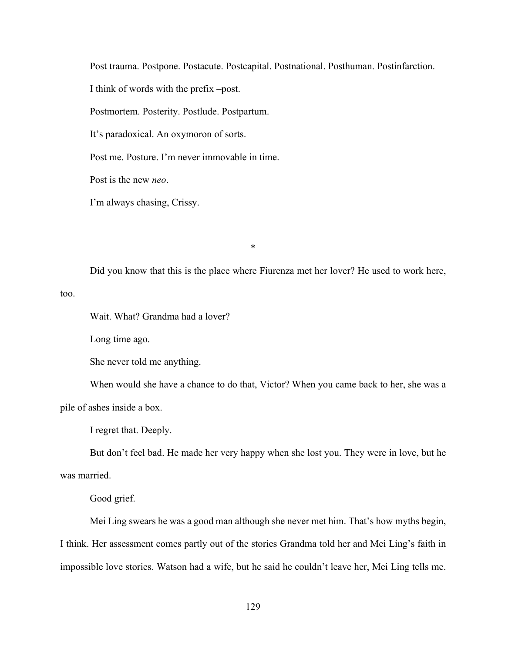Post trauma. Postpone. Postacute. Postcapital. Postnational. Posthuman. Postinfarction.

I think of words with the prefix –post.

Postmortem. Posterity. Postlude. Postpartum.

It's paradoxical. An oxymoron of sorts.

Post me. Posture. I'm never immovable in time.

Post is the new *neo*.

I'm always chasing, Crissy.

\*

Did you know that this is the place where Fiurenza met her lover? He used to work here, too.

Wait. What? Grandma had a lover?

Long time ago.

She never told me anything.

When would she have a chance to do that, Victor? When you came back to her, she was a pile of ashes inside a box.

I regret that. Deeply.

But don't feel bad. He made her very happy when she lost you. They were in love, but he was married.

Good grief.

Mei Ling swears he was a good man although she never met him. That's how myths begin, I think. Her assessment comes partly out of the stories Grandma told her and Mei Ling's faith in impossible love stories. Watson had a wife, but he said he couldn't leave her, Mei Ling tells me.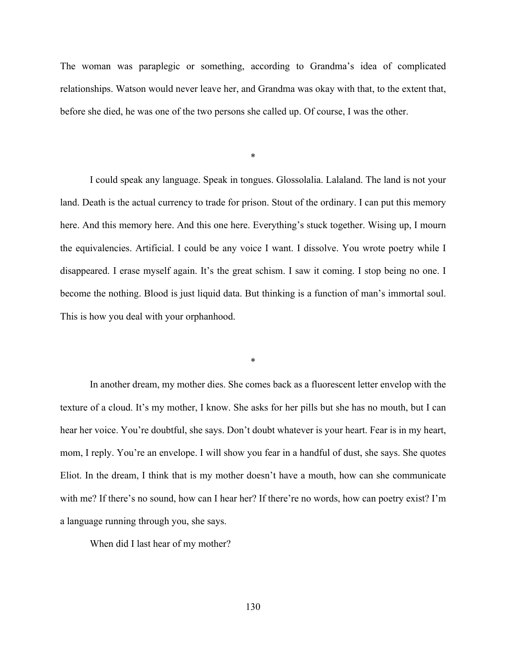The woman was paraplegic or something, according to Grandma's idea of complicated relationships. Watson would never leave her, and Grandma was okay with that, to the extent that, before she died, he was one of the two persons she called up. Of course, I was the other.

\*

I could speak any language. Speak in tongues. Glossolalia. Lalaland. The land is not your land. Death is the actual currency to trade for prison. Stout of the ordinary. I can put this memory here. And this memory here. And this one here. Everything's stuck together. Wising up, I mourn the equivalencies. Artificial. I could be any voice I want. I dissolve. You wrote poetry while I disappeared. I erase myself again. It's the great schism. I saw it coming. I stop being no one. I become the nothing. Blood is just liquid data. But thinking is a function of man's immortal soul. This is how you deal with your orphanhood.

\*

In another dream, my mother dies. She comes back as a fluorescent letter envelop with the texture of a cloud. It's my mother, I know. She asks for her pills but she has no mouth, but I can hear her voice. You're doubtful, she says. Don't doubt whatever is your heart. Fear is in my heart, mom, I reply. You're an envelope. I will show you fear in a handful of dust, she says. She quotes Eliot. In the dream, I think that is my mother doesn't have a mouth, how can she communicate with me? If there's no sound, how can I hear her? If there're no words, how can poetry exist? I'm a language running through you, she says.

When did I last hear of my mother?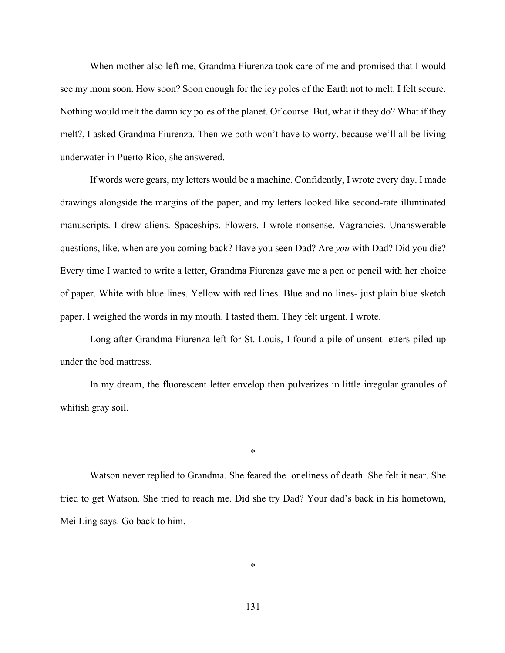When mother also left me, Grandma Fiurenza took care of me and promised that I would see my mom soon. How soon? Soon enough for the icy poles of the Earth not to melt. I felt secure. Nothing would melt the damn icy poles of the planet. Of course. But, what if they do? What if they melt?, I asked Grandma Fiurenza. Then we both won't have to worry, because we'll all be living underwater in Puerto Rico, she answered.

If words were gears, my letters would be a machine. Confidently, I wrote every day. I made drawings alongside the margins of the paper, and my letters looked like second-rate illuminated manuscripts. I drew aliens. Spaceships. Flowers. I wrote nonsense. Vagrancies. Unanswerable questions, like, when are you coming back? Have you seen Dad? Are *you* with Dad? Did you die? Every time I wanted to write a letter, Grandma Fiurenza gave me a pen or pencil with her choice of paper. White with blue lines. Yellow with red lines. Blue and no lines- just plain blue sketch paper. I weighed the words in my mouth. I tasted them. They felt urgent. I wrote.

Long after Grandma Fiurenza left for St. Louis, I found a pile of unsent letters piled up under the bed mattress.

In my dream, the fluorescent letter envelop then pulverizes in little irregular granules of whitish gray soil.

\*

Watson never replied to Grandma. She feared the loneliness of death. She felt it near. She tried to get Watson. She tried to reach me. Did she try Dad? Your dad's back in his hometown, Mei Ling says. Go back to him.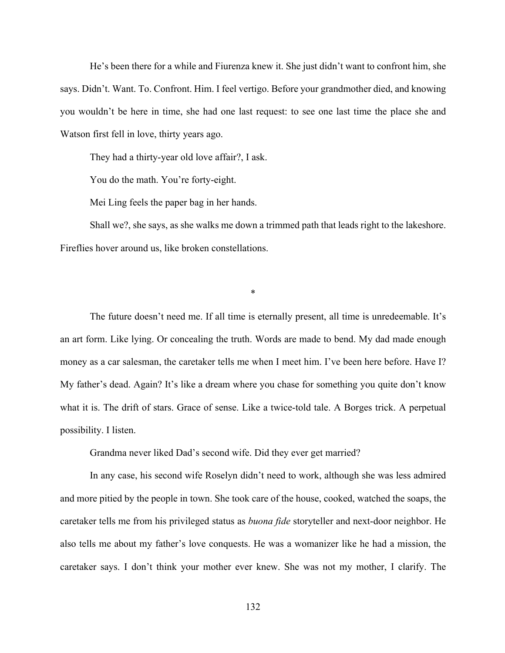He's been there for a while and Fiurenza knew it. She just didn't want to confront him, she says. Didn't. Want. To. Confront. Him. I feel vertigo. Before your grandmother died, and knowing you wouldn't be here in time, she had one last request: to see one last time the place she and Watson first fell in love, thirty years ago.

They had a thirty-year old love affair?, I ask.

You do the math. You're forty-eight.

Mei Ling feels the paper bag in her hands.

Shall we?, she says, as she walks me down a trimmed path that leads right to the lakeshore. Fireflies hover around us, like broken constellations.

\*

The future doesn't need me. If all time is eternally present, all time is unredeemable. It's an art form. Like lying. Or concealing the truth. Words are made to bend. My dad made enough money as a car salesman, the caretaker tells me when I meet him. I've been here before. Have I? My father's dead. Again? It's like a dream where you chase for something you quite don't know what it is. The drift of stars. Grace of sense. Like a twice-told tale. A Borges trick. A perpetual possibility. I listen.

Grandma never liked Dad's second wife. Did they ever get married?

In any case, his second wife Roselyn didn't need to work, although she was less admired and more pitied by the people in town. She took care of the house, cooked, watched the soaps, the caretaker tells me from his privileged status as *buona fide* storyteller and next-door neighbor. He also tells me about my father's love conquests. He was a womanizer like he had a mission, the caretaker says. I don't think your mother ever knew. She was not my mother, I clarify. The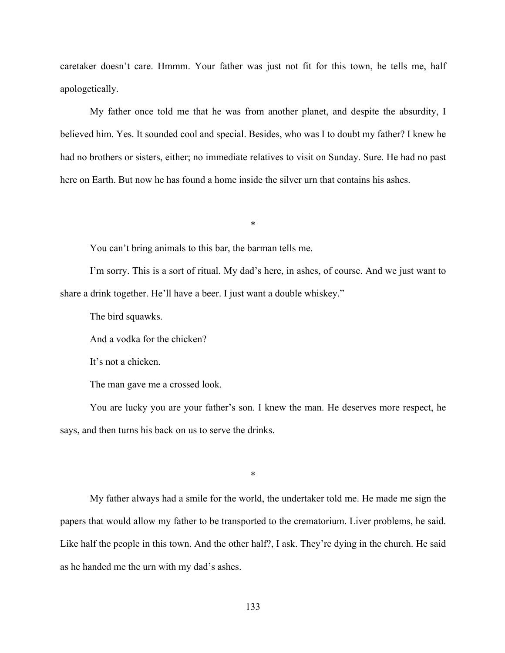caretaker doesn't care. Hmmm. Your father was just not fit for this town, he tells me, half apologetically.

My father once told me that he was from another planet, and despite the absurdity, I believed him. Yes. It sounded cool and special. Besides, who was I to doubt my father? I knew he had no brothers or sisters, either; no immediate relatives to visit on Sunday. Sure. He had no past here on Earth. But now he has found a home inside the silver urn that contains his ashes.

\*

You can't bring animals to this bar, the barman tells me.

I'm sorry. This is a sort of ritual. My dad's here, in ashes, of course. And we just want to share a drink together. He'll have a beer. I just want a double whiskey."

The bird squawks.

And a vodka for the chicken?

It's not a chicken.

The man gave me a crossed look.

You are lucky you are your father's son. I knew the man. He deserves more respect, he says, and then turns his back on us to serve the drinks.

\*

My father always had a smile for the world, the undertaker told me. He made me sign the papers that would allow my father to be transported to the crematorium. Liver problems, he said. Like half the people in this town. And the other half?, I ask. They're dying in the church. He said as he handed me the urn with my dad's ashes.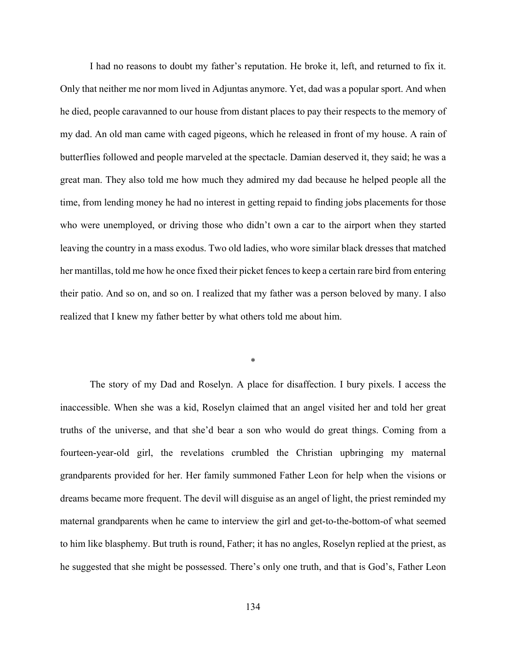I had no reasons to doubt my father's reputation. He broke it, left, and returned to fix it. Only that neither me nor mom lived in Adjuntas anymore. Yet, dad was a popular sport. And when he died, people caravanned to our house from distant places to pay their respects to the memory of my dad. An old man came with caged pigeons, which he released in front of my house. A rain of butterflies followed and people marveled at the spectacle. Damian deserved it, they said; he was a great man. They also told me how much they admired my dad because he helped people all the time, from lending money he had no interest in getting repaid to finding jobs placements for those who were unemployed, or driving those who didn't own a car to the airport when they started leaving the country in a mass exodus. Two old ladies, who wore similar black dresses that matched her mantillas, told me how he once fixed their picket fences to keep a certain rare bird from entering their patio. And so on, and so on. I realized that my father was a person beloved by many. I also realized that I knew my father better by what others told me about him.

\*

The story of my Dad and Roselyn. A place for disaffection. I bury pixels. I access the inaccessible. When she was a kid, Roselyn claimed that an angel visited her and told her great truths of the universe, and that she'd bear a son who would do great things. Coming from a fourteen-year-old girl, the revelations crumbled the Christian upbringing my maternal grandparents provided for her. Her family summoned Father Leon for help when the visions or dreams became more frequent. The devil will disguise as an angel of light, the priest reminded my maternal grandparents when he came to interview the girl and get-to-the-bottom-of what seemed to him like blasphemy. But truth is round, Father; it has no angles, Roselyn replied at the priest, as he suggested that she might be possessed. There's only one truth, and that is God's, Father Leon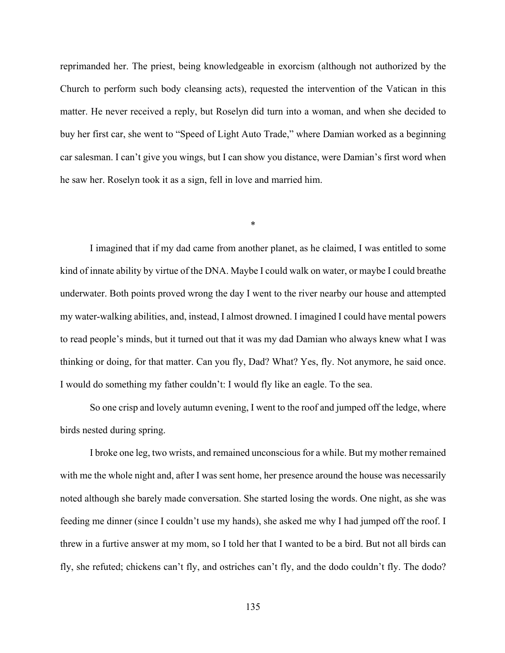reprimanded her. The priest, being knowledgeable in exorcism (although not authorized by the Church to perform such body cleansing acts), requested the intervention of the Vatican in this matter. He never received a reply, but Roselyn did turn into a woman, and when she decided to buy her first car, she went to "Speed of Light Auto Trade," where Damian worked as a beginning car salesman. I can't give you wings, but I can show you distance, were Damian's first word when he saw her. Roselyn took it as a sign, fell in love and married him.

\*

I imagined that if my dad came from another planet, as he claimed, I was entitled to some kind of innate ability by virtue of the DNA. Maybe I could walk on water, or maybe I could breathe underwater. Both points proved wrong the day I went to the river nearby our house and attempted my water-walking abilities, and, instead, I almost drowned. I imagined I could have mental powers to read people's minds, but it turned out that it was my dad Damian who always knew what I was thinking or doing, for that matter. Can you fly, Dad? What? Yes, fly. Not anymore, he said once. I would do something my father couldn't: I would fly like an eagle. To the sea.

So one crisp and lovely autumn evening, I went to the roof and jumped off the ledge, where birds nested during spring.

I broke one leg, two wrists, and remained unconscious for a while. But my mother remained with me the whole night and, after I was sent home, her presence around the house was necessarily noted although she barely made conversation. She started losing the words. One night, as she was feeding me dinner (since I couldn't use my hands), she asked me why I had jumped off the roof. I threw in a furtive answer at my mom, so I told her that I wanted to be a bird. But not all birds can fly, she refuted; chickens can't fly, and ostriches can't fly, and the dodo couldn't fly. The dodo?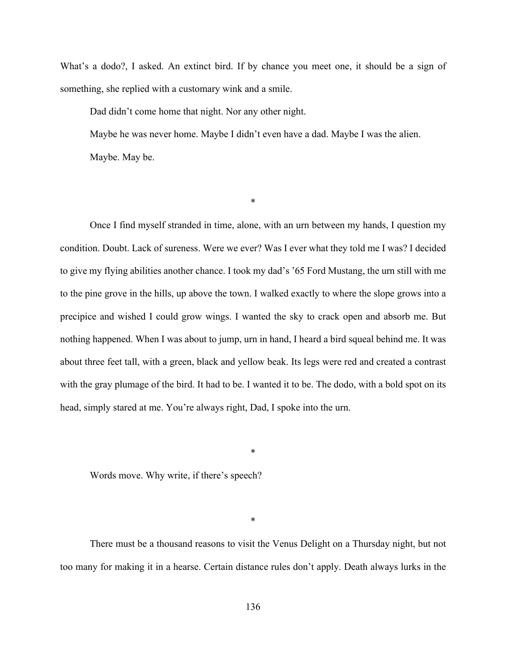What's a dodo?, I asked. An extinct bird. If by chance you meet one, it should be a sign of something, she replied with a customary wink and a smile.

Dad didn't come home that night. Nor any other night.

Maybe he was never home. Maybe I didn't even have a dad. Maybe I was the alien.

Maybe. May be.

\*

Once I find myself stranded in time, alone, with an urn between my hands, I question my condition. Doubt. Lack of sureness. Were we ever? Was I ever what they told me I was? I decided to give my flying abilities another chance. I took my dad's '65 Ford Mustang, the urn still with me to the pine grove in the hills, up above the town. I walked exactly to where the slope grows into a precipice and wished I could grow wings. I wanted the sky to crack open and absorb me. But nothing happened. When I was about to jump, urn in hand, I heard a bird squeal behind me. It was about three feet tall, with a green, black and yellow beak. Its legs were red and created a contrast with the gray plumage of the bird. It had to be. I wanted it to be. The dodo, with a bold spot on its head, simply stared at me. You're always right, Dad, I spoke into the urn.

Words move. Why write, if there's speech?

\*

\*

There must be a thousand reasons to visit the Venus Delight on a Thursday night, but not too many for making it in a hearse. Certain distance rules don't apply. Death always lurks in the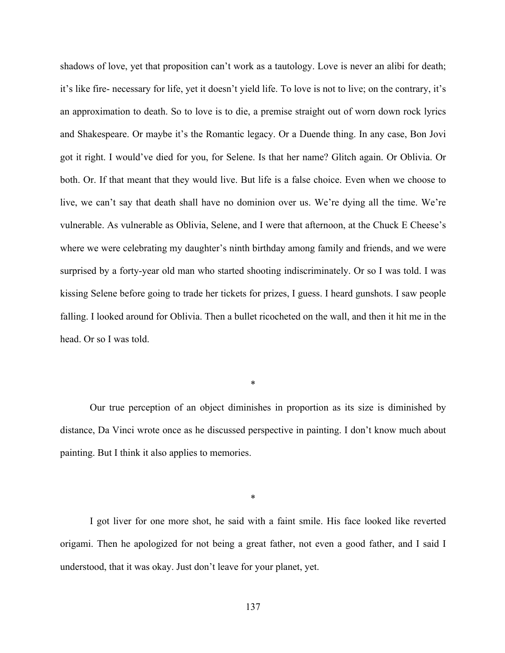shadows of love, yet that proposition can't work as a tautology. Love is never an alibi for death; it's like fire- necessary for life, yet it doesn't yield life. To love is not to live; on the contrary, it's an approximation to death. So to love is to die, a premise straight out of worn down rock lyrics and Shakespeare. Or maybe it's the Romantic legacy. Or a Duende thing. In any case, Bon Jovi got it right. I would've died for you, for Selene. Is that her name? Glitch again. Or Oblivia. Or both. Or. If that meant that they would live. But life is a false choice. Even when we choose to live, we can't say that death shall have no dominion over us. We're dying all the time. We're vulnerable. As vulnerable as Oblivia, Selene, and I were that afternoon, at the Chuck E Cheese's where we were celebrating my daughter's ninth birthday among family and friends, and we were surprised by a forty-year old man who started shooting indiscriminately. Or so I was told. I was kissing Selene before going to trade her tickets for prizes, I guess. I heard gunshots. I saw people falling. I looked around for Oblivia. Then a bullet ricocheted on the wall, and then it hit me in the head. Or so I was told.

\*

Our true perception of an object diminishes in proportion as its size is diminished by distance, Da Vinci wrote once as he discussed perspective in painting. I don't know much about painting. But I think it also applies to memories.

\*

I got liver for one more shot, he said with a faint smile. His face looked like reverted origami. Then he apologized for not being a great father, not even a good father, and I said I understood, that it was okay. Just don't leave for your planet, yet.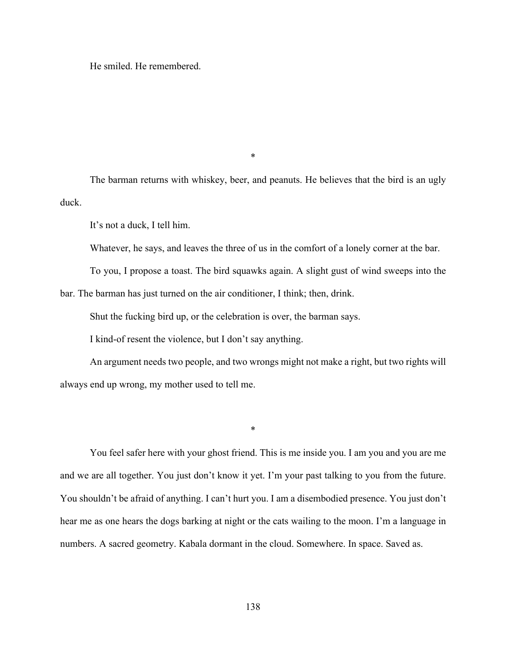He smiled. He remembered.

The barman returns with whiskey, beer, and peanuts. He believes that the bird is an ugly duck.

\*

It's not a duck, I tell him.

Whatever, he says, and leaves the three of us in the comfort of a lonely corner at the bar.

To you, I propose a toast. The bird squawks again. A slight gust of wind sweeps into the bar. The barman has just turned on the air conditioner, I think; then, drink.

Shut the fucking bird up, or the celebration is over, the barman says.

I kind-of resent the violence, but I don't say anything.

An argument needs two people, and two wrongs might not make a right, but two rights will always end up wrong, my mother used to tell me.

\*

You feel safer here with your ghost friend. This is me inside you. I am you and you are me and we are all together. You just don't know it yet. I'm your past talking to you from the future. You shouldn't be afraid of anything. I can't hurt you. I am a disembodied presence. You just don't hear me as one hears the dogs barking at night or the cats wailing to the moon. I'm a language in numbers. A sacred geometry. Kabala dormant in the cloud. Somewhere. In space. Saved as.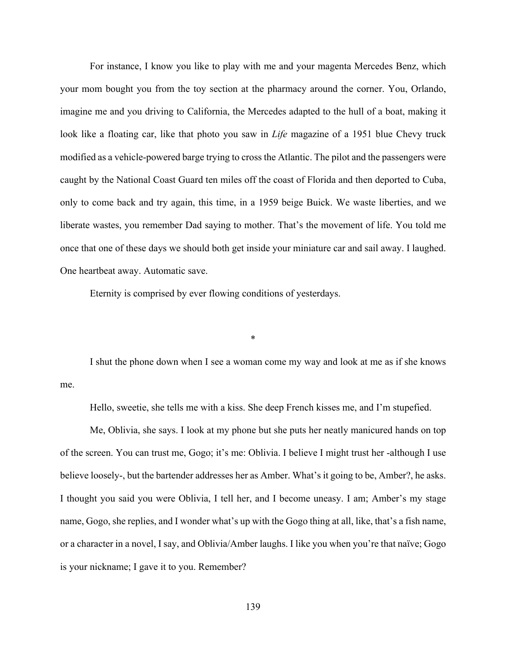For instance, I know you like to play with me and your magenta Mercedes Benz, which your mom bought you from the toy section at the pharmacy around the corner. You, Orlando, imagine me and you driving to California, the Mercedes adapted to the hull of a boat, making it look like a floating car, like that photo you saw in *Life* magazine of a 1951 blue Chevy truck modified as a vehicle-powered barge trying to cross the Atlantic. The pilot and the passengers were caught by the National Coast Guard ten miles off the coast of Florida and then deported to Cuba, only to come back and try again, this time, in a 1959 beige Buick. We waste liberties, and we liberate wastes, you remember Dad saying to mother. That's the movement of life. You told me once that one of these days we should both get inside your miniature car and sail away. I laughed. One heartbeat away. Automatic save.

Eternity is comprised by ever flowing conditions of yesterdays.

\*

I shut the phone down when I see a woman come my way and look at me as if she knows me.

Hello, sweetie, she tells me with a kiss. She deep French kisses me, and I'm stupefied.

Me, Oblivia, she says. I look at my phone but she puts her neatly manicured hands on top of the screen. You can trust me, Gogo; it's me: Oblivia. I believe I might trust her -although I use believe loosely-, but the bartender addresses her as Amber. What's it going to be, Amber?, he asks. I thought you said you were Oblivia, I tell her, and I become uneasy. I am; Amber's my stage name, Gogo, she replies, and I wonder what's up with the Gogo thing at all, like, that's a fish name, or a character in a novel, I say, and Oblivia/Amber laughs. I like you when you're that naïve; Gogo is your nickname; I gave it to you. Remember?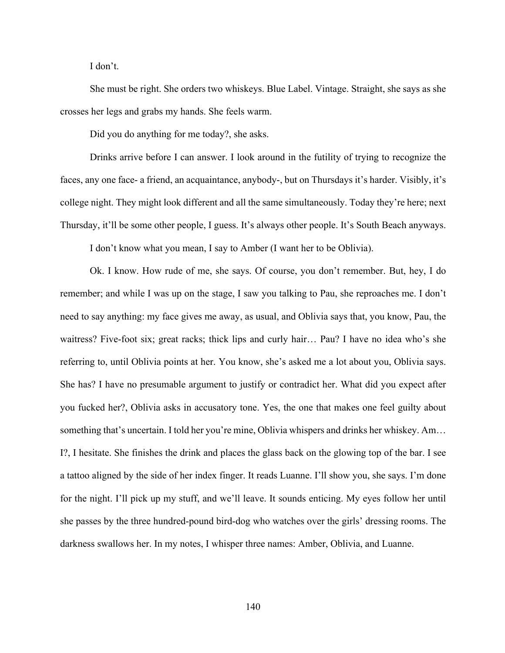I don't.

She must be right. She orders two whiskeys. Blue Label. Vintage. Straight, she says as she crosses her legs and grabs my hands. She feels warm.

Did you do anything for me today?, she asks.

Drinks arrive before I can answer. I look around in the futility of trying to recognize the faces, any one face- a friend, an acquaintance, anybody-, but on Thursdays it's harder. Visibly, it's college night. They might look different and all the same simultaneously. Today they're here; next Thursday, it'll be some other people, I guess. It's always other people. It's South Beach anyways.

I don't know what you mean, I say to Amber (I want her to be Oblivia).

Ok. I know. How rude of me, she says. Of course, you don't remember. But, hey, I do remember; and while I was up on the stage, I saw you talking to Pau, she reproaches me. I don't need to say anything: my face gives me away, as usual, and Oblivia says that, you know, Pau, the waitress? Five-foot six; great racks; thick lips and curly hair… Pau? I have no idea who's she referring to, until Oblivia points at her. You know, she's asked me a lot about you, Oblivia says. She has? I have no presumable argument to justify or contradict her. What did you expect after you fucked her?, Oblivia asks in accusatory tone. Yes, the one that makes one feel guilty about something that's uncertain. I told her you're mine, Oblivia whispers and drinks her whiskey. Am... I?, I hesitate. She finishes the drink and places the glass back on the glowing top of the bar. I see a tattoo aligned by the side of her index finger. It reads Luanne. I'll show you, she says. I'm done for the night. I'll pick up my stuff, and we'll leave. It sounds enticing. My eyes follow her until she passes by the three hundred-pound bird-dog who watches over the girls' dressing rooms. The darkness swallows her. In my notes, I whisper three names: Amber, Oblivia, and Luanne.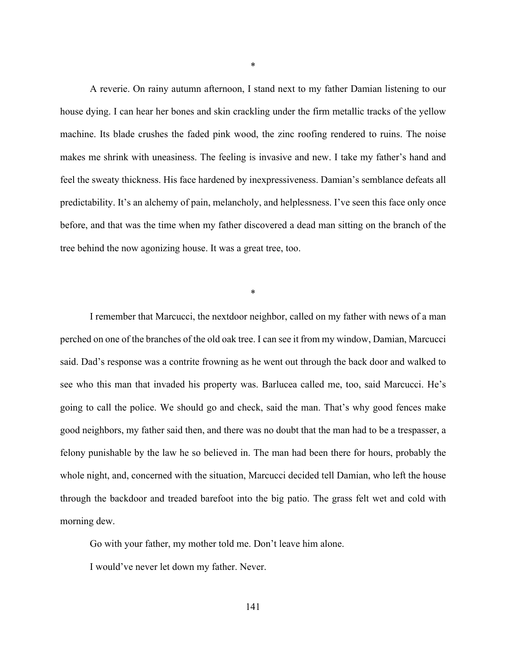A reverie. On rainy autumn afternoon, I stand next to my father Damian listening to our house dying. I can hear her bones and skin crackling under the firm metallic tracks of the yellow machine. Its blade crushes the faded pink wood, the zinc roofing rendered to ruins. The noise makes me shrink with uneasiness. The feeling is invasive and new. I take my father's hand and feel the sweaty thickness. His face hardened by inexpressiveness. Damian's semblance defeats all predictability. It's an alchemy of pain, melancholy, and helplessness. I've seen this face only once before, and that was the time when my father discovered a dead man sitting on the branch of the tree behind the now agonizing house. It was a great tree, too.

\*

\*

I remember that Marcucci, the nextdoor neighbor, called on my father with news of a man perched on one of the branches of the old oak tree. I can see it from my window, Damian, Marcucci said. Dad's response was a contrite frowning as he went out through the back door and walked to see who this man that invaded his property was. Barlucea called me, too, said Marcucci. He's going to call the police. We should go and check, said the man. That's why good fences make good neighbors, my father said then, and there was no doubt that the man had to be a trespasser, a felony punishable by the law he so believed in. The man had been there for hours, probably the whole night, and, concerned with the situation, Marcucci decided tell Damian, who left the house through the backdoor and treaded barefoot into the big patio. The grass felt wet and cold with morning dew.

Go with your father, my mother told me. Don't leave him alone.

I would've never let down my father. Never.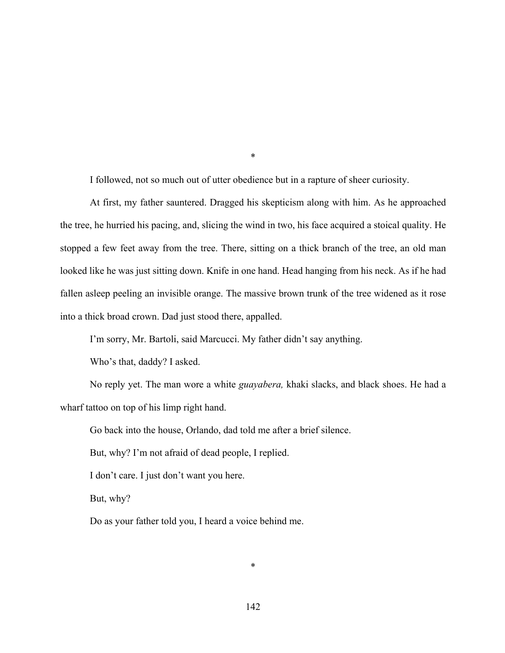I followed, not so much out of utter obedience but in a rapture of sheer curiosity.

At first, my father sauntered. Dragged his skepticism along with him. As he approached the tree, he hurried his pacing, and, slicing the wind in two, his face acquired a stoical quality. He stopped a few feet away from the tree. There, sitting on a thick branch of the tree, an old man looked like he was just sitting down. Knife in one hand. Head hanging from his neck. As if he had fallen asleep peeling an invisible orange. The massive brown trunk of the tree widened as it rose into a thick broad crown. Dad just stood there, appalled.

I'm sorry, Mr. Bartoli, said Marcucci. My father didn't say anything.

Who's that, daddy? I asked.

No reply yet. The man wore a white *guayabera,* khaki slacks, and black shoes. He had a wharf tattoo on top of his limp right hand.

Go back into the house, Orlando, dad told me after a brief silence.

But, why? I'm not afraid of dead people, I replied.

I don't care. I just don't want you here.

But, why?

Do as your father told you, I heard a voice behind me.

\*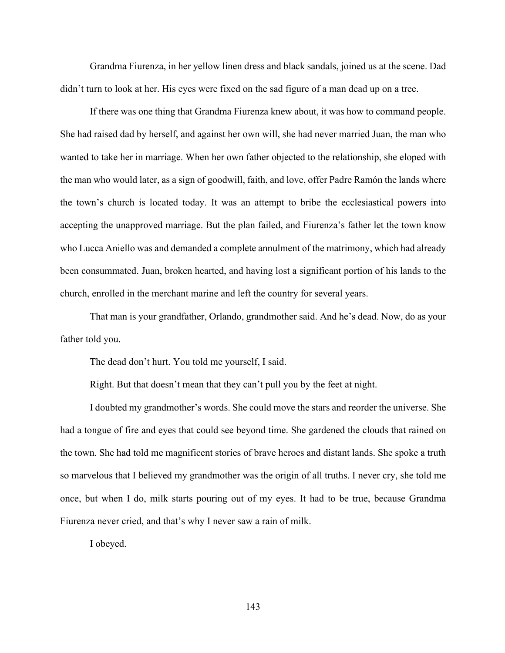Grandma Fiurenza, in her yellow linen dress and black sandals, joined us at the scene. Dad didn't turn to look at her. His eyes were fixed on the sad figure of a man dead up on a tree.

If there was one thing that Grandma Fiurenza knew about, it was how to command people. She had raised dad by herself, and against her own will, she had never married Juan, the man who wanted to take her in marriage. When her own father objected to the relationship, she eloped with the man who would later, as a sign of goodwill, faith, and love, offer Padre Ramón the lands where the town's church is located today. It was an attempt to bribe the ecclesiastical powers into accepting the unapproved marriage. But the plan failed, and Fiurenza's father let the town know who Lucca Aniello was and demanded a complete annulment of the matrimony, which had already been consummated. Juan, broken hearted, and having lost a significant portion of his lands to the church, enrolled in the merchant marine and left the country for several years.

That man is your grandfather, Orlando, grandmother said. And he's dead. Now, do as your father told you.

The dead don't hurt. You told me yourself, I said.

Right. But that doesn't mean that they can't pull you by the feet at night.

I doubted my grandmother's words. She could move the stars and reorder the universe. She had a tongue of fire and eyes that could see beyond time. She gardened the clouds that rained on the town. She had told me magnificent stories of brave heroes and distant lands. She spoke a truth so marvelous that I believed my grandmother was the origin of all truths. I never cry, she told me once, but when I do, milk starts pouring out of my eyes. It had to be true, because Grandma Fiurenza never cried, and that's why I never saw a rain of milk.

I obeyed.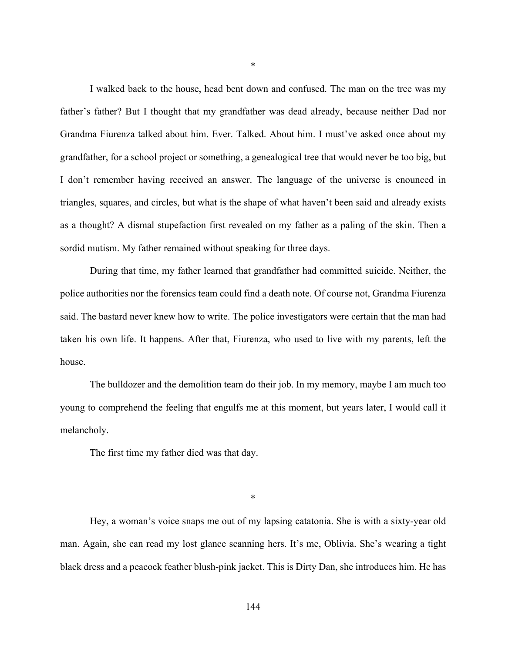I walked back to the house, head bent down and confused. The man on the tree was my father's father? But I thought that my grandfather was dead already, because neither Dad nor Grandma Fiurenza talked about him. Ever. Talked. About him. I must've asked once about my grandfather, for a school project or something, a genealogical tree that would never be too big, but I don't remember having received an answer. The language of the universe is enounced in triangles, squares, and circles, but what is the shape of what haven't been said and already exists as a thought? A dismal stupefaction first revealed on my father as a paling of the skin. Then a sordid mutism. My father remained without speaking for three days.

During that time, my father learned that grandfather had committed suicide. Neither, the police authorities nor the forensics team could find a death note. Of course not, Grandma Fiurenza said. The bastard never knew how to write. The police investigators were certain that the man had taken his own life. It happens. After that, Fiurenza, who used to live with my parents, left the house.

The bulldozer and the demolition team do their job. In my memory, maybe I am much too young to comprehend the feeling that engulfs me at this moment, but years later, I would call it melancholy.

The first time my father died was that day.

\*

Hey, a woman's voice snaps me out of my lapsing catatonia. She is with a sixty-year old man. Again, she can read my lost glance scanning hers. It's me, Oblivia. She's wearing a tight black dress and a peacock feather blush-pink jacket. This is Dirty Dan, she introduces him. He has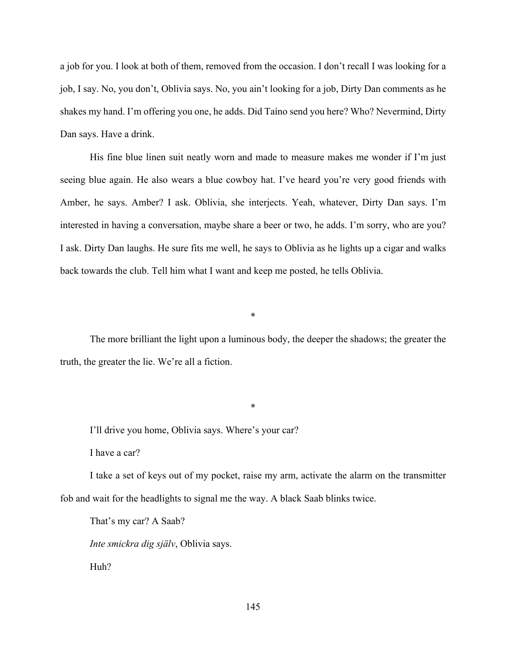a job for you. I look at both of them, removed from the occasion. I don't recall I was looking for a job, I say. No, you don't, Oblivia says. No, you ain't looking for a job, Dirty Dan comments as he shakes my hand. I'm offering you one, he adds. Did Taíno send you here? Who? Nevermind, Dirty Dan says. Have a drink.

His fine blue linen suit neatly worn and made to measure makes me wonder if I'm just seeing blue again. He also wears a blue cowboy hat. I've heard you're very good friends with Amber, he says. Amber? I ask. Oblivia, she interjects. Yeah, whatever, Dirty Dan says. I'm interested in having a conversation, maybe share a beer or two, he adds. I'm sorry, who are you? I ask. Dirty Dan laughs. He sure fits me well, he says to Oblivia as he lights up a cigar and walks back towards the club. Tell him what I want and keep me posted, he tells Oblivia.

\*

The more brilliant the light upon a luminous body, the deeper the shadows; the greater the truth, the greater the lie. We're all a fiction.

\*

I'll drive you home, Oblivia says. Where's your car? I have a car?

I take a set of keys out of my pocket, raise my arm, activate the alarm on the transmitter fob and wait for the headlights to signal me the way. A black Saab blinks twice.

That's my car? A Saab? *Inte smickra dig själv*, Oblivia says. Huh?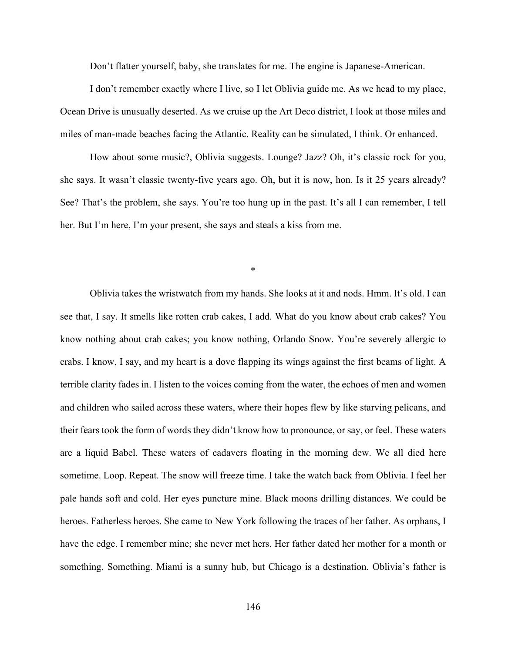Don't flatter yourself, baby, she translates for me. The engine is Japanese-American.

I don't remember exactly where I live, so I let Oblivia guide me. As we head to my place, Ocean Drive is unusually deserted. As we cruise up the Art Deco district, I look at those miles and miles of man-made beaches facing the Atlantic. Reality can be simulated, I think. Or enhanced.

How about some music?, Oblivia suggests. Lounge? Jazz? Oh, it's classic rock for you, she says. It wasn't classic twenty-five years ago. Oh, but it is now, hon. Is it 25 years already? See? That's the problem, she says. You're too hung up in the past. It's all I can remember, I tell her. But I'm here, I'm your present, she says and steals a kiss from me.

\*

Oblivia takes the wristwatch from my hands. She looks at it and nods. Hmm. It's old. I can see that, I say. It smells like rotten crab cakes, I add. What do you know about crab cakes? You know nothing about crab cakes; you know nothing, Orlando Snow. You're severely allergic to crabs. I know, I say, and my heart is a dove flapping its wings against the first beams of light. A terrible clarity fades in. I listen to the voices coming from the water, the echoes of men and women and children who sailed across these waters, where their hopes flew by like starving pelicans, and their fears took the form of words they didn't know how to pronounce, or say, or feel. These waters are a liquid Babel. These waters of cadavers floating in the morning dew. We all died here sometime. Loop. Repeat. The snow will freeze time. I take the watch back from Oblivia. I feel her pale hands soft and cold. Her eyes puncture mine. Black moons drilling distances. We could be heroes. Fatherless heroes. She came to New York following the traces of her father. As orphans, I have the edge. I remember mine; she never met hers. Her father dated her mother for a month or something. Something. Miami is a sunny hub, but Chicago is a destination. Oblivia's father is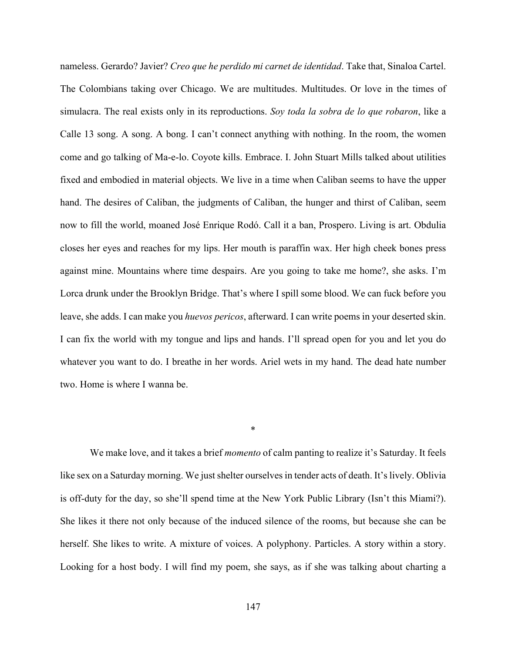nameless. Gerardo? Javier? *Creo que he perdido mi carnet de identidad*. Take that, Sinaloa Cartel. The Colombians taking over Chicago. We are multitudes. Multitudes. Or love in the times of simulacra. The real exists only in its reproductions. *Soy toda la sobra de lo que robaron*, like a Calle 13 song. A song. A bong. I can't connect anything with nothing. In the room, the women come and go talking of Ma-e-lo. Coyote kills. Embrace. I. John Stuart Mills talked about utilities fixed and embodied in material objects. We live in a time when Caliban seems to have the upper hand. The desires of Caliban, the judgments of Caliban, the hunger and thirst of Caliban, seem now to fill the world, moaned José Enrique Rodó. Call it a ban, Prospero. Living is art. Obdulia closes her eyes and reaches for my lips. Her mouth is paraffin wax. Her high cheek bones press against mine. Mountains where time despairs. Are you going to take me home?, she asks. I'm Lorca drunk under the Brooklyn Bridge. That's where I spill some blood. We can fuck before you leave, she adds. I can make you *huevos pericos*, afterward. I can write poems in your deserted skin. I can fix the world with my tongue and lips and hands. I'll spread open for you and let you do whatever you want to do. I breathe in her words. Ariel wets in my hand. The dead hate number two. Home is where I wanna be.

We make love, and it takes a brief *momento* of calm panting to realize it's Saturday. It feels like sex on a Saturday morning. We just shelter ourselves in tender acts of death. It's lively. Oblivia is off-duty for the day, so she'll spend time at the New York Public Library (Isn't this Miami?). She likes it there not only because of the induced silence of the rooms, but because she can be herself. She likes to write. A mixture of voices. A polyphony. Particles. A story within a story. Looking for a host body. I will find my poem, she says, as if she was talking about charting a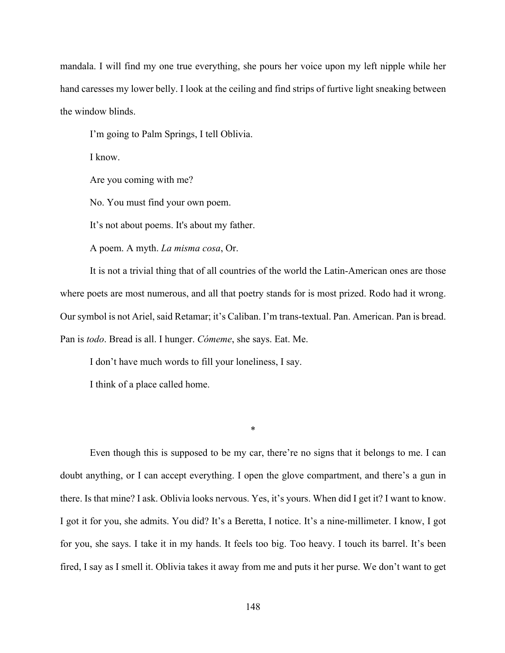mandala. I will find my one true everything, she pours her voice upon my left nipple while her hand caresses my lower belly. I look at the ceiling and find strips of furtive light sneaking between the window blinds.

I'm going to Palm Springs, I tell Oblivia.

I know.

Are you coming with me?

No. You must find your own poem.

It's not about poems. It's about my father.

A poem. A myth. *La misma cosa*, Or.

It is not a trivial thing that of all countries of the world the Latin-American ones are those where poets are most numerous, and all that poetry stands for is most prized. Rodo had it wrong. Our symbol is not Ariel, said Retamar; it's Caliban. I'm trans-textual. Pan. American. Pan is bread. Pan is *todo*. Bread is all. I hunger. *Cómeme*, she says. Eat. Me.

I don't have much words to fill your loneliness, I say.

I think of a place called home.

Even though this is supposed to be my car, there're no signs that it belongs to me. I can doubt anything, or I can accept everything. I open the glove compartment, and there's a gun in there. Is that mine? I ask. Oblivia looks nervous. Yes, it's yours. When did I get it? I want to know. I got it for you, she admits. You did? It's a Beretta, I notice. It's a nine-millimeter. I know, I got for you, she says. I take it in my hands. It feels too big. Too heavy. I touch its barrel. It's been fired, I say as I smell it. Oblivia takes it away from me and puts it her purse. We don't want to get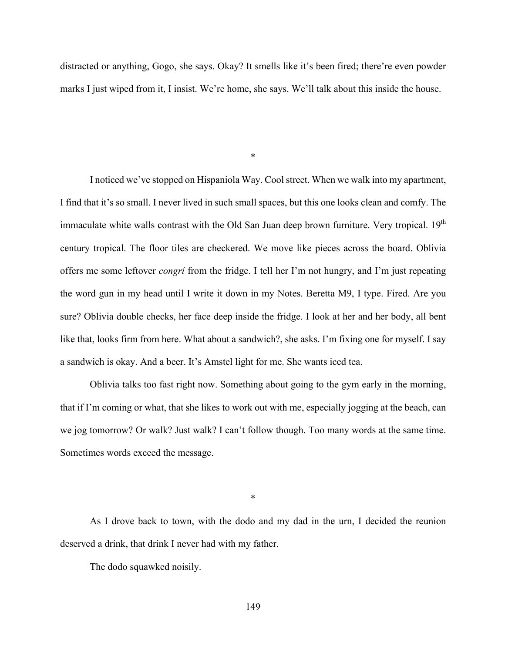distracted or anything, Gogo, she says. Okay? It smells like it's been fired; there're even powder marks I just wiped from it, I insist. We're home, she says. We'll talk about this inside the house.

\*

I noticed we've stopped on Hispaniola Way. Cool street. When we walk into my apartment, I find that it's so small. I never lived in such small spaces, but this one looks clean and comfy. The immaculate white walls contrast with the Old San Juan deep brown furniture. Very tropical. 19<sup>th</sup> century tropical. The floor tiles are checkered. We move like pieces across the board. Oblivia offers me some leftover *congrí* from the fridge. I tell her I'm not hungry, and I'm just repeating the word gun in my head until I write it down in my Notes. Beretta M9, I type. Fired. Are you sure? Oblivia double checks, her face deep inside the fridge. I look at her and her body, all bent like that, looks firm from here. What about a sandwich?, she asks. I'm fixing one for myself. I say a sandwich is okay. And a beer. It's Amstel light for me. She wants iced tea.

Oblivia talks too fast right now. Something about going to the gym early in the morning, that if I'm coming or what, that she likes to work out with me, especially jogging at the beach, can we jog tomorrow? Or walk? Just walk? I can't follow though. Too many words at the same time. Sometimes words exceed the message.

\*

As I drove back to town, with the dodo and my dad in the urn, I decided the reunion deserved a drink, that drink I never had with my father.

The dodo squawked noisily.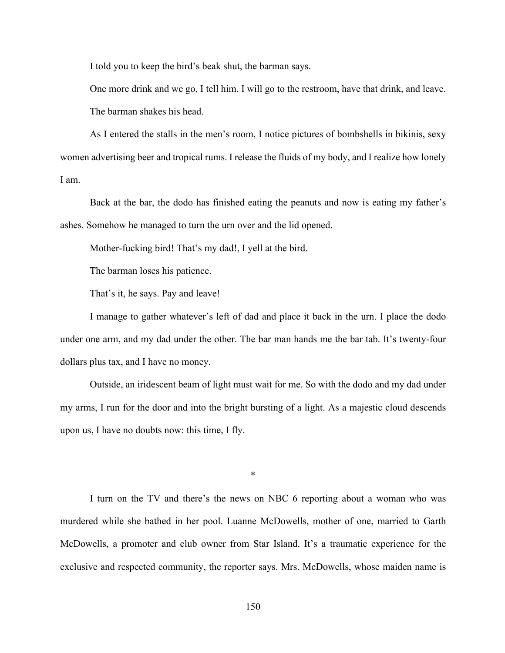I told you to keep the bird's beak shut, the barman says.

One more drink and we go, I tell him. I will go to the restroom, have that drink, and leave. The barman shakes his head.

As I entered the stalls in the men's room, I notice pictures of bombshells in bikinis, sexy women advertising beer and tropical rums. I release the fluids of my body, and I realize how lonely I am.

Back at the bar, the dodo has finished eating the peanuts and now is eating my father's ashes. Somehow he managed to turn the urn over and the lid opened.

Mother-fucking bird! That's my dad!, I yell at the bird.

The barman loses his patience.

That's it, he says. Pay and leave!

I manage to gather whatever's left of dad and place it back in the urn. I place the dodo under one arm, and my dad under the other. The bar man hands me the bar tab. It's twenty-four dollars plus tax, and I have no money.

Outside, an iridescent beam of light must wait for me. So with the dodo and my dad under my arms, I run for the door and into the bright bursting of a light. As a majestic cloud descends upon us, I have no doubts now: this time, I fly.

I turn on the TV and there's the news on NBC 6 reporting about a woman who was murdered while she bathed in her pool. Luanne McDowells, mother of one, married to Garth McDowells, a promoter and club owner from Star Island. It's a traumatic experience for the exclusive and respected community, the reporter says. Mrs. McDowells, whose maiden name is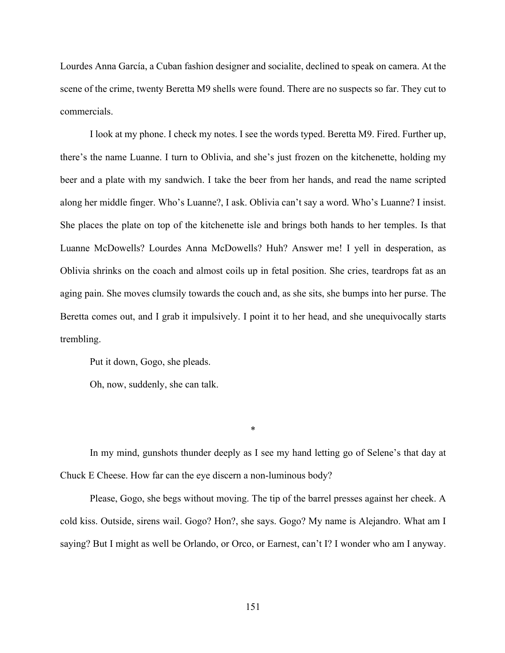Lourdes Anna García, a Cuban fashion designer and socialite, declined to speak on camera. At the scene of the crime, twenty Beretta M9 shells were found. There are no suspects so far. They cut to commercials.

I look at my phone. I check my notes. I see the words typed. Beretta M9. Fired. Further up, there's the name Luanne. I turn to Oblivia, and she's just frozen on the kitchenette, holding my beer and a plate with my sandwich. I take the beer from her hands, and read the name scripted along her middle finger. Who's Luanne?, I ask. Oblivia can't say a word. Who's Luanne? I insist. She places the plate on top of the kitchenette isle and brings both hands to her temples. Is that Luanne McDowells? Lourdes Anna McDowells? Huh? Answer me! I yell in desperation, as Oblivia shrinks on the coach and almost coils up in fetal position. She cries, teardrops fat as an aging pain. She moves clumsily towards the couch and, as she sits, she bumps into her purse. The Beretta comes out, and I grab it impulsively. I point it to her head, and she unequivocally starts trembling.

Put it down, Gogo, she pleads.

Oh, now, suddenly, she can talk.

In my mind, gunshots thunder deeply as I see my hand letting go of Selene's that day at Chuck E Cheese. How far can the eye discern a non-luminous body?

\*

Please, Gogo, she begs without moving. The tip of the barrel presses against her cheek. A cold kiss. Outside, sirens wail. Gogo? Hon?, she says. Gogo? My name is Alejandro. What am I saying? But I might as well be Orlando, or Orco, or Earnest, can't I? I wonder who am I anyway.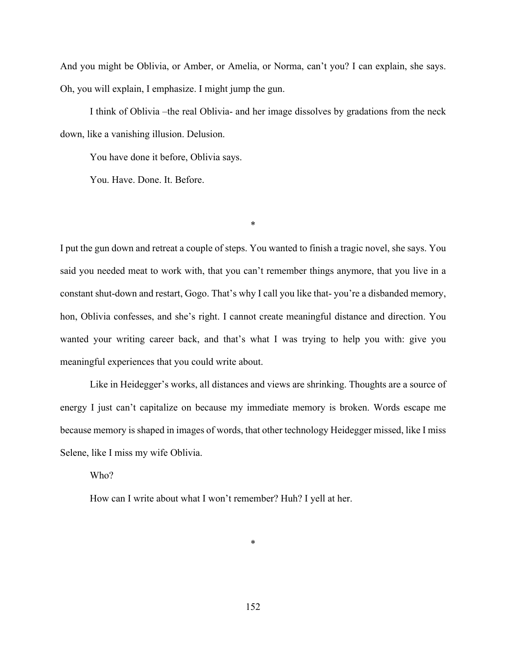And you might be Oblivia, or Amber, or Amelia, or Norma, can't you? I can explain, she says. Oh, you will explain, I emphasize. I might jump the gun.

I think of Oblivia –the real Oblivia- and her image dissolves by gradations from the neck down, like a vanishing illusion. Delusion.

You have done it before, Oblivia says.

You. Have. Done. It. Before.

\*

I put the gun down and retreat a couple of steps. You wanted to finish a tragic novel, she says. You said you needed meat to work with, that you can't remember things anymore, that you live in a constant shut-down and restart, Gogo. That's why I call you like that- you're a disbanded memory, hon, Oblivia confesses, and she's right. I cannot create meaningful distance and direction. You wanted your writing career back, and that's what I was trying to help you with: give you meaningful experiences that you could write about.

Like in Heidegger's works, all distances and views are shrinking. Thoughts are a source of energy I just can't capitalize on because my immediate memory is broken. Words escape me because memory is shaped in images of words, that other technology Heidegger missed, like I miss Selene, like I miss my wife Oblivia.

Who?

How can I write about what I won't remember? Huh? I yell at her.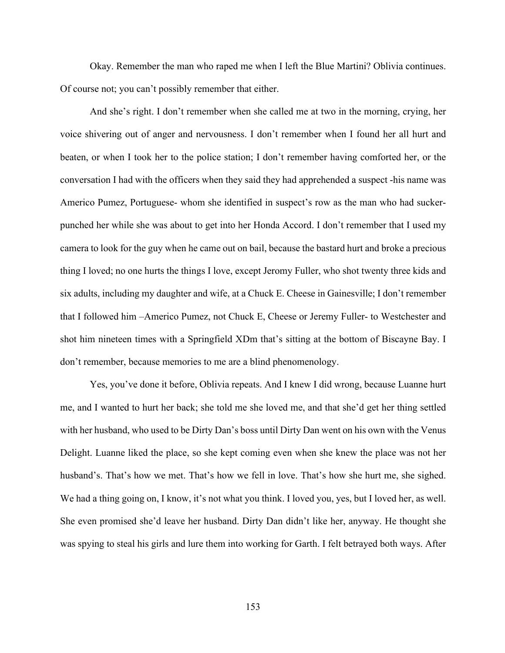Okay. Remember the man who raped me when I left the Blue Martini? Oblivia continues. Of course not; you can't possibly remember that either.

And she's right. I don't remember when she called me at two in the morning, crying, her voice shivering out of anger and nervousness. I don't remember when I found her all hurt and beaten, or when I took her to the police station; I don't remember having comforted her, or the conversation I had with the officers when they said they had apprehended a suspect -his name was Americo Pumez, Portuguese- whom she identified in suspect's row as the man who had suckerpunched her while she was about to get into her Honda Accord. I don't remember that I used my camera to look for the guy when he came out on bail, because the bastard hurt and broke a precious thing I loved; no one hurts the things I love, except Jeromy Fuller, who shot twenty three kids and six adults, including my daughter and wife, at a Chuck E. Cheese in Gainesville; I don't remember that I followed him –Americo Pumez, not Chuck E, Cheese or Jeremy Fuller- to Westchester and shot him nineteen times with a Springfield XDm that's sitting at the bottom of Biscayne Bay. I don't remember, because memories to me are a blind phenomenology.

Yes, you've done it before, Oblivia repeats. And I knew I did wrong, because Luanne hurt me, and I wanted to hurt her back; she told me she loved me, and that she'd get her thing settled with her husband, who used to be Dirty Dan's boss until Dirty Dan went on his own with the Venus Delight. Luanne liked the place, so she kept coming even when she knew the place was not her husband's. That's how we met. That's how we fell in love. That's how she hurt me, she sighed. We had a thing going on, I know, it's not what you think. I loved you, yes, but I loved her, as well. She even promised she'd leave her husband. Dirty Dan didn't like her, anyway. He thought she was spying to steal his girls and lure them into working for Garth. I felt betrayed both ways. After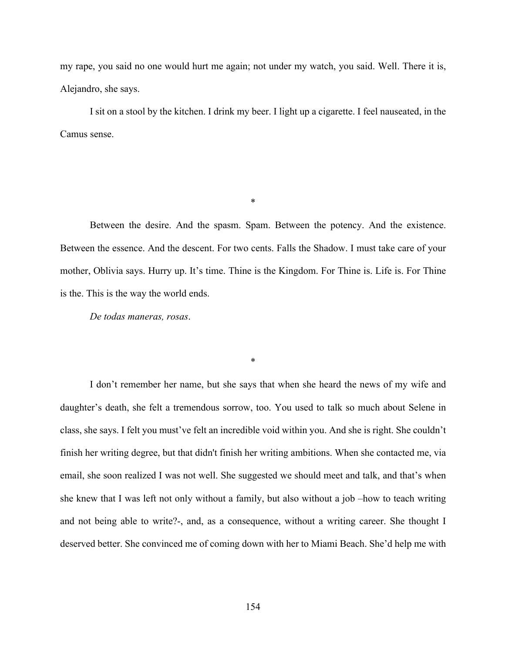my rape, you said no one would hurt me again; not under my watch, you said. Well. There it is, Alejandro, she says.

I sit on a stool by the kitchen. I drink my beer. I light up a cigarette. I feel nauseated, in the Camus sense.

\*

Between the desire. And the spasm. Spam. Between the potency. And the existence. Between the essence. And the descent. For two cents. Falls the Shadow. I must take care of your mother, Oblivia says. Hurry up. It's time. Thine is the Kingdom. For Thine is. Life is. For Thine is the. This is the way the world ends.

*De todas maneras, rosas*.

\*

I don't remember her name, but she says that when she heard the news of my wife and daughter's death, she felt a tremendous sorrow, too. You used to talk so much about Selene in class, she says. I felt you must've felt an incredible void within you. And she is right. She couldn't finish her writing degree, but that didn't finish her writing ambitions. When she contacted me, via email, she soon realized I was not well. She suggested we should meet and talk, and that's when she knew that I was left not only without a family, but also without a job –how to teach writing and not being able to write?-, and, as a consequence, without a writing career. She thought I deserved better. She convinced me of coming down with her to Miami Beach. She'd help me with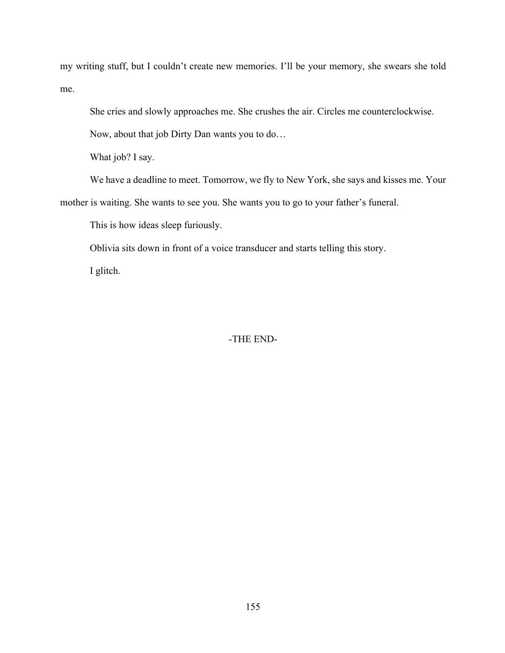my writing stuff, but I couldn't create new memories. I'll be your memory, she swears she told me.

She cries and slowly approaches me. She crushes the air. Circles me counterclockwise.

Now, about that job Dirty Dan wants you to do…

What job? I say.

We have a deadline to meet. Tomorrow, we fly to New York, she says and kisses me. Your mother is waiting. She wants to see you. She wants you to go to your father's funeral.

This is how ideas sleep furiously.

Oblivia sits down in front of a voice transducer and starts telling this story.

I glitch.

## -THE END-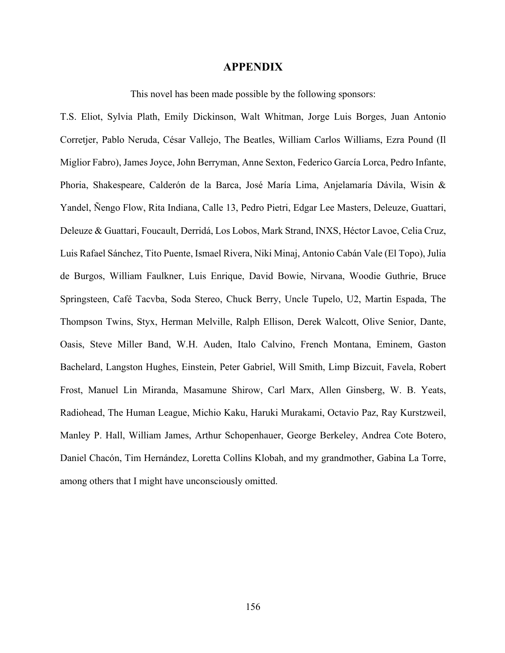## **APPENDIX**

This novel has been made possible by the following sponsors:

T.S. Eliot, Sylvia Plath, Emily Dickinson, Walt Whitman, Jorge Luis Borges, Juan Antonio Corretjer, Pablo Neruda, César Vallejo, The Beatles, William Carlos Williams, Ezra Pound (Il Miglior Fabro), James Joyce, John Berryman, Anne Sexton, Federico García Lorca, Pedro Infante, Phoria, Shakespeare, Calderón de la Barca, José María Lima, Anjelamaría Dávila, Wisin & Yandel, Ñengo Flow, Rita Indiana, Calle 13, Pedro Pietri, Edgar Lee Masters, Deleuze, Guattari, Deleuze & Guattari, Foucault, Derridá, Los Lobos, Mark Strand, INXS, Héctor Lavoe, Celia Cruz, Luis Rafael Sánchez, Tito Puente, Ismael Rivera, Niki Minaj, Antonio Cabán Vale (El Topo), Julia de Burgos, William Faulkner, Luis Enrique, David Bowie, Nirvana, Woodie Guthrie, Bruce Springsteen, Café Tacvba, Soda Stereo, Chuck Berry, Uncle Tupelo, U2, Martin Espada, The Thompson Twins, Styx, Herman Melville, Ralph Ellison, Derek Walcott, Olive Senior, Dante, Oasis, Steve Miller Band, W.H. Auden, Italo Calvino, French Montana, Eminem, Gaston Bachelard, Langston Hughes, Einstein, Peter Gabriel, Will Smith, Limp Bizcuit, Favela, Robert Frost, Manuel Lin Miranda, Masamune Shirow, Carl Marx, Allen Ginsberg, W. B. Yeats, Radiohead, The Human League, Michio Kaku, Haruki Murakami, Octavio Paz, Ray Kurstzweil, Manley P. Hall, William James, Arthur Schopenhauer, George Berkeley, Andrea Cote Botero, Daniel Chacón, Tim Hernández, Loretta Collins Klobah, and my grandmother, Gabina La Torre, among others that I might have unconsciously omitted.